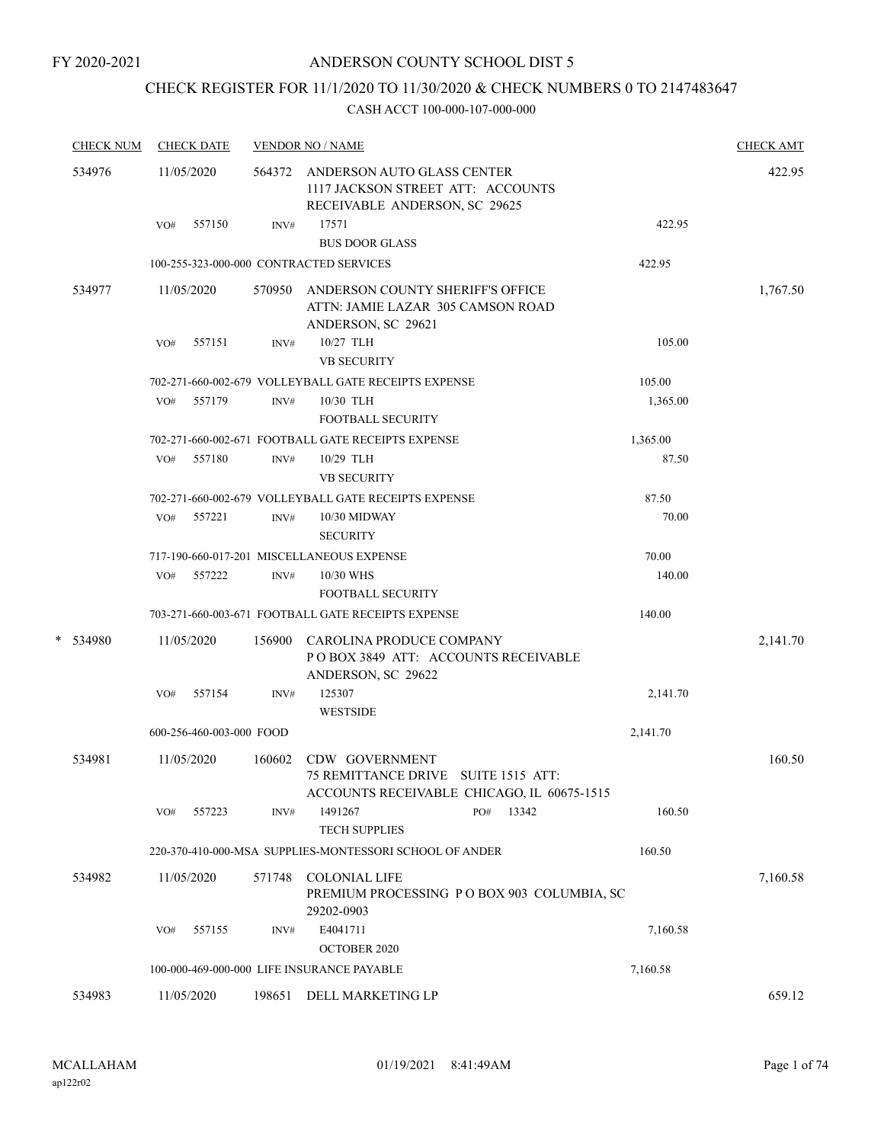# CHECK REGISTER FOR 11/1/2020 TO 11/30/2020 & CHECK NUMBERS 0 TO 2147483647

| <b>CHECK NUM</b> |     | <b>CHECK DATE</b>        |        | <b>VENDOR NO / NAME</b>                                                                                 |          | <b>CHECK AMT</b> |
|------------------|-----|--------------------------|--------|---------------------------------------------------------------------------------------------------------|----------|------------------|
| 534976           |     | 11/05/2020               |        | 564372 ANDERSON AUTO GLASS CENTER<br>1117 JACKSON STREET ATT: ACCOUNTS<br>RECEIVABLE ANDERSON, SC 29625 |          | 422.95           |
|                  | VO# | 557150                   | INV#   | 17571<br><b>BUS DOOR GLASS</b>                                                                          | 422.95   |                  |
|                  |     |                          |        | 100-255-323-000-000 CONTRACTED SERVICES                                                                 | 422.95   |                  |
| 534977           |     | 11/05/2020               |        | ANDERSON COUNTY SHERIFF'S OFFICE<br>570950<br>ATTN: JAMIE LAZAR 305 CAMSON ROAD<br>ANDERSON, SC 29621   |          | 1,767.50         |
|                  | VO# | 557151                   | INV#   | 10/27 TLH<br><b>VB SECURITY</b>                                                                         | 105.00   |                  |
|                  |     |                          |        | 702-271-660-002-679 VOLLEYBALL GATE RECEIPTS EXPENSE                                                    | 105.00   |                  |
|                  | VO# | 557179                   | INV#   | 10/30 TLH<br><b>FOOTBALL SECURITY</b>                                                                   | 1,365.00 |                  |
|                  |     |                          |        | 702-271-660-002-671 FOOTBALL GATE RECEIPTS EXPENSE                                                      | 1,365.00 |                  |
|                  | VO# | 557180                   | INV#   | 10/29 TLH<br><b>VB SECURITY</b>                                                                         | 87.50    |                  |
|                  |     |                          |        | 702-271-660-002-679 VOLLEYBALL GATE RECEIPTS EXPENSE                                                    | 87.50    |                  |
|                  | VO# | 557221                   | INV#   | 10/30 MIDWAY<br><b>SECURITY</b>                                                                         | 70.00    |                  |
|                  |     |                          |        | 717-190-660-017-201 MISCELLANEOUS EXPENSE                                                               | 70.00    |                  |
|                  | VO# | 557222                   | INV#   | 10/30 WHS<br><b>FOOTBALL SECURITY</b>                                                                   | 140.00   |                  |
|                  |     |                          |        | 703-271-660-003-671 FOOTBALL GATE RECEIPTS EXPENSE                                                      | 140.00   |                  |
| *<br>534980      |     | 11/05/2020               |        | CAROLINA PRODUCE COMPANY<br>POBOX 3849 ATT: ACCOUNTS RECEIVABLE<br>ANDERSON, SC 29622                   |          | 2,141.70         |
|                  | VO# | 557154                   | INV#   | 125307<br><b>WESTSIDE</b>                                                                               | 2,141.70 |                  |
|                  |     | 600-256-460-003-000 FOOD |        |                                                                                                         | 2,141.70 |                  |
| 534981           |     | 11/05/2020               | 160602 | CDW GOVERNMENT<br>75 REMITTANCE DRIVE SUITE 1515 ATT:<br>ACCOUNTS RECEIVABLE CHICAGO, IL 60675-1515     |          | 160.50           |
|                  | VO# | 557223                   | INV#   | 1491267<br>13342<br>PO#<br><b>TECH SUPPLIES</b>                                                         | 160.50   |                  |
|                  |     |                          |        | 220-370-410-000-MSA SUPPLIES-MONTESSORI SCHOOL OF ANDER                                                 | 160.50   |                  |
| 534982           |     | 11/05/2020               | 571748 | <b>COLONIAL LIFE</b><br>PREMIUM PROCESSING PO BOX 903 COLUMBIA, SC<br>29202-0903                        |          | 7,160.58         |
|                  | VO# | 557155                   | INV#   | E4041711<br>OCTOBER 2020                                                                                | 7,160.58 |                  |
|                  |     |                          |        | 100-000-469-000-000 LIFE INSURANCE PAYABLE                                                              | 7,160.58 |                  |
| 534983           |     | 11/05/2020               | 198651 | DELL MARKETING LP                                                                                       |          | 659.12           |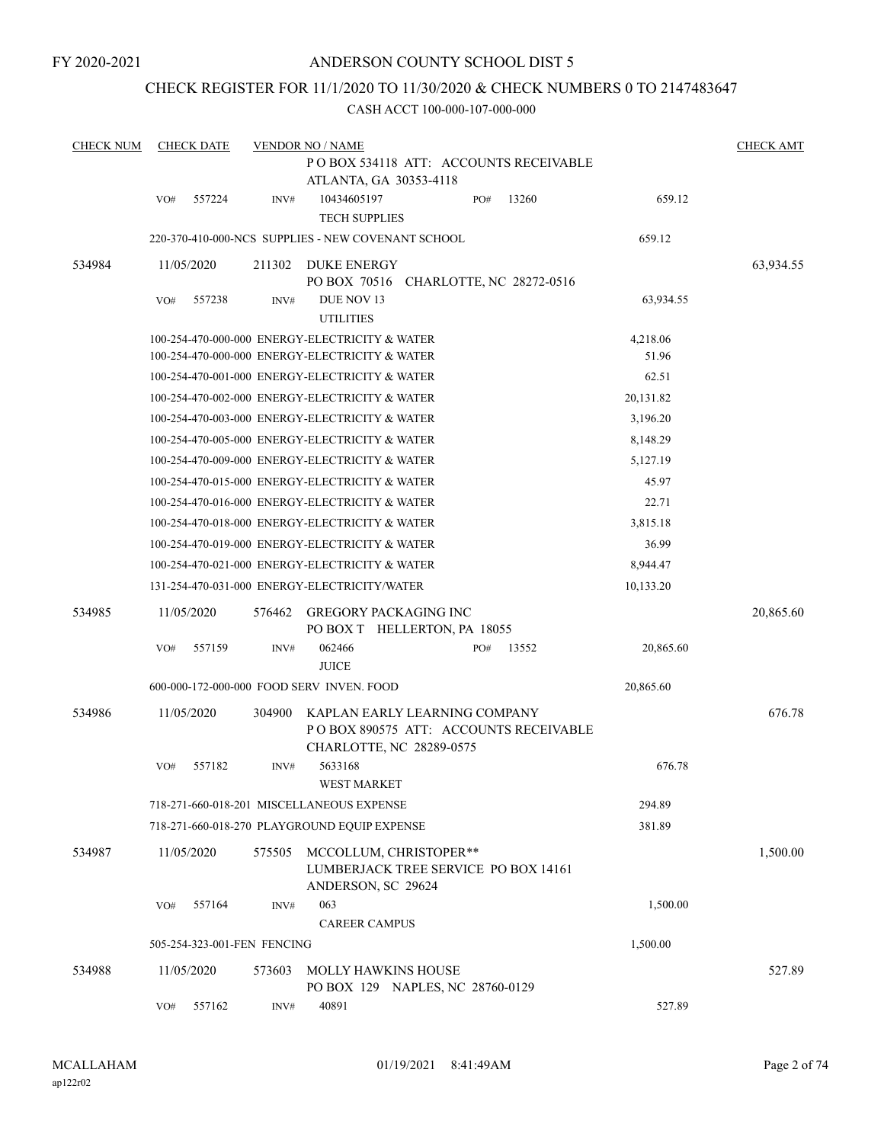FY 2020-2021

### ANDERSON COUNTY SCHOOL DIST 5

### CHECK REGISTER FOR 11/1/2020 TO 11/30/2020 & CHECK NUMBERS 0 TO 2147483647

| <b>CHECK NUM</b> |     | <b>CHECK DATE</b>           |        | <b>VENDOR NO / NAME</b>                                                                             |     |       |                   | <b>CHECK AMT</b> |
|------------------|-----|-----------------------------|--------|-----------------------------------------------------------------------------------------------------|-----|-------|-------------------|------------------|
|                  |     |                             |        | PO BOX 534118 ATT: ACCOUNTS RECEIVABLE<br>ATLANTA, GA 30353-4118                                    |     |       |                   |                  |
|                  | VO# | 557224                      | INV#   | 10434605197<br><b>TECH SUPPLIES</b>                                                                 | PO# | 13260 | 659.12            |                  |
|                  |     |                             |        | 220-370-410-000-NCS SUPPLIES - NEW COVENANT SCHOOL                                                  |     |       | 659.12            |                  |
| 534984           |     | 11/05/2020                  | 211302 | DUKE ENERGY<br>PO BOX 70516 CHARLOTTE, NC 28272-0516                                                |     |       |                   | 63,934.55        |
|                  | VO# | 557238                      | INV#   | DUE NOV 13<br><b>UTILITIES</b>                                                                      |     |       | 63,934.55         |                  |
|                  |     |                             |        | 100-254-470-000-000 ENERGY-ELECTRICITY & WATER<br>100-254-470-000-000 ENERGY-ELECTRICITY & WATER    |     |       | 4,218.06<br>51.96 |                  |
|                  |     |                             |        | 100-254-470-001-000 ENERGY-ELECTRICITY & WATER                                                      |     |       | 62.51             |                  |
|                  |     |                             |        | 100-254-470-002-000 ENERGY-ELECTRICITY & WATER                                                      |     |       | 20,131.82         |                  |
|                  |     |                             |        | 100-254-470-003-000 ENERGY-ELECTRICITY & WATER                                                      |     |       | 3,196.20          |                  |
|                  |     |                             |        | 100-254-470-005-000 ENERGY-ELECTRICITY & WATER                                                      |     |       | 8,148.29          |                  |
|                  |     |                             |        | 100-254-470-009-000 ENERGY-ELECTRICITY & WATER                                                      |     |       | 5,127.19          |                  |
|                  |     |                             |        | 100-254-470-015-000 ENERGY-ELECTRICITY & WATER                                                      |     |       | 45.97             |                  |
|                  |     |                             |        | 100-254-470-016-000 ENERGY-ELECTRICITY & WATER                                                      |     |       | 22.71             |                  |
|                  |     |                             |        | 100-254-470-018-000 ENERGY-ELECTRICITY & WATER                                                      |     |       | 3,815.18          |                  |
|                  |     |                             |        | 100-254-470-019-000 ENERGY-ELECTRICITY & WATER                                                      |     |       | 36.99             |                  |
|                  |     |                             |        | 100-254-470-021-000 ENERGY-ELECTRICITY & WATER                                                      |     |       | 8,944.47          |                  |
|                  |     |                             |        | 131-254-470-031-000 ENERGY-ELECTRICITY/WATER                                                        |     |       | 10,133.20         |                  |
| 534985           |     | 11/05/2020                  | 576462 | <b>GREGORY PACKAGING INC</b><br>PO BOX T HELLERTON, PA 18055                                        |     |       |                   | 20,865.60        |
|                  | VO# | 557159                      | INV#   | 062466<br><b>JUICE</b>                                                                              | PO# | 13552 | 20,865.60         |                  |
|                  |     |                             |        | 600-000-172-000-000 FOOD SERV INVEN. FOOD                                                           |     |       | 20,865.60         |                  |
| 534986           |     | 11/05/2020                  | 304900 | KAPLAN EARLY LEARNING COMPANY<br>PO BOX 890575 ATT: ACCOUNTS RECEIVABLE<br>CHARLOTTE, NC 28289-0575 |     |       |                   | 676.78           |
|                  | VO# | 557182                      | INV#   | 5633168<br>WEST MARKET                                                                              |     |       | 676.78            |                  |
|                  |     |                             |        | 718-271-660-018-201 MISCELLANEOUS EXPENSE                                                           |     |       | 294.89            |                  |
|                  |     |                             |        | 718-271-660-018-270 PLAYGROUND EQUIP EXPENSE                                                        |     |       | 381.89            |                  |
| 534987           |     | 11/05/2020                  | 575505 | MCCOLLUM, CHRISTOPER**<br>LUMBERJACK TREE SERVICE PO BOX 14161<br>ANDERSON, SC 29624                |     |       |                   | 1,500.00         |
|                  | VO# | 557164                      | INV#   | 063                                                                                                 |     |       | 1,500.00          |                  |
|                  |     |                             |        | <b>CAREER CAMPUS</b>                                                                                |     |       |                   |                  |
|                  |     | 505-254-323-001-FEN FENCING |        |                                                                                                     |     |       | 1,500.00          |                  |
| 534988           |     | 11/05/2020                  | 573603 | <b>MOLLY HAWKINS HOUSE</b><br>PO BOX 129 NAPLES, NC 28760-0129                                      |     |       |                   | 527.89           |
|                  | VO# | 557162                      | INV#   | 40891                                                                                               |     |       | 527.89            |                  |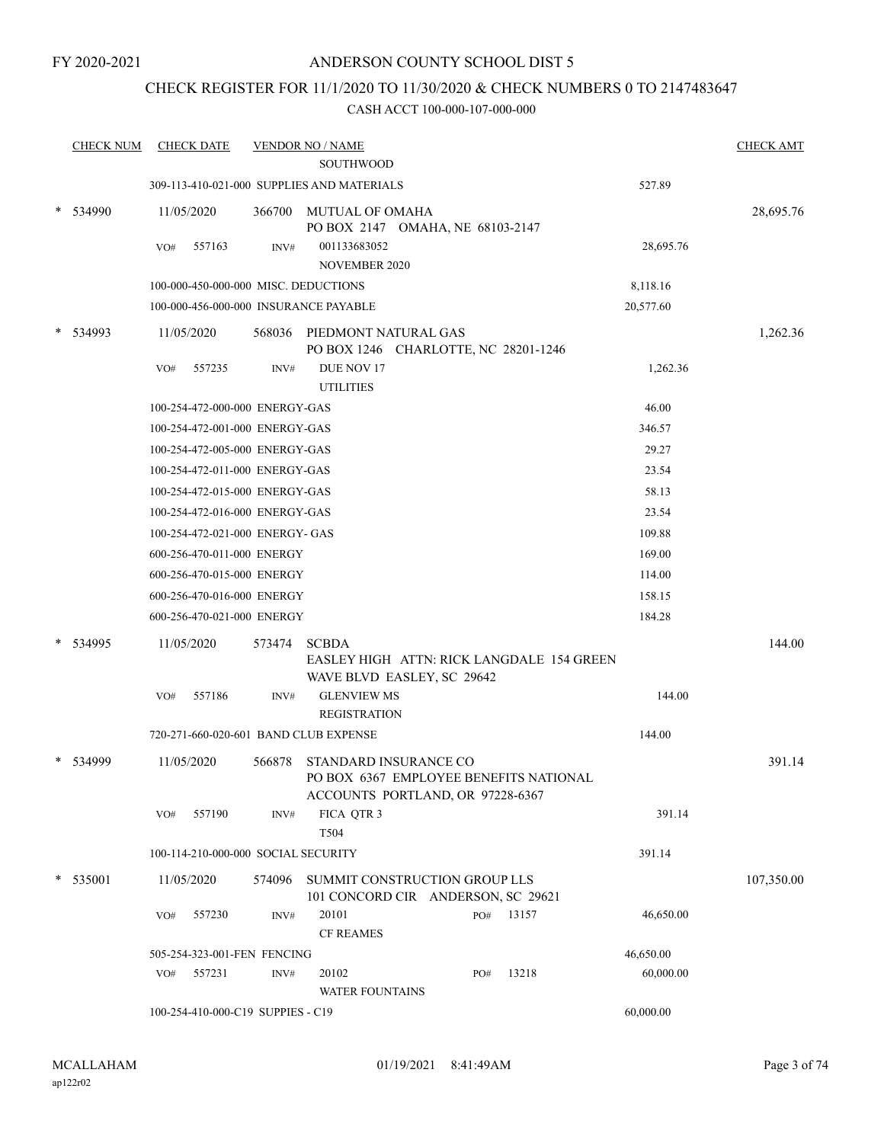### CHECK REGISTER FOR 11/1/2020 TO 11/30/2020 & CHECK NUMBERS 0 TO 2147483647

| <b>CHECK NUM</b> |     | <b>CHECK DATE</b>                   |        | <b>VENDOR NO / NAME</b>                                                    |     |           |           | <b>CHECK AMT</b> |
|------------------|-----|-------------------------------------|--------|----------------------------------------------------------------------------|-----|-----------|-----------|------------------|
|                  |     |                                     |        | <b>SOUTHWOOD</b>                                                           |     |           |           |                  |
|                  |     |                                     |        | 309-113-410-021-000 SUPPLIES AND MATERIALS                                 |     |           | 527.89    |                  |
| * 534990         |     | 11/05/2020                          |        | 366700 MUTUAL OF OMAHA                                                     |     |           |           | 28,695.76        |
|                  |     |                                     |        | PO BOX 2147 OMAHA, NE 68103-2147                                           |     |           |           |                  |
|                  | VO# | 557163                              | INV#   | 001133683052<br><b>NOVEMBER 2020</b>                                       |     |           | 28,695.76 |                  |
|                  |     |                                     |        | 100-000-450-000-000 MISC. DEDUCTIONS                                       |     |           | 8,118.16  |                  |
|                  |     |                                     |        | 100-000-456-000-000 INSURANCE PAYABLE                                      |     |           | 20,577.60 |                  |
|                  |     |                                     |        |                                                                            |     |           |           |                  |
| 534993           |     | 11/05/2020                          |        | 568036 PIEDMONT NATURAL GAS<br>PO BOX 1246 CHARLOTTE, NC 28201-1246        |     |           |           | 1,262.36         |
|                  | VO# | 557235                              | INV#   | DUE NOV 17                                                                 |     |           | 1,262.36  |                  |
|                  |     |                                     |        | <b>UTILITIES</b>                                                           |     |           |           |                  |
|                  |     | 100-254-472-000-000 ENERGY-GAS      |        |                                                                            |     |           | 46.00     |                  |
|                  |     | 100-254-472-001-000 ENERGY-GAS      |        |                                                                            |     |           | 346.57    |                  |
|                  |     | 100-254-472-005-000 ENERGY-GAS      |        |                                                                            |     |           | 29.27     |                  |
|                  |     | 100-254-472-011-000 ENERGY-GAS      |        |                                                                            |     |           | 23.54     |                  |
|                  |     | 100-254-472-015-000 ENERGY-GAS      |        |                                                                            |     |           | 58.13     |                  |
|                  |     | 100-254-472-016-000 ENERGY-GAS      |        |                                                                            |     |           | 23.54     |                  |
|                  |     | 100-254-472-021-000 ENERGY- GAS     |        |                                                                            |     |           | 109.88    |                  |
|                  |     | 600-256-470-011-000 ENERGY          |        |                                                                            |     |           | 169.00    |                  |
|                  |     | 600-256-470-015-000 ENERGY          |        |                                                                            |     |           | 114.00    |                  |
|                  |     | 600-256-470-016-000 ENERGY          |        |                                                                            |     |           | 158.15    |                  |
|                  |     | 600-256-470-021-000 ENERGY          |        |                                                                            |     |           | 184.28    |                  |
| * 534995         |     | 11/05/2020                          | 573474 | <b>SCBDA</b>                                                               |     |           |           | 144.00           |
|                  |     |                                     |        | EASLEY HIGH ATTN: RICK LANGDALE 154 GREEN                                  |     |           |           |                  |
|                  |     |                                     |        | WAVE BLVD EASLEY, SC 29642                                                 |     |           |           |                  |
|                  | VO# | 557186                              | INV#   | <b>GLENVIEW MS</b>                                                         |     |           | 144.00    |                  |
|                  |     |                                     |        | <b>REGISTRATION</b>                                                        |     |           |           |                  |
|                  |     |                                     |        | 720-271-660-020-601 BAND CLUB EXPENSE                                      |     |           | 144.00    |                  |
| 534999           |     | 11/05/2020                          | 566878 | STANDARD INSURANCE CO                                                      |     |           |           | 391.14           |
|                  |     |                                     |        | PO BOX 6367 EMPLOYEE BENEFITS NATIONAL<br>ACCOUNTS PORTLAND, OR 97228-6367 |     |           |           |                  |
|                  | VO# | 557190                              | INV#   | FICA QTR 3                                                                 |     |           | 391.14    |                  |
|                  |     |                                     |        | T504                                                                       |     |           |           |                  |
|                  |     | 100-114-210-000-000 SOCIAL SECURITY |        |                                                                            |     |           | 391.14    |                  |
| * 535001         |     | 11/05/2020                          | 574096 | SUMMIT CONSTRUCTION GROUP LLS                                              |     |           |           | 107,350.00       |
|                  |     |                                     |        | 101 CONCORD CIR ANDERSON, SC 29621                                         |     |           |           |                  |
|                  | VO# | 557230                              | INV#   | 20101                                                                      |     | PO# 13157 | 46,650.00 |                  |
|                  |     |                                     |        | <b>CF REAMES</b>                                                           |     |           |           |                  |
|                  |     | 505-254-323-001-FEN FENCING         |        |                                                                            |     |           | 46,650.00 |                  |
|                  | VO# | 557231                              | INV#   | 20102                                                                      | PO# | 13218     | 60,000.00 |                  |
|                  |     |                                     |        | <b>WATER FOUNTAINS</b>                                                     |     |           |           |                  |
|                  |     | 100-254-410-000-C19 SUPPIES - C19   |        |                                                                            |     |           | 60,000.00 |                  |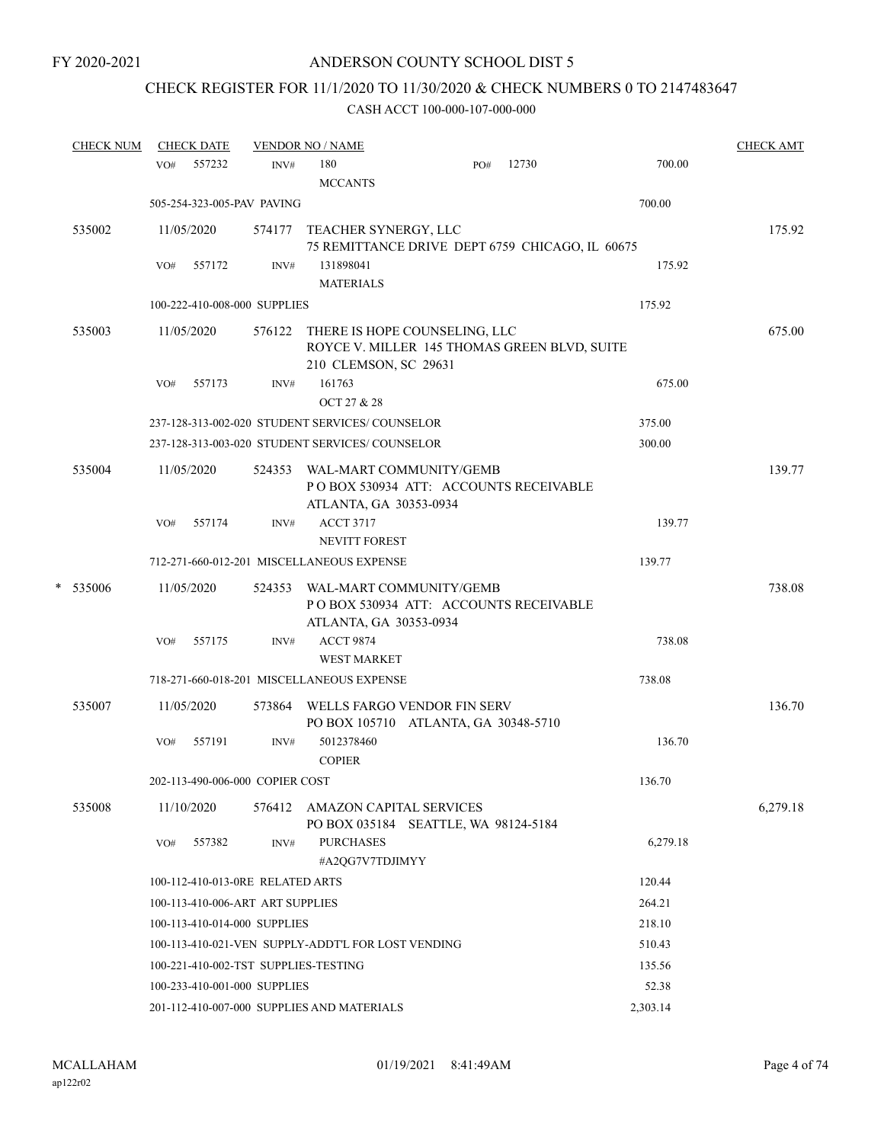# CHECK REGISTER FOR 11/1/2020 TO 11/30/2020 & CHECK NUMBERS 0 TO 2147483647

|        | <b>CHECK NUM</b> |            | <b>CHECK DATE</b> |                                  | <b>VENDOR NO / NAME</b>                                                                                |                                                                            |        |          | <b>CHECK AMT</b> |
|--------|------------------|------------|-------------------|----------------------------------|--------------------------------------------------------------------------------------------------------|----------------------------------------------------------------------------|--------|----------|------------------|
|        |                  | VO#        | 557232            | INV#                             | 180<br><b>MCCANTS</b>                                                                                  | PO#                                                                        | 12730  | 700.00   |                  |
|        |                  |            |                   | 505-254-323-005-PAV PAVING       |                                                                                                        |                                                                            |        | 700.00   |                  |
|        | 535002           |            | 11/05/2020        | 574177                           | TEACHER SYNERGY, LLC                                                                                   | 75 REMITTANCE DRIVE DEPT 6759 CHICAGO, IL 60675                            |        |          | 175.92           |
|        |                  | VO#        | 557172            | INV#                             | 131898041<br><b>MATERIALS</b>                                                                          |                                                                            | 175.92 |          |                  |
|        |                  |            |                   | 100-222-410-008-000 SUPPLIES     |                                                                                                        |                                                                            |        | 175.92   |                  |
| 535003 |                  | 11/05/2020 |                   | 576122                           | THERE IS HOPE COUNSELING, LLC<br>ROYCE V. MILLER 145 THOMAS GREEN BLVD, SUITE<br>210 CLEMSON, SC 29631 |                                                                            |        | 675.00   |                  |
|        |                  | VO#        | 557173            | INV#                             | 161763<br>OCT 27 & 28                                                                                  |                                                                            |        | 675.00   |                  |
|        |                  |            |                   |                                  | 237-128-313-002-020 STUDENT SERVICES/COUNSELOR                                                         |                                                                            |        | 375.00   |                  |
|        |                  |            |                   |                                  | 237-128-313-003-020 STUDENT SERVICES/ COUNSELOR                                                        |                                                                            |        | 300.00   |                  |
|        | 535004           |            | 11/05/2020        | 524353                           | ATLANTA, GA 30353-0934                                                                                 | WAL-MART COMMUNITY/GEMB<br>POBOX 530934 ATT: ACCOUNTS RECEIVABLE           |        |          | 139.77           |
|        |                  | VO#        | 557174            | INV#                             | <b>ACCT 3717</b>                                                                                       |                                                                            |        | 139.77   |                  |
|        |                  |            |                   |                                  | <b>NEVITT FOREST</b>                                                                                   |                                                                            |        |          |                  |
|        |                  |            |                   |                                  | 712-271-660-012-201 MISCELLANEOUS EXPENSE                                                              |                                                                            |        | 139.77   |                  |
| *      | 535006           |            | 11/05/2020        | 524353                           | ATLANTA, GA 30353-0934                                                                                 | WAL-MART COMMUNITY/GEMB<br>PO BOX 530934 ATT: ACCOUNTS RECEIVABLE          |        |          | 738.08           |
|        |                  | VO#        | 557175            | INV#                             | <b>ACCT 9874</b><br><b>WEST MARKET</b>                                                                 |                                                                            |        | 738.08   |                  |
|        |                  |            |                   |                                  | 718-271-660-018-201 MISCELLANEOUS EXPENSE                                                              |                                                                            |        | 738.08   |                  |
|        | 535007           |            | 11/05/2020        |                                  |                                                                                                        | 573864 WELLS FARGO VENDOR FIN SERV<br>PO BOX 105710 ATLANTA, GA 30348-5710 |        |          | 136.70           |
|        |                  | VO#        | 557191            | INV#                             | 5012378460<br><b>COPIER</b>                                                                            |                                                                            |        | 136.70   |                  |
|        |                  |            |                   | 202-113-490-006-000 COPIER COST  |                                                                                                        |                                                                            |        | 136.70   |                  |
|        | 535008           |            | 11/10/2020        |                                  | 576412 AMAZON CAPITAL SERVICES                                                                         | PO BOX 035184 SEATTLE, WA 98124-5184                                       |        |          | 6,279.18         |
|        |                  | VO#        | 557382            | INV#                             | <b>PURCHASES</b><br>#A2QG7V7TDJIMYY                                                                    |                                                                            |        | 6,279.18 |                  |
|        |                  |            |                   | 100-112-410-013-0RE RELATED ARTS |                                                                                                        |                                                                            |        | 120.44   |                  |
|        |                  |            |                   | 100-113-410-006-ART ART SUPPLIES |                                                                                                        |                                                                            |        | 264.21   |                  |
|        |                  |            |                   | 100-113-410-014-000 SUPPLIES     |                                                                                                        |                                                                            |        | 218.10   |                  |
|        |                  |            |                   |                                  | 100-113-410-021-VEN SUPPLY-ADDT'L FOR LOST VENDING                                                     |                                                                            |        | 510.43   |                  |
|        |                  |            |                   |                                  | 100-221-410-002-TST SUPPLIES-TESTING                                                                   |                                                                            |        | 135.56   |                  |
|        |                  |            |                   | 100-233-410-001-000 SUPPLIES     |                                                                                                        |                                                                            |        | 52.38    |                  |
|        |                  |            |                   |                                  | 201-112-410-007-000 SUPPLIES AND MATERIALS                                                             |                                                                            |        | 2,303.14 |                  |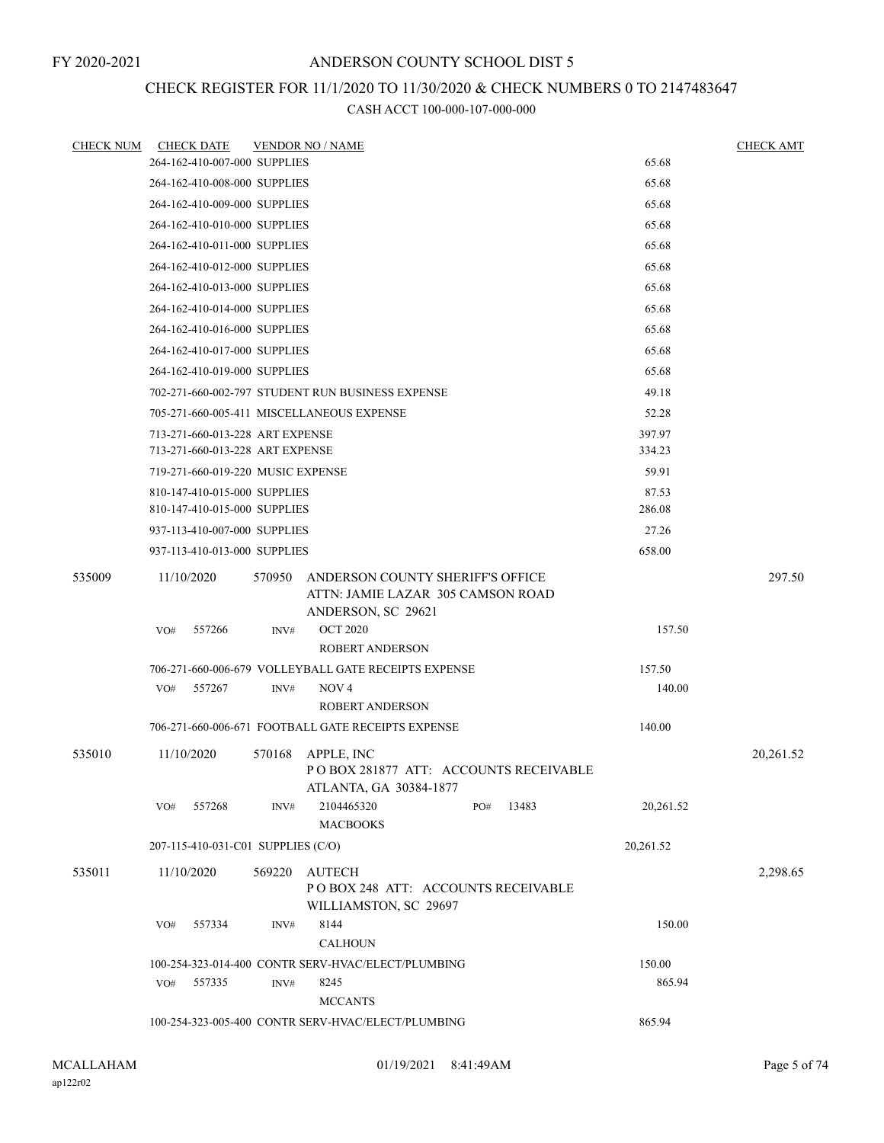### CHECK REGISTER FOR 11/1/2020 TO 11/30/2020 & CHECK NUMBERS 0 TO 2147483647

| <b>CHECK NUM</b> | <b>CHECK DATE</b>                  |        | <b>VENDOR NO / NAME</b>                                                                     |           | <b>CHECK AMT</b> |  |  |  |  |
|------------------|------------------------------------|--------|---------------------------------------------------------------------------------------------|-----------|------------------|--|--|--|--|
|                  | 264-162-410-007-000 SUPPLIES       |        |                                                                                             | 65.68     |                  |  |  |  |  |
|                  | 264-162-410-008-000 SUPPLIES       |        |                                                                                             | 65.68     |                  |  |  |  |  |
|                  | 264-162-410-009-000 SUPPLIES       |        |                                                                                             | 65.68     |                  |  |  |  |  |
|                  | 264-162-410-010-000 SUPPLIES       |        |                                                                                             | 65.68     |                  |  |  |  |  |
|                  | 264-162-410-011-000 SUPPLIES       |        |                                                                                             | 65.68     |                  |  |  |  |  |
|                  | 264-162-410-012-000 SUPPLIES       |        |                                                                                             | 65.68     |                  |  |  |  |  |
|                  | 264-162-410-013-000 SUPPLIES       |        |                                                                                             | 65.68     |                  |  |  |  |  |
|                  | 264-162-410-014-000 SUPPLIES       |        |                                                                                             | 65.68     |                  |  |  |  |  |
|                  | 264-162-410-016-000 SUPPLIES       |        |                                                                                             | 65.68     |                  |  |  |  |  |
|                  | 264-162-410-017-000 SUPPLIES       |        |                                                                                             | 65.68     |                  |  |  |  |  |
|                  | 264-162-410-019-000 SUPPLIES       |        |                                                                                             | 65.68     |                  |  |  |  |  |
|                  |                                    |        | 702-271-660-002-797 STUDENT RUN BUSINESS EXPENSE<br>49.18                                   |           |                  |  |  |  |  |
|                  |                                    |        | 705-271-660-005-411 MISCELLANEOUS EXPENSE                                                   | 52.28     |                  |  |  |  |  |
|                  | 713-271-660-013-228 ART EXPENSE    |        |                                                                                             | 397.97    |                  |  |  |  |  |
|                  | 713-271-660-013-228 ART EXPENSE    |        |                                                                                             | 334.23    |                  |  |  |  |  |
|                  | 719-271-660-019-220 MUSIC EXPENSE  |        |                                                                                             | 59.91     |                  |  |  |  |  |
|                  | 810-147-410-015-000 SUPPLIES       |        |                                                                                             | 87.53     |                  |  |  |  |  |
|                  | 810-147-410-015-000 SUPPLIES       |        |                                                                                             | 286.08    |                  |  |  |  |  |
|                  | 937-113-410-007-000 SUPPLIES       |        |                                                                                             | 27.26     |                  |  |  |  |  |
|                  | 937-113-410-013-000 SUPPLIES       |        |                                                                                             | 658.00    |                  |  |  |  |  |
| 535009           | 11/10/2020                         | 570950 | ANDERSON COUNTY SHERIFF'S OFFICE<br>ATTN: JAMIE LAZAR 305 CAMSON ROAD<br>ANDERSON, SC 29621 |           | 297.50           |  |  |  |  |
|                  | 557266<br>VO#                      | INV#   | <b>OCT 2020</b>                                                                             | 157.50    |                  |  |  |  |  |
|                  |                                    |        | <b>ROBERT ANDERSON</b>                                                                      |           |                  |  |  |  |  |
|                  |                                    |        | 706-271-660-006-679 VOLLEYBALL GATE RECEIPTS EXPENSE                                        | 157.50    |                  |  |  |  |  |
|                  | VO#<br>557267                      | INV#   | NOV <sub>4</sub><br><b>ROBERT ANDERSON</b>                                                  | 140.00    |                  |  |  |  |  |
|                  |                                    |        | 706-271-660-006-671 FOOTBALL GATE RECEIPTS EXPENSE                                          | 140.00    |                  |  |  |  |  |
| 535010           | 11/10/2020                         | 570168 | APPLE, INC<br>POBOX 281877 ATT: ACCOUNTS RECEIVABLE                                         |           | 20,261.52        |  |  |  |  |
|                  | 557268<br>VO#                      | INV#   | ATLANTA, GA 30384-1877<br>2104465320<br>13483<br>PO#<br><b>MACBOOKS</b>                     | 20,261.52 |                  |  |  |  |  |
|                  | 207-115-410-031-C01 SUPPLIES (C/O) |        |                                                                                             | 20,261.52 |                  |  |  |  |  |
| 535011           | 11/10/2020                         | 569220 | AUTECH<br>PO BOX 248 ATT: ACCOUNTS RECEIVABLE<br>WILLIAMSTON, SC 29697                      |           | 2,298.65         |  |  |  |  |
|                  | 557334<br>VO#                      | INV#   | 8144<br><b>CALHOUN</b>                                                                      | 150.00    |                  |  |  |  |  |
|                  |                                    |        | 100-254-323-014-400 CONTR SERV-HVAC/ELECT/PLUMBING                                          | 150.00    |                  |  |  |  |  |
|                  | 557335<br>VO#                      | INV#   | 8245                                                                                        | 865.94    |                  |  |  |  |  |
|                  |                                    |        | <b>MCCANTS</b>                                                                              |           |                  |  |  |  |  |
|                  |                                    |        | 100-254-323-005-400 CONTR SERV-HVAC/ELECT/PLUMBING                                          | 865.94    |                  |  |  |  |  |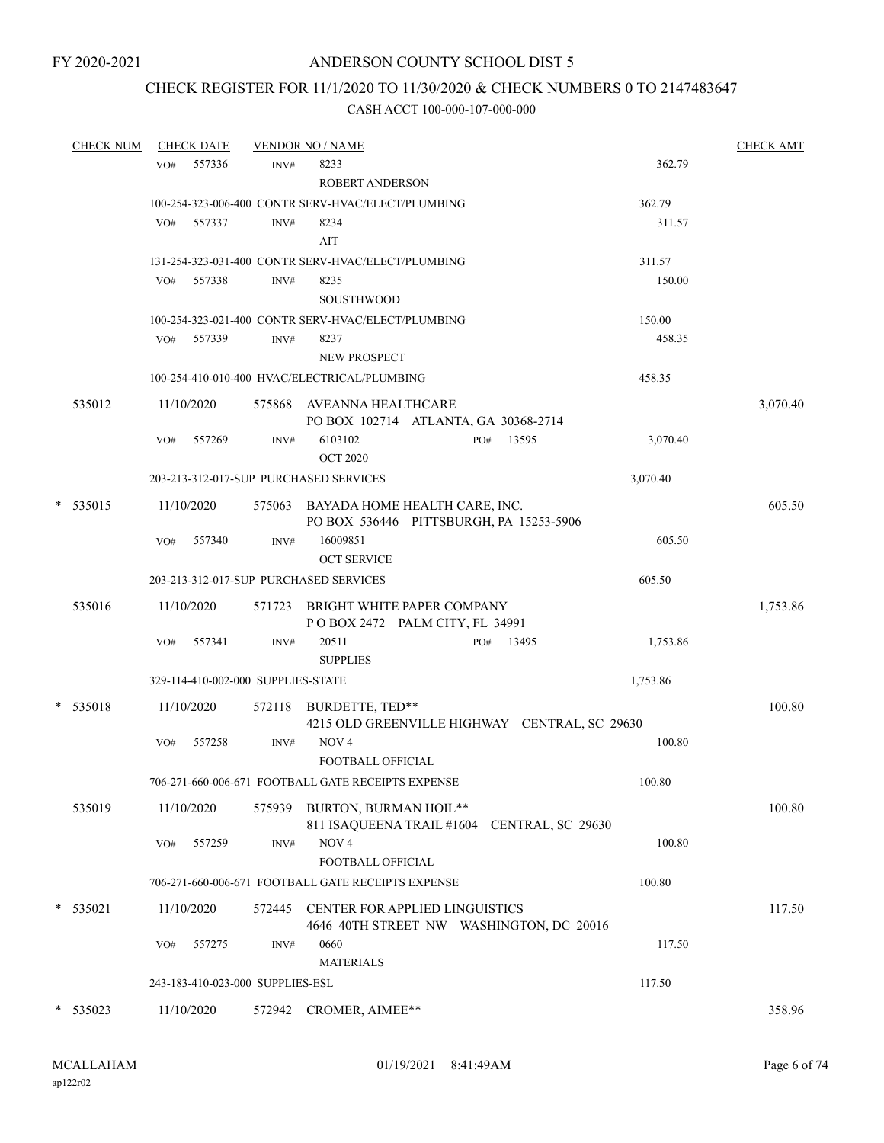# CHECK REGISTER FOR 11/1/2020 TO 11/30/2020 & CHECK NUMBERS 0 TO 2147483647

| <b>CHECK NUM</b> |     | <b>CHECK DATE</b>                  |        | <b>VENDOR NO / NAME</b>                            |     |                                          |          | <b>CHECK AMT</b> |
|------------------|-----|------------------------------------|--------|----------------------------------------------------|-----|------------------------------------------|----------|------------------|
|                  | VO# | 557336                             | INV#   | 8233                                               |     |                                          | 362.79   |                  |
|                  |     |                                    |        | <b>ROBERT ANDERSON</b>                             |     |                                          |          |                  |
|                  |     |                                    |        | 100-254-323-006-400 CONTR SERV-HVAC/ELECT/PLUMBING |     |                                          | 362.79   |                  |
|                  | VO# | 557337                             | INV#   | 8234                                               |     |                                          | 311.57   |                  |
|                  |     |                                    |        | AIT                                                |     |                                          |          |                  |
|                  |     |                                    |        | 131-254-323-031-400 CONTR SERV-HVAC/ELECT/PLUMBING |     |                                          | 311.57   |                  |
|                  | VO# | 557338                             | INV#   | 8235                                               |     |                                          | 150.00   |                  |
|                  |     |                                    |        | <b>SOUSTHWOOD</b>                                  |     |                                          |          |                  |
|                  |     |                                    |        | 100-254-323-021-400 CONTR SERV-HVAC/ELECT/PLUMBING |     |                                          | 150.00   |                  |
|                  | VO# | 557339                             | INV#   | 8237                                               |     |                                          | 458.35   |                  |
|                  |     |                                    |        | NEW PROSPECT                                       |     |                                          |          |                  |
|                  |     |                                    |        | 100-254-410-010-400 HVAC/ELECTRICAL/PLUMBING       |     |                                          | 458.35   |                  |
| 535012           |     | 11/10/2020                         |        | 575868 AVEANNA HEALTHCARE                          |     |                                          |          | 3,070.40         |
|                  |     |                                    |        | PO BOX 102714 ATLANTA, GA 30368-2714               |     |                                          |          |                  |
|                  | VO# | 557269                             | INV#   | 6103102                                            | PO# | 13595                                    | 3,070.40 |                  |
|                  |     |                                    |        | <b>OCT 2020</b>                                    |     |                                          |          |                  |
|                  |     |                                    |        | 203-213-312-017-SUP PURCHASED SERVICES             |     |                                          | 3,070.40 |                  |
| * 535015         |     | 11/10/2020                         |        | 575063 BAYADA HOME HEALTH CARE, INC.               |     |                                          |          | 605.50           |
|                  |     |                                    |        | PO BOX 536446 PITTSBURGH, PA 15253-5906            |     |                                          |          |                  |
|                  | VO# | 557340                             | INV#   | 16009851                                           |     |                                          | 605.50   |                  |
|                  |     |                                    |        | <b>OCT SERVICE</b>                                 |     |                                          |          |                  |
|                  |     |                                    |        | 203-213-312-017-SUP PURCHASED SERVICES             |     |                                          | 605.50   |                  |
| 535016           |     | 11/10/2020                         |        | 571723 BRIGHT WHITE PAPER COMPANY                  |     |                                          |          | 1,753.86         |
|                  |     |                                    |        | POBOX 2472 PALM CITY, FL 34991                     |     |                                          |          |                  |
|                  | VO# | 557341                             | INV#   | 20511                                              | PO# | 13495                                    | 1,753.86 |                  |
|                  |     |                                    |        | <b>SUPPLIES</b>                                    |     |                                          |          |                  |
|                  |     | 329-114-410-002-000 SUPPLIES-STATE |        |                                                    |     |                                          | 1,753.86 |                  |
| * 535018         |     | 11/10/2020                         |        | 572118 BURDETTE, TED**                             |     |                                          |          | 100.80           |
|                  |     |                                    |        | 4215 OLD GREENVILLE HIGHWAY CENTRAL, SC 29630      |     |                                          |          |                  |
|                  | VO# | 557258                             | INV#   | NOV <sub>4</sub>                                   |     |                                          | 100.80   |                  |
|                  |     |                                    |        | FOOTBALL OFFICIAL                                  |     |                                          |          |                  |
|                  |     |                                    |        | 706-271-660-006-671 FOOTBALL GATE RECEIPTS EXPENSE |     |                                          | 100.80   |                  |
| 535019           |     | 11/10/2020                         |        | 575939 BURTON, BURMAN HOIL**                       |     |                                          |          | 100.80           |
|                  |     |                                    |        | 811 ISAQUEENA TRAIL #1604 CENTRAL, SC 29630        |     |                                          |          |                  |
|                  | VO# | 557259                             | INV#   | NOV <sub>4</sub>                                   |     |                                          | 100.80   |                  |
|                  |     |                                    |        | FOOTBALL OFFICIAL                                  |     |                                          |          |                  |
|                  |     |                                    |        | 706-271-660-006-671 FOOTBALL GATE RECEIPTS EXPENSE |     |                                          | 100.80   |                  |
| * 535021         |     | 11/10/2020                         | 572445 | CENTER FOR APPLIED LINGUISTICS                     |     |                                          |          | 117.50           |
|                  |     |                                    |        |                                                    |     | 4646 40TH STREET NW WASHINGTON, DC 20016 |          |                  |
|                  | VO# | 557275                             | INV#   | 0660                                               |     |                                          | 117.50   |                  |
|                  |     |                                    |        | <b>MATERIALS</b>                                   |     |                                          |          |                  |
|                  |     | 243-183-410-023-000 SUPPLIES-ESL   |        |                                                    |     |                                          | 117.50   |                  |
| $*$ 535023       |     | 11/10/2020                         |        | 572942 CROMER, AIMEE**                             |     |                                          |          | 358.96           |
|                  |     |                                    |        |                                                    |     |                                          |          |                  |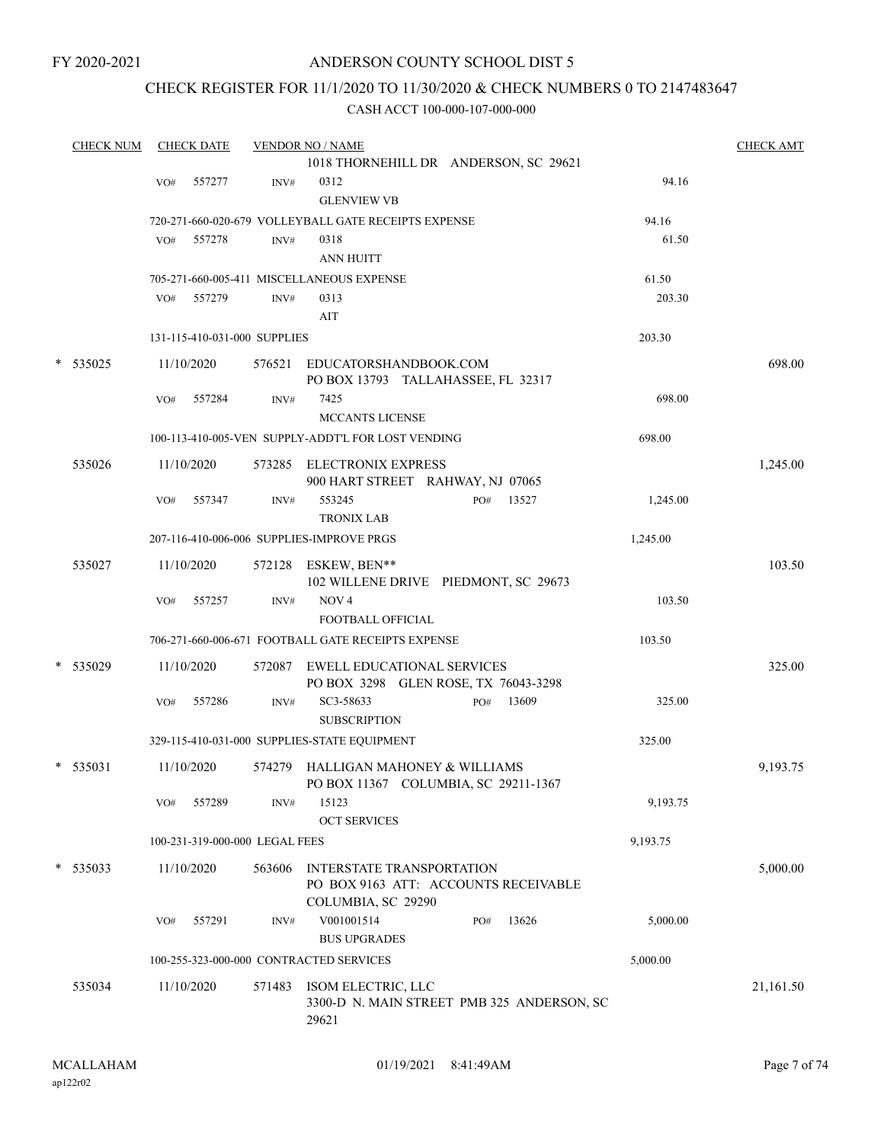FY 2020-2021

### ANDERSON COUNTY SCHOOL DIST 5

### CHECK REGISTER FOR 11/1/2020 TO 11/30/2020 & CHECK NUMBERS 0 TO 2147483647

| <b>CHECK NUM</b> |            | <b>CHECK DATE</b> |                                | <b>VENDOR NO / NAME</b>                                            |          | <b>CHECK AMT</b> |
|------------------|------------|-------------------|--------------------------------|--------------------------------------------------------------------|----------|------------------|
|                  |            |                   |                                | 1018 THORNEHILL DR ANDERSON, SC 29621                              |          |                  |
|                  | VO#        | 557277            | INV#                           | 0312                                                               | 94.16    |                  |
|                  |            |                   |                                | <b>GLENVIEW VB</b>                                                 |          |                  |
|                  |            |                   |                                | 720-271-660-020-679 VOLLEYBALL GATE RECEIPTS EXPENSE               | 94.16    |                  |
|                  | VO#        | 557278            | INV#                           | 0318                                                               | 61.50    |                  |
|                  |            |                   |                                | ANN HUITT                                                          |          |                  |
|                  |            |                   |                                | 705-271-660-005-411 MISCELLANEOUS EXPENSE                          | 61.50    |                  |
|                  | VO#        | 557279            | INV#                           | 0313                                                               | 203.30   |                  |
|                  |            |                   |                                | AIT                                                                |          |                  |
|                  |            |                   | 131-115-410-031-000 SUPPLIES   |                                                                    | 203.30   |                  |
|                  | 11/10/2020 |                   |                                |                                                                    |          | 698.00           |
| $*$ 535025       |            |                   |                                | 576521 EDUCATORSHANDBOOK.COM<br>PO BOX 13793 TALLAHASSEE, FL 32317 |          |                  |
|                  | VO#        | 557284            | INV#                           | 7425                                                               | 698.00   |                  |
|                  |            |                   |                                | MCCANTS LICENSE                                                    |          |                  |
|                  |            |                   |                                | 100-113-410-005-VEN SUPPLY-ADDT'L FOR LOST VENDING                 | 698.00   |                  |
|                  |            |                   |                                |                                                                    |          |                  |
| 535026           |            | 11/10/2020        |                                | 573285 ELECTRONIX EXPRESS                                          |          | 1,245.00         |
|                  |            |                   |                                | 900 HART STREET RAHWAY, NJ 07065                                   |          |                  |
|                  | VO#        | 557347            | INV#                           | 553245<br>13527<br>PO#                                             | 1,245.00 |                  |
|                  |            |                   |                                | <b>TRONIX LAB</b>                                                  |          |                  |
|                  |            |                   |                                | 207-116-410-006-006 SUPPLIES-IMPROVE PRGS                          | 1,245.00 |                  |
| 535027           |            | 11/10/2020        |                                | 572128 ESKEW, BEN**                                                |          | 103.50           |
|                  |            |                   |                                | 102 WILLENE DRIVE PIEDMONT, SC 29673                               |          |                  |
|                  | VO#        | 557257            | INV#                           | NOV <sub>4</sub>                                                   | 103.50   |                  |
|                  |            |                   |                                | <b>FOOTBALL OFFICIAL</b>                                           |          |                  |
|                  |            |                   |                                | 706-271-660-006-671 FOOTBALL GATE RECEIPTS EXPENSE                 | 103.50   |                  |
| * 535029         |            | 11/10/2020        |                                | 572087 EWELL EDUCATIONAL SERVICES                                  |          | 325.00           |
|                  |            |                   |                                | PO BOX 3298 GLEN ROSE, TX 76043-3298                               |          |                  |
|                  | VO#        | 557286            | INV#                           | SC3-58633<br>13609<br>PO#                                          | 325.00   |                  |
|                  |            |                   |                                | <b>SUBSCRIPTION</b>                                                |          |                  |
|                  |            |                   |                                | 329-115-410-031-000 SUPPLIES-STATE EQUIPMENT                       | 325.00   |                  |
|                  |            |                   |                                |                                                                    |          |                  |
| $*$ 535031       |            | 11/10/2020        |                                | 574279 HALLIGAN MAHONEY & WILLIAMS                                 |          | 9,193.75         |
|                  |            | 557289            |                                | PO BOX 11367 COLUMBIA, SC 29211-1367<br>15123                      | 9,193.75 |                  |
|                  | VO#        |                   | INV#                           | <b>OCT SERVICES</b>                                                |          |                  |
|                  |            |                   |                                |                                                                    |          |                  |
|                  |            |                   | 100-231-319-000-000 LEGAL FEES |                                                                    | 9,193.75 |                  |
| $*$ 535033       |            | 11/10/2020        | 563606                         | INTERSTATE TRANSPORTATION                                          |          | 5,000.00         |
|                  |            |                   |                                | PO BOX 9163 ATT: ACCOUNTS RECEIVABLE                               |          |                  |
|                  |            |                   |                                | COLUMBIA, SC 29290                                                 |          |                  |
|                  | VO#        | 557291            | INV#                           | V001001514<br>13626<br>PO#                                         | 5,000.00 |                  |
|                  |            |                   |                                | <b>BUS UPGRADES</b>                                                |          |                  |
|                  |            |                   |                                | 100-255-323-000-000 CONTRACTED SERVICES                            | 5,000.00 |                  |
| 535034           |            | 11/10/2020        |                                | 571483 ISOM ELECTRIC, LLC                                          |          | 21,161.50        |
|                  |            |                   |                                | 3300-D N. MAIN STREET PMB 325 ANDERSON, SC                         |          |                  |
|                  |            |                   |                                | 29621                                                              |          |                  |
|                  |            |                   |                                |                                                                    |          |                  |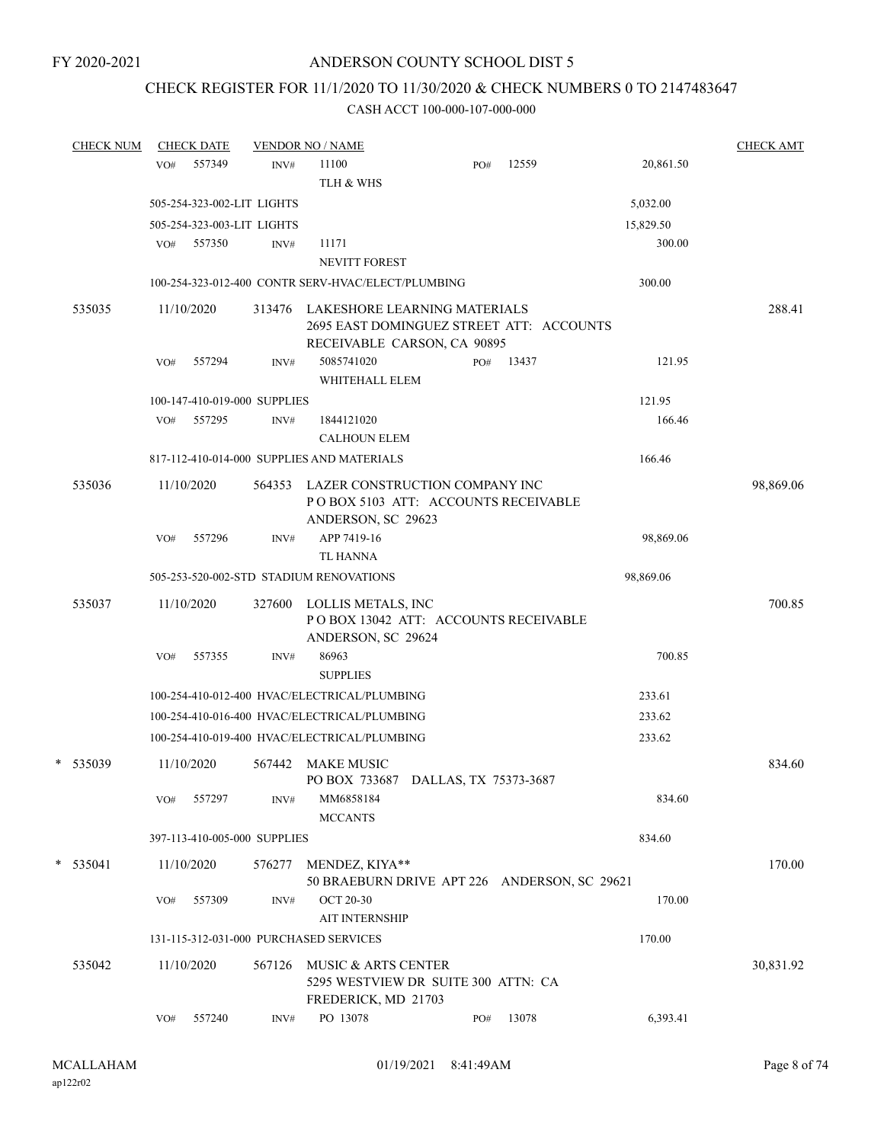# CHECK REGISTER FOR 11/1/2020 TO 11/30/2020 & CHECK NUMBERS 0 TO 2147483647

| <b>CHECK NUM</b> | <b>CHECK DATE</b> |                              |                | <b>VENDOR NO / NAME</b>                                                                                        |     |       |           | <b>CHECK AMT</b> |
|------------------|-------------------|------------------------------|----------------|----------------------------------------------------------------------------------------------------------------|-----|-------|-----------|------------------|
|                  | VO#               | 557349                       | INV#           | 11100                                                                                                          | PO# | 12559 | 20,861.50 |                  |
|                  |                   |                              |                | TLH & WHS                                                                                                      |     |       |           |                  |
|                  |                   | 505-254-323-002-LIT LIGHTS   |                |                                                                                                                |     |       | 5,032.00  |                  |
|                  |                   | 505-254-323-003-LIT LIGHTS   |                |                                                                                                                |     |       | 15,829.50 |                  |
|                  | VO#               | 557350                       | INV#           | 11171                                                                                                          |     |       | 300.00    |                  |
|                  |                   |                              |                | <b>NEVITT FOREST</b>                                                                                           |     |       |           |                  |
|                  |                   |                              |                | 100-254-323-012-400 CONTR SERV-HVAC/ELECT/PLUMBING                                                             |     |       | 300.00    |                  |
| 535035           | 11/10/2020        |                              |                | 313476 LAKESHORE LEARNING MATERIALS<br>2695 EAST DOMINGUEZ STREET ATT: ACCOUNTS<br>RECEIVABLE CARSON, CA 90895 |     |       |           | 288.41           |
|                  | VO#               | 557294                       | INV#           | 5085741020<br>WHITEHALL ELEM                                                                                   | PO# | 13437 | 121.95    |                  |
|                  |                   | 100-147-410-019-000 SUPPLIES |                |                                                                                                                |     |       | 121.95    |                  |
|                  | VO#               | 557295                       | INV#           | 1844121020                                                                                                     |     |       | 166.46    |                  |
|                  |                   |                              |                | <b>CALHOUN ELEM</b>                                                                                            |     |       |           |                  |
|                  |                   |                              |                | 817-112-410-014-000 SUPPLIES AND MATERIALS                                                                     |     |       | 166.46    |                  |
| 535036           | 11/10/2020        |                              | 564353         | LAZER CONSTRUCTION COMPANY INC<br>POBOX 5103 ATT: ACCOUNTS RECEIVABLE<br>ANDERSON, SC 29623                    |     |       |           | 98,869.06        |
|                  | VO#               | 557296                       | INV#           | APP 7419-16<br><b>TL HANNA</b>                                                                                 |     |       | 98,869.06 |                  |
|                  |                   |                              |                | 505-253-520-002-STD STADIUM RENOVATIONS                                                                        |     |       | 98,869.06 |                  |
| 535037           | 11/10/2020        |                              | 327600         | LOLLIS METALS, INC<br>POBOX 13042 ATT: ACCOUNTS RECEIVABLE<br>ANDERSON, SC 29624                               |     |       |           | 700.85           |
|                  | VO#               | 557355                       | INV#           | 86963<br><b>SUPPLIES</b>                                                                                       |     |       | 700.85    |                  |
|                  |                   |                              |                | 100-254-410-012-400 HVAC/ELECTRICAL/PLUMBING                                                                   |     |       | 233.61    |                  |
|                  |                   |                              |                | 100-254-410-016-400 HVAC/ELECTRICAL/PLUMBING                                                                   |     |       | 233.62    |                  |
|                  |                   |                              |                | 100-254-410-019-400 HVAC/ELECTRICAL/PLUMBING                                                                   |     |       | 233.62    |                  |
| * 535039         | 11/10/2020        |                              | 567442         | MAKE MUSIC<br>PO BOX 733687 DALLAS, TX 75373-3687                                                              |     |       |           | 834.60           |
|                  | VO#               | 557297                       | INV#           | MM6858184<br><b>MCCANTS</b>                                                                                    |     |       | 834.60    |                  |
|                  |                   | 397-113-410-005-000 SUPPLIES |                |                                                                                                                |     |       | 834.60    |                  |
|                  |                   |                              |                |                                                                                                                |     |       |           |                  |
| $*$ 535041       | 11/10/2020<br>VO# | 557309                       | 576277<br>INV# | MENDEZ, KIYA**<br>50 BRAEBURN DRIVE APT 226 ANDERSON, SC 29621<br><b>OCT 20-30</b>                             |     |       | 170.00    | 170.00           |
|                  |                   |                              |                | <b>AIT INTERNSHIP</b>                                                                                          |     |       |           |                  |
|                  |                   |                              |                | 131-115-312-031-000 PURCHASED SERVICES                                                                         |     |       | 170.00    |                  |
| 535042           | 11/10/2020        |                              | 567126         | MUSIC & ARTS CENTER<br>5295 WESTVIEW DR SUITE 300 ATTN: CA<br>FREDERICK, MD 21703                              |     |       |           | 30,831.92        |
|                  | VO#               | 557240                       | INV#           | PO 13078                                                                                                       | PO# | 13078 | 6,393.41  |                  |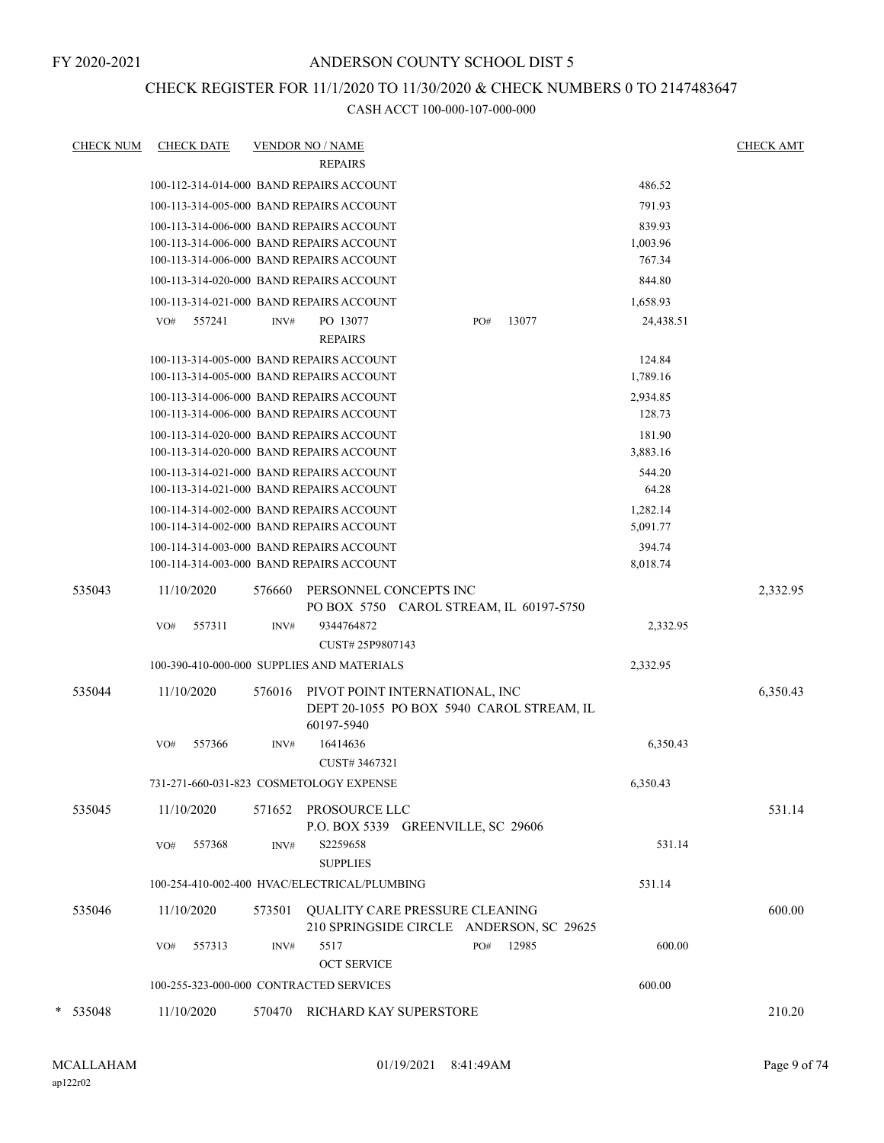## CHECK REGISTER FOR 11/1/2020 TO 11/30/2020 & CHECK NUMBERS 0 TO 2147483647

| <u>CHECK NUM</u> | <b>CHECK DATE</b>                                                                                                                |        | <b>VENDOR NO / NAME</b><br><b>REPAIRS</b>                                                 |     |       |                              | <b>CHECK AMT</b> |
|------------------|----------------------------------------------------------------------------------------------------------------------------------|--------|-------------------------------------------------------------------------------------------|-----|-------|------------------------------|------------------|
|                  | 100-112-314-014-000 BAND REPAIRS ACCOUNT                                                                                         |        |                                                                                           |     |       | 486.52                       |                  |
|                  | 100-113-314-005-000 BAND REPAIRS ACCOUNT                                                                                         |        |                                                                                           |     |       | 791.93                       |                  |
|                  | 100-113-314-006-000 BAND REPAIRS ACCOUNT<br>100-113-314-006-000 BAND REPAIRS ACCOUNT<br>100-113-314-006-000 BAND REPAIRS ACCOUNT |        |                                                                                           |     |       | 839.93<br>1,003.96<br>767.34 |                  |
|                  | 100-113-314-020-000 BAND REPAIRS ACCOUNT                                                                                         |        |                                                                                           |     |       | 844.80                       |                  |
|                  | 100-113-314-021-000 BAND REPAIRS ACCOUNT                                                                                         |        |                                                                                           |     |       | 1,658.93                     |                  |
|                  | VO#<br>557241                                                                                                                    | INV#   | PO 13077<br><b>REPAIRS</b>                                                                | PO# | 13077 | 24,438.51                    |                  |
|                  | 100-113-314-005-000 BAND REPAIRS ACCOUNT<br>100-113-314-005-000 BAND REPAIRS ACCOUNT                                             |        |                                                                                           |     |       | 124.84<br>1,789.16           |                  |
|                  | 100-113-314-006-000 BAND REPAIRS ACCOUNT<br>100-113-314-006-000 BAND REPAIRS ACCOUNT                                             |        |                                                                                           |     |       | 2,934.85<br>128.73           |                  |
|                  | 100-113-314-020-000 BAND REPAIRS ACCOUNT<br>100-113-314-020-000 BAND REPAIRS ACCOUNT                                             |        |                                                                                           |     |       | 181.90<br>3,883.16           |                  |
|                  | 100-113-314-021-000 BAND REPAIRS ACCOUNT<br>100-113-314-021-000 BAND REPAIRS ACCOUNT                                             |        |                                                                                           |     |       | 544.20<br>64.28              |                  |
|                  | 100-114-314-002-000 BAND REPAIRS ACCOUNT<br>100-114-314-002-000 BAND REPAIRS ACCOUNT                                             |        |                                                                                           |     |       | 1,282.14<br>5,091.77         |                  |
|                  | 100-114-314-003-000 BAND REPAIRS ACCOUNT<br>100-114-314-003-000 BAND REPAIRS ACCOUNT                                             |        |                                                                                           |     |       | 394.74<br>8,018.74           |                  |
| 535043           | 11/10/2020                                                                                                                       | 576660 | PERSONNEL CONCEPTS INC<br>PO BOX 5750 CAROL STREAM, IL 60197-5750                         |     |       |                              | 2,332.95         |
|                  | 557311<br>VO#                                                                                                                    | INV#   | 9344764872<br>CUST#25P9807143                                                             |     |       | 2,332.95                     |                  |
|                  | 100-390-410-000-000 SUPPLIES AND MATERIALS                                                                                       |        |                                                                                           |     |       | 2,332.95                     |                  |
| 535044           | 11/10/2020                                                                                                                       | 576016 | PIVOT POINT INTERNATIONAL, INC<br>DEPT 20-1055 PO BOX 5940 CAROL STREAM, IL<br>60197-5940 |     |       |                              | 6,350.43         |
|                  | 557366<br>VO#                                                                                                                    | INV#   | 16414636<br>CUST# 3467321                                                                 |     |       | 6,350.43                     |                  |
|                  | 731-271-660-031-823 COSMETOLOGY EXPENSE                                                                                          |        |                                                                                           |     |       | 6,350.43                     |                  |
| 535045           | 11/10/2020                                                                                                                       |        | 571652 PROSOURCE LLC<br>P.O. BOX 5339 GREENVILLE, SC 29606                                |     |       |                              | 531.14           |
|                  | VO#<br>557368                                                                                                                    | INV#   | S2259658<br><b>SUPPLIES</b>                                                               |     |       | 531.14                       |                  |
|                  | 100-254-410-002-400 HVAC/ELECTRICAL/PLUMBING                                                                                     |        |                                                                                           |     |       | 531.14                       |                  |
| 535046           | 11/10/2020                                                                                                                       | 573501 | QUALITY CARE PRESSURE CLEANING<br>210 SPRINGSIDE CIRCLE ANDERSON, SC 29625                |     |       |                              | 600.00           |
|                  | 557313<br>VO#                                                                                                                    | INV#   | 5517<br><b>OCT SERVICE</b>                                                                | PO# | 12985 | 600.00                       |                  |
|                  | 100-255-323-000-000 CONTRACTED SERVICES                                                                                          |        |                                                                                           |     |       | 600.00                       |                  |
| $* 535048$       | 11/10/2020                                                                                                                       | 570470 | RICHARD KAY SUPERSTORE                                                                    |     |       |                              | 210.20           |
|                  |                                                                                                                                  |        |                                                                                           |     |       |                              |                  |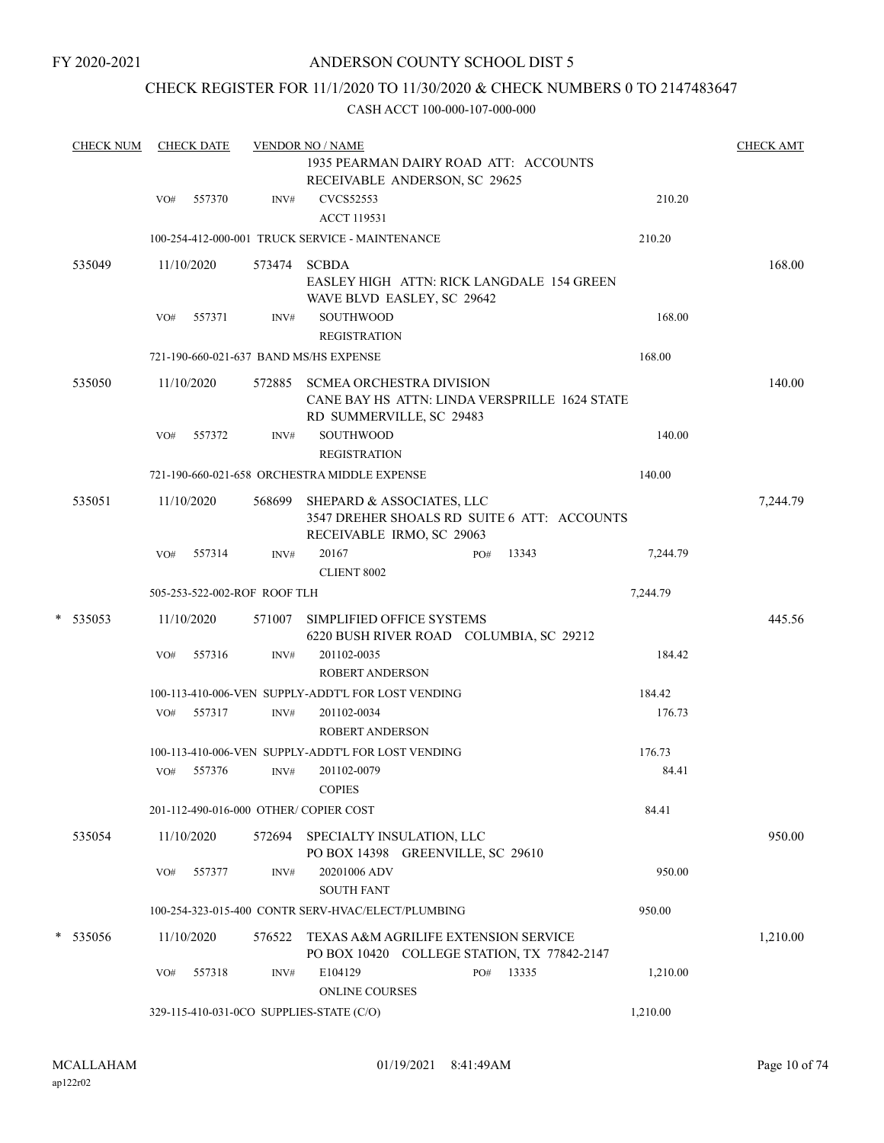### CHECK REGISTER FOR 11/1/2020 TO 11/30/2020 & CHECK NUMBERS 0 TO 2147483647

|  | <b>CHECK NUM</b> |                      | <b>CHECK DATE</b> |                              | <b>VENDOR NO / NAME</b>                                                             |                                                                                                              |              |          | <b>CHECK AMT</b> |
|--|------------------|----------------------|-------------------|------------------------------|-------------------------------------------------------------------------------------|--------------------------------------------------------------------------------------------------------------|--------------|----------|------------------|
|  |                  |                      |                   |                              |                                                                                     | 1935 PEARMAN DAIRY ROAD ATT: ACCOUNTS                                                                        |              |          |                  |
|  |                  |                      |                   |                              |                                                                                     | RECEIVABLE ANDERSON, SC 29625                                                                                |              |          |                  |
|  |                  | VO#                  | 557370            | INV#                         | <b>CVCS52553</b><br><b>ACCT 119531</b>                                              |                                                                                                              |              | 210.20   |                  |
|  |                  |                      |                   |                              | 100-254-412-000-001 TRUCK SERVICE - MAINTENANCE                                     |                                                                                                              |              | 210.20   |                  |
|  | 535049           |                      | 11/10/2020        | 573474 SCBDA                 |                                                                                     |                                                                                                              |              |          | 168.00           |
|  |                  |                      |                   |                              |                                                                                     | <b>EASLEY HIGH ATTN: RICK LANGDALE 154 GREEN</b><br>WAVE BLVD EASLEY, SC 29642                               |              |          |                  |
|  |                  | 557371<br>VO#        |                   | INV#                         | SOUTHWOOD<br><b>REGISTRATION</b>                                                    |                                                                                                              |              | 168.00   |                  |
|  |                  |                      |                   |                              | 721-190-660-021-637 BAND MS/HS EXPENSE                                              |                                                                                                              |              | 168.00   |                  |
|  | 535050           |                      | 11/10/2020        | 572885                       |                                                                                     | <b>SCMEA ORCHESTRA DIVISION</b><br>CANE BAY HS ATTN: LINDA VERSPRILLE 1624 STATE<br>RD SUMMERVILLE, SC 29483 |              |          | 140.00           |
|  |                  | VO#                  | 557372            | INV#                         | <b>SOUTHWOOD</b>                                                                    |                                                                                                              |              | 140.00   |                  |
|  |                  |                      |                   | <b>REGISTRATION</b>          |                                                                                     |                                                                                                              |              |          |                  |
|  |                  |                      |                   |                              | 721-190-660-021-658 ORCHESTRA MIDDLE EXPENSE                                        |                                                                                                              | 140.00       |          |                  |
|  | 535051           |                      | 11/10/2020        | 568699                       |                                                                                     | SHEPARD & ASSOCIATES, LLC<br>3547 DREHER SHOALS RD SUITE 6 ATT: ACCOUNTS<br>RECEIVABLE IRMO, SC 29063        |              |          | 7,244.79         |
|  |                  | VO#                  | 557314            | INV#                         | 20167<br><b>CLIENT 8002</b>                                                         |                                                                                                              | 13343<br>PO# | 7,244.79 |                  |
|  |                  |                      |                   | 505-253-522-002-ROF ROOF TLH |                                                                                     |                                                                                                              |              | 7,244.79 |                  |
|  | * 535053         |                      | 11/10/2020        | 571007                       |                                                                                     | SIMPLIFIED OFFICE SYSTEMS<br>6220 BUSH RIVER ROAD COLUMBIA, SC 29212                                         |              |          | 445.56           |
|  |                  | VO#                  | 557316            | INV#                         | 201102-0035<br><b>ROBERT ANDERSON</b>                                               |                                                                                                              |              | 184.42   |                  |
|  |                  |                      |                   |                              | 100-113-410-006-VEN SUPPLY-ADDT'L FOR LOST VENDING                                  |                                                                                                              |              | 184.42   |                  |
|  |                  | VO#                  | 557317            | INV#                         | 201102-0034<br><b>ROBERT ANDERSON</b>                                               |                                                                                                              |              | 176.73   |                  |
|  |                  |                      |                   |                              | 100-113-410-006-VEN SUPPLY-ADDT'L FOR LOST VENDING                                  |                                                                                                              |              | 176.73   |                  |
|  |                  | VO#                  | 557376            | INV#                         | 201102-0079<br>$\mbox{COPIES}$                                                      |                                                                                                              |              | 84.41    |                  |
|  |                  |                      |                   |                              | 201-112-490-016-000 OTHER/COPIER COST                                               |                                                                                                              |              | 84.41    |                  |
|  | 535054           |                      | 11/10/2020        | 572694                       |                                                                                     | SPECIALTY INSULATION, LLC<br>PO BOX 14398 GREENVILLE, SC 29610                                               |              |          | 950.00           |
|  |                  | VO#                  | 557377            | INV#                         | 20201006 ADV<br><b>SOUTH FANT</b>                                                   |                                                                                                              |              | 950.00   |                  |
|  |                  |                      |                   |                              | 100-254-323-015-400 CONTR SERV-HVAC/ELECT/PLUMBING                                  |                                                                                                              |              | 950.00   |                  |
|  | * 535056         | 11/10/2020<br>576522 |                   |                              | TEXAS A&M AGRILIFE EXTENSION SERVICE<br>PO BOX 10420 COLLEGE STATION, TX 77842-2147 |                                                                                                              |              |          | 1,210.00         |
|  |                  | VO#                  | 557318            | INV#                         | E104129<br><b>ONLINE COURSES</b>                                                    |                                                                                                              | PO#<br>13335 | 1,210.00 |                  |
|  |                  |                      |                   |                              | 329-115-410-031-0CO SUPPLIES-STATE (C/O)                                            |                                                                                                              |              | 1,210.00 |                  |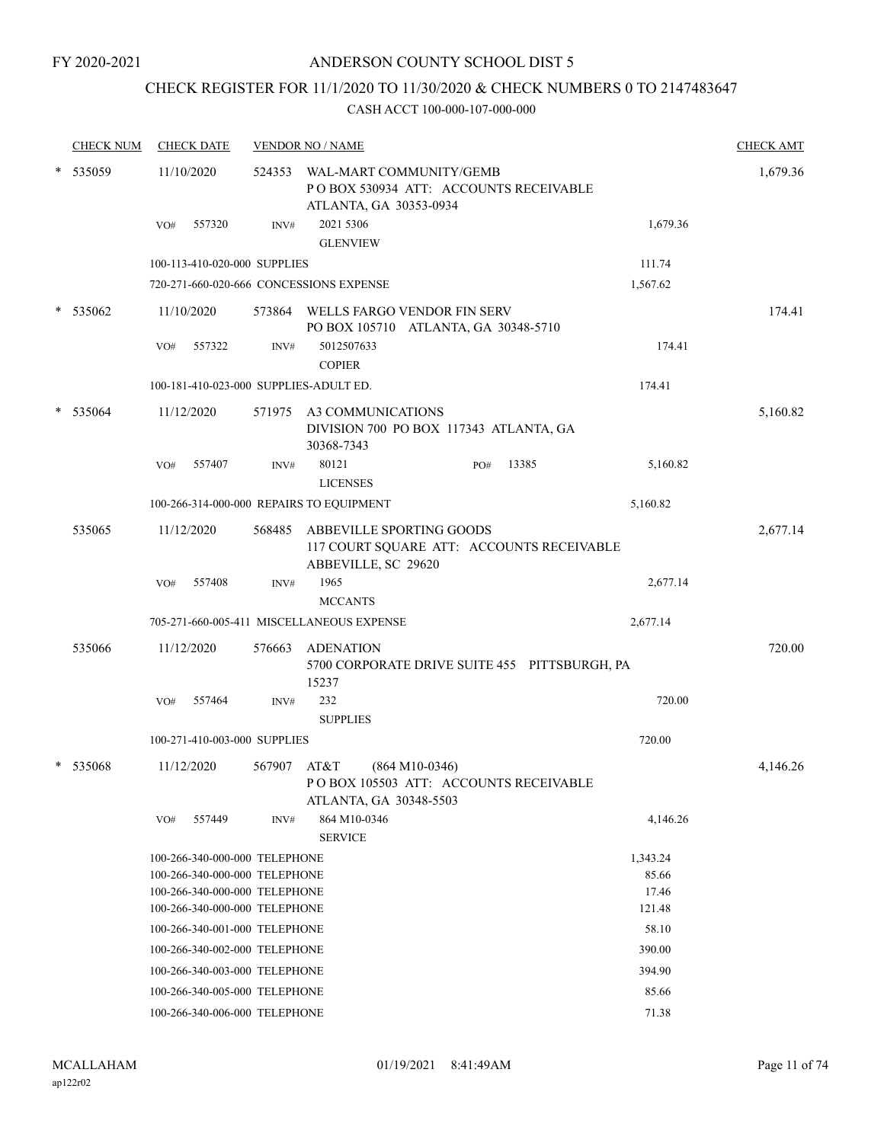# CHECK REGISTER FOR 11/1/2020 TO 11/30/2020 & CHECK NUMBERS 0 TO 2147483647

|        | <b>CHECK NUM</b> |            | <b>CHECK DATE</b>                                              |        | <b>VENDOR NO / NAME</b>                            |                                               |                 | <b>CHECK AMT</b> |
|--------|------------------|------------|----------------------------------------------------------------|--------|----------------------------------------------------|-----------------------------------------------|-----------------|------------------|
| $\ast$ | 535059           | 11/10/2020 |                                                                | 524353 | WAL-MART COMMUNITY/GEMB<br>ATLANTA, GA 30353-0934  | PO BOX 530934 ATT: ACCOUNTS RECEIVABLE        |                 | 1,679.36         |
|        |                  | VO#        | 557320                                                         | INV#   | 2021 5306<br><b>GLENVIEW</b>                       |                                               | 1,679.36        |                  |
|        |                  |            | 100-113-410-020-000 SUPPLIES                                   |        |                                                    |                                               | 111.74          |                  |
|        |                  |            |                                                                |        | 720-271-660-020-666 CONCESSIONS EXPENSE            |                                               | 1,567.62        |                  |
| $\ast$ | 535062           |            | 11/10/2020                                                     | 573864 | WELLS FARGO VENDOR FIN SERV                        | PO BOX 105710 ATLANTA, GA 30348-5710          |                 | 174.41           |
|        |                  | VO#        | 557322                                                         | INV#   | 5012507633<br><b>COPIER</b>                        |                                               | 174.41          |                  |
|        |                  |            |                                                                |        | 100-181-410-023-000 SUPPLIES-ADULT ED.             |                                               | 174.41          |                  |
|        | 535064           |            | 11/12/2020                                                     |        | 571975 A3 COMMUNICATIONS<br>30368-7343             | DIVISION 700 PO BOX 117343 ATLANTA, GA        |                 | 5,160.82         |
|        |                  | VO#        | 557407                                                         | INV#   | 80121<br><b>LICENSES</b>                           | 13385<br>PO#                                  | 5,160.82        |                  |
|        |                  |            |                                                                |        | 100-266-314-000-000 REPAIRS TO EQUIPMENT           |                                               | 5,160.82        |                  |
|        | 535065           |            | 11/12/2020                                                     | 568485 | ABBEVILLE SPORTING GOODS<br>ABBEVILLE, SC 29620    | 117 COURT SQUARE ATT: ACCOUNTS RECEIVABLE     |                 | 2,677.14         |
|        |                  | VO#        | 557408                                                         | INV#   | 1965<br><b>MCCANTS</b>                             |                                               | 2,677.14        |                  |
|        |                  |            |                                                                |        | 705-271-660-005-411 MISCELLANEOUS EXPENSE          |                                               | 2,677.14        |                  |
|        | 535066           |            | 11/12/2020                                                     | 576663 | <b>ADENATION</b><br>15237                          | 5700 CORPORATE DRIVE SUITE 455 PITTSBURGH, PA |                 | 720.00           |
|        |                  | VO#        | 557464                                                         | INV#   | 232<br><b>SUPPLIES</b>                             |                                               | 720.00          |                  |
|        |                  |            | 100-271-410-003-000 SUPPLIES                                   |        |                                                    |                                               | 720.00          |                  |
|        | * 535068         |            | 11/12/2020                                                     | 567907 | AT&T<br>$(864 M10-0346)$<br>ATLANTA, GA 30348-5503 | POBOX 105503 ATT: ACCOUNTS RECEIVABLE         |                 | 4,146.26         |
|        |                  | VO#        | 557449                                                         | INV#   | 864 M10-0346<br><b>SERVICE</b>                     |                                               | 4,146.26        |                  |
|        |                  |            | 100-266-340-000-000 TELEPHONE                                  |        |                                                    |                                               | 1,343.24        |                  |
|        |                  |            | 100-266-340-000-000 TELEPHONE                                  |        |                                                    |                                               | 85.66           |                  |
|        |                  |            | 100-266-340-000-000 TELEPHONE<br>100-266-340-000-000 TELEPHONE |        |                                                    |                                               | 17.46<br>121.48 |                  |
|        |                  |            | 100-266-340-001-000 TELEPHONE                                  |        |                                                    |                                               | 58.10           |                  |
|        |                  |            | 100-266-340-002-000 TELEPHONE                                  |        |                                                    |                                               | 390.00          |                  |
|        |                  |            | 100-266-340-003-000 TELEPHONE                                  |        |                                                    |                                               | 394.90          |                  |
|        |                  |            | 100-266-340-005-000 TELEPHONE                                  |        |                                                    |                                               | 85.66           |                  |
|        |                  |            | 100-266-340-006-000 TELEPHONE                                  |        |                                                    |                                               | 71.38           |                  |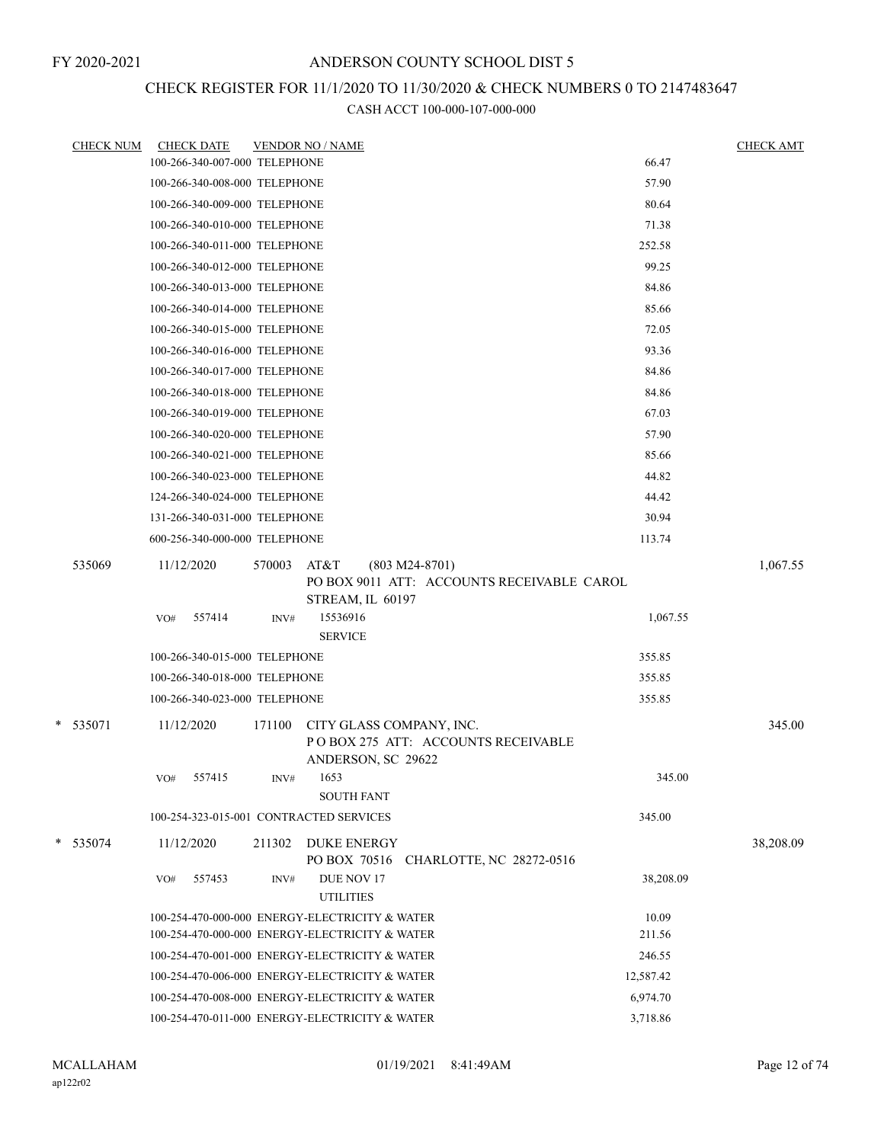## CHECK REGISTER FOR 11/1/2020 TO 11/30/2020 & CHECK NUMBERS 0 TO 2147483647

| <b>CHECK NUM</b> | <b>CHECK DATE</b>                       |        | <b>VENDOR NO / NAME</b>                                                                    |           | <b>CHECK AMT</b> |
|------------------|-----------------------------------------|--------|--------------------------------------------------------------------------------------------|-----------|------------------|
|                  | 100-266-340-007-000 TELEPHONE           |        |                                                                                            | 66.47     |                  |
|                  | 100-266-340-008-000 TELEPHONE           |        |                                                                                            | 57.90     |                  |
|                  | 100-266-340-009-000 TELEPHONE           |        |                                                                                            | 80.64     |                  |
|                  | 100-266-340-010-000 TELEPHONE           |        |                                                                                            | 71.38     |                  |
|                  | 100-266-340-011-000 TELEPHONE           |        |                                                                                            | 252.58    |                  |
|                  | 100-266-340-012-000 TELEPHONE           |        |                                                                                            | 99.25     |                  |
|                  | 100-266-340-013-000 TELEPHONE           |        |                                                                                            | 84.86     |                  |
|                  | 100-266-340-014-000 TELEPHONE           |        |                                                                                            | 85.66     |                  |
|                  | 100-266-340-015-000 TELEPHONE           |        |                                                                                            | 72.05     |                  |
|                  | 100-266-340-016-000 TELEPHONE           |        |                                                                                            | 93.36     |                  |
|                  | 100-266-340-017-000 TELEPHONE           |        |                                                                                            | 84.86     |                  |
|                  | 100-266-340-018-000 TELEPHONE           |        |                                                                                            | 84.86     |                  |
|                  | 100-266-340-019-000 TELEPHONE           |        |                                                                                            | 67.03     |                  |
|                  | 100-266-340-020-000 TELEPHONE           |        |                                                                                            | 57.90     |                  |
|                  | 100-266-340-021-000 TELEPHONE           |        |                                                                                            | 85.66     |                  |
|                  | 100-266-340-023-000 TELEPHONE           |        |                                                                                            | 44.82     |                  |
|                  | 124-266-340-024-000 TELEPHONE           |        |                                                                                            | 44.42     |                  |
|                  | 131-266-340-031-000 TELEPHONE           |        |                                                                                            | 30.94     |                  |
|                  | 600-256-340-000-000 TELEPHONE           |        |                                                                                            | 113.74    |                  |
| 535069           | 11/12/2020                              | 570003 | AT&T<br>$(803 M24-8701)$<br>PO BOX 9011 ATT: ACCOUNTS RECEIVABLE CAROL<br>STREAM, IL 60197 |           | 1,067.55         |
|                  | 557414<br>VO#                           | INV#   | 15536916<br><b>SERVICE</b>                                                                 | 1,067.55  |                  |
|                  | 100-266-340-015-000 TELEPHONE           |        |                                                                                            | 355.85    |                  |
|                  | 100-266-340-018-000 TELEPHONE           |        |                                                                                            | 355.85    |                  |
|                  | 100-266-340-023-000 TELEPHONE           |        |                                                                                            | 355.85    |                  |
| * 535071         | 11/12/2020                              | 171100 | CITY GLASS COMPANY, INC.<br>PO BOX 275 ATT: ACCOUNTS RECEIVABLE<br>ANDERSON, SC 29622      |           | 345.00           |
|                  | 557415<br>VO#                           | INV#   | 1653<br><b>SOUTH FANT</b>                                                                  | 345.00    |                  |
|                  | 100-254-323-015-001 CONTRACTED SERVICES |        |                                                                                            | 345.00    |                  |
| * 535074         | 11/12/2020                              |        | 211302 DUKE ENERGY<br>PO BOX 70516<br>CHARLOTTE, NC 28272-0516                             |           | 38,208.09        |
|                  | 557453<br>VO#                           | INV#   | DUE NOV 17<br><b>UTILITIES</b>                                                             | 38,208.09 |                  |
|                  |                                         |        | 100-254-470-000-000 ENERGY-ELECTRICITY & WATER                                             | 10.09     |                  |
|                  |                                         |        | 100-254-470-000-000 ENERGY-ELECTRICITY & WATER                                             | 211.56    |                  |
|                  |                                         |        | 100-254-470-001-000 ENERGY-ELECTRICITY & WATER                                             | 246.55    |                  |
|                  |                                         |        | 100-254-470-006-000 ENERGY-ELECTRICITY & WATER                                             | 12,587.42 |                  |
|                  |                                         |        | 100-254-470-008-000 ENERGY-ELECTRICITY & WATER                                             | 6,974.70  |                  |
|                  |                                         |        | 100-254-470-011-000 ENERGY-ELECTRICITY & WATER                                             | 3,718.86  |                  |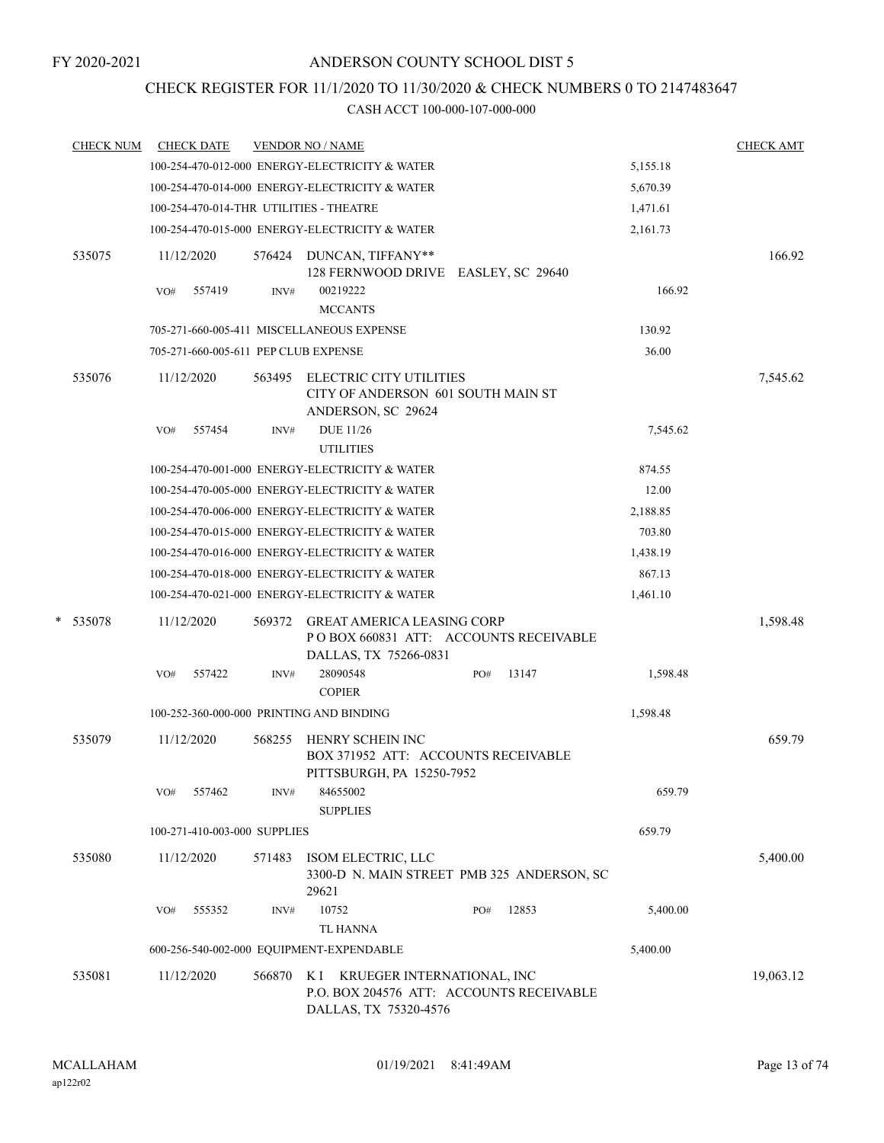### CHECK REGISTER FOR 11/1/2020 TO 11/30/2020 & CHECK NUMBERS 0 TO 2147483647

| <b>CHECK NUM</b> | <b>CHECK DATE</b>                        |        | <b>VENDOR NO / NAME</b>                                                                              |              |          | <b>CHECK AMT</b> |
|------------------|------------------------------------------|--------|------------------------------------------------------------------------------------------------------|--------------|----------|------------------|
|                  |                                          |        | 100-254-470-012-000 ENERGY-ELECTRICITY & WATER                                                       |              | 5,155.18 |                  |
|                  |                                          |        | 100-254-470-014-000 ENERGY-ELECTRICITY & WATER                                                       |              | 5,670.39 |                  |
|                  | 100-254-470-014-THR UTILITIES - THEATRE  |        |                                                                                                      |              | 1,471.61 |                  |
|                  |                                          |        | 100-254-470-015-000 ENERGY-ELECTRICITY & WATER                                                       |              | 2,161.73 |                  |
| 535075           | 11/12/2020                               |        | 576424 DUNCAN, TIFFANY**<br>128 FERNWOOD DRIVE EASLEY, SC 29640                                      |              |          | 166.92           |
|                  | 557419<br>VO#                            | INV#   | 00219222<br><b>MCCANTS</b>                                                                           |              | 166.92   |                  |
|                  |                                          |        | 705-271-660-005-411 MISCELLANEOUS EXPENSE                                                            |              | 130.92   |                  |
|                  | 705-271-660-005-611 PEP CLUB EXPENSE     |        |                                                                                                      |              | 36.00    |                  |
| 535076           | 11/12/2020                               | 563495 | ELECTRIC CITY UTILITIES<br>CITY OF ANDERSON 601 SOUTH MAIN ST<br>ANDERSON, SC 29624                  |              |          | 7,545.62         |
|                  | 557454<br>VO#                            | INV#   | <b>DUE 11/26</b><br><b>UTILITIES</b>                                                                 |              | 7,545.62 |                  |
|                  |                                          |        | 100-254-470-001-000 ENERGY-ELECTRICITY & WATER                                                       |              | 874.55   |                  |
|                  |                                          |        | 100-254-470-005-000 ENERGY-ELECTRICITY & WATER                                                       |              | 12.00    |                  |
|                  |                                          |        | 100-254-470-006-000 ENERGY-ELECTRICITY & WATER                                                       |              | 2,188.85 |                  |
|                  |                                          |        | 100-254-470-015-000 ENERGY-ELECTRICITY & WATER                                                       |              | 703.80   |                  |
|                  |                                          |        | 100-254-470-016-000 ENERGY-ELECTRICITY & WATER                                                       |              | 1,438.19 |                  |
|                  |                                          |        | 100-254-470-018-000 ENERGY-ELECTRICITY & WATER                                                       |              | 867.13   |                  |
|                  |                                          |        | 100-254-470-021-000 ENERGY-ELECTRICITY & WATER                                                       |              | 1,461.10 |                  |
| *<br>535078      | 11/12/2020                               | 569372 | <b>GREAT AMERICA LEASING CORP</b><br>PO BOX 660831 ATT: ACCOUNTS RECEIVABLE<br>DALLAS, TX 75266-0831 |              |          | 1,598.48         |
|                  | 557422<br>VO#                            | INV#   | 28090548<br><b>COPIER</b>                                                                            | 13147<br>PO# | 1,598.48 |                  |
|                  | 100-252-360-000-000 PRINTING AND BINDING |        |                                                                                                      |              | 1,598.48 |                  |
| 535079           | 11/12/2020                               | 568255 | HENRY SCHEIN INC<br>BOX 371952 ATT: ACCOUNTS RECEIVABLE<br>PITTSBURGH, PA 15250-7952                 |              |          | 659.79           |
|                  | 557462<br>VO#                            | INV#   | 84655002<br><b>SUPPLIES</b>                                                                          |              | 659.79   |                  |
|                  | 100-271-410-003-000 SUPPLIES             |        |                                                                                                      |              | 659.79   |                  |
| 535080           | 11/12/2020                               | 571483 | ISOM ELECTRIC, LLC<br>3300-D N. MAIN STREET PMB 325 ANDERSON, SC<br>29621                            |              |          | 5,400.00         |
|                  | 555352<br>VO#                            | INV#   | 10752<br><b>TL HANNA</b>                                                                             | 12853<br>PO# | 5,400.00 |                  |
|                  | 600-256-540-002-000 EQUIPMENT-EXPENDABLE |        |                                                                                                      |              | 5,400.00 |                  |
| 535081           | 11/12/2020                               | 566870 | K I KRUEGER INTERNATIONAL, INC<br>P.O. BOX 204576 ATT: ACCOUNTS RECEIVABLE<br>DALLAS, TX 75320-4576  |              |          | 19,063.12        |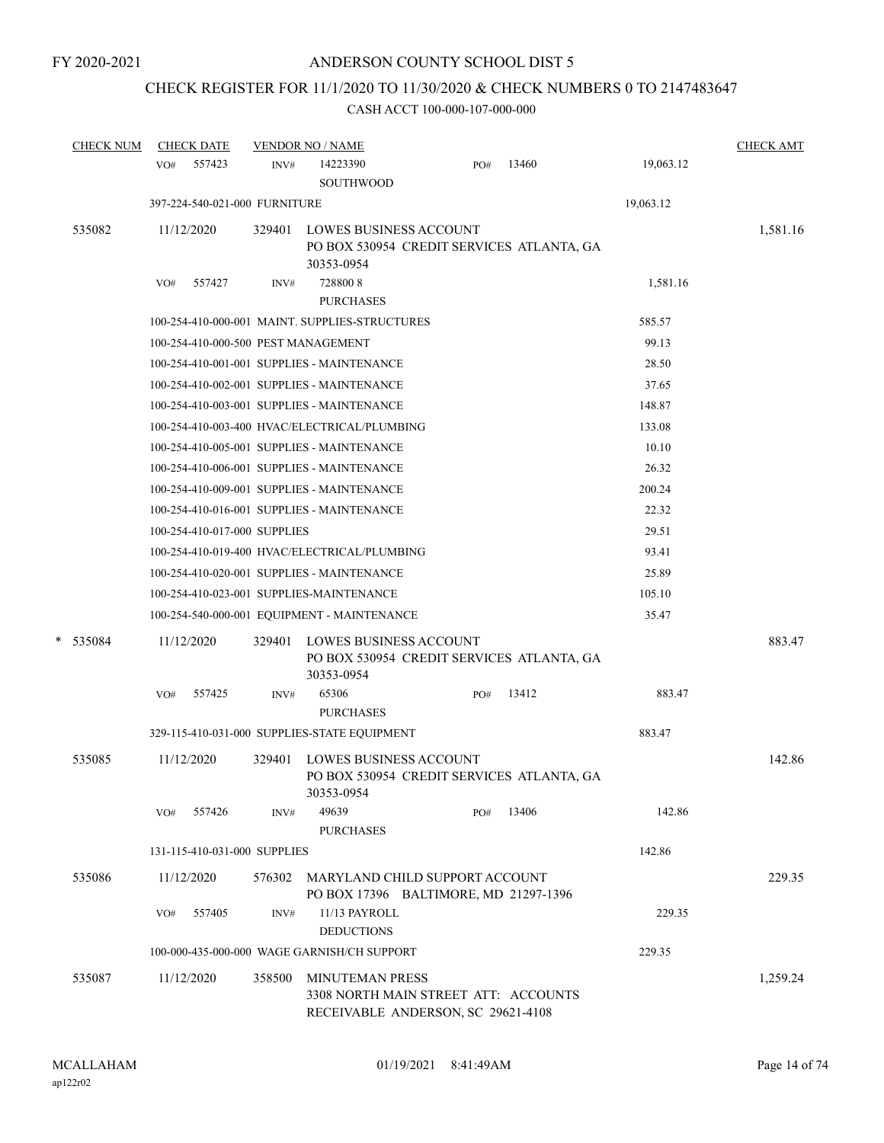# CHECK REGISTER FOR 11/1/2020 TO 11/30/2020 & CHECK NUMBERS 0 TO 2147483647

|   | <b>CHECK NUM</b> |            | <b>CHECK DATE</b>             |        | <b>VENDOR NO / NAME</b>                                                                              |     |       |           | <b>CHECK AMT</b> |
|---|------------------|------------|-------------------------------|--------|------------------------------------------------------------------------------------------------------|-----|-------|-----------|------------------|
|   |                  | VO#        | 557423                        | INV#   | 14223390<br>SOUTHWOOD                                                                                | PO# | 13460 | 19,063.12 |                  |
|   |                  |            | 397-224-540-021-000 FURNITURE |        |                                                                                                      |     |       | 19,063.12 |                  |
|   | 535082           | 11/12/2020 |                               | 329401 | <b>LOWES BUSINESS ACCOUNT</b><br>PO BOX 530954 CREDIT SERVICES ATLANTA, GA<br>30353-0954             |     |       |           | 1,581.16         |
|   |                  | VO#        | 557427                        | INV#   | 7288008                                                                                              |     |       | 1,581.16  |                  |
|   |                  |            |                               |        | <b>PURCHASES</b>                                                                                     |     |       |           |                  |
|   |                  |            |                               |        | 100-254-410-000-001 MAINT. SUPPLIES-STRUCTURES                                                       |     |       | 585.57    |                  |
|   |                  |            |                               |        | 100-254-410-000-500 PEST MANAGEMENT                                                                  |     |       | 99.13     |                  |
|   |                  |            |                               |        | 100-254-410-001-001 SUPPLIES - MAINTENANCE                                                           |     |       | 28.50     |                  |
|   |                  |            |                               |        | 100-254-410-002-001 SUPPLIES - MAINTENANCE                                                           |     |       | 37.65     |                  |
|   |                  |            |                               |        | 100-254-410-003-001 SUPPLIES - MAINTENANCE                                                           |     |       | 148.87    |                  |
|   |                  |            |                               |        | 100-254-410-003-400 HVAC/ELECTRICAL/PLUMBING                                                         |     |       | 133.08    |                  |
|   |                  |            |                               |        | 100-254-410-005-001 SUPPLIES - MAINTENANCE                                                           |     |       | 10.10     |                  |
|   |                  |            |                               |        | 100-254-410-006-001 SUPPLIES - MAINTENANCE                                                           |     |       | 26.32     |                  |
|   |                  |            |                               |        | 100-254-410-009-001 SUPPLIES - MAINTENANCE                                                           |     |       | 200.24    |                  |
|   |                  |            |                               |        | 100-254-410-016-001 SUPPLIES - MAINTENANCE                                                           |     |       | 22.32     |                  |
|   |                  |            | 100-254-410-017-000 SUPPLIES  |        |                                                                                                      |     |       | 29.51     |                  |
|   |                  |            |                               |        | 100-254-410-019-400 HVAC/ELECTRICAL/PLUMBING                                                         |     |       | 93.41     |                  |
|   |                  |            |                               |        | 100-254-410-020-001 SUPPLIES - MAINTENANCE                                                           |     |       | 25.89     |                  |
|   |                  |            |                               |        | 100-254-410-023-001 SUPPLIES-MAINTENANCE                                                             |     |       | 105.10    |                  |
|   |                  |            |                               |        | 100-254-540-000-001 EQUIPMENT - MAINTENANCE                                                          |     |       | 35.47     |                  |
| * | 535084           | 11/12/2020 |                               | 329401 | <b>LOWES BUSINESS ACCOUNT</b><br>PO BOX 530954 CREDIT SERVICES ATLANTA, GA<br>30353-0954             |     |       |           | 883.47           |
|   |                  | VO#        | 557425                        | INV#   | 65306<br><b>PURCHASES</b>                                                                            | PO# | 13412 | 883.47    |                  |
|   |                  |            |                               |        | 329-115-410-031-000 SUPPLIES-STATE EQUIPMENT                                                         |     |       | 883.47    |                  |
|   | 535085           | 11/12/2020 |                               | 329401 | <b>LOWES BUSINESS ACCOUNT</b><br>PO BOX 530954 CREDIT SERVICES ATLANTA, GA<br>30353-0954             |     |       |           | 142.86           |
|   |                  | VO#        | 557426                        | INV#   | 49639<br><b>PURCHASES</b>                                                                            | PO# | 13406 | 142.86    |                  |
|   |                  |            | 131-115-410-031-000 SUPPLIES  |        |                                                                                                      |     |       | 142.86    |                  |
|   | 535086           | 11/12/2020 |                               | 576302 | MARYLAND CHILD SUPPORT ACCOUNT<br>PO BOX 17396 BALTIMORE, MD 21297-1396                              |     |       |           | 229.35           |
|   |                  | VO#        | 557405                        | INV#   | 11/13 PAYROLL<br><b>DEDUCTIONS</b>                                                                   |     |       | 229.35    |                  |
|   |                  |            |                               |        | 100-000-435-000-000 WAGE GARNISH/CH SUPPORT                                                          |     |       | 229.35    |                  |
|   | 535087           | 11/12/2020 |                               | 358500 | <b>MINUTEMAN PRESS</b><br>3308 NORTH MAIN STREET ATT: ACCOUNTS<br>RECEIVABLE ANDERSON, SC 29621-4108 |     |       |           | 1,259.24         |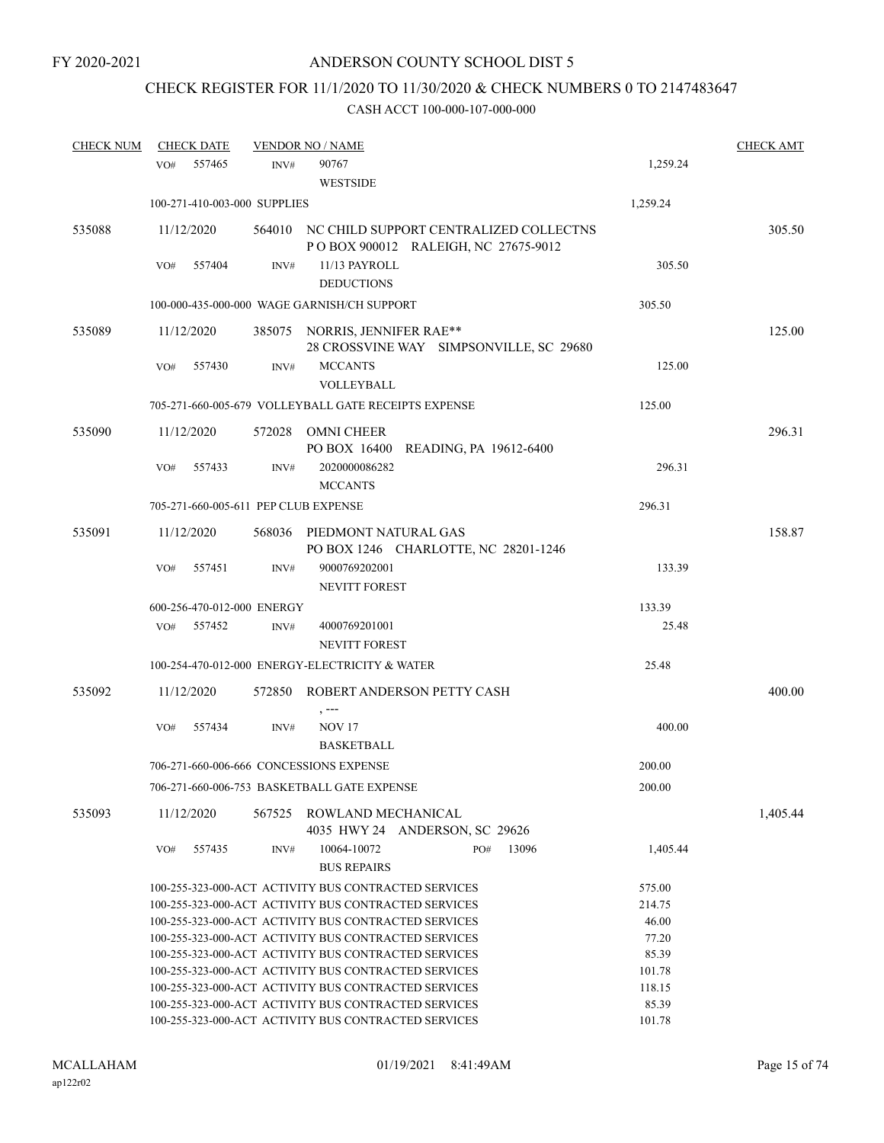# CHECK REGISTER FOR 11/1/2020 TO 11/30/2020 & CHECK NUMBERS 0 TO 2147483647

| <b>CHECK NUM</b> | <b>CHECK DATE</b> |                                      | <b>VENDOR NO / NAME</b>                                                                                      |                                                                                      |                 | <b>CHECK AMT</b> |
|------------------|-------------------|--------------------------------------|--------------------------------------------------------------------------------------------------------------|--------------------------------------------------------------------------------------|-----------------|------------------|
|                  | VO#               | 557465<br>INV#                       | 90767                                                                                                        |                                                                                      | 1,259.24        |                  |
|                  |                   |                                      | <b>WESTSIDE</b>                                                                                              |                                                                                      |                 |                  |
|                  |                   | 100-271-410-003-000 SUPPLIES         |                                                                                                              |                                                                                      | 1,259.24        |                  |
| 535088           | 11/12/2020        |                                      |                                                                                                              | 564010 NC CHILD SUPPORT CENTRALIZED COLLECTNS<br>POBOX 900012 RALEIGH, NC 27675-9012 |                 | 305.50           |
|                  | VO#               | 557404<br>INV#                       | 11/13 PAYROLL<br><b>DEDUCTIONS</b>                                                                           |                                                                                      | 305.50          |                  |
|                  |                   |                                      | 100-000-435-000-000 WAGE GARNISH/CH SUPPORT                                                                  |                                                                                      | 305.50          |                  |
|                  |                   |                                      |                                                                                                              |                                                                                      |                 |                  |
| 535089           | 11/12/2020        |                                      | 385075 NORRIS, JENNIFER RAE**                                                                                | 28 CROSSVINE WAY SIMPSONVILLE, SC 29680                                              |                 | 125.00           |
|                  | VO#               | 557430<br>INV#                       | <b>MCCANTS</b><br>VOLLEYBALL                                                                                 |                                                                                      | 125.00          |                  |
|                  |                   |                                      | 705-271-660-005-679 VOLLEYBALL GATE RECEIPTS EXPENSE                                                         |                                                                                      | 125.00          |                  |
| 535090           | 11/12/2020        | 572028                               | OMNI CHEER                                                                                                   | PO BOX 16400 READING, PA 19612-6400                                                  |                 | 296.31           |
|                  | VO#               | 557433<br>INV#                       | 2020000086282<br><b>MCCANTS</b>                                                                              |                                                                                      | 296.31          |                  |
|                  |                   | 705-271-660-005-611 PEP CLUB EXPENSE |                                                                                                              |                                                                                      | 296.31          |                  |
|                  |                   |                                      |                                                                                                              |                                                                                      |                 |                  |
| 535091           | 11/12/2020        | 568036                               | PIEDMONT NATURAL GAS                                                                                         | PO BOX 1246 CHARLOTTE, NC 28201-1246                                                 |                 | 158.87           |
|                  | VO#               | 557451<br>INV#                       | 9000769202001<br><b>NEVITT FOREST</b>                                                                        |                                                                                      | 133.39          |                  |
|                  |                   | 600-256-470-012-000 ENERGY           |                                                                                                              |                                                                                      | 133.39          |                  |
|                  | VO# 557452        | INV#                                 | 4000769201001<br><b>NEVITT FOREST</b>                                                                        |                                                                                      | 25.48           |                  |
|                  |                   |                                      | 100-254-470-012-000 ENERGY-ELECTRICITY & WATER                                                               |                                                                                      | 25.48           |                  |
| 535092           | 11/12/2020        |                                      |                                                                                                              | 572850 ROBERT ANDERSON PETTY CASH                                                    |                 | 400.00           |
|                  | VO#               | 557434<br>INV#                       | $, --$<br><b>NOV 17</b><br><b>BASKETBALL</b>                                                                 |                                                                                      | 400.00          |                  |
|                  |                   |                                      | 706-271-660-006-666 CONCESSIONS EXPENSE                                                                      |                                                                                      | 200.00          |                  |
|                  |                   |                                      | 706-271-660-006-753 BASKETBALL GATE EXPENSE                                                                  |                                                                                      | 200.00          |                  |
| 535093           | 11/12/2020        | 567525                               | ROWLAND MECHANICAL                                                                                           | 4035 HWY 24 ANDERSON, SC 29626                                                       |                 | 1,405.44         |
|                  | VO#               | 557435<br>INV#                       | 10064-10072<br><b>BUS REPAIRS</b>                                                                            | 13096<br>PO#                                                                         | 1,405.44        |                  |
|                  |                   |                                      | 100-255-323-000-ACT ACTIVITY BUS CONTRACTED SERVICES                                                         |                                                                                      | 575.00          |                  |
|                  |                   |                                      | 100-255-323-000-ACT ACTIVITY BUS CONTRACTED SERVICES                                                         |                                                                                      | 214.75          |                  |
|                  |                   |                                      | 100-255-323-000-ACT ACTIVITY BUS CONTRACTED SERVICES                                                         |                                                                                      | 46.00           |                  |
|                  |                   |                                      | 100-255-323-000-ACT ACTIVITY BUS CONTRACTED SERVICES                                                         |                                                                                      | 77.20           |                  |
|                  |                   |                                      | 100-255-323-000-ACT ACTIVITY BUS CONTRACTED SERVICES                                                         |                                                                                      | 85.39           |                  |
|                  |                   |                                      | 100-255-323-000-ACT ACTIVITY BUS CONTRACTED SERVICES                                                         |                                                                                      | 101.78          |                  |
|                  |                   |                                      | 100-255-323-000-ACT ACTIVITY BUS CONTRACTED SERVICES                                                         |                                                                                      | 118.15          |                  |
|                  |                   |                                      | 100-255-323-000-ACT ACTIVITY BUS CONTRACTED SERVICES<br>100-255-323-000-ACT ACTIVITY BUS CONTRACTED SERVICES |                                                                                      | 85.39<br>101.78 |                  |
|                  |                   |                                      |                                                                                                              |                                                                                      |                 |                  |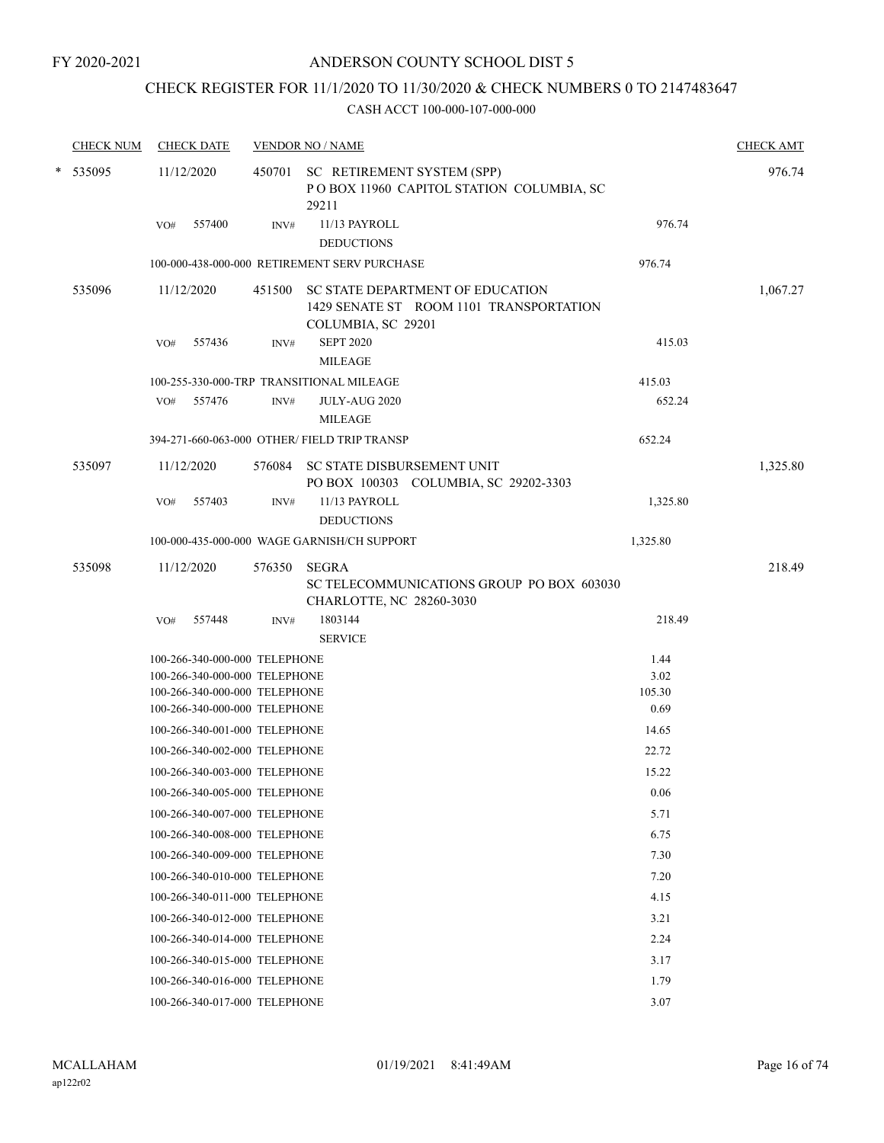## CHECK REGISTER FOR 11/1/2020 TO 11/30/2020 & CHECK NUMBERS 0 TO 2147483647

| <b>CHECK NUM</b> |     | <b>CHECK DATE</b>                                              |        | <b>VENDOR NO / NAME</b>                                                                           |                | <b>CHECK AMT</b> |
|------------------|-----|----------------------------------------------------------------|--------|---------------------------------------------------------------------------------------------------|----------------|------------------|
| * 535095         |     | 11/12/2020                                                     |        | 450701 SC RETIREMENT SYSTEM (SPP)<br>PO BOX 11960 CAPITOL STATION COLUMBIA, SC<br>29211           |                | 976.74           |
|                  | VO# | 557400                                                         | INV#   | 11/13 PAYROLL                                                                                     | 976.74         |                  |
|                  |     |                                                                |        | <b>DEDUCTIONS</b>                                                                                 |                |                  |
|                  |     |                                                                |        | 100-000-438-000-000 RETIREMENT SERV PURCHASE                                                      | 976.74         |                  |
| 535096           |     | 11/12/2020                                                     | 451500 | SC STATE DEPARTMENT OF EDUCATION<br>1429 SENATE ST ROOM 1101 TRANSPORTATION<br>COLUMBIA, SC 29201 |                | 1,067.27         |
|                  | VO# | 557436                                                         | INV#   | <b>SEPT 2020</b><br><b>MILEAGE</b>                                                                | 415.03         |                  |
|                  |     |                                                                |        | 100-255-330-000-TRP TRANSITIONAL MILEAGE                                                          | 415.03         |                  |
|                  | VO# | 557476                                                         | INV#   | JULY-AUG 2020<br><b>MILEAGE</b>                                                                   | 652.24         |                  |
|                  |     |                                                                |        | 394-271-660-063-000 OTHER/ FIELD TRIP TRANSP                                                      | 652.24         |                  |
| 535097           |     | 11/12/2020                                                     |        | 576084 SC STATE DISBURSEMENT UNIT<br>PO BOX 100303 COLUMBIA, SC 29202-3303                        |                | 1,325.80         |
|                  | VO# | 557403                                                         | INV#   | 11/13 PAYROLL<br><b>DEDUCTIONS</b>                                                                | 1,325.80       |                  |
|                  |     |                                                                |        | 100-000-435-000-000 WAGE GARNISH/CH SUPPORT                                                       | 1,325.80       |                  |
| 535098           |     | 11/12/2020                                                     | 576350 | <b>SEGRA</b><br>SC TELECOMMUNICATIONS GROUP PO BOX 603030<br>CHARLOTTE, NC 28260-3030             |                | 218.49           |
|                  | VO# | 557448                                                         | INV#   | 1803144<br><b>SERVICE</b>                                                                         | 218.49         |                  |
|                  |     | 100-266-340-000-000 TELEPHONE                                  |        |                                                                                                   | 1.44           |                  |
|                  |     | 100-266-340-000-000 TELEPHONE                                  |        |                                                                                                   | 3.02           |                  |
|                  |     | 100-266-340-000-000 TELEPHONE<br>100-266-340-000-000 TELEPHONE |        |                                                                                                   | 105.30<br>0.69 |                  |
|                  |     | 100-266-340-001-000 TELEPHONE                                  |        |                                                                                                   | 14.65          |                  |
|                  |     | 100-266-340-002-000 TELEPHONE                                  |        |                                                                                                   | 22.72          |                  |
|                  |     | 100-266-340-003-000 TELEPHONE                                  |        |                                                                                                   | 15.22          |                  |
|                  |     | 100-266-340-005-000 TELEPHONE                                  |        |                                                                                                   | 0.06           |                  |
|                  |     | 100-266-340-007-000 TELEPHONE                                  |        |                                                                                                   | 5.71           |                  |
|                  |     | 100-266-340-008-000 TELEPHONE                                  |        |                                                                                                   | 6.75           |                  |
|                  |     | 100-266-340-009-000 TELEPHONE                                  |        |                                                                                                   | 7.30           |                  |
|                  |     | 100-266-340-010-000 TELEPHONE                                  |        |                                                                                                   | 7.20           |                  |
|                  |     | 100-266-340-011-000 TELEPHONE                                  |        |                                                                                                   | 4.15           |                  |
|                  |     | 100-266-340-012-000 TELEPHONE                                  |        |                                                                                                   | 3.21           |                  |
|                  |     | 100-266-340-014-000 TELEPHONE                                  |        |                                                                                                   | 2.24           |                  |
|                  |     | 100-266-340-015-000 TELEPHONE                                  |        |                                                                                                   | 3.17           |                  |
|                  |     | 100-266-340-016-000 TELEPHONE                                  |        |                                                                                                   | 1.79           |                  |
|                  |     | 100-266-340-017-000 TELEPHONE                                  |        |                                                                                                   | 3.07           |                  |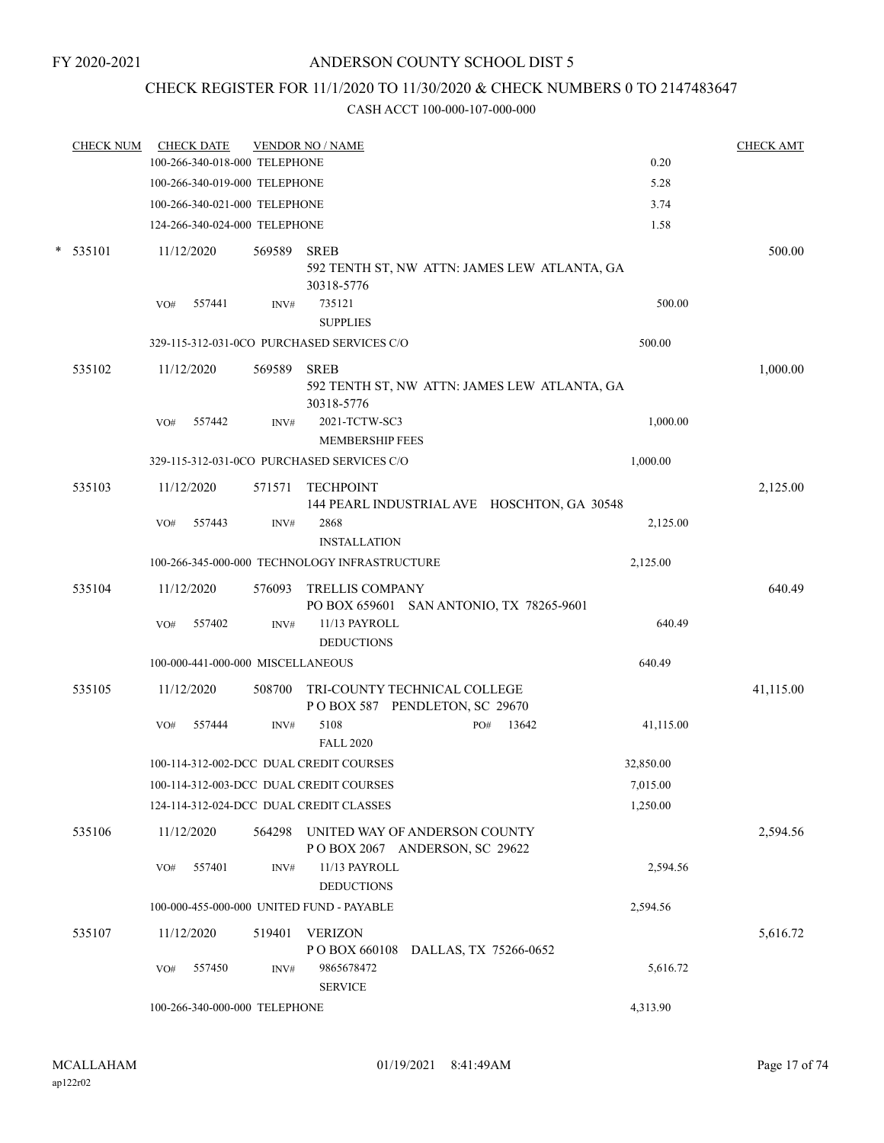#### FY 2020-2021

### ANDERSON COUNTY SCHOOL DIST 5

# CHECK REGISTER FOR 11/1/2020 TO 11/30/2020 & CHECK NUMBERS 0 TO 2147483647

| <b>CHECK NUM</b> |     | <b>CHECK DATE</b> | 100-266-340-018-000 TELEPHONE     | <b>VENDOR NO / NAME</b>                                    |           | <b>CHECK AMT</b> |
|------------------|-----|-------------------|-----------------------------------|------------------------------------------------------------|-----------|------------------|
|                  |     |                   |                                   |                                                            | 0.20      |                  |
|                  |     |                   | 100-266-340-019-000 TELEPHONE     |                                                            | 5.28      |                  |
|                  |     |                   | 100-266-340-021-000 TELEPHONE     |                                                            | 3.74      |                  |
|                  |     |                   | 124-266-340-024-000 TELEPHONE     |                                                            | 1.58      |                  |
| $*$ 535101       |     | 11/12/2020        | 569589                            | <b>SREB</b>                                                |           | 500.00           |
|                  |     |                   |                                   | 592 TENTH ST, NW ATTN: JAMES LEW ATLANTA, GA               |           |                  |
|                  |     |                   |                                   | 30318-5776<br>735121                                       | 500.00    |                  |
|                  | VO# | 557441            | INV#                              | <b>SUPPLIES</b>                                            |           |                  |
|                  |     |                   |                                   | 329-115-312-031-0CO PURCHASED SERVICES C/O                 | 500.00    |                  |
|                  |     |                   |                                   |                                                            |           |                  |
| 535102           |     | 11/12/2020        | 569589                            | <b>SREB</b>                                                |           | 1,000.00         |
|                  |     |                   |                                   | 592 TENTH ST, NW ATTN: JAMES LEW ATLANTA, GA<br>30318-5776 |           |                  |
|                  | VO# | 557442            | INV#                              | 2021-TCTW-SC3                                              | 1,000.00  |                  |
|                  |     |                   |                                   | <b>MEMBERSHIP FEES</b>                                     |           |                  |
|                  |     |                   |                                   | 329-115-312-031-0CO PURCHASED SERVICES C/O                 | 1,000.00  |                  |
| 535103           |     | 11/12/2020        | 571571                            | <b>TECHPOINT</b>                                           |           | 2,125.00         |
|                  |     |                   |                                   | 144 PEARL INDUSTRIAL AVE HOSCHTON, GA 30548                |           |                  |
|                  | VO# | 557443            | INV#                              | 2868                                                       | 2,125.00  |                  |
|                  |     |                   |                                   | <b>INSTALLATION</b>                                        |           |                  |
|                  |     |                   |                                   | 100-266-345-000-000 TECHNOLOGY INFRASTRUCTURE              | 2,125.00  |                  |
| 535104           |     | 11/12/2020        | 576093                            | <b>TRELLIS COMPANY</b>                                     |           | 640.49           |
|                  |     |                   |                                   | PO BOX 659601 SAN ANTONIO, TX 78265-9601                   |           |                  |
|                  | VO# | 557402            | INV#                              | 11/13 PAYROLL                                              | 640.49    |                  |
|                  |     |                   |                                   | <b>DEDUCTIONS</b>                                          |           |                  |
|                  |     |                   | 100-000-441-000-000 MISCELLANEOUS |                                                            | 640.49    |                  |
| 535105           |     | 11/12/2020        | 508700                            | TRI-COUNTY TECHNICAL COLLEGE                               |           | 41,115.00        |
|                  |     |                   |                                   | POBOX 587 PENDLETON, SC 29670                              |           |                  |
|                  | VO# | 557444            | INV#                              | 5108<br>13642<br>PO#                                       | 41,115.00 |                  |
|                  |     |                   |                                   | <b>FALL 2020</b>                                           |           |                  |
|                  |     |                   |                                   | 100-114-312-002-DCC DUAL CREDIT COURSES                    | 32,850.00 |                  |
|                  |     |                   |                                   | 100-114-312-003-DCC DUAL CREDIT COURSES                    | 7,015.00  |                  |
|                  |     |                   |                                   | 124-114-312-024-DCC DUAL CREDIT CLASSES                    | 1,250.00  |                  |
| 535106           |     | 11/12/2020        | 564298                            | UNITED WAY OF ANDERSON COUNTY                              |           | 2,594.56         |
|                  |     |                   |                                   | POBOX 2067 ANDERSON, SC 29622                              |           |                  |
|                  | VO# | 557401            | INV#                              | 11/13 PAYROLL                                              | 2,594.56  |                  |
|                  |     |                   |                                   | <b>DEDUCTIONS</b>                                          |           |                  |
|                  |     |                   |                                   | 100-000-455-000-000 UNITED FUND - PAYABLE                  | 2,594.56  |                  |
| 535107           |     | 11/12/2020        | 519401                            | <b>VERIZON</b>                                             |           | 5,616.72         |
|                  |     |                   |                                   | PO BOX 660108<br>DALLAS, TX 75266-0652                     |           |                  |
|                  | VO# | 557450            | INV#                              | 9865678472                                                 | 5,616.72  |                  |
|                  |     |                   |                                   | <b>SERVICE</b>                                             |           |                  |
|                  |     |                   | 100-266-340-000-000 TELEPHONE     |                                                            | 4,313.90  |                  |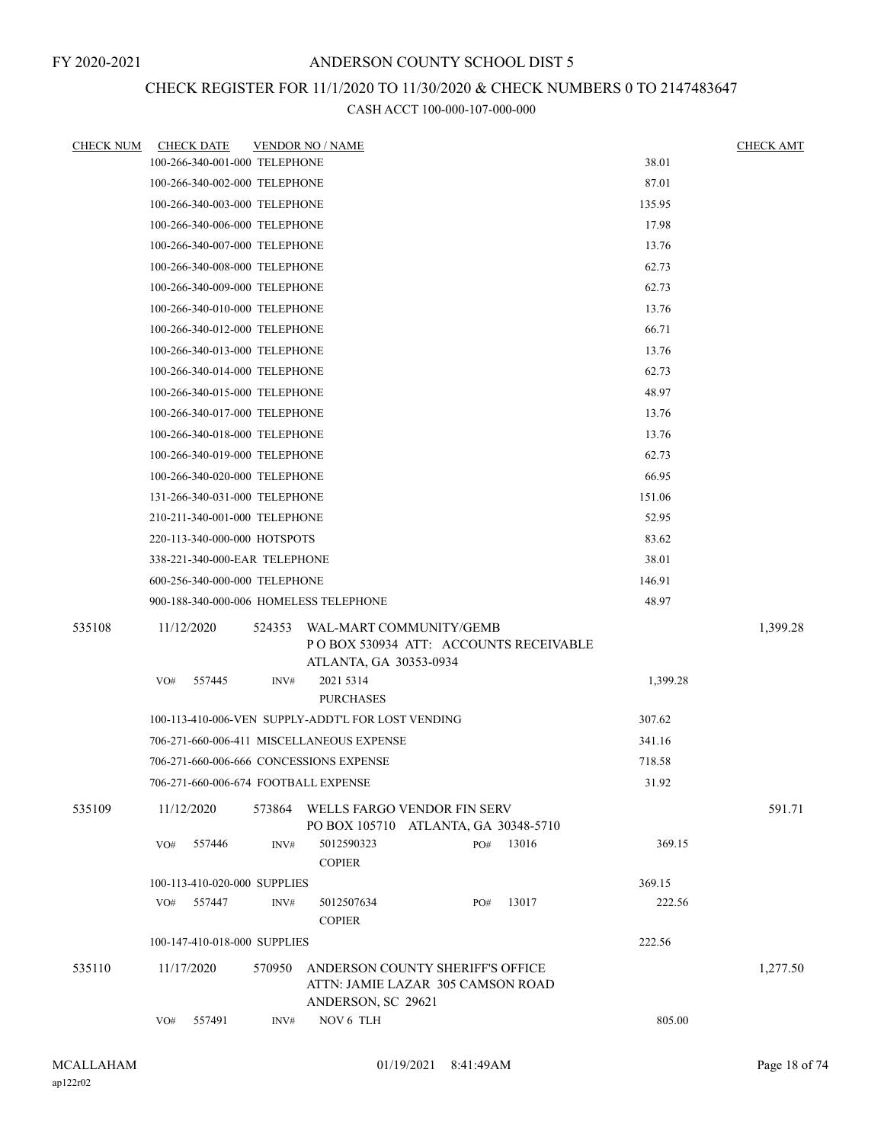## CHECK REGISTER FOR 11/1/2020 TO 11/30/2020 & CHECK NUMBERS 0 TO 2147483647

| <b>CHECK NUM</b> | <b>CHECK DATE</b>                       |        | <b>VENDOR NO / NAME</b>                                                                     |     |       |          | <b>CHECK AMT</b> |
|------------------|-----------------------------------------|--------|---------------------------------------------------------------------------------------------|-----|-------|----------|------------------|
|                  | 100-266-340-001-000 TELEPHONE           |        |                                                                                             |     |       | 38.01    |                  |
|                  | 100-266-340-002-000 TELEPHONE           |        |                                                                                             |     |       | 87.01    |                  |
|                  | 100-266-340-003-000 TELEPHONE           |        |                                                                                             |     |       | 135.95   |                  |
|                  | 100-266-340-006-000 TELEPHONE           |        |                                                                                             |     |       | 17.98    |                  |
|                  | 100-266-340-007-000 TELEPHONE           |        |                                                                                             |     |       | 13.76    |                  |
|                  | 100-266-340-008-000 TELEPHONE           |        |                                                                                             |     |       | 62.73    |                  |
|                  | 100-266-340-009-000 TELEPHONE           |        |                                                                                             |     |       | 62.73    |                  |
|                  | 100-266-340-010-000 TELEPHONE           |        |                                                                                             |     |       | 13.76    |                  |
|                  | 100-266-340-012-000 TELEPHONE           |        |                                                                                             |     |       | 66.71    |                  |
|                  | 100-266-340-013-000 TELEPHONE           |        |                                                                                             |     |       | 13.76    |                  |
|                  | 100-266-340-014-000 TELEPHONE           |        |                                                                                             |     |       | 62.73    |                  |
|                  | 100-266-340-015-000 TELEPHONE           |        |                                                                                             |     |       | 48.97    |                  |
|                  | 100-266-340-017-000 TELEPHONE           |        |                                                                                             |     |       | 13.76    |                  |
|                  | 100-266-340-018-000 TELEPHONE           |        |                                                                                             |     |       | 13.76    |                  |
|                  | 100-266-340-019-000 TELEPHONE           |        |                                                                                             |     |       | 62.73    |                  |
|                  | 100-266-340-020-000 TELEPHONE           |        |                                                                                             |     |       | 66.95    |                  |
|                  | 131-266-340-031-000 TELEPHONE           |        |                                                                                             |     |       | 151.06   |                  |
|                  | 210-211-340-001-000 TELEPHONE           |        |                                                                                             |     |       | 52.95    |                  |
|                  | 220-113-340-000-000 HOTSPOTS            |        |                                                                                             |     |       | 83.62    |                  |
|                  | 338-221-340-000-EAR TELEPHONE           |        |                                                                                             |     |       | 38.01    |                  |
|                  | 600-256-340-000-000 TELEPHONE           |        |                                                                                             |     |       | 146.91   |                  |
|                  | 900-188-340-000-006 HOMELESS TELEPHONE  |        |                                                                                             |     |       | 48.97    |                  |
| 535108           | 11/12/2020                              | 524353 | WAL-MART COMMUNITY/GEMB<br>POBOX 530934 ATT: ACCOUNTS RECEIVABLE<br>ATLANTA, GA 30353-0934  |     |       |          | 1,399.28         |
|                  | VO#<br>557445                           | INV#   | 2021 5314<br><b>PURCHASES</b>                                                               |     |       | 1,399.28 |                  |
|                  |                                         |        | 100-113-410-006-VEN SUPPLY-ADDT'L FOR LOST VENDING                                          |     |       | 307.62   |                  |
|                  |                                         |        | 706-271-660-006-411 MISCELLANEOUS EXPENSE                                                   |     |       | 341.16   |                  |
|                  | 706-271-660-006-666 CONCESSIONS EXPENSE |        |                                                                                             |     |       | 718.58   |                  |
|                  | 706-271-660-006-674 FOOTBALL EXPENSE    |        |                                                                                             |     |       | 31.92    |                  |
| 535109           | 11/12/2020                              | 573864 | WELLS FARGO VENDOR FIN SERV<br>PO BOX 105710 ATLANTA, GA 30348-5710                         |     |       |          | 591.71           |
|                  | 557446<br>VO#                           | INV#   | 5012590323<br><b>COPIER</b>                                                                 | PO# | 13016 | 369.15   |                  |
|                  | 100-113-410-020-000 SUPPLIES            |        |                                                                                             |     |       | 369.15   |                  |
|                  | VO#<br>557447                           | INV#   | 5012507634<br><b>COPIER</b>                                                                 | PO# | 13017 | 222.56   |                  |
|                  | 100-147-410-018-000 SUPPLIES            |        |                                                                                             |     |       | 222.56   |                  |
| 535110           | 11/17/2020                              | 570950 | ANDERSON COUNTY SHERIFF'S OFFICE<br>ATTN: JAMIE LAZAR 305 CAMSON ROAD<br>ANDERSON, SC 29621 |     |       |          | 1,277.50         |
|                  | VO#<br>557491                           | INV#   | NOV 6 TLH                                                                                   |     |       | 805.00   |                  |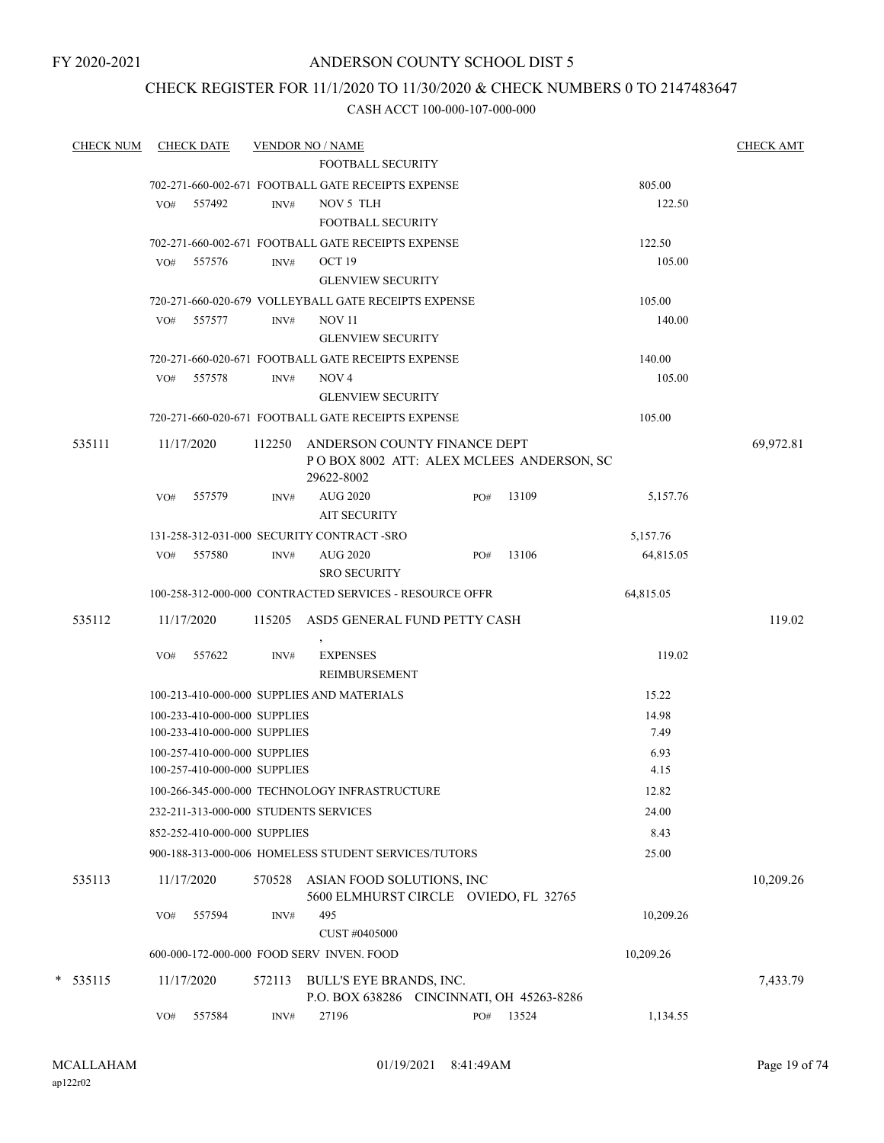FY 2020-2021

### ANDERSON COUNTY SCHOOL DIST 5

### CHECK REGISTER FOR 11/1/2020 TO 11/30/2020 & CHECK NUMBERS 0 TO 2147483647

| <b>CHECK NUM</b> |     | <b>CHECK DATE</b>            |        | <b>VENDOR NO / NAME</b>                                              |     |                                          |           | <b>CHECK AMT</b> |
|------------------|-----|------------------------------|--------|----------------------------------------------------------------------|-----|------------------------------------------|-----------|------------------|
|                  |     |                              |        | <b>FOOTBALL SECURITY</b>                                             |     |                                          |           |                  |
|                  |     |                              |        | 702-271-660-002-671 FOOTBALL GATE RECEIPTS EXPENSE                   |     |                                          | 805.00    |                  |
|                  | VO# | 557492                       | INV#   | NOV 5 TLH<br><b>FOOTBALL SECURITY</b>                                |     |                                          | 122.50    |                  |
|                  |     |                              |        | 702-271-660-002-671 FOOTBALL GATE RECEIPTS EXPENSE                   |     |                                          | 122.50    |                  |
|                  | VO# | 557576                       | INV#   | OCT <sub>19</sub>                                                    |     |                                          | 105.00    |                  |
|                  |     |                              |        | <b>GLENVIEW SECURITY</b>                                             |     |                                          |           |                  |
|                  |     |                              |        | 720-271-660-020-679 VOLLEYBALL GATE RECEIPTS EXPENSE                 |     |                                          | 105.00    |                  |
|                  | VO# | 557577                       | INV#   | <b>NOV 11</b>                                                        |     |                                          | 140.00    |                  |
|                  |     |                              |        | <b>GLENVIEW SECURITY</b>                                             |     |                                          |           |                  |
|                  |     |                              |        | 720-271-660-020-671 FOOTBALL GATE RECEIPTS EXPENSE                   |     |                                          | 140.00    |                  |
|                  | VO# | 557578                       | INV#   | NOV <sub>4</sub>                                                     |     |                                          | 105.00    |                  |
|                  |     |                              |        | <b>GLENVIEW SECURITY</b>                                             |     |                                          |           |                  |
|                  |     |                              |        | 720-271-660-020-671 FOOTBALL GATE RECEIPTS EXPENSE                   |     |                                          | 105.00    |                  |
| 535111           |     | 11/17/2020                   | 112250 | ANDERSON COUNTY FINANCE DEPT<br>29622-8002                           |     | POBOX 8002 ATT: ALEX MCLEES ANDERSON, SC |           | 69,972.81        |
|                  | VO# | 557579                       | INV#   | <b>AUG 2020</b>                                                      | PO# | 13109                                    | 5,157.76  |                  |
|                  |     |                              |        | <b>AIT SECURITY</b>                                                  |     |                                          |           |                  |
|                  |     |                              |        | 131-258-312-031-000 SECURITY CONTRACT -SRO                           |     |                                          | 5,157.76  |                  |
|                  | VO# | 557580                       | INV#   | AUG 2020                                                             | PO# | 13106                                    | 64,815.05 |                  |
|                  |     |                              |        | <b>SRO SECURITY</b>                                                  |     |                                          |           |                  |
|                  |     |                              |        | 100-258-312-000-000 CONTRACTED SERVICES - RESOURCE OFFR              |     |                                          | 64,815.05 |                  |
| 535112           |     | 11/17/2020                   | 115205 | ASD5 GENERAL FUND PETTY CASH                                         |     |                                          |           | 119.02           |
|                  | VO# | 557622                       | INV#   | $\overline{ }$<br><b>EXPENSES</b><br>REIMBURSEMENT                   |     |                                          | 119.02    |                  |
|                  |     |                              |        | 100-213-410-000-000 SUPPLIES AND MATERIALS                           |     |                                          | 15.22     |                  |
|                  |     | 100-233-410-000-000 SUPPLIES |        |                                                                      |     |                                          | 14.98     |                  |
|                  |     | 100-233-410-000-000 SUPPLIES |        |                                                                      |     |                                          | 7.49      |                  |
|                  |     | 100-257-410-000-000 SUPPLIES |        |                                                                      |     |                                          | 6.93      |                  |
|                  |     | 100-257-410-000-000 SUPPLIES |        |                                                                      |     |                                          | 4.15      |                  |
|                  |     |                              |        | 100-266-345-000-000 TECHNOLOGY INFRASTRUCTURE                        |     |                                          | 12.82     |                  |
|                  |     |                              |        | 232-211-313-000-000 STUDENTS SERVICES                                |     |                                          | 24.00     |                  |
|                  |     | 852-252-410-000-000 SUPPLIES |        |                                                                      |     |                                          | 8.43      |                  |
|                  |     |                              |        | 900-188-313-000-006 HOMELESS STUDENT SERVICES/TUTORS                 |     |                                          | 25.00     |                  |
|                  |     |                              |        |                                                                      |     |                                          |           |                  |
| 535113           |     | 11/17/2020                   | 570528 | ASIAN FOOD SOLUTIONS, INC<br>5600 ELMHURST CIRCLE OVIEDO, FL 32765   |     |                                          |           | 10,209.26        |
|                  | VO# | 557594                       | INV#   | 495                                                                  |     |                                          | 10,209.26 |                  |
|                  |     |                              |        | CUST #0405000                                                        |     |                                          |           |                  |
|                  |     |                              |        | 600-000-172-000-000 FOOD SERV INVEN. FOOD                            |     |                                          | 10,209.26 |                  |
| $*$ 535115       |     | 11/17/2020                   | 572113 | BULL'S EYE BRANDS, INC.<br>P.O. BOX 638286 CINCINNATI, OH 45263-8286 |     |                                          |           | 7,433.79         |
|                  | VO# | 557584                       | INV#   | 27196                                                                | PO# | 13524                                    | 1,134.55  |                  |
|                  |     |                              |        |                                                                      |     |                                          |           |                  |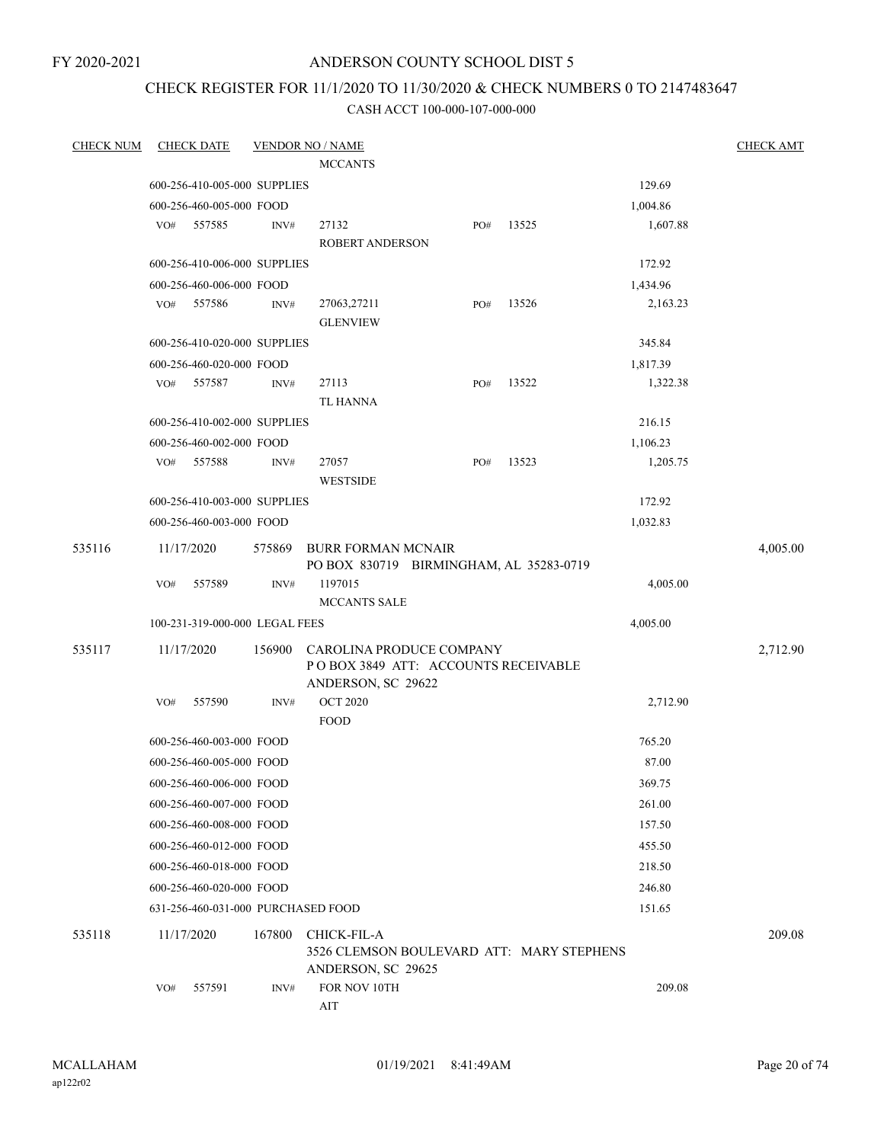FY 2020-2021

### ANDERSON COUNTY SCHOOL DIST 5

## CHECK REGISTER FOR 11/1/2020 TO 11/30/2020 & CHECK NUMBERS 0 TO 2147483647

| <b>CHECK NUM</b> | <b>CHECK DATE</b> |                                |        | <b>VENDOR NO / NAME</b>                                              |     |       |          | <b>CHECK AMT</b> |
|------------------|-------------------|--------------------------------|--------|----------------------------------------------------------------------|-----|-------|----------|------------------|
|                  |                   |                                |        | <b>MCCANTS</b>                                                       |     |       |          |                  |
|                  |                   | 600-256-410-005-000 SUPPLIES   |        |                                                                      |     |       | 129.69   |                  |
|                  |                   | 600-256-460-005-000 FOOD       |        |                                                                      |     |       | 1,004.86 |                  |
|                  | VO# 557585        |                                | INV#   | 27132<br><b>ROBERT ANDERSON</b>                                      | PO# | 13525 | 1,607.88 |                  |
|                  |                   | 600-256-410-006-000 SUPPLIES   |        |                                                                      |     |       | 172.92   |                  |
|                  |                   | 600-256-460-006-000 FOOD       |        |                                                                      |     |       | 1,434.96 |                  |
|                  | VO#               | 557586                         | INV#   | 27063,27211                                                          | PO# | 13526 | 2,163.23 |                  |
|                  |                   |                                |        | <b>GLENVIEW</b>                                                      |     |       |          |                  |
|                  |                   | 600-256-410-020-000 SUPPLIES   |        |                                                                      |     |       | 345.84   |                  |
|                  |                   | 600-256-460-020-000 FOOD       |        |                                                                      |     |       | 1,817.39 |                  |
|                  | VO#               | 557587                         | INV#   | 27113<br><b>TL HANNA</b>                                             | PO# | 13522 | 1,322.38 |                  |
|                  |                   | 600-256-410-002-000 SUPPLIES   |        |                                                                      |     |       | 216.15   |                  |
|                  |                   | 600-256-460-002-000 FOOD       |        |                                                                      |     |       | 1,106.23 |                  |
|                  | VO# 557588        |                                | INV#   | 27057<br><b>WESTSIDE</b>                                             | PO# | 13523 | 1,205.75 |                  |
|                  |                   | 600-256-410-003-000 SUPPLIES   |        |                                                                      |     |       | 172.92   |                  |
|                  |                   | 600-256-460-003-000 FOOD       |        |                                                                      |     |       | 1,032.83 |                  |
|                  |                   |                                |        |                                                                      |     |       |          |                  |
| 535116           | 11/17/2020        |                                | 575869 | <b>BURR FORMAN MCNAIR</b><br>PO BOX 830719 BIRMINGHAM, AL 35283-0719 |     |       |          | 4,005.00         |
|                  | VO#               | 557589                         | INV#   | 1197015<br>MCCANTS SALE                                              |     |       | 4,005.00 |                  |
|                  |                   | 100-231-319-000-000 LEGAL FEES |        |                                                                      |     |       | 4,005.00 |                  |
| 535117           | 11/17/2020        |                                | 156900 | CAROLINA PRODUCE COMPANY                                             |     |       |          | 2,712.90         |
|                  |                   |                                |        | POBOX 3849 ATT: ACCOUNTS RECEIVABLE<br>ANDERSON, SC 29622            |     |       |          |                  |
|                  | VO#               | 557590                         | INV#   | <b>OCT 2020</b>                                                      |     |       | 2,712.90 |                  |
|                  |                   |                                |        | <b>FOOD</b>                                                          |     |       |          |                  |
|                  |                   | 600-256-460-003-000 FOOD       |        |                                                                      |     |       | 765.20   |                  |
|                  |                   | 600-256-460-005-000 FOOD       |        |                                                                      |     |       | 87.00    |                  |
|                  |                   | 600-256-460-006-000 FOOD       |        |                                                                      |     |       | 369.75   |                  |
|                  |                   | 600-256-460-007-000 FOOD       |        |                                                                      |     |       | 261.00   |                  |
|                  |                   | 600-256-460-008-000 FOOD       |        |                                                                      |     |       | 157.50   |                  |
|                  |                   | 600-256-460-012-000 FOOD       |        |                                                                      |     |       | 455.50   |                  |
|                  |                   | 600-256-460-018-000 FOOD       |        |                                                                      |     |       | 218.50   |                  |
|                  |                   | 600-256-460-020-000 FOOD       |        |                                                                      |     |       | 246.80   |                  |
|                  |                   |                                |        | 631-256-460-031-000 PURCHASED FOOD                                   |     |       | 151.65   |                  |
| 535118           | 11/17/2020        |                                | 167800 | CHICK-FIL-A                                                          |     |       |          | 209.08           |
|                  |                   |                                |        | 3526 CLEMSON BOULEVARD ATT: MARY STEPHENS<br>ANDERSON, SC 29625      |     |       |          |                  |
|                  | VO#               | 557591                         | INV#   | FOR NOV 10TH                                                         |     |       | 209.08   |                  |
|                  |                   |                                |        | AIT                                                                  |     |       |          |                  |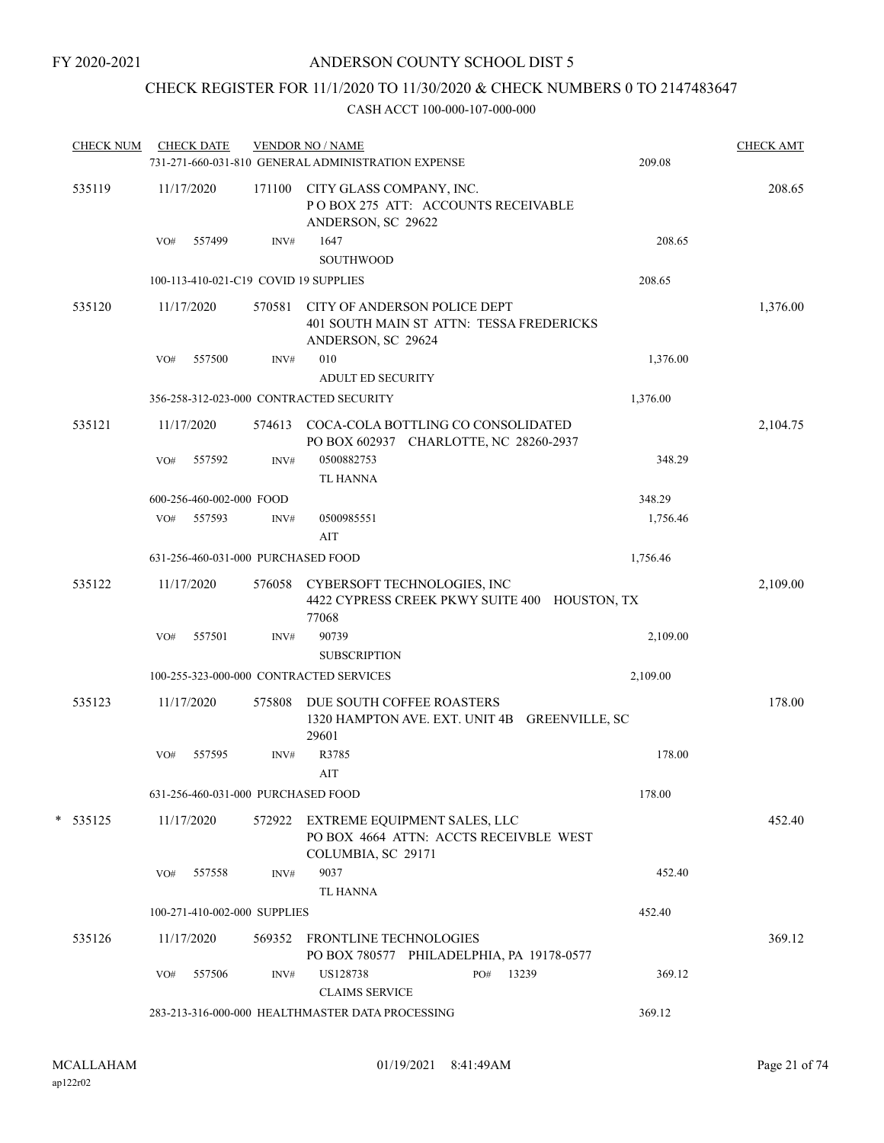## CHECK REGISTER FOR 11/1/2020 TO 11/30/2020 & CHECK NUMBERS 0 TO 2147483647

| <b>CHECK NUM</b> |     | <b>CHECK DATE</b>                  |        | <b>VENDOR NO / NAME</b><br>731-271-660-031-810 GENERAL ADMINISTRATION EXPENSE |                                                                               | 209.08   | <b>CHECK AMT</b> |
|------------------|-----|------------------------------------|--------|-------------------------------------------------------------------------------|-------------------------------------------------------------------------------|----------|------------------|
| 535119           |     | 11/17/2020                         | 171100 | CITY GLASS COMPANY, INC.<br>ANDERSON, SC 29622                                | POBOX 275 ATT: ACCOUNTS RECEIVABLE                                            |          | 208.65           |
|                  | VO# | 557499                             | INV#   | 1647<br>SOUTHWOOD                                                             |                                                                               | 208.65   |                  |
|                  |     |                                    |        | 100-113-410-021-C19 COVID 19 SUPPLIES                                         |                                                                               | 208.65   |                  |
| 535120           |     | 11/17/2020                         | 570581 | ANDERSON, SC 29624                                                            | CITY OF ANDERSON POLICE DEPT<br>401 SOUTH MAIN ST ATTN: TESSA FREDERICKS      |          | 1,376.00         |
|                  | VO# | 557500                             | INV#   | 010                                                                           |                                                                               | 1,376.00 |                  |
|                  |     |                                    |        | <b>ADULT ED SECURITY</b>                                                      |                                                                               |          |                  |
|                  |     |                                    |        | 356-258-312-023-000 CONTRACTED SECURITY                                       |                                                                               | 1,376.00 |                  |
| 535121           |     | 11/17/2020                         | 574613 |                                                                               | COCA-COLA BOTTLING CO CONSOLIDATED<br>PO BOX 602937 CHARLOTTE, NC 28260-2937  |          | 2,104.75         |
|                  | VO# | 557592                             | INV#   | 0500882753<br><b>TL HANNA</b>                                                 |                                                                               | 348.29   |                  |
|                  |     | 600-256-460-002-000 FOOD           |        |                                                                               |                                                                               | 348.29   |                  |
|                  | VO# | 557593                             | INV#   | 0500985551<br>AIT                                                             |                                                                               | 1,756.46 |                  |
|                  |     | 631-256-460-031-000 PURCHASED FOOD |        |                                                                               |                                                                               | 1,756.46 |                  |
| 535122           |     | 11/17/2020                         | 576058 | 77068                                                                         | CYBERSOFT TECHNOLOGIES, INC<br>4422 CYPRESS CREEK PKWY SUITE 400 HOUSTON, TX  |          | 2,109.00         |
|                  | VO# | 557501                             | INV#   | 90739                                                                         |                                                                               | 2,109.00 |                  |
|                  |     |                                    |        | <b>SUBSCRIPTION</b>                                                           |                                                                               |          |                  |
|                  |     |                                    |        | 100-255-323-000-000 CONTRACTED SERVICES                                       |                                                                               | 2,109.00 |                  |
| 535123           |     | 11/17/2020                         | 575808 | 29601                                                                         | DUE SOUTH COFFEE ROASTERS<br>1320 HAMPTON AVE. EXT. UNIT 4B GREENVILLE, SC    |          | 178.00           |
|                  | VO# | 557595                             | INV#   | R3785<br>AIT                                                                  |                                                                               | 178.00   |                  |
|                  |     | 631-256-460-031-000 PURCHASED FOOD |        |                                                                               |                                                                               | 178.00   |                  |
| $*$ 535125       |     | 11/17/2020                         |        | COLUMBIA, SC 29171                                                            | 572922 EXTREME EQUIPMENT SALES, LLC<br>PO BOX 4664 ATTN: ACCTS RECEIVBLE WEST |          | 452.40           |
|                  | VO# | 557558                             | INV#   | 9037<br><b>TL HANNA</b>                                                       |                                                                               | 452.40   |                  |
|                  |     | 100-271-410-002-000 SUPPLIES       |        |                                                                               |                                                                               | 452.40   |                  |
| 535126           |     | 11/17/2020                         | 569352 | <b>FRONTLINE TECHNOLOGIES</b>                                                 | PO BOX 780577 PHILADELPHIA, PA 19178-0577                                     |          | 369.12           |
|                  | VO# | 557506                             | INV#   | US128738<br><b>CLAIMS SERVICE</b>                                             | PO# 13239                                                                     | 369.12   |                  |
|                  |     |                                    |        | 283-213-316-000-000 HEALTHMASTER DATA PROCESSING                              |                                                                               | 369.12   |                  |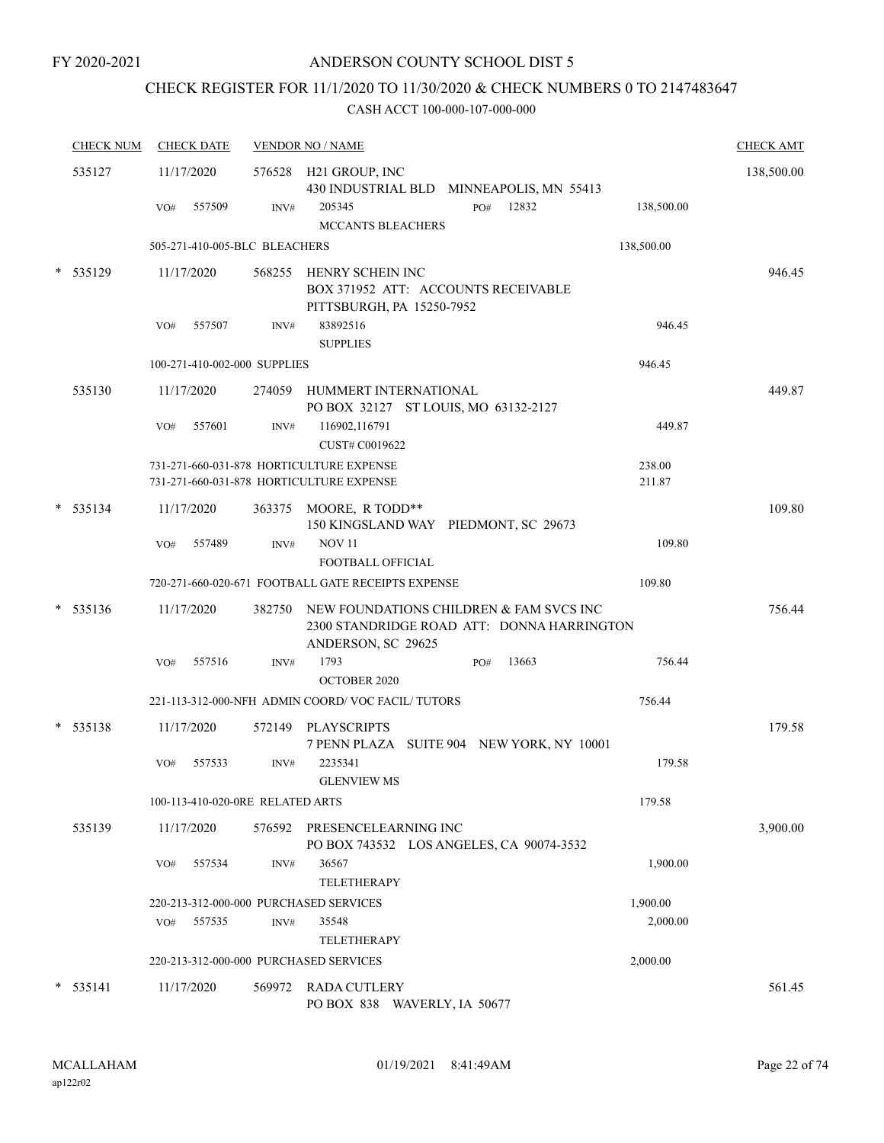## CHECK REGISTER FOR 11/1/2020 TO 11/30/2020 & CHECK NUMBERS 0 TO 2147483647

|        | <b>CHECK NUM</b> | <b>CHECK DATE</b>                      |        | <b>VENDOR NO / NAME</b>                                                                                     | <b>CHECK AMT</b> |
|--------|------------------|----------------------------------------|--------|-------------------------------------------------------------------------------------------------------------|------------------|
|        | 535127           | 11/17/2020                             |        | 576528 H21 GROUP, INC<br>430 INDUSTRIAL BLD MINNEAPOLIS, MN 55413                                           | 138,500.00       |
|        |                  | 557509<br>VO#                          | INV#   | 12832<br>205345<br>PO#<br>138,500.00<br><b>MCCANTS BLEACHERS</b>                                            |                  |
|        |                  | 505-271-410-005-BLC BLEACHERS          |        | 138,500.00                                                                                                  |                  |
| *      | 535129           | 11/17/2020                             |        | 568255 HENRY SCHEIN INC<br>BOX 371952 ATT: ACCOUNTS RECEIVABLE<br>PITTSBURGH, PA 15250-7952                 | 946.45           |
|        |                  | 557507<br>VO#                          | INV#   | 83892516<br>946.45<br><b>SUPPLIES</b>                                                                       |                  |
|        |                  | 100-271-410-002-000 SUPPLIES           |        | 946.45                                                                                                      |                  |
|        | 535130           | 11/17/2020                             |        | 274059 HUMMERT INTERNATIONAL<br>PO BOX 32127 ST LOUIS, MO 63132-2127                                        | 449.87           |
|        |                  | 557601<br>VO#                          | INV#   | 116902,116791<br>449.87<br>CUST# C0019622                                                                   |                  |
|        |                  |                                        |        | 731-271-660-031-878 HORTICULTURE EXPENSE<br>238.00<br>211.87<br>731-271-660-031-878 HORTICULTURE EXPENSE    |                  |
| *      | 535134           | 11/17/2020                             |        | 363375 MOORE, R TODD**<br>150 KINGSLAND WAY PIEDMONT, SC 29673                                              | 109.80           |
|        |                  | VO#<br>557489                          | INV#   | <b>NOV11</b><br>109.80<br><b>FOOTBALL OFFICIAL</b>                                                          |                  |
|        |                  |                                        |        | 720-271-660-020-671 FOOTBALL GATE RECEIPTS EXPENSE<br>109.80                                                |                  |
| $\ast$ | 535136           | 11/17/2020                             | 382750 | NEW FOUNDATIONS CHILDREN & FAM SVCS INC<br>2300 STANDRIDGE ROAD ATT: DONNA HARRINGTON<br>ANDERSON, SC 29625 | 756.44           |
|        |                  | 557516<br>VO#                          | INV#   | 1793<br>13663<br>756.44<br>PO#<br><b>OCTOBER 2020</b>                                                       |                  |
|        |                  |                                        |        | 221-113-312-000-NFH ADMIN COORD/VOC FACIL/TUTORS<br>756.44                                                  |                  |
|        | $* 535138$       | 11/17/2020                             | 572149 | PLAYSCRIPTS<br>7 PENN PLAZA SUITE 904 NEW YORK, NY 10001                                                    | 179.58           |
|        |                  | VO#<br>557533                          | INV#   | 2235341<br>179.58<br><b>GLENVIEW MS</b>                                                                     |                  |
|        |                  | 100-113-410-020-0RE RELATED ARTS       |        | 179.58                                                                                                      |                  |
|        | 535139           | 11/17/2020                             |        | 576592 PRESENCELEARNING INC<br>PO BOX 743532 LOS ANGELES, CA 90074-3532                                     | 3,900.00         |
|        |                  | 557534<br>VO#                          | INV#   | 36567<br>1,900.00<br><b>TELETHERAPY</b>                                                                     |                  |
|        |                  | 220-213-312-000-000 PURCHASED SERVICES |        | 1,900.00                                                                                                    |                  |
|        |                  | 557535<br>VO#                          | INV#   | 35548<br>2,000.00<br>TELETHERAPY                                                                            |                  |
|        |                  | 220-213-312-000-000 PURCHASED SERVICES |        | 2,000.00                                                                                                    |                  |
|        | $* 535141$       | 11/17/2020                             |        | 569972 RADA CUTLERY<br>PO BOX 838 WAVERLY, IA 50677                                                         | 561.45           |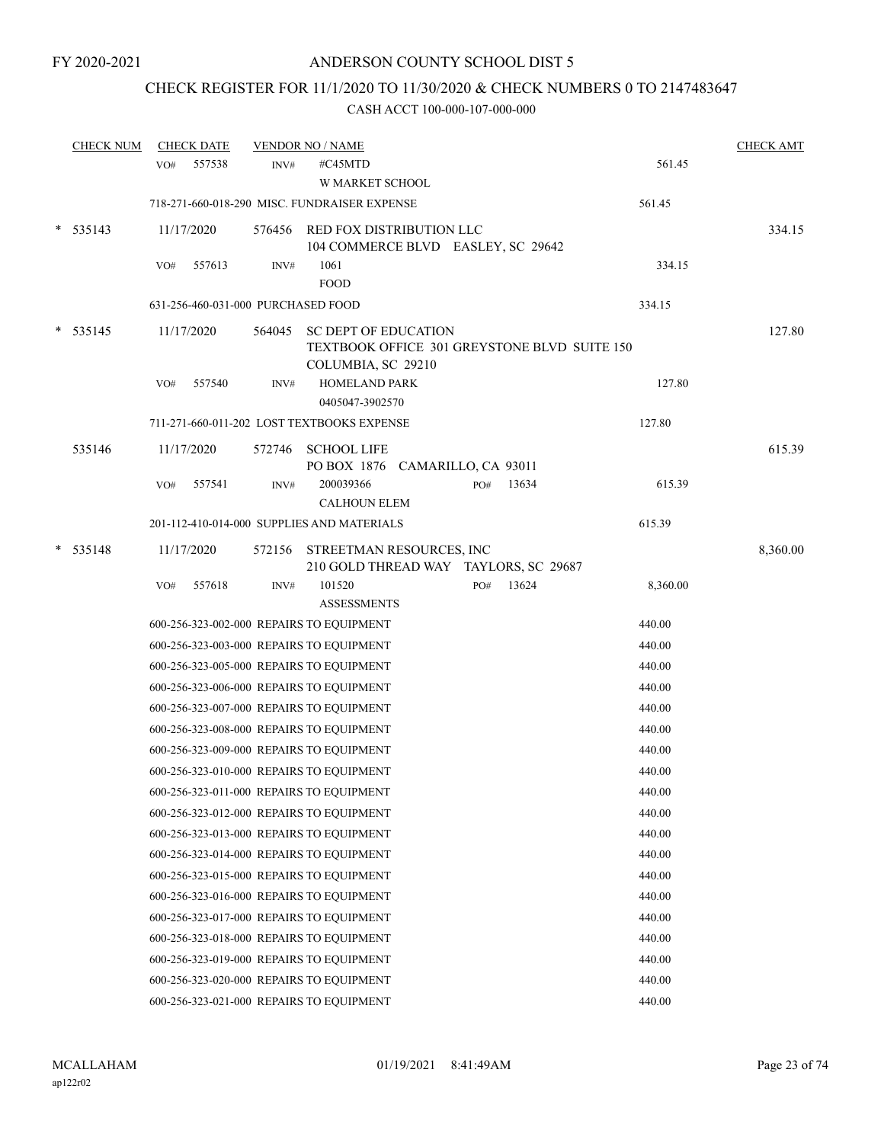# CHECK REGISTER FOR 11/1/2020 TO 11/30/2020 & CHECK NUMBERS 0 TO 2147483647

|        | <b>CHECK NUM</b> |                 | <b>CHECK DATE</b>                  |        | <b>VENDOR NO / NAME</b>                                                                           |     |       |          | <b>CHECK AMT</b> |
|--------|------------------|-----------------|------------------------------------|--------|---------------------------------------------------------------------------------------------------|-----|-------|----------|------------------|
|        |                  | VO <sub>#</sub> | 557538                             | INV#   | #C45MTD<br><b>W MARKET SCHOOL</b>                                                                 |     |       | 561.45   |                  |
|        |                  |                 |                                    |        | 718-271-660-018-290 MISC. FUNDRAISER EXPENSE                                                      |     |       | 561.45   |                  |
| *      | 535143           |                 | 11/17/2020                         | 576456 | RED FOX DISTRIBUTION LLC<br>104 COMMERCE BLVD EASLEY, SC 29642                                    |     |       |          | 334.15           |
|        |                  | VO#             | 557613                             | INV#   | 1061<br><b>FOOD</b>                                                                               |     |       | 334.15   |                  |
|        |                  |                 | 631-256-460-031-000 PURCHASED FOOD |        |                                                                                                   |     |       | 334.15   |                  |
|        | $*$ 535145       |                 | 11/17/2020                         | 564045 | <b>SC DEPT OF EDUCATION</b><br>TEXTBOOK OFFICE 301 GREYSTONE BLVD SUITE 150<br>COLUMBIA, SC 29210 |     |       |          | 127.80           |
|        |                  | VO#             | 557540                             | INV#   | <b>HOMELAND PARK</b><br>0405047-3902570                                                           |     |       | 127.80   |                  |
|        |                  |                 |                                    |        | 711-271-660-011-202 LOST TEXTBOOKS EXPENSE                                                        |     |       | 127.80   |                  |
|        | 535146           |                 | 11/17/2020                         | 572746 | <b>SCHOOL LIFE</b><br>PO BOX 1876 CAMARILLO, CA 93011                                             |     |       |          | 615.39           |
|        |                  | VO#             | 557541                             | INV#   | 200039366<br><b>CALHOUN ELEM</b>                                                                  | PO# | 13634 | 615.39   |                  |
|        |                  |                 |                                    |        | 201-112-410-014-000 SUPPLIES AND MATERIALS                                                        |     |       | 615.39   |                  |
| $\ast$ | 535148           |                 | 11/17/2020                         |        | 572156 STREETMAN RESOURCES, INC<br>210 GOLD THREAD WAY TAYLORS, SC 29687                          |     |       |          | 8,360.00         |
|        |                  | VO#             | 557618                             | INV#   | 101520<br><b>ASSESSMENTS</b>                                                                      | PO# | 13624 | 8,360.00 |                  |
|        |                  |                 |                                    |        | 600-256-323-002-000 REPAIRS TO EQUIPMENT                                                          |     |       | 440.00   |                  |
|        |                  |                 |                                    |        | 600-256-323-003-000 REPAIRS TO EQUIPMENT                                                          |     |       | 440.00   |                  |
|        |                  |                 |                                    |        | 600-256-323-005-000 REPAIRS TO EQUIPMENT                                                          |     |       | 440.00   |                  |
|        |                  |                 |                                    |        | 600-256-323-006-000 REPAIRS TO EQUIPMENT                                                          |     |       | 440.00   |                  |
|        |                  |                 |                                    |        | 600-256-323-007-000 REPAIRS TO EQUIPMENT                                                          |     |       | 440.00   |                  |
|        |                  |                 |                                    |        | 600-256-323-008-000 REPAIRS TO EQUIPMENT                                                          |     |       | 440.00   |                  |
|        |                  |                 |                                    |        | 600-256-323-009-000 REPAIRS TO EQUIPMENT                                                          |     |       | 440.00   |                  |
|        |                  |                 |                                    |        | 600-256-323-010-000 REPAIRS TO EQUIPMENT                                                          |     |       | 440.00   |                  |
|        |                  |                 |                                    |        | 600-256-323-011-000 REPAIRS TO EQUIPMENT                                                          |     |       | 440.00   |                  |
|        |                  |                 |                                    |        | 600-256-323-012-000 REPAIRS TO EQUIPMENT                                                          |     |       | 440.00   |                  |
|        |                  |                 |                                    |        | 600-256-323-013-000 REPAIRS TO EQUIPMENT                                                          |     |       | 440.00   |                  |
|        |                  |                 |                                    |        | 600-256-323-014-000 REPAIRS TO EQUIPMENT                                                          |     |       | 440.00   |                  |
|        |                  |                 |                                    |        | 600-256-323-015-000 REPAIRS TO EQUIPMENT                                                          |     |       | 440.00   |                  |
|        |                  |                 |                                    |        | 600-256-323-016-000 REPAIRS TO EQUIPMENT                                                          |     |       | 440.00   |                  |
|        |                  |                 |                                    |        | 600-256-323-017-000 REPAIRS TO EQUIPMENT                                                          |     |       | 440.00   |                  |
|        |                  |                 |                                    |        | 600-256-323-018-000 REPAIRS TO EQUIPMENT                                                          |     |       | 440.00   |                  |
|        |                  |                 |                                    |        | 600-256-323-019-000 REPAIRS TO EQUIPMENT                                                          |     |       | 440.00   |                  |
|        |                  |                 |                                    |        | 600-256-323-020-000 REPAIRS TO EQUIPMENT                                                          |     |       | 440.00   |                  |
|        |                  |                 |                                    |        | 600-256-323-021-000 REPAIRS TO EQUIPMENT                                                          |     |       | 440.00   |                  |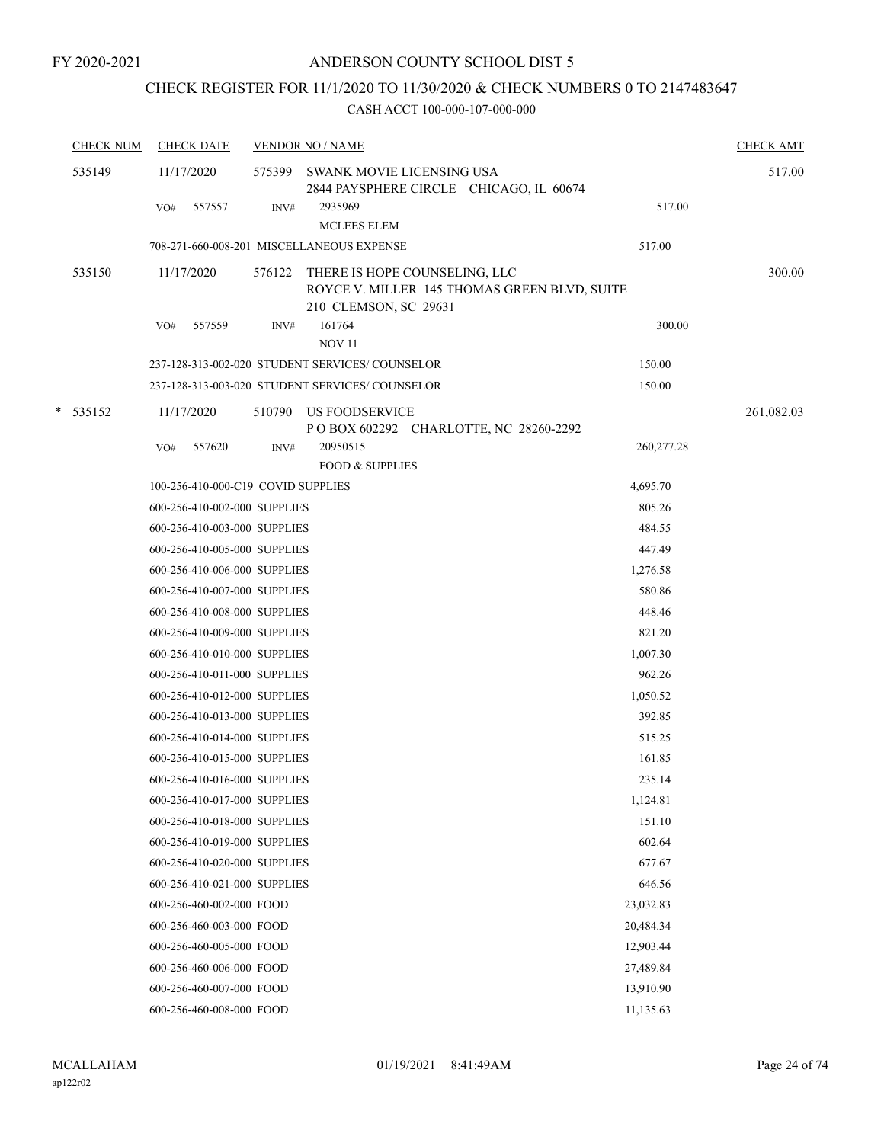## CHECK REGISTER FOR 11/1/2020 TO 11/30/2020 & CHECK NUMBERS 0 TO 2147483647

| <b>CHECK NUM</b> | <b>CHECK DATE</b>                         |        | <b>VENDOR NO / NAME</b>                                                                                |            | <b>CHECK AMT</b> |
|------------------|-------------------------------------------|--------|--------------------------------------------------------------------------------------------------------|------------|------------------|
| 535149           | 11/17/2020                                |        | 575399 SWANK MOVIE LICENSING USA<br>2844 PAYSPHERE CIRCLE CHICAGO, IL 60674                            |            | 517.00           |
|                  | 557557<br>VO#                             | INV#   | 2935969<br><b>MCLEES ELEM</b>                                                                          | 517.00     |                  |
|                  | 708-271-660-008-201 MISCELLANEOUS EXPENSE |        |                                                                                                        | 517.00     |                  |
| 535150           | 11/17/2020                                | 576122 | THERE IS HOPE COUNSELING, LLC<br>ROYCE V. MILLER 145 THOMAS GREEN BLVD, SUITE<br>210 CLEMSON, SC 29631 |            | 300.00           |
|                  | 557559<br>VO#                             | INV#   | 161764<br><b>NOV 11</b>                                                                                | 300.00     |                  |
|                  |                                           |        | 237-128-313-002-020 STUDENT SERVICES/COUNSELOR                                                         | 150.00     |                  |
|                  |                                           |        | 237-128-313-003-020 STUDENT SERVICES/COUNSELOR                                                         | 150.00     |                  |
| * 535152         | 11/17/2020                                | 510790 | US FOODSERVICE<br>P O BOX 602292 CHARLOTTE, NC 28260-2292                                              |            | 261,082.03       |
|                  | 557620<br>VO#                             | INV#   | 20950515                                                                                               | 260,277.28 |                  |
|                  |                                           |        | <b>FOOD &amp; SUPPLIES</b>                                                                             |            |                  |
|                  | 100-256-410-000-C19 COVID SUPPLIES        |        |                                                                                                        | 4,695.70   |                  |
|                  | 600-256-410-002-000 SUPPLIES              |        |                                                                                                        | 805.26     |                  |
|                  | 600-256-410-003-000 SUPPLIES              |        |                                                                                                        | 484.55     |                  |
|                  | 600-256-410-005-000 SUPPLIES              |        |                                                                                                        | 447.49     |                  |
|                  | 600-256-410-006-000 SUPPLIES              |        |                                                                                                        | 1,276.58   |                  |
|                  | 600-256-410-007-000 SUPPLIES              |        |                                                                                                        | 580.86     |                  |
|                  | 600-256-410-008-000 SUPPLIES              |        |                                                                                                        | 448.46     |                  |
|                  | 600-256-410-009-000 SUPPLIES              |        |                                                                                                        | 821.20     |                  |
|                  | 600-256-410-010-000 SUPPLIES              |        |                                                                                                        | 1,007.30   |                  |
|                  | 600-256-410-011-000 SUPPLIES              |        |                                                                                                        | 962.26     |                  |
|                  | 600-256-410-012-000 SUPPLIES              |        |                                                                                                        | 1,050.52   |                  |
|                  | 600-256-410-013-000 SUPPLIES              |        |                                                                                                        | 392.85     |                  |
|                  | 600-256-410-014-000 SUPPLIES              |        |                                                                                                        | 515.25     |                  |
|                  | 600-256-410-015-000 SUPPLIES              |        |                                                                                                        | 161.85     |                  |
|                  | 600-256-410-016-000 SUPPLIES              |        |                                                                                                        | 235.14     |                  |
|                  | 600-256-410-017-000 SUPPLIES              |        |                                                                                                        | 1,124.81   |                  |
|                  | 600-256-410-018-000 SUPPLIES              |        |                                                                                                        | 151.10     |                  |
|                  | 600-256-410-019-000 SUPPLIES              |        |                                                                                                        | 602.64     |                  |
|                  | 600-256-410-020-000 SUPPLIES              |        |                                                                                                        | 677.67     |                  |
|                  | 600-256-410-021-000 SUPPLIES              |        |                                                                                                        | 646.56     |                  |
|                  | 600-256-460-002-000 FOOD                  |        |                                                                                                        | 23,032.83  |                  |
|                  | 600-256-460-003-000 FOOD                  |        |                                                                                                        | 20,484.34  |                  |
|                  | 600-256-460-005-000 FOOD                  |        |                                                                                                        | 12,903.44  |                  |
|                  | 600-256-460-006-000 FOOD                  |        |                                                                                                        | 27,489.84  |                  |
|                  | 600-256-460-007-000 FOOD                  |        |                                                                                                        | 13,910.90  |                  |
|                  | 600-256-460-008-000 FOOD                  |        |                                                                                                        | 11,135.63  |                  |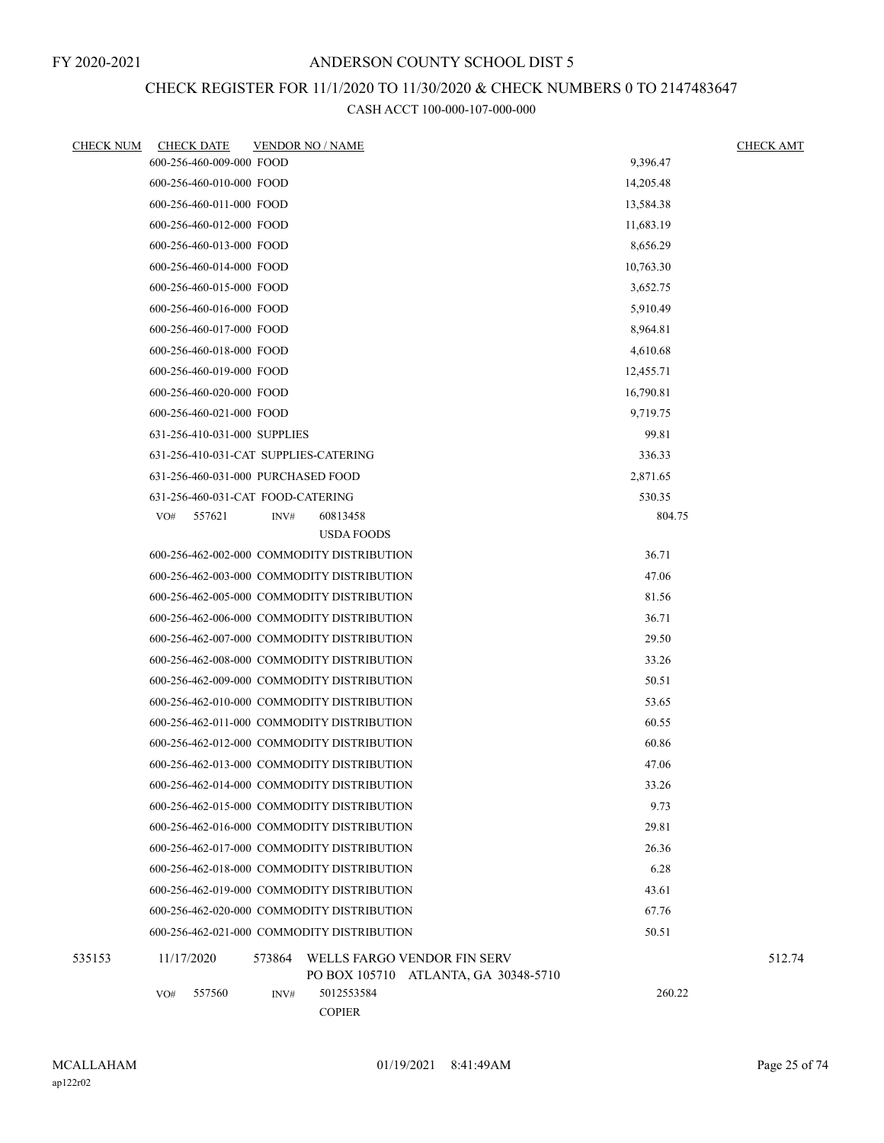# CHECK REGISTER FOR 11/1/2020 TO 11/30/2020 & CHECK NUMBERS 0 TO 2147483647

| <b>CHECK NUM</b> | <b>CHECK DATE</b>                          |        | <b>VENDOR NO / NAME</b> |                                                                     |           | <b>CHECK AMT</b> |
|------------------|--------------------------------------------|--------|-------------------------|---------------------------------------------------------------------|-----------|------------------|
|                  | 600-256-460-009-000 FOOD                   |        | 9,396.47                |                                                                     |           |                  |
|                  | 600-256-460-010-000 FOOD                   |        |                         |                                                                     | 14,205.48 |                  |
|                  | 600-256-460-011-000 FOOD                   |        |                         |                                                                     | 13,584.38 |                  |
|                  | 600-256-460-012-000 FOOD                   |        |                         |                                                                     | 11,683.19 |                  |
|                  | 600-256-460-013-000 FOOD                   |        |                         |                                                                     | 8,656.29  |                  |
|                  | 600-256-460-014-000 FOOD                   |        |                         |                                                                     | 10,763.30 |                  |
|                  | 600-256-460-015-000 FOOD                   |        |                         |                                                                     | 3,652.75  |                  |
|                  | 600-256-460-016-000 FOOD                   |        |                         |                                                                     | 5,910.49  |                  |
|                  | 600-256-460-017-000 FOOD                   |        |                         |                                                                     | 8,964.81  |                  |
|                  | 600-256-460-018-000 FOOD                   |        |                         |                                                                     | 4,610.68  |                  |
|                  | 600-256-460-019-000 FOOD                   |        |                         |                                                                     | 12,455.71 |                  |
|                  | 600-256-460-020-000 FOOD                   |        |                         |                                                                     | 16,790.81 |                  |
|                  | 600-256-460-021-000 FOOD                   |        |                         |                                                                     | 9,719.75  |                  |
|                  | 631-256-410-031-000 SUPPLIES               |        |                         |                                                                     | 99.81     |                  |
|                  | 631-256-410-031-CAT SUPPLIES-CATERING      |        |                         |                                                                     | 336.33    |                  |
|                  | 631-256-460-031-000 PURCHASED FOOD         |        |                         |                                                                     | 2,871.65  |                  |
|                  | 631-256-460-031-CAT FOOD-CATERING          |        |                         |                                                                     | 530.35    |                  |
|                  | 557621<br>VO#                              | INV#   | 60813458                |                                                                     | 804.75    |                  |
|                  |                                            |        | <b>USDA FOODS</b>       |                                                                     |           |                  |
|                  | 600-256-462-002-000 COMMODITY DISTRIBUTION |        |                         |                                                                     | 36.71     |                  |
|                  | 600-256-462-003-000 COMMODITY DISTRIBUTION |        |                         |                                                                     | 47.06     |                  |
|                  | 600-256-462-005-000 COMMODITY DISTRIBUTION |        |                         |                                                                     | 81.56     |                  |
|                  | 600-256-462-006-000 COMMODITY DISTRIBUTION |        |                         |                                                                     | 36.71     |                  |
|                  | 600-256-462-007-000 COMMODITY DISTRIBUTION |        |                         |                                                                     | 29.50     |                  |
|                  | 600-256-462-008-000 COMMODITY DISTRIBUTION |        |                         |                                                                     | 33.26     |                  |
|                  | 600-256-462-009-000 COMMODITY DISTRIBUTION |        |                         |                                                                     | 50.51     |                  |
|                  | 600-256-462-010-000 COMMODITY DISTRIBUTION |        |                         |                                                                     | 53.65     |                  |
|                  | 600-256-462-011-000 COMMODITY DISTRIBUTION |        |                         |                                                                     | 60.55     |                  |
|                  | 600-256-462-012-000 COMMODITY DISTRIBUTION |        |                         |                                                                     | 60.86     |                  |
|                  | 600-256-462-013-000 COMMODITY DISTRIBUTION |        |                         |                                                                     | 47.06     |                  |
|                  | 600-256-462-014-000 COMMODITY DISTRIBUTION |        |                         |                                                                     | 33.26     |                  |
|                  | 600-256-462-015-000 COMMODITY DISTRIBUTION |        |                         |                                                                     | 9.73      |                  |
|                  | 600-256-462-016-000 COMMODITY DISTRIBUTION |        |                         |                                                                     | 29.81     |                  |
|                  | 600-256-462-017-000 COMMODITY DISTRIBUTION |        |                         |                                                                     | 26.36     |                  |
|                  | 600-256-462-018-000 COMMODITY DISTRIBUTION |        |                         |                                                                     | 6.28      |                  |
|                  | 600-256-462-019-000 COMMODITY DISTRIBUTION |        |                         |                                                                     | 43.61     |                  |
|                  | 600-256-462-020-000 COMMODITY DISTRIBUTION |        |                         |                                                                     | 67.76     |                  |
|                  | 600-256-462-021-000 COMMODITY DISTRIBUTION |        |                         |                                                                     | 50.51     |                  |
| 535153           | 11/17/2020                                 | 573864 |                         | WELLS FARGO VENDOR FIN SERV<br>PO BOX 105710 ATLANTA, GA 30348-5710 |           | 512.74           |
|                  | 557560<br>VO#                              | INV#   | 5012553584              |                                                                     | 260.22    |                  |
|                  |                                            |        | <b>COPIER</b>           |                                                                     |           |                  |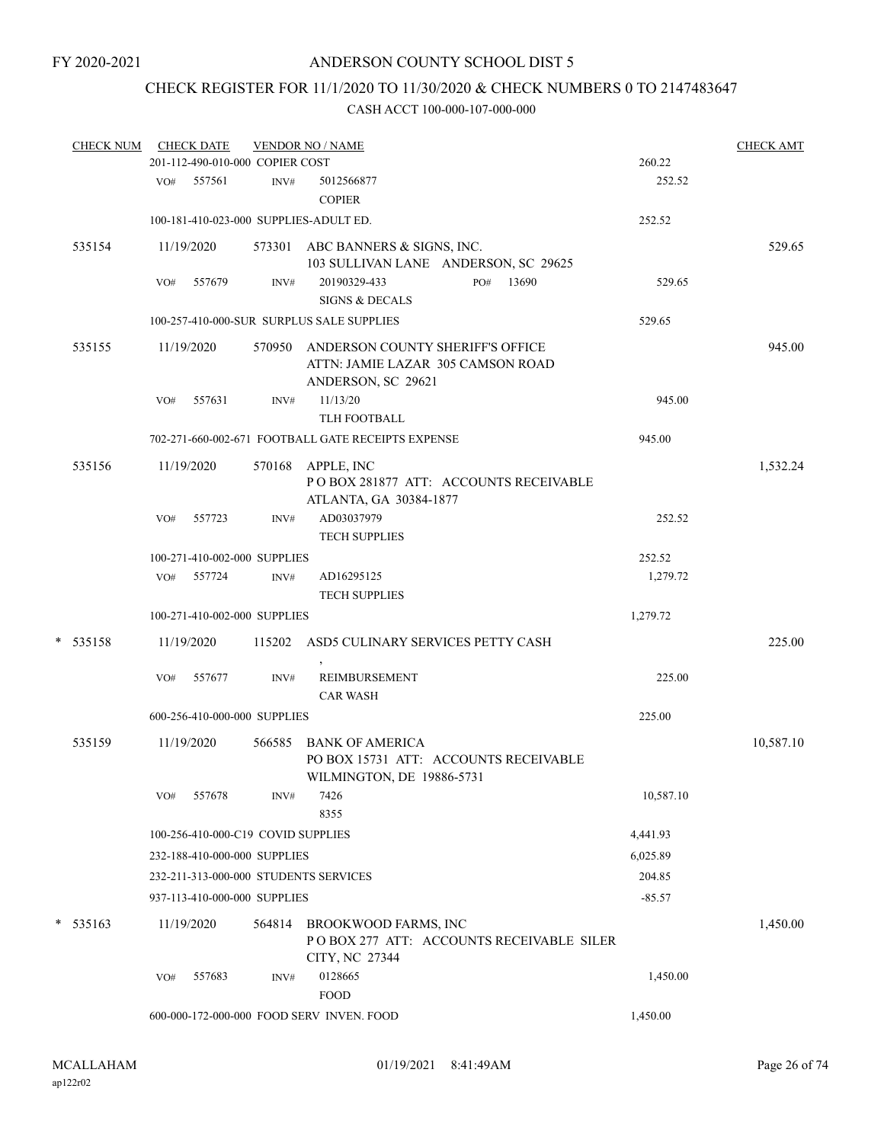# CHECK REGISTER FOR 11/1/2020 TO 11/30/2020 & CHECK NUMBERS 0 TO 2147483647

|   | <b>CHECK NUM</b> |     | <b>CHECK DATE</b>                  |        | <b>VENDOR NO / NAME</b>                                                                            |           | <b>CHECK AMT</b> |
|---|------------------|-----|------------------------------------|--------|----------------------------------------------------------------------------------------------------|-----------|------------------|
|   |                  |     | 201-112-490-010-000 COPIER COST    |        |                                                                                                    | 260.22    |                  |
|   |                  |     | VO# 557561                         | INV#   | 5012566877<br><b>COPIER</b>                                                                        | 252.52    |                  |
|   |                  |     |                                    |        | 100-181-410-023-000 SUPPLIES-ADULT ED.                                                             | 252.52    |                  |
|   | 535154           |     | 11/19/2020                         |        | 573301 ABC BANNERS & SIGNS, INC.<br>103 SULLIVAN LANE ANDERSON, SC 29625                           |           | 529.65           |
|   |                  | VO# | 557679                             | INV#   | 20190329-433<br>13690<br>PO#<br><b>SIGNS &amp; DECALS</b>                                          | 529.65    |                  |
|   |                  |     |                                    |        | 100-257-410-000-SUR SURPLUS SALE SUPPLIES                                                          | 529.65    |                  |
|   | 535155           |     | 11/19/2020                         |        | 570950 ANDERSON COUNTY SHERIFF'S OFFICE<br>ATTN: JAMIE LAZAR 305 CAMSON ROAD<br>ANDERSON, SC 29621 |           | 945.00           |
|   |                  | VO# | 557631                             | INV#   | 11/13/20<br>TLH FOOTBALL                                                                           | 945.00    |                  |
|   |                  |     |                                    |        | 702-271-660-002-671 FOOTBALL GATE RECEIPTS EXPENSE                                                 | 945.00    |                  |
|   | 535156           |     | 11/19/2020                         |        | 570168 APPLE, INC<br>PO BOX 281877 ATT: ACCOUNTS RECEIVABLE<br>ATLANTA, GA 30384-1877              |           | 1,532.24         |
|   |                  | VO# | 557723                             | INV#   | AD03037979<br>TECH SUPPLIES                                                                        | 252.52    |                  |
|   |                  |     | 100-271-410-002-000 SUPPLIES       |        |                                                                                                    | 252.52    |                  |
|   |                  |     | VO# 557724                         | INV#   | AD16295125<br><b>TECH SUPPLIES</b>                                                                 | 1,279.72  |                  |
|   |                  |     | 100-271-410-002-000 SUPPLIES       |        |                                                                                                    | 1,279.72  |                  |
| * | 535158           |     | 11/19/2020                         | 115202 | ASD5 CULINARY SERVICES PETTY CASH                                                                  |           | 225.00           |
|   |                  | VO# | 557677                             | INV#   | <b>REIMBURSEMENT</b><br><b>CAR WASH</b>                                                            | 225.00    |                  |
|   |                  |     | 600-256-410-000-000 SUPPLIES       |        |                                                                                                    | 225.00    |                  |
|   | 535159           |     | 11/19/2020                         | 566585 | BANK OF AMERICA<br>PO BOX 15731 ATT: ACCOUNTS RECEIVABLE<br>WILMINGTON, DE 19886-5731              |           | 10,587.10        |
|   |                  | VO# | 557678                             | INV#   | 7426<br>8355                                                                                       | 10,587.10 |                  |
|   |                  |     | 100-256-410-000-C19 COVID SUPPLIES |        |                                                                                                    | 4,441.93  |                  |
|   |                  |     | 232-188-410-000-000 SUPPLIES       |        |                                                                                                    | 6,025.89  |                  |
|   |                  |     |                                    |        | 232-211-313-000-000 STUDENTS SERVICES                                                              | 204.85    |                  |
|   |                  |     | 937-113-410-000-000 SUPPLIES       |        |                                                                                                    | $-85.57$  |                  |
|   | $*$ 535163       |     | 11/19/2020                         | 564814 | BROOKWOOD FARMS, INC<br>PO BOX 277 ATT: ACCOUNTS RECEIVABLE SILER<br>CITY, NC 27344                |           | 1,450.00         |
|   |                  | VO# | 557683                             | INV#   | 0128665<br><b>FOOD</b>                                                                             | 1,450.00  |                  |
|   |                  |     |                                    |        | 600-000-172-000-000 FOOD SERV INVEN. FOOD                                                          | 1,450.00  |                  |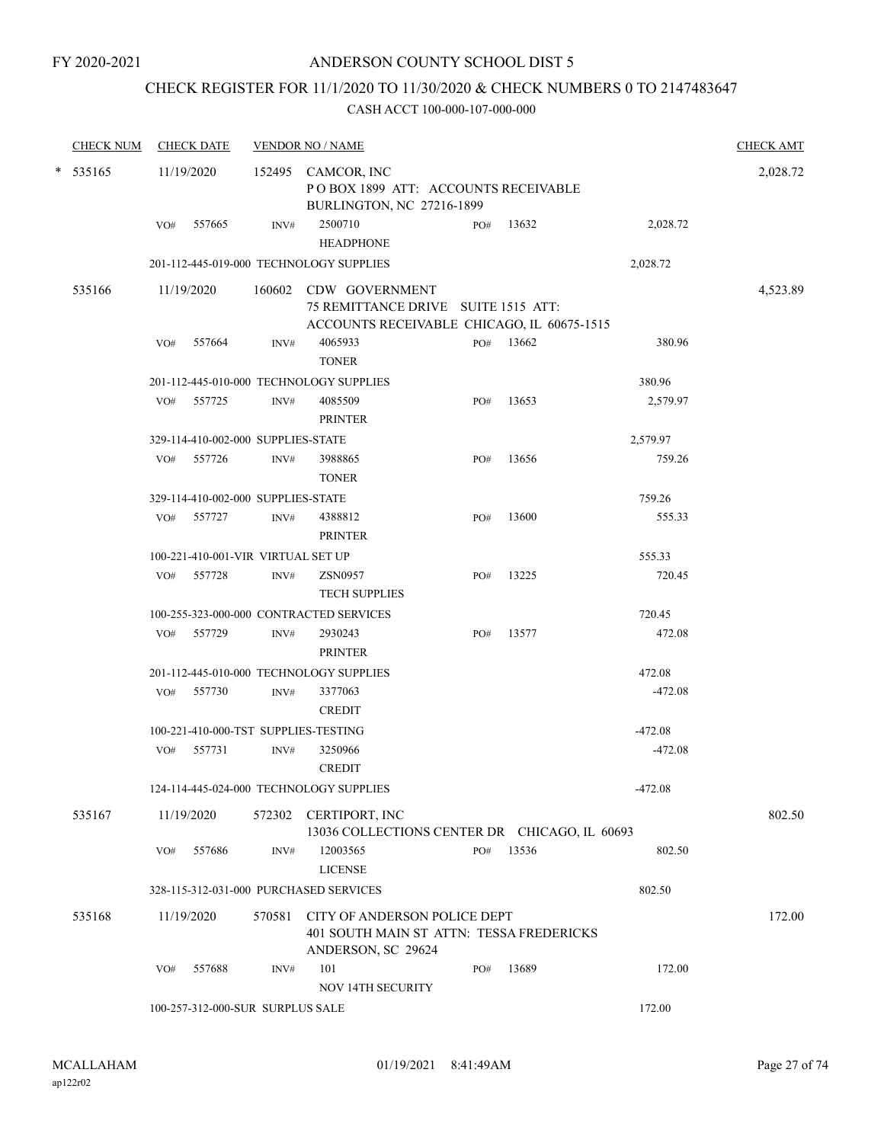## CHECK REGISTER FOR 11/1/2020 TO 11/30/2020 & CHECK NUMBERS 0 TO 2147483647

| <b>CHECK NUM</b> |     | <b>CHECK DATE</b>                  |        | <b>VENDOR NO / NAME</b>                                                                                    |     |           |           | <b>CHECK AMT</b> |
|------------------|-----|------------------------------------|--------|------------------------------------------------------------------------------------------------------------|-----|-----------|-----------|------------------|
| $*$ 535165       |     | 11/19/2020                         |        | 152495 CAMCOR, INC<br>POBOX 1899 ATT: ACCOUNTS RECEIVABLE<br>BURLINGTON, NC 27216-1899                     |     |           |           | 2,028.72         |
|                  | VO# | 557665                             | INV#   | 2500710<br><b>HEADPHONE</b>                                                                                | PO# | 13632     | 2,028.72  |                  |
|                  |     |                                    |        | 201-112-445-019-000 TECHNOLOGY SUPPLIES                                                                    |     |           | 2,028.72  |                  |
| 535166           |     | 11/19/2020                         |        | 160602 CDW GOVERNMENT<br>75 REMITTANCE DRIVE SUITE 1515 ATT:<br>ACCOUNTS RECEIVABLE CHICAGO, IL 60675-1515 |     |           |           | 4,523.89         |
|                  | VO# | 557664                             | INV#   | 4065933<br><b>TONER</b>                                                                                    |     | PO# 13662 | 380.96    |                  |
|                  |     |                                    |        | 201-112-445-010-000 TECHNOLOGY SUPPLIES                                                                    |     |           | 380.96    |                  |
|                  | VO# | 557725                             | INV#   | 4085509<br><b>PRINTER</b>                                                                                  | PO# | 13653     | 2,579.97  |                  |
|                  |     | 329-114-410-002-000 SUPPLIES-STATE |        |                                                                                                            |     |           | 2,579.97  |                  |
|                  | VO# | 557726                             | INV#   | 3988865<br><b>TONER</b>                                                                                    | PO# | 13656     | 759.26    |                  |
|                  |     | 329-114-410-002-000 SUPPLIES-STATE |        |                                                                                                            |     |           | 759.26    |                  |
|                  | VO# | 557727                             | INV#   | 4388812<br><b>PRINTER</b>                                                                                  | PO# | 13600     | 555.33    |                  |
|                  |     | 100-221-410-001-VIR VIRTUAL SET UP |        |                                                                                                            |     |           | 555.33    |                  |
|                  | VO# | 557728                             | INV#   | <b>ZSN0957</b><br><b>TECH SUPPLIES</b>                                                                     | PO# | 13225     | 720.45    |                  |
|                  |     |                                    |        | 100-255-323-000-000 CONTRACTED SERVICES                                                                    |     |           | 720.45    |                  |
|                  |     | VO# 557729                         | INV#   | 2930243<br><b>PRINTER</b>                                                                                  | PO# | 13577     | 472.08    |                  |
|                  |     |                                    |        | 201-112-445-010-000 TECHNOLOGY SUPPLIES                                                                    |     |           | 472.08    |                  |
|                  | VO# | 557730                             | INV#   | 3377063<br><b>CREDIT</b>                                                                                   |     |           | $-472.08$ |                  |
|                  |     |                                    |        | 100-221-410-000-TST SUPPLIES-TESTING                                                                       |     |           | $-472.08$ |                  |
|                  | VO# | 557731                             | INV#   | 3250966<br><b>CREDIT</b>                                                                                   |     |           | $-472.08$ |                  |
|                  |     |                                    |        | 124-114-445-024-000 TECHNOLOGY SUPPLIES                                                                    |     |           | $-472.08$ |                  |
| 535167           |     | 11/19/2020                         |        | 572302 CERTIPORT, INC<br>13036 COLLECTIONS CENTER DR CHICAGO, IL 60693                                     |     |           |           | 802.50           |
|                  | VO# | 557686                             | INV#   | 12003565<br><b>LICENSE</b>                                                                                 | PO# | 13536     | 802.50    |                  |
|                  |     |                                    |        | 328-115-312-031-000 PURCHASED SERVICES                                                                     |     |           | 802.50    |                  |
| 535168           |     | 11/19/2020                         | 570581 | CITY OF ANDERSON POLICE DEPT<br>401 SOUTH MAIN ST ATTN: TESSA FREDERICKS<br>ANDERSON, SC 29624             |     |           |           | 172.00           |
|                  | VO# | 557688                             | INV#   | 101<br>NOV 14TH SECURITY                                                                                   | PO# | 13689     | 172.00    |                  |
|                  |     | 100-257-312-000-SUR SURPLUS SALE   |        |                                                                                                            |     |           | 172.00    |                  |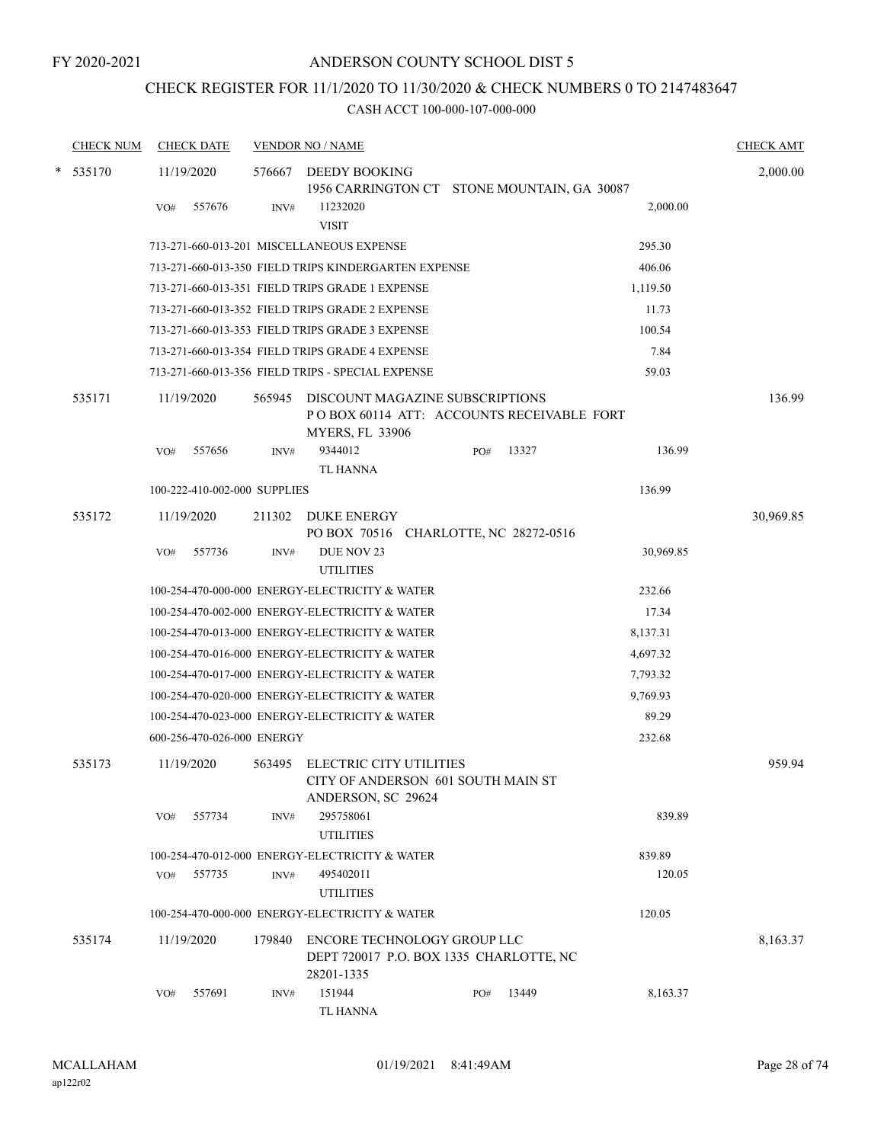## CHECK REGISTER FOR 11/1/2020 TO 11/30/2020 & CHECK NUMBERS 0 TO 2147483647

| <b>CHECK NUM</b> |     | <b>CHECK DATE</b>            |        | <b>VENDOR NO / NAME</b>                                                             |     |       |           | <b>CHECK AMT</b> |
|------------------|-----|------------------------------|--------|-------------------------------------------------------------------------------------|-----|-------|-----------|------------------|
| $*$ 535170       |     | 11/19/2020                   | 576667 | DEEDY BOOKING                                                                       |     |       |           | 2,000.00         |
|                  |     |                              |        | 1956 CARRINGTON CT STONE MOUNTAIN, GA 30087                                         |     |       |           |                  |
|                  | VO# | 557676                       | INV#   | 11232020<br><b>VISIT</b>                                                            |     |       | 2,000.00  |                  |
|                  |     |                              |        | 713-271-660-013-201 MISCELLANEOUS EXPENSE                                           |     |       | 295.30    |                  |
|                  |     |                              |        | 713-271-660-013-350 FIELD TRIPS KINDERGARTEN EXPENSE                                |     |       | 406.06    |                  |
|                  |     |                              |        | 713-271-660-013-351 FIELD TRIPS GRADE 1 EXPENSE                                     |     |       | 1,119.50  |                  |
|                  |     |                              |        | 713-271-660-013-352 FIELD TRIPS GRADE 2 EXPENSE                                     |     |       | 11.73     |                  |
|                  |     |                              |        | 713-271-660-013-353 FIELD TRIPS GRADE 3 EXPENSE                                     |     |       | 100.54    |                  |
|                  |     |                              |        | 713-271-660-013-354 FIELD TRIPS GRADE 4 EXPENSE                                     |     |       | 7.84      |                  |
|                  |     |                              |        | 713-271-660-013-356 FIELD TRIPS - SPECIAL EXPENSE                                   |     |       | 59.03     |                  |
| 535171           |     | 11/19/2020                   | 565945 | DISCOUNT MAGAZINE SUBSCRIPTIONS<br>POBOX 60114 ATT: ACCOUNTS RECEIVABLE FORT        |     |       |           | 136.99           |
|                  | VO# | 557656                       | INV#   | <b>MYERS, FL 33906</b><br>9344012                                                   | PO# | 13327 | 136.99    |                  |
|                  |     |                              |        | TL HANNA                                                                            |     |       |           |                  |
|                  |     | 100-222-410-002-000 SUPPLIES |        |                                                                                     |     |       | 136.99    |                  |
| 535172           |     | 11/19/2020                   | 211302 | <b>DUKE ENERGY</b><br>PO BOX 70516 CHARLOTTE, NC 28272-0516                         |     |       |           | 30,969.85        |
|                  | VO# | 557736                       | INV#   | DUE NOV 23<br><b>UTILITIES</b>                                                      |     |       | 30,969.85 |                  |
|                  |     |                              |        | 100-254-470-000-000 ENERGY-ELECTRICITY & WATER                                      |     |       | 232.66    |                  |
|                  |     |                              |        | 100-254-470-002-000 ENERGY-ELECTRICITY & WATER                                      |     |       | 17.34     |                  |
|                  |     |                              |        | 100-254-470-013-000 ENERGY-ELECTRICITY & WATER                                      |     |       | 8,137.31  |                  |
|                  |     |                              |        | 100-254-470-016-000 ENERGY-ELECTRICITY & WATER                                      |     |       | 4,697.32  |                  |
|                  |     |                              |        | 100-254-470-017-000 ENERGY-ELECTRICITY & WATER                                      |     |       | 7,793.32  |                  |
|                  |     |                              |        | 100-254-470-020-000 ENERGY-ELECTRICITY & WATER                                      |     |       | 9,769.93  |                  |
|                  |     |                              |        | 100-254-470-023-000 ENERGY-ELECTRICITY & WATER                                      |     |       | 89.29     |                  |
|                  |     | 600-256-470-026-000 ENERGY   |        |                                                                                     |     |       | 232.68    |                  |
| 535173           |     | 11/19/2020                   | 563495 | ELECTRIC CITY UTILITIES<br>CITY OF ANDERSON 601 SOUTH MAIN ST<br>ANDERSON, SC 29624 |     |       |           | 959.94           |
|                  | VO# | 557734                       | INV#   | 295758061<br><b>UTILITIES</b>                                                       |     |       | 839.89    |                  |
|                  |     |                              |        | 100-254-470-012-000 ENERGY-ELECTRICITY & WATER                                      |     |       | 839.89    |                  |
|                  | VO# | 557735                       | INV#   | 495402011<br><b>UTILITIES</b>                                                       |     |       | 120.05    |                  |
|                  |     |                              |        | 100-254-470-000-000 ENERGY-ELECTRICITY & WATER                                      |     |       | 120.05    |                  |
| 535174           |     |                              |        | ENCORE TECHNOLOGY GROUP LLC                                                         |     |       |           |                  |
|                  |     | 11/19/2020                   | 179840 | DEPT 720017 P.O. BOX 1335 CHARLOTTE, NC<br>28201-1335                               |     |       |           | 8,163.37         |
|                  | VO# | 557691                       | INV#   | 151944<br>TL HANNA                                                                  | PO# | 13449 | 8,163.37  |                  |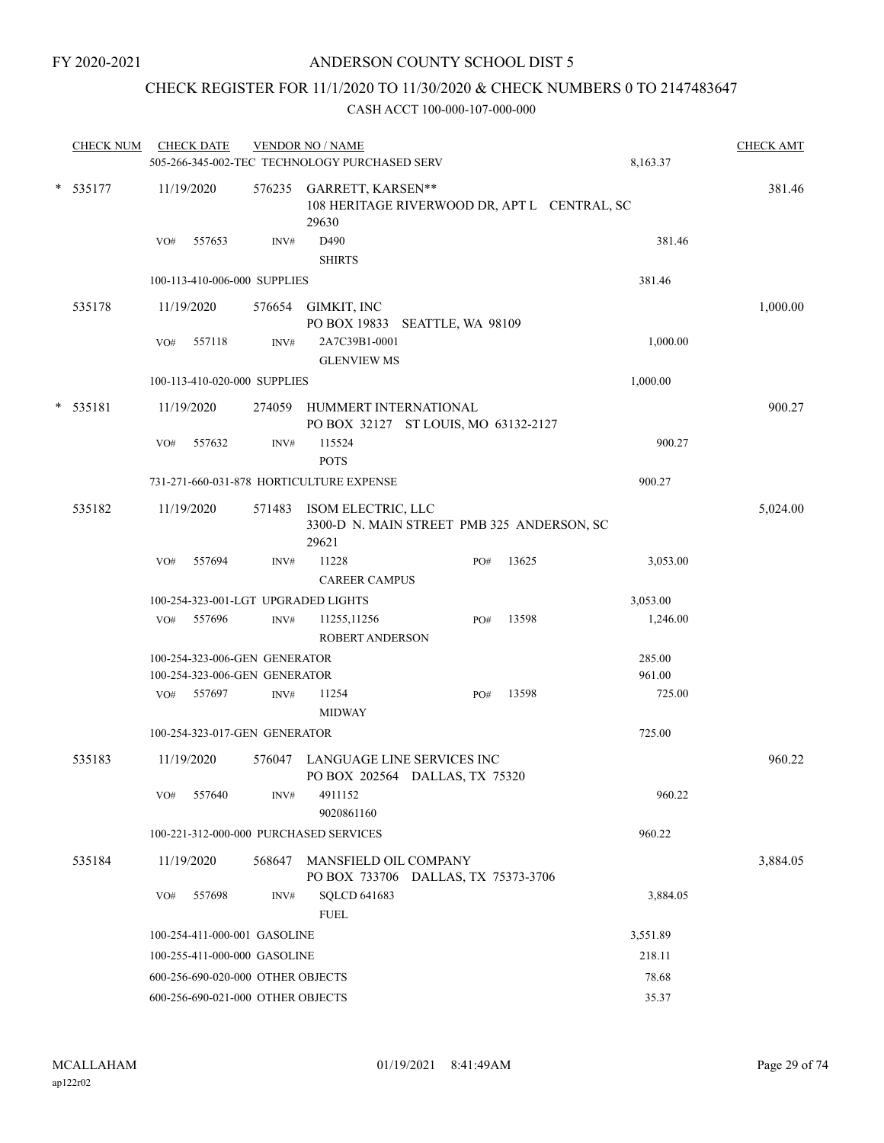## CHECK REGISTER FOR 11/1/2020 TO 11/30/2020 & CHECK NUMBERS 0 TO 2147483647

| <b>CHECK NUM</b> |                                            | <b>CHECK DATE</b> |                                   | <b>VENDOR NO / NAME</b><br>505-266-345-002-TEC TECHNOLOGY PURCHASED SERV          |  |     |       | 8,163.37 | <b>CHECK AMT</b> |
|------------------|--------------------------------------------|-------------------|-----------------------------------|-----------------------------------------------------------------------------------|--|-----|-------|----------|------------------|
| $* 535177$       |                                            | 11/19/2020        |                                   | 576235 GARRETT, KARSEN**<br>108 HERITAGE RIVERWOOD DR, APT L CENTRAL, SC<br>29630 |  |     |       |          | 381.46           |
|                  | VO#                                        | 557653            | INV#                              | D490<br><b>SHIRTS</b>                                                             |  |     |       | 381.46   |                  |
|                  |                                            |                   | 100-113-410-006-000 SUPPLIES      |                                                                                   |  |     |       | 381.46   |                  |
| 535178           |                                            | 11/19/2020        |                                   | 576654 GIMKIT, INC<br>PO BOX 19833 SEATTLE, WA 98109                              |  |     |       |          | 1,000.00         |
|                  | VO#                                        | 557118            | INV#                              | 2A7C39B1-0001<br><b>GLENVIEW MS</b>                                               |  |     |       | 1,000.00 |                  |
|                  |                                            |                   | 100-113-410-020-000 SUPPLIES      |                                                                                   |  |     |       | 1,000.00 |                  |
| $* 535181$       |                                            | 11/19/2020        |                                   | 274059 HUMMERT INTERNATIONAL<br>PO BOX 32127 ST LOUIS, MO 63132-2127              |  |     |       |          | 900.27           |
|                  | VO#                                        | 557632            | INV#                              | 115524<br><b>POTS</b>                                                             |  |     |       | 900.27   |                  |
|                  |                                            |                   |                                   | 731-271-660-031-878 HORTICULTURE EXPENSE                                          |  |     |       | 900.27   |                  |
| 535182           |                                            | 11/19/2020        |                                   | 571483 ISOM ELECTRIC, LLC<br>3300-D N. MAIN STREET PMB 325 ANDERSON, SC<br>29621  |  |     |       |          | 5,024.00         |
|                  | VO#                                        | 557694            | INV#                              | 11228<br><b>CAREER CAMPUS</b>                                                     |  | PO# | 13625 | 3,053.00 |                  |
|                  |                                            |                   |                                   | 100-254-323-001-LGT UPGRADED LIGHTS                                               |  |     |       | 3,053.00 |                  |
|                  | VO#                                        | 557696            | INV#                              | 11255, 11256<br><b>ROBERT ANDERSON</b>                                            |  | PO# | 13598 | 1,246.00 |                  |
|                  |                                            |                   | 100-254-323-006-GEN GENERATOR     |                                                                                   |  |     |       | 285.00   |                  |
|                  |                                            |                   | 100-254-323-006-GEN GENERATOR     |                                                                                   |  |     |       | 961.00   |                  |
|                  | VO#                                        | 557697            | INV#                              | 11254<br><b>MIDWAY</b>                                                            |  | PO# | 13598 | 725.00   |                  |
|                  |                                            |                   | 100-254-323-017-GEN GENERATOR     |                                                                                   |  |     |       | 725.00   |                  |
| 535183           |                                            | 11/19/2020        | 576047                            | LANGUAGE LINE SERVICES INC<br>PO BOX 202564 DALLAS, TX 75320                      |  |     |       |          | 960.22           |
|                  | VO#                                        | 557640            | INV#                              | 4911152<br>9020861160                                                             |  |     |       | 960.22   |                  |
|                  |                                            |                   |                                   | 100-221-312-000-000 PURCHASED SERVICES                                            |  |     |       | 960.22   |                  |
| 535184           |                                            | 11/19/2020        | 568647                            | MANSFIELD OIL COMPANY<br>PO BOX 733706 DALLAS, TX 75373-3706                      |  |     |       |          | 3,884.05         |
|                  | VO#                                        | 557698            | INV#                              | <b>SQLCD 641683</b><br><b>FUEL</b>                                                |  |     |       | 3,884.05 |                  |
|                  | 100-254-411-000-001 GASOLINE<br>3,551.89   |                   |                                   |                                                                                   |  |     |       |          |                  |
|                  |                                            |                   | 100-255-411-000-000 GASOLINE      |                                                                                   |  |     |       | 218.11   |                  |
|                  | 78.68<br>600-256-690-020-000 OTHER OBJECTS |                   |                                   |                                                                                   |  |     |       |          |                  |
|                  |                                            |                   | 600-256-690-021-000 OTHER OBJECTS |                                                                                   |  |     |       | 35.37    |                  |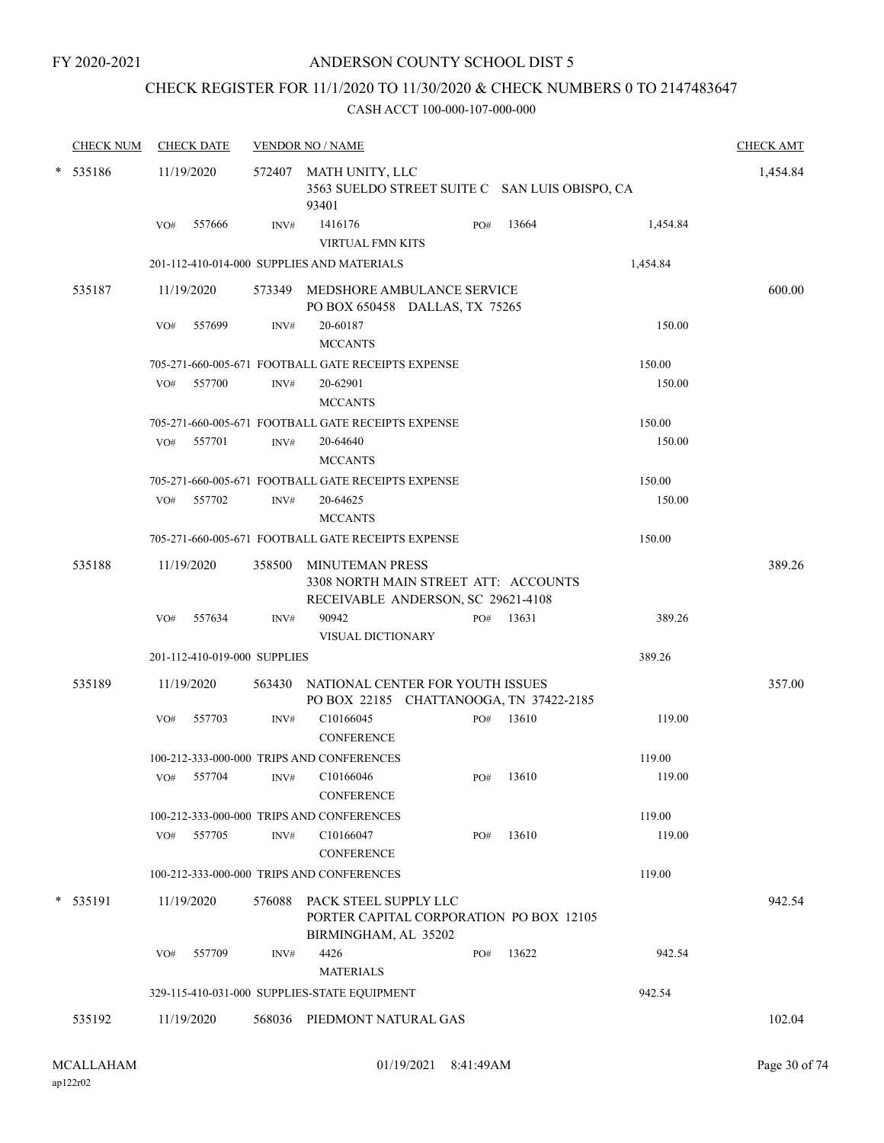### CHECK REGISTER FOR 11/1/2020 TO 11/30/2020 & CHECK NUMBERS 0 TO 2147483647

|   | <b>CHECK NUM</b> |     | <b>CHECK DATE</b>            |        | <b>VENDOR NO / NAME</b>                                                                              |     |           |          | <b>CHECK AMT</b> |
|---|------------------|-----|------------------------------|--------|------------------------------------------------------------------------------------------------------|-----|-----------|----------|------------------|
|   | $* 535186$       |     | 11/19/2020                   |        | 572407 MATH UNITY, LLC<br>3563 SUELDO STREET SUITE C SAN LUIS OBISPO, CA<br>93401                    |     |           |          | 1,454.84         |
|   |                  | VO# | 557666                       | INV#   | 1416176<br><b>VIRTUAL FMN KITS</b>                                                                   | PO# | 13664     | 1,454.84 |                  |
|   |                  |     |                              |        | 201-112-410-014-000 SUPPLIES AND MATERIALS                                                           |     |           | 1,454.84 |                  |
|   | 535187           |     | 11/19/2020                   |        | 573349 MEDSHORE AMBULANCE SERVICE<br>PO BOX 650458 DALLAS, TX 75265                                  |     |           |          | 600.00           |
|   |                  | VO# | 557699                       | INV#   | 20-60187<br><b>MCCANTS</b>                                                                           |     |           | 150.00   |                  |
|   |                  |     |                              |        | 705-271-660-005-671 FOOTBALL GATE RECEIPTS EXPENSE                                                   |     |           | 150.00   |                  |
|   |                  | VO# | 557700                       | INV#   | 20-62901<br><b>MCCANTS</b>                                                                           |     |           | 150.00   |                  |
|   |                  |     |                              |        | 705-271-660-005-671 FOOTBALL GATE RECEIPTS EXPENSE                                                   |     |           | 150.00   |                  |
|   |                  |     | VO# 557701                   | INV#   | 20-64640<br><b>MCCANTS</b>                                                                           |     |           | 150.00   |                  |
|   |                  |     |                              |        | 705-271-660-005-671 FOOTBALL GATE RECEIPTS EXPENSE                                                   |     |           | 150.00   |                  |
|   |                  |     | VO# 557702                   | INV#   | 20-64625<br><b>MCCANTS</b>                                                                           |     |           | 150.00   |                  |
|   |                  |     |                              |        | 705-271-660-005-671 FOOTBALL GATE RECEIPTS EXPENSE                                                   |     |           | 150.00   |                  |
|   | 535188           |     | 11/19/2020                   |        | 358500 MINUTEMAN PRESS<br>3308 NORTH MAIN STREET ATT: ACCOUNTS<br>RECEIVABLE ANDERSON, SC 29621-4108 |     |           |          | 389.26           |
|   |                  | VO# | 557634                       | INV#   | 90942<br>VISUAL DICTIONARY                                                                           |     | PO# 13631 | 389.26   |                  |
|   |                  |     | 201-112-410-019-000 SUPPLIES |        |                                                                                                      |     |           | 389.26   |                  |
|   | 535189           |     | 11/19/2020                   |        | 563430 NATIONAL CENTER FOR YOUTH ISSUES<br>PO BOX 22185 CHATTANOOGA, TN 37422-2185                   |     |           |          | 357.00           |
|   |                  |     | VO# 557703                   | INV#   | C10166045<br><b>CONFERENCE</b>                                                                       |     | PO# 13610 | 119.00   |                  |
|   |                  |     |                              |        | 100-212-333-000-000 TRIPS AND CONFERENCES                                                            |     |           | 119.00   |                  |
|   |                  |     | VO# 557704                   | INV#   | C <sub>10166046</sub><br><b>CONFERENCE</b>                                                           | PO# | 13610     | 119.00   |                  |
|   |                  |     |                              |        | 100-212-333-000-000 TRIPS AND CONFERENCES                                                            |     |           | 119.00   |                  |
|   |                  | VO# | 557705                       | INV#   | C10166047<br><b>CONFERENCE</b>                                                                       | PO# | 13610     | 119.00   |                  |
|   |                  |     |                              |        | 100-212-333-000-000 TRIPS AND CONFERENCES                                                            |     |           | 119.00   |                  |
| * | 535191           |     | 11/19/2020                   | 576088 | PACK STEEL SUPPLY LLC<br>PORTER CAPITAL CORPORATION PO BOX 12105<br>BIRMINGHAM, AL 35202             |     |           |          | 942.54           |
|   |                  | VO# | 557709                       | INV#   | 4426<br><b>MATERIALS</b>                                                                             | PO# | 13622     | 942.54   |                  |
|   |                  |     |                              |        | 329-115-410-031-000 SUPPLIES-STATE EQUIPMENT                                                         |     |           | 942.54   |                  |
|   | 535192           |     | 11/19/2020                   |        | 568036 PIEDMONT NATURAL GAS                                                                          |     |           |          | 102.04           |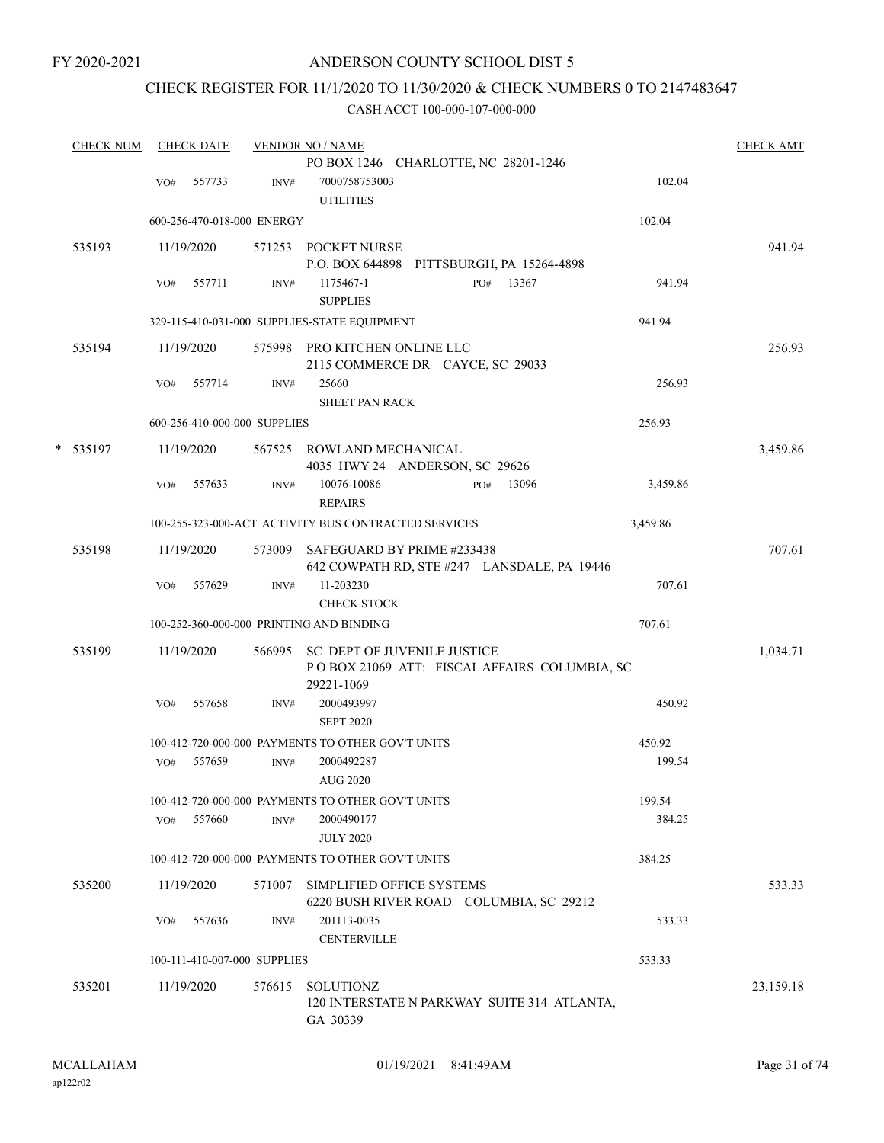# CHECK REGISTER FOR 11/1/2020 TO 11/30/2020 & CHECK NUMBERS 0 TO 2147483647

| <b>CHECK NUM</b> |     | <b>CHECK DATE</b> |                              | <b>VENDOR NO / NAME</b>                                                            |     |       |          | <b>CHECK AMT</b> |
|------------------|-----|-------------------|------------------------------|------------------------------------------------------------------------------------|-----|-------|----------|------------------|
|                  | VO# | 557733            | INV#                         | PO BOX 1246 CHARLOTTE, NC 28201-1246<br>7000758753003<br><b>UTILITIES</b>          |     |       | 102.04   |                  |
|                  |     |                   | 600-256-470-018-000 ENERGY   |                                                                                    |     |       | 102.04   |                  |
| 535193           |     | 11/19/2020        |                              | 571253 POCKET NURSE<br>P.O. BOX 644898 PITTSBURGH, PA 15264-4898                   |     |       |          | 941.94           |
|                  | VO# | 557711            | INV#                         | 1175467-1<br><b>SUPPLIES</b>                                                       | PO# | 13367 | 941.94   |                  |
|                  |     |                   |                              | 329-115-410-031-000 SUPPLIES-STATE EQUIPMENT                                       |     |       | 941.94   |                  |
| 535194           |     | 11/19/2020        |                              | 575998 PRO KITCHEN ONLINE LLC<br>2115 COMMERCE DR CAYCE, SC 29033                  |     |       |          | 256.93           |
|                  | VO# | 557714            | INV#                         | 25660<br><b>SHEET PAN RACK</b>                                                     |     |       | 256.93   |                  |
|                  |     |                   | 600-256-410-000-000 SUPPLIES |                                                                                    |     |       | 256.93   |                  |
| * 535197         |     | 11/19/2020        |                              | 567525 ROWLAND MECHANICAL<br>4035 HWY 24 ANDERSON, SC 29626                        |     |       |          | 3,459.86         |
|                  | VO# | 557633            | INV#                         | 10076-10086<br><b>REPAIRS</b>                                                      | PO# | 13096 | 3,459.86 |                  |
|                  |     |                   |                              | 100-255-323-000-ACT ACTIVITY BUS CONTRACTED SERVICES                               |     |       | 3,459.86 |                  |
| 535198           |     | 11/19/2020        |                              | 573009 SAFEGUARD BY PRIME #233438<br>642 COWPATH RD, STE #247 LANSDALE, PA 19446   |     |       |          | 707.61           |
|                  | VO# | 557629            | INV#                         | 11-203230<br><b>CHECK STOCK</b>                                                    |     |       | 707.61   |                  |
|                  |     |                   |                              | 100-252-360-000-000 PRINTING AND BINDING                                           |     |       | 707.61   |                  |
| 535199           |     | 11/19/2020        |                              | 566995 SC DEPT OF JUVENILE JUSTICE<br>POBOX 21069 ATT: FISCAL AFFAIRS COLUMBIA, SC |     |       |          | 1,034.71         |
|                  | VO# | 557658            | INV#                         | 29221-1069<br>2000493997<br><b>SEPT 2020</b>                                       |     |       | 450.92   |                  |
|                  |     |                   |                              | 100-412-720-000-000 PAYMENTS TO OTHER GOV'T UNITS                                  |     |       | 450.92   |                  |
|                  | VO# | 557659            | INV#                         | 2000492287<br><b>AUG 2020</b>                                                      |     |       | 199.54   |                  |
|                  |     |                   |                              | 100-412-720-000-000 PAYMENTS TO OTHER GOV'T UNITS                                  |     |       | 199.54   |                  |
|                  | VO# | 557660            | INV#                         | 2000490177<br><b>JULY 2020</b>                                                     |     |       | 384.25   |                  |
|                  |     |                   |                              | 100-412-720-000-000 PAYMENTS TO OTHER GOV'T UNITS                                  |     |       | 384.25   |                  |
| 535200           |     | 11/19/2020        | 571007                       | SIMPLIFIED OFFICE SYSTEMS<br>6220 BUSH RIVER ROAD COLUMBIA, SC 29212               |     |       |          | 533.33           |
|                  | VO# | 557636            | INV#                         | 201113-0035<br><b>CENTERVILLE</b>                                                  |     |       | 533.33   |                  |
|                  |     |                   | 100-111-410-007-000 SUPPLIES |                                                                                    |     |       | 533.33   |                  |
| 535201           |     | 11/19/2020        | 576615                       | SOLUTIONZ<br>120 INTERSTATE N PARKWAY SUITE 314 ATLANTA,<br>GA 30339               |     |       |          | 23,159.18        |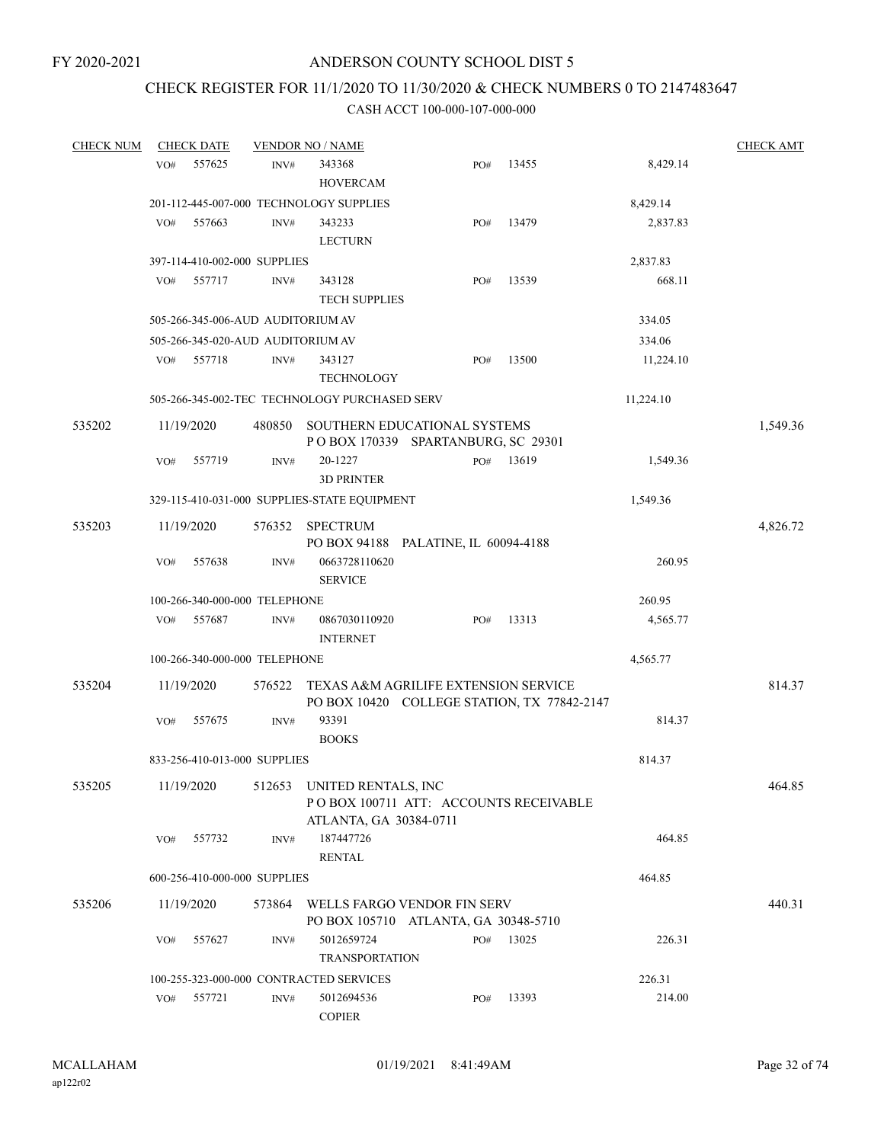# CHECK REGISTER FOR 11/1/2020 TO 11/30/2020 & CHECK NUMBERS 0 TO 2147483647

| <b>CHECK NUM</b> |     | <b>CHECK DATE</b> |                                   | <b>VENDOR NO / NAME</b>                                             |     |                                             |                    | <b>CHECK AMT</b> |
|------------------|-----|-------------------|-----------------------------------|---------------------------------------------------------------------|-----|---------------------------------------------|--------------------|------------------|
|                  | VO# | 557625            | INV#                              | 343368                                                              | PO# | 13455                                       | 8,429.14           |                  |
|                  |     |                   |                                   | <b>HOVERCAM</b>                                                     |     |                                             |                    |                  |
|                  |     |                   |                                   | 201-112-445-007-000 TECHNOLOGY SUPPLIES                             |     |                                             | 8,429.14           |                  |
|                  | VO# | 557663            | INV#                              | 343233<br><b>LECTURN</b>                                            | PO# | 13479                                       | 2,837.83           |                  |
|                  |     |                   |                                   |                                                                     |     |                                             |                    |                  |
|                  |     | 557717            | 397-114-410-002-000 SUPPLIES      |                                                                     |     | 13539                                       | 2,837.83<br>668.11 |                  |
|                  | VO# |                   | INV#                              | 343128<br><b>TECH SUPPLIES</b>                                      | PO# |                                             |                    |                  |
|                  |     |                   |                                   |                                                                     |     |                                             |                    |                  |
|                  |     |                   | 505-266-345-006-AUD AUDITORIUM AV |                                                                     |     |                                             | 334.05             |                  |
|                  |     |                   | 505-266-345-020-AUD AUDITORIUM AV |                                                                     |     |                                             | 334.06             |                  |
|                  | VO# | 557718            | INV#                              | 343127                                                              | PO# | 13500                                       | 11,224.10          |                  |
|                  |     |                   |                                   | <b>TECHNOLOGY</b>                                                   |     |                                             |                    |                  |
|                  |     |                   |                                   | 505-266-345-002-TEC TECHNOLOGY PURCHASED SERV                       |     |                                             | 11,224.10          |                  |
| 535202           |     | 11/19/2020        | 480850                            | SOUTHERN EDUCATIONAL SYSTEMS<br>POBOX 170339 SPARTANBURG, SC 29301  |     |                                             |                    | 1,549.36         |
|                  | VO# | 557719            | INV#                              | 20-1227<br><b>3D PRINTER</b>                                        | PO# | 13619                                       | 1,549.36           |                  |
|                  |     |                   |                                   | 329-115-410-031-000 SUPPLIES-STATE EQUIPMENT                        |     |                                             | 1,549.36           |                  |
|                  |     |                   |                                   |                                                                     |     |                                             |                    |                  |
| 535203           |     | 11/19/2020        |                                   | 576352 SPECTRUM<br>PO BOX 94188 PALATINE, IL 60094-4188             |     |                                             |                    | 4,826.72         |
|                  | VO# | 557638            | INV#                              | 0663728110620<br><b>SERVICE</b>                                     |     |                                             | 260.95             |                  |
|                  |     |                   | 100-266-340-000-000 TELEPHONE     |                                                                     |     |                                             | 260.95             |                  |
|                  | VO# | 557687            | INV#                              | 0867030110920<br><b>INTERNET</b>                                    | PO# | 13313                                       | 4,565.77           |                  |
|                  |     |                   | 100-266-340-000-000 TELEPHONE     |                                                                     |     |                                             | 4,565.77           |                  |
|                  |     |                   |                                   |                                                                     |     |                                             |                    |                  |
| 535204           |     | 11/19/2020        | 576522                            | TEXAS A&M AGRILIFE EXTENSION SERVICE                                |     | PO BOX 10420 COLLEGE STATION, TX 77842-2147 |                    | 814.37           |
|                  | VO# | 557675            | INV#                              | 93391<br><b>BOOKS</b>                                               |     |                                             | 814.37             |                  |
|                  |     |                   | 833-256-410-013-000 SUPPLIES      |                                                                     |     |                                             | 814.37             |                  |
| 535205           |     |                   |                                   | 11/19/2020 512653 UNITED RENTALS, INC<br>ATLANTA, GA 30384-0711     |     | PO BOX 100711 ATT: ACCOUNTS RECEIVABLE      |                    | 464.85           |
|                  | VO# | 557732            | INV#                              | 187447726<br><b>RENTAL</b>                                          |     |                                             | 464.85             |                  |
|                  |     |                   | 600-256-410-000-000 SUPPLIES      |                                                                     |     |                                             | 464.85             |                  |
|                  |     |                   |                                   |                                                                     |     |                                             |                    |                  |
| 535206           |     | 11/19/2020        | 573864                            | WELLS FARGO VENDOR FIN SERV<br>PO BOX 105710 ATLANTA, GA 30348-5710 |     |                                             |                    | 440.31           |
|                  | VO# | 557627            | INV#                              | 5012659724<br><b>TRANSPORTATION</b>                                 | PO# | 13025                                       | 226.31             |                  |
|                  |     |                   |                                   | 100-255-323-000-000 CONTRACTED SERVICES                             |     |                                             | 226.31             |                  |
|                  | VO# | 557721            | INV#                              | 5012694536<br><b>COPIER</b>                                         | PO# | 13393                                       | 214.00             |                  |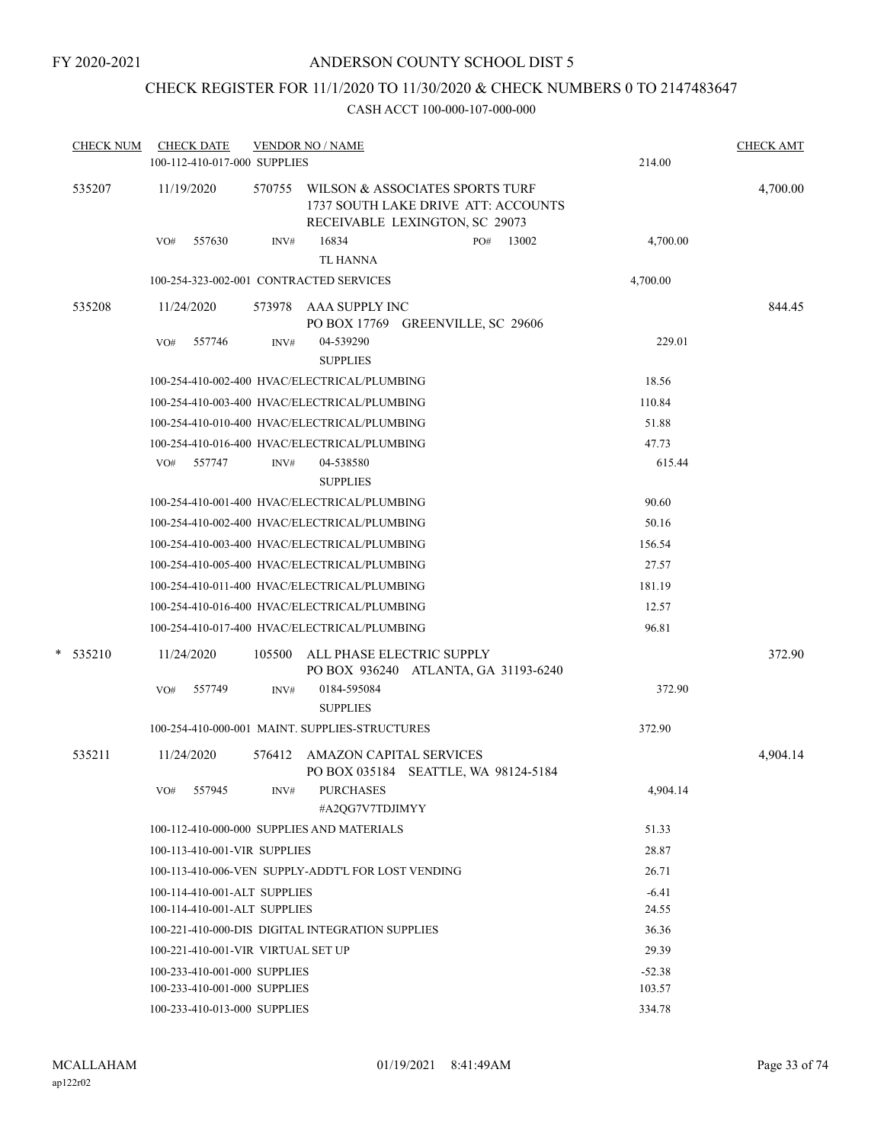# CHECK REGISTER FOR 11/1/2020 TO 11/30/2020 & CHECK NUMBERS 0 TO 2147483647

|  | <b>CHECK NUM</b> | <b>CHECK DATE</b><br>100-112-410-017-000 SUPPLIES |        | <b>VENDOR NO / NAME</b>                                                                                  |              | 214.00   | <b>CHECK AMT</b> |
|--|------------------|---------------------------------------------------|--------|----------------------------------------------------------------------------------------------------------|--------------|----------|------------------|
|  | 535207           | 11/19/2020                                        | 570755 | WILSON & ASSOCIATES SPORTS TURF<br>1737 SOUTH LAKE DRIVE ATT: ACCOUNTS<br>RECEIVABLE LEXINGTON, SC 29073 |              |          | 4,700.00         |
|  |                  | 557630<br>VO#                                     | INV#   | 16834<br>TL HANNA                                                                                        | 13002<br>PO# | 4,700.00 |                  |
|  |                  | 100-254-323-002-001 CONTRACTED SERVICES           |        |                                                                                                          |              | 4,700.00 |                  |
|  | 535208           | 11/24/2020                                        | 573978 | AAA SUPPLY INC<br>PO BOX 17769 GREENVILLE, SC 29606                                                      |              |          | 844.45           |
|  |                  | 557746<br>VO#                                     | INV#   | 04-539290<br><b>SUPPLIES</b>                                                                             |              | 229.01   |                  |
|  |                  |                                                   |        | 100-254-410-002-400 HVAC/ELECTRICAL/PLUMBING                                                             |              | 18.56    |                  |
|  |                  |                                                   |        | 100-254-410-003-400 HVAC/ELECTRICAL/PLUMBING                                                             |              | 110.84   |                  |
|  |                  |                                                   |        | 100-254-410-010-400 HVAC/ELECTRICAL/PLUMBING                                                             |              | 51.88    |                  |
|  |                  |                                                   |        | 100-254-410-016-400 HVAC/ELECTRICAL/PLUMBING                                                             |              | 47.73    |                  |
|  |                  | VO#<br>557747                                     | INV#   | 04-538580<br><b>SUPPLIES</b>                                                                             |              | 615.44   |                  |
|  |                  |                                                   |        | 100-254-410-001-400 HVAC/ELECTRICAL/PLUMBING                                                             |              | 90.60    |                  |
|  |                  |                                                   |        | 100-254-410-002-400 HVAC/ELECTRICAL/PLUMBING                                                             |              | 50.16    |                  |
|  |                  |                                                   |        | 100-254-410-003-400 HVAC/ELECTRICAL/PLUMBING                                                             |              | 156.54   |                  |
|  |                  |                                                   |        | 100-254-410-005-400 HVAC/ELECTRICAL/PLUMBING                                                             |              | 27.57    |                  |
|  |                  |                                                   |        | 100-254-410-011-400 HVAC/ELECTRICAL/PLUMBING                                                             |              | 181.19   |                  |
|  |                  |                                                   |        | 100-254-410-016-400 HVAC/ELECTRICAL/PLUMBING                                                             |              | 12.57    |                  |
|  |                  |                                                   |        | 100-254-410-017-400 HVAC/ELECTRICAL/PLUMBING                                                             |              | 96.81    |                  |
|  | $*$ 535210       | 11/24/2020                                        | 105500 | ALL PHASE ELECTRIC SUPPLY<br>PO BOX 936240 ATLANTA, GA 31193-6240                                        |              |          | 372.90           |
|  |                  | 557749<br>VO#                                     | INV#   | 0184-595084<br><b>SUPPLIES</b>                                                                           |              | 372.90   |                  |
|  |                  |                                                   |        | 100-254-410-000-001 MAINT, SUPPLIES-STRUCTURES                                                           |              | 372.90   |                  |
|  | 535211           | 11/24/2020                                        | 576412 | <b>AMAZON CAPITAL SERVICES</b><br>PO BOX 035184 SEATTLE, WA 98124-5184                                   |              |          | 4,904.14         |
|  |                  | VO#<br>557945                                     | INV#   | <b>PURCHASES</b><br>#A2OG7V7TDJIMYY                                                                      |              | 4,904.14 |                  |
|  |                  | 100-112-410-000-000 SUPPLIES AND MATERIALS        |        |                                                                                                          |              | 51.33    |                  |
|  |                  | 100-113-410-001-VIR SUPPLIES                      |        |                                                                                                          |              | 28.87    |                  |
|  |                  |                                                   |        | 100-113-410-006-VEN SUPPLY-ADDT'L FOR LOST VENDING                                                       |              | 26.71    |                  |
|  |                  | 100-114-410-001-ALT SUPPLIES                      |        |                                                                                                          |              | $-6.41$  |                  |
|  |                  | 100-114-410-001-ALT SUPPLIES                      |        |                                                                                                          |              | 24.55    |                  |
|  |                  |                                                   |        | 100-221-410-000-DIS DIGITAL INTEGRATION SUPPLIES                                                         |              | 36.36    |                  |
|  |                  | 100-221-410-001-VIR VIRTUAL SET UP                |        |                                                                                                          |              | 29.39    |                  |
|  |                  | 100-233-410-001-000 SUPPLIES                      |        |                                                                                                          |              | $-52.38$ |                  |
|  |                  | 100-233-410-001-000 SUPPLIES                      |        |                                                                                                          |              | 103.57   |                  |
|  |                  | 100-233-410-013-000 SUPPLIES                      |        |                                                                                                          |              | 334.78   |                  |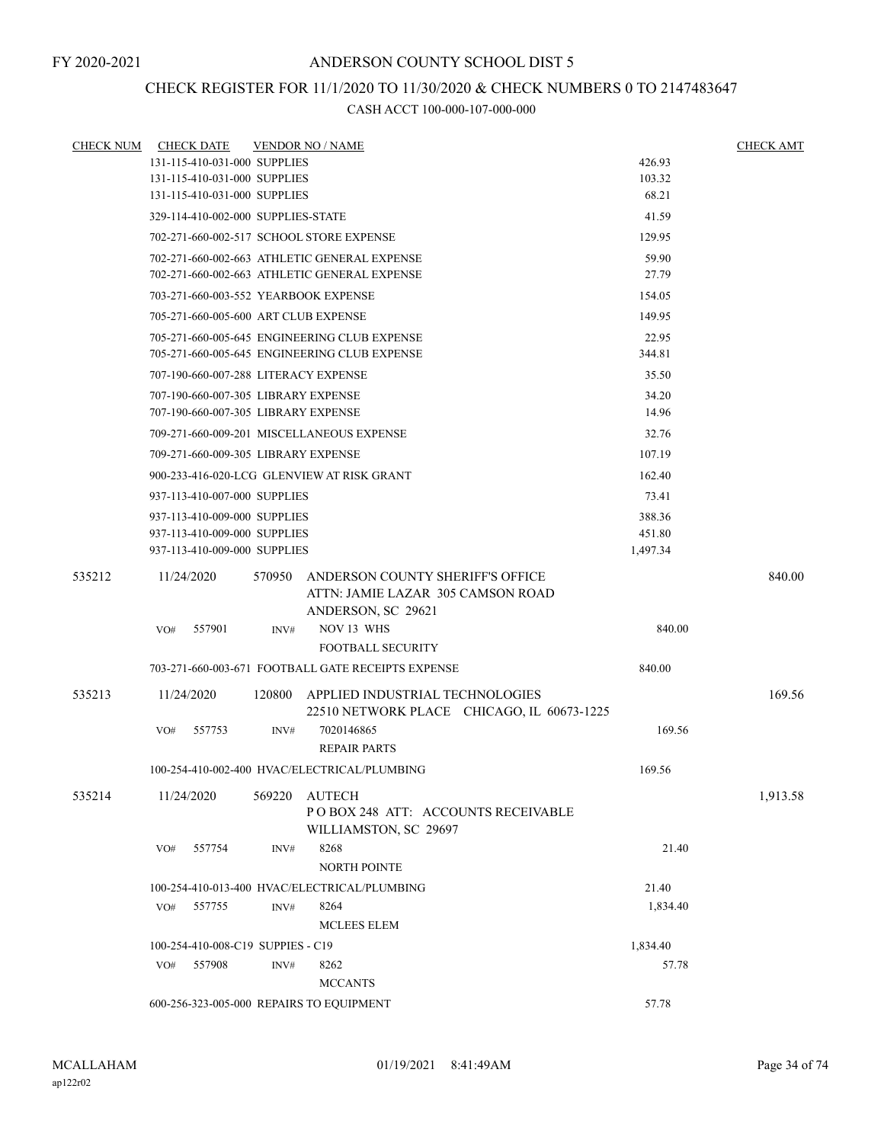## CHECK REGISTER FOR 11/1/2020 TO 11/30/2020 & CHECK NUMBERS 0 TO 2147483647

|        | <b>CHECK NUM CHECK DATE</b>                          |        | <b>VENDOR NO / NAME</b>                                                              |          | <b>CHECK AMT</b> |  |  |  |
|--------|------------------------------------------------------|--------|--------------------------------------------------------------------------------------|----------|------------------|--|--|--|
|        | 131-115-410-031-000 SUPPLIES                         |        |                                                                                      | 426.93   |                  |  |  |  |
|        | 131-115-410-031-000 SUPPLIES                         |        |                                                                                      | 103.32   |                  |  |  |  |
|        | 131-115-410-031-000 SUPPLIES                         |        |                                                                                      | 68.21    |                  |  |  |  |
|        | 329-114-410-002-000 SUPPLIES-STATE                   |        |                                                                                      | 41.59    |                  |  |  |  |
|        | 702-271-660-002-517 SCHOOL STORE EXPENSE             |        |                                                                                      | 129.95   |                  |  |  |  |
|        |                                                      |        | 702-271-660-002-663 ATHLETIC GENERAL EXPENSE                                         | 59.90    |                  |  |  |  |
|        |                                                      |        | 702-271-660-002-663 ATHLETIC GENERAL EXPENSE                                         | 27.79    |                  |  |  |  |
|        | 703-271-660-003-552 YEARBOOK EXPENSE                 |        |                                                                                      | 154.05   |                  |  |  |  |
|        | 705-271-660-005-600 ART CLUB EXPENSE                 |        |                                                                                      | 149.95   |                  |  |  |  |
|        |                                                      |        | 705-271-660-005-645 ENGINEERING CLUB EXPENSE                                         | 22.95    |                  |  |  |  |
|        |                                                      |        | 705-271-660-005-645 ENGINEERING CLUB EXPENSE                                         | 344.81   |                  |  |  |  |
|        | 707-190-660-007-288 LITERACY EXPENSE                 |        |                                                                                      | 35.50    |                  |  |  |  |
|        | 707-190-660-007-305 LIBRARY EXPENSE                  |        |                                                                                      | 34.20    |                  |  |  |  |
|        | 707-190-660-007-305 LIBRARY EXPENSE                  |        |                                                                                      | 14.96    |                  |  |  |  |
|        |                                                      |        | 709-271-660-009-201 MISCELLANEOUS EXPENSE                                            | 32.76    |                  |  |  |  |
|        | 709-271-660-009-305 LIBRARY EXPENSE                  |        |                                                                                      | 107.19   |                  |  |  |  |
|        | 900-233-416-020-LCG GLENVIEW AT RISK GRANT<br>162.40 |        |                                                                                      |          |                  |  |  |  |
|        | 937-113-410-007-000 SUPPLIES<br>73.41                |        |                                                                                      |          |                  |  |  |  |
|        | 937-113-410-009-000 SUPPLIES                         | 388.36 |                                                                                      |          |                  |  |  |  |
|        | 937-113-410-009-000 SUPPLIES                         |        |                                                                                      | 451.80   |                  |  |  |  |
|        | 937-113-410-009-000 SUPPLIES                         |        |                                                                                      | 1,497.34 |                  |  |  |  |
| 535212 | 11/24/2020                                           |        | 570950 ANDERSON COUNTY SHERIFF'S OFFICE<br>ATTN: JAMIE LAZAR 305 CAMSON ROAD         |          | 840.00           |  |  |  |
|        |                                                      |        | ANDERSON, SC 29621                                                                   |          |                  |  |  |  |
|        | 557901<br>VO#                                        | INV#   | NOV 13 WHS                                                                           | 840.00   |                  |  |  |  |
|        |                                                      |        | <b>FOOTBALL SECURITY</b>                                                             |          |                  |  |  |  |
|        |                                                      |        | 703-271-660-003-671 FOOTBALL GATE RECEIPTS EXPENSE                                   | 840.00   |                  |  |  |  |
| 535213 | 11/24/2020                                           |        | 120800 APPLIED INDUSTRIAL TECHNOLOGIES<br>22510 NETWORK PLACE CHICAGO, IL 60673-1225 |          | 169.56           |  |  |  |
|        | 557753<br>VO#                                        | INV#   | 7020146865<br><b>REPAIR PARTS</b>                                                    | 169.56   |                  |  |  |  |
|        |                                                      |        | 100-254-410-002-400 HVAC/ELECTRICAL/PLUMBING                                         | 169.56   |                  |  |  |  |
| 535214 | 11/24/2020                                           | 569220 | <b>AUTECH</b><br>POBOX 248 ATT: ACCOUNTS RECEIVABLE<br>WILLIAMSTON, SC 29697         |          | 1,913.58         |  |  |  |
|        | 557754<br>VO#                                        | INV#   | 8268<br>NORTH POINTE                                                                 | 21.40    |                  |  |  |  |
|        |                                                      |        | 100-254-410-013-400 HVAC/ELECTRICAL/PLUMBING                                         | 21.40    |                  |  |  |  |
|        | 557755<br>VO#                                        | INV#   | 8264                                                                                 | 1,834.40 |                  |  |  |  |
|        |                                                      |        | <b>MCLEES ELEM</b>                                                                   |          |                  |  |  |  |
|        | 100-254-410-008-C19 SUPPIES - C19<br>1,834.40        |        |                                                                                      |          |                  |  |  |  |
|        | VO#<br>557908                                        | INV#   | 8262                                                                                 | 57.78    |                  |  |  |  |
|        |                                                      |        | <b>MCCANTS</b>                                                                       |          |                  |  |  |  |
|        | 600-256-323-005-000 REPAIRS TO EQUIPMENT             |        |                                                                                      | 57.78    |                  |  |  |  |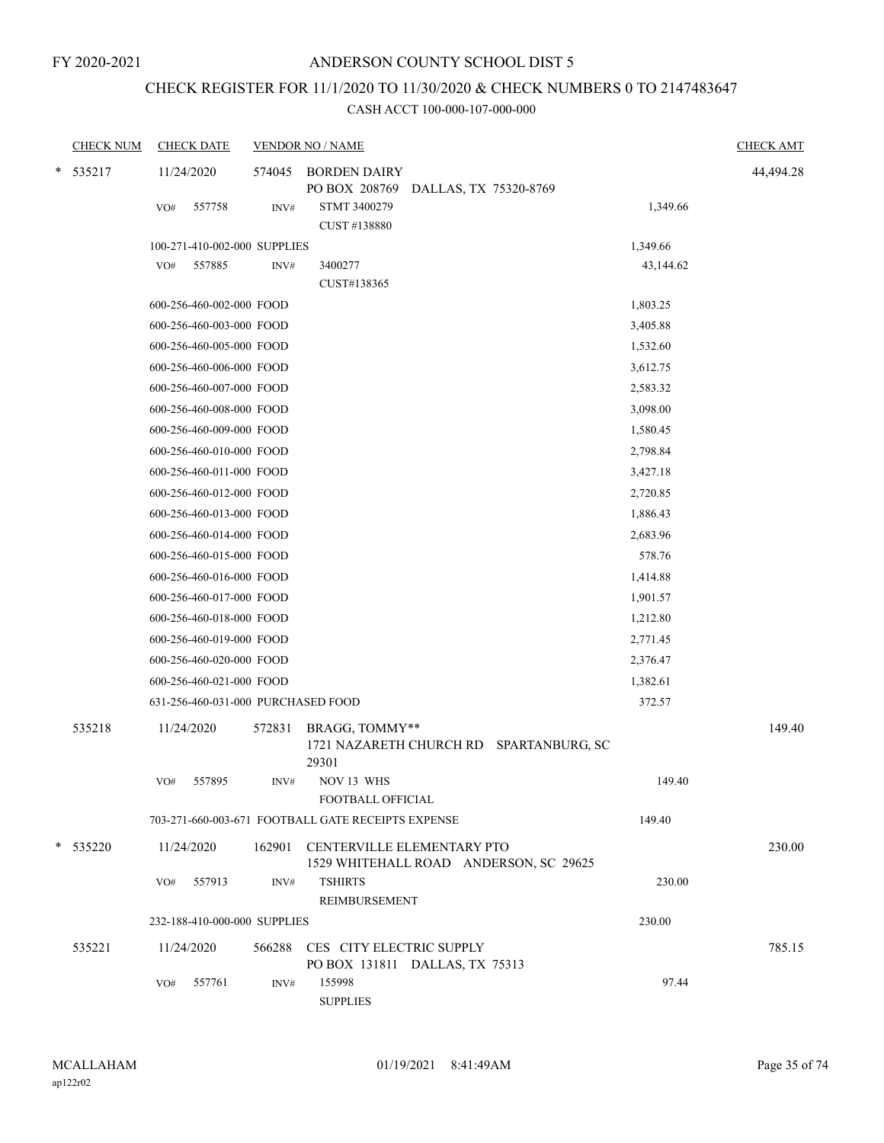# CHECK REGISTER FOR 11/1/2020 TO 11/30/2020 & CHECK NUMBERS 0 TO 2147483647

|   | <b>CHECK NUM</b> |     | <b>CHECK DATE</b>                  |                | <b>VENDOR NO / NAME</b>                                              |                                         |           | <b>CHECK AMT</b> |
|---|------------------|-----|------------------------------------|----------------|----------------------------------------------------------------------|-----------------------------------------|-----------|------------------|
| * | 535217           | VO# | 11/24/2020<br>557758               | 574045<br>INV# | <b>BORDEN DAIRY</b><br>PO BOX 208769<br>STMT 3400279<br>CUST #138880 | DALLAS, TX 75320-8769                   | 1,349.66  | 44,494.28        |
|   |                  |     | 100-271-410-002-000 SUPPLIES       |                |                                                                      |                                         | 1,349.66  |                  |
|   |                  | VO# | 557885                             | INV#           | 3400277<br>CUST#138365                                               |                                         | 43,144.62 |                  |
|   |                  |     | 600-256-460-002-000 FOOD           |                |                                                                      |                                         | 1,803.25  |                  |
|   |                  |     | 600-256-460-003-000 FOOD           |                |                                                                      |                                         | 3,405.88  |                  |
|   |                  |     | 600-256-460-005-000 FOOD           |                |                                                                      |                                         | 1,532.60  |                  |
|   |                  |     | 600-256-460-006-000 FOOD           |                |                                                                      |                                         | 3,612.75  |                  |
|   |                  |     | 600-256-460-007-000 FOOD           |                |                                                                      |                                         | 2,583.32  |                  |
|   |                  |     | 600-256-460-008-000 FOOD           |                |                                                                      |                                         | 3,098.00  |                  |
|   |                  |     | 600-256-460-009-000 FOOD           |                |                                                                      |                                         | 1,580.45  |                  |
|   |                  |     | 600-256-460-010-000 FOOD           |                |                                                                      |                                         | 2,798.84  |                  |
|   |                  |     | 600-256-460-011-000 FOOD           |                |                                                                      |                                         | 3,427.18  |                  |
|   |                  |     | 600-256-460-012-000 FOOD           |                |                                                                      |                                         | 2,720.85  |                  |
|   |                  |     | 600-256-460-013-000 FOOD           |                |                                                                      |                                         | 1,886.43  |                  |
|   |                  |     | 600-256-460-014-000 FOOD           |                |                                                                      |                                         | 2,683.96  |                  |
|   |                  |     | 600-256-460-015-000 FOOD           |                |                                                                      |                                         | 578.76    |                  |
|   |                  |     | 600-256-460-016-000 FOOD           |                |                                                                      |                                         | 1,414.88  |                  |
|   |                  |     | 600-256-460-017-000 FOOD           |                |                                                                      |                                         | 1,901.57  |                  |
|   |                  |     | 600-256-460-018-000 FOOD           |                |                                                                      |                                         | 1,212.80  |                  |
|   |                  |     | 600-256-460-019-000 FOOD           |                |                                                                      |                                         | 2,771.45  |                  |
|   |                  |     | 600-256-460-020-000 FOOD           |                |                                                                      |                                         | 2,376.47  |                  |
|   |                  |     | 600-256-460-021-000 FOOD           |                |                                                                      |                                         | 1,382.61  |                  |
|   |                  |     | 631-256-460-031-000 PURCHASED FOOD |                |                                                                      |                                         | 372.57    |                  |
|   | 535218           |     | 11/24/2020                         | 572831         | BRAGG, TOMMY**<br>29301                                              | 1721 NAZARETH CHURCH RD SPARTANBURG, SC |           | 149.40           |
|   |                  | VO# | 557895                             | INV#           | NOV 13 WHS<br>FOOTBALL OFFICIAL                                      |                                         | 149.40    |                  |
|   |                  |     |                                    |                | 703-271-660-003-671 FOOTBALL GATE RECEIPTS EXPENSE                   |                                         | 149.40    |                  |
|   | $*$ 535220       |     | 11/24/2020                         |                | 162901 CENTERVILLE ELEMENTARY PTO                                    | 1529 WHITEHALL ROAD ANDERSON, SC 29625  |           | 230.00           |
|   |                  | VO# | 557913                             | INV#           | <b>TSHIRTS</b><br>REIMBURSEMENT                                      |                                         | 230.00    |                  |
|   |                  |     | 232-188-410-000-000 SUPPLIES       |                |                                                                      |                                         | 230.00    |                  |
|   | 535221           |     | 11/24/2020                         |                | 566288 CES CITY ELECTRIC SUPPLY                                      | PO BOX 131811 DALLAS, TX 75313          |           | 785.15           |
|   |                  | VO# | 557761                             | INV#           | 155998<br><b>SUPPLIES</b>                                            |                                         | 97.44     |                  |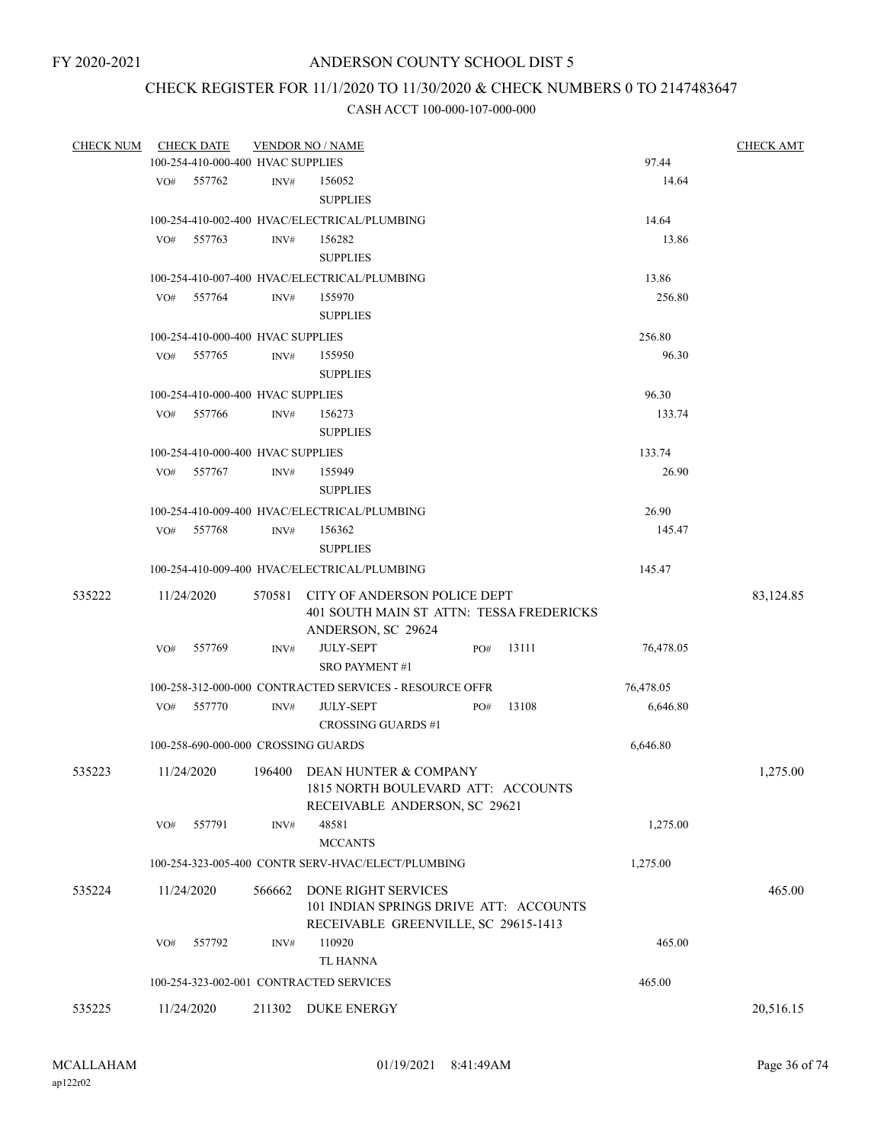### CHECK REGISTER FOR 11/1/2020 TO 11/30/2020 & CHECK NUMBERS 0 TO 2147483647

| <b>CHECK NUM</b> |     | <b>CHECK DATE</b>                   |        | <b>VENDOR NO / NAME</b>                                                                             |           | <b>CHECK AMT</b> |
|------------------|-----|-------------------------------------|--------|-----------------------------------------------------------------------------------------------------|-----------|------------------|
|                  |     | 100-254-410-000-400 HVAC SUPPLIES   |        |                                                                                                     | 97.44     |                  |
|                  | VO# | 557762                              | INV#   | 156052                                                                                              | 14.64     |                  |
|                  |     |                                     |        | <b>SUPPLIES</b>                                                                                     |           |                  |
|                  |     |                                     |        | 100-254-410-002-400 HVAC/ELECTRICAL/PLUMBING                                                        | 14.64     |                  |
|                  | VO# | 557763                              | INV#   | 156282                                                                                              | 13.86     |                  |
|                  |     |                                     |        | <b>SUPPLIES</b>                                                                                     |           |                  |
|                  |     |                                     |        | 100-254-410-007-400 HVAC/ELECTRICAL/PLUMBING                                                        | 13.86     |                  |
|                  | VO# | 557764                              | INV#   | 155970                                                                                              | 256.80    |                  |
|                  |     |                                     |        | <b>SUPPLIES</b>                                                                                     |           |                  |
|                  |     |                                     |        |                                                                                                     |           |                  |
|                  |     | 100-254-410-000-400 HVAC SUPPLIES   |        |                                                                                                     | 256.80    |                  |
|                  | VO# | 557765                              | INV#   | 155950                                                                                              | 96.30     |                  |
|                  |     |                                     |        | <b>SUPPLIES</b>                                                                                     |           |                  |
|                  |     | 100-254-410-000-400 HVAC SUPPLIES   |        |                                                                                                     | 96.30     |                  |
|                  | VO# | 557766                              | INV#   | 156273                                                                                              | 133.74    |                  |
|                  |     |                                     |        | <b>SUPPLIES</b>                                                                                     |           |                  |
|                  |     | 100-254-410-000-400 HVAC SUPPLIES   |        |                                                                                                     | 133.74    |                  |
|                  | VO# | 557767                              | INV#   | 155949                                                                                              | 26.90     |                  |
|                  |     |                                     |        | <b>SUPPLIES</b>                                                                                     |           |                  |
|                  |     |                                     |        | 100-254-410-009-400 HVAC/ELECTRICAL/PLUMBING                                                        | 26.90     |                  |
|                  | VO# | 557768                              | INV#   | 156362                                                                                              | 145.47    |                  |
|                  |     |                                     |        | <b>SUPPLIES</b>                                                                                     |           |                  |
|                  |     |                                     |        | 100-254-410-009-400 HVAC/ELECTRICAL/PLUMBING                                                        | 145.47    |                  |
| 535222           |     | 11/24/2020                          | 570581 | CITY OF ANDERSON POLICE DEPT<br>401 SOUTH MAIN ST ATTN: TESSA FREDERICKS                            |           | 83,124.85        |
|                  |     |                                     |        | ANDERSON, SC 29624                                                                                  |           |                  |
|                  | VO# | 557769                              | INV#   | <b>JULY-SEPT</b><br>13111<br>PO#                                                                    | 76,478.05 |                  |
|                  |     |                                     |        | <b>SRO PAYMENT #1</b>                                                                               |           |                  |
|                  |     |                                     |        | 100-258-312-000-000 CONTRACTED SERVICES - RESOURCE OFFR                                             | 76,478.05 |                  |
|                  | VO# | 557770                              | INV#   | <b>JULY-SEPT</b><br>13108<br>PO#                                                                    | 6,646.80  |                  |
|                  |     |                                     |        | <b>CROSSING GUARDS #1</b>                                                                           |           |                  |
|                  |     | 100-258-690-000-000 CROSSING GUARDS |        |                                                                                                     | 6,646.80  |                  |
| 535223           |     | 11/24/2020                          |        | 196400 DEAN HUNTER & COMPANY<br>1815 NORTH BOULEVARD ATT: ACCOUNTS<br>RECEIVABLE ANDERSON, SC 29621 |           | 1,275.00         |
|                  | VO# | 557791                              | INV#   | 48581                                                                                               | 1,275.00  |                  |
|                  |     |                                     |        | <b>MCCANTS</b>                                                                                      |           |                  |
|                  |     |                                     |        | 100-254-323-005-400 CONTR SERV-HVAC/ELECT/PLUMBING                                                  | 1,275.00  |                  |
| 535224           |     | 11/24/2020                          | 566662 | <b>DONE RIGHT SERVICES</b>                                                                          |           | 465.00           |
|                  |     |                                     |        | 101 INDIAN SPRINGS DRIVE ATT: ACCOUNTS<br>RECEIVABLE GREENVILLE, SC 29615-1413                      |           |                  |
|                  | VO# | 557792                              | INV#   | 110920                                                                                              | 465.00    |                  |
|                  |     |                                     |        | TL HANNA                                                                                            |           |                  |
|                  |     |                                     |        | 100-254-323-002-001 CONTRACTED SERVICES                                                             | 465.00    |                  |
| 535225           |     | 11/24/2020                          | 211302 | <b>DUKE ENERGY</b>                                                                                  |           | 20,516.15        |
|                  |     |                                     |        |                                                                                                     |           |                  |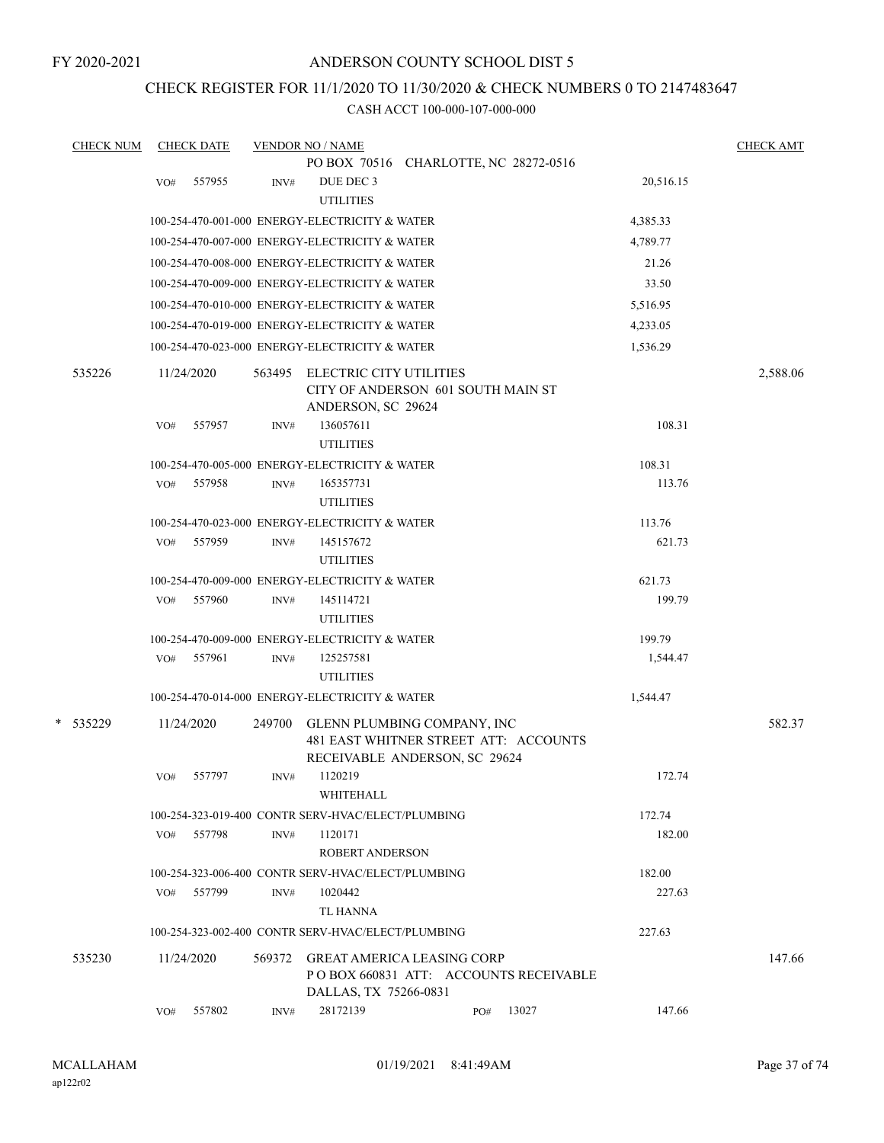### CHECK REGISTER FOR 11/1/2020 TO 11/30/2020 & CHECK NUMBERS 0 TO 2147483647

| <b>CHECK NUM</b> |     | <b>CHECK DATE</b> |        | <b>VENDOR NO / NAME</b>                                                                               |     |                                        |           | <b>CHECK AMT</b> |
|------------------|-----|-------------------|--------|-------------------------------------------------------------------------------------------------------|-----|----------------------------------------|-----------|------------------|
|                  |     |                   |        | PO BOX 70516 CHARLOTTE, NC 28272-0516                                                                 |     |                                        |           |                  |
|                  | VO# | 557955            | INV#   | DUE DEC 3<br><b>UTILITIES</b>                                                                         |     |                                        | 20,516.15 |                  |
|                  |     |                   |        | 100-254-470-001-000 ENERGY-ELECTRICITY & WATER                                                        |     |                                        | 4,385.33  |                  |
|                  |     |                   |        | 100-254-470-007-000 ENERGY-ELECTRICITY & WATER                                                        |     |                                        | 4,789.77  |                  |
|                  |     |                   |        | 100-254-470-008-000 ENERGY-ELECTRICITY & WATER                                                        |     |                                        | 21.26     |                  |
|                  |     |                   |        | 100-254-470-009-000 ENERGY-ELECTRICITY & WATER                                                        |     |                                        | 33.50     |                  |
|                  |     |                   |        | 100-254-470-010-000 ENERGY-ELECTRICITY & WATER                                                        |     |                                        | 5,516.95  |                  |
|                  |     |                   |        | 100-254-470-019-000 ENERGY-ELECTRICITY & WATER                                                        |     |                                        | 4,233.05  |                  |
|                  |     |                   |        | 100-254-470-023-000 ENERGY-ELECTRICITY & WATER                                                        |     |                                        | 1,536.29  |                  |
| 535226           |     | 11/24/2020        |        | 563495 ELECTRIC CITY UTILITIES<br>CITY OF ANDERSON 601 SOUTH MAIN ST<br>ANDERSON, SC 29624            |     |                                        |           | 2,588.06         |
|                  | VO# | 557957            | INV#   | 136057611<br><b>UTILITIES</b>                                                                         |     |                                        | 108.31    |                  |
|                  |     |                   |        | 100-254-470-005-000 ENERGY-ELECTRICITY & WATER                                                        |     |                                        | 108.31    |                  |
|                  | VO# | 557958            | INV#   | 165357731                                                                                             |     |                                        | 113.76    |                  |
|                  |     |                   |        | <b>UTILITIES</b>                                                                                      |     |                                        |           |                  |
|                  |     |                   |        | 100-254-470-023-000 ENERGY-ELECTRICITY & WATER                                                        |     |                                        | 113.76    |                  |
|                  | VO# | 557959            | INV#   | 145157672<br><b>UTILITIES</b>                                                                         |     |                                        | 621.73    |                  |
|                  |     |                   |        | 100-254-470-009-000 ENERGY-ELECTRICITY & WATER                                                        |     |                                        | 621.73    |                  |
|                  | VO# | 557960            | INV#   | 145114721<br><b>UTILITIES</b>                                                                         |     |                                        | 199.79    |                  |
|                  |     |                   |        | 100-254-470-009-000 ENERGY-ELECTRICITY & WATER                                                        |     |                                        | 199.79    |                  |
|                  | VO# | 557961            | INV#   | 125257581<br><b>UTILITIES</b>                                                                         |     |                                        | 1,544.47  |                  |
|                  |     |                   |        | 100-254-470-014-000 ENERGY-ELECTRICITY & WATER                                                        |     |                                        | 1,544.47  |                  |
| * 535229         |     | 11/24/2020        | 249700 | GLENN PLUMBING COMPANY, INC<br>481 EAST WHITNER STREET ATT: ACCOUNTS<br>RECEIVABLE ANDERSON, SC 29624 |     |                                        |           | 582.37           |
|                  | VO# | 557797            | INV#   | 1120219<br>WHITEHALL                                                                                  |     |                                        | 172.74    |                  |
|                  |     |                   |        | 100-254-323-019-400 CONTR SERV-HVAC/ELECT/PLUMBING                                                    |     |                                        | 172.74    |                  |
|                  | VO# | 557798            | INV#   | 1120171<br><b>ROBERT ANDERSON</b>                                                                     |     |                                        | 182.00    |                  |
|                  |     |                   |        | 100-254-323-006-400 CONTR SERV-HVAC/ELECT/PLUMBING                                                    |     |                                        | 182.00    |                  |
|                  | VO# | 557799            | INV#   | 1020442                                                                                               |     |                                        | 227.63    |                  |
|                  |     |                   |        | TL HANNA                                                                                              |     |                                        |           |                  |
|                  |     |                   |        | 100-254-323-002-400 CONTR SERV-HVAC/ELECT/PLUMBING                                                    |     |                                        | 227.63    |                  |
| 535230           |     | 11/24/2020        | 569372 | <b>GREAT AMERICA LEASING CORP</b><br>DALLAS, TX 75266-0831                                            |     | PO BOX 660831 ATT: ACCOUNTS RECEIVABLE |           | 147.66           |
|                  | VO# | 557802            | INV#   | 28172139                                                                                              | PO# | 13027                                  | 147.66    |                  |
|                  |     |                   |        |                                                                                                       |     |                                        |           |                  |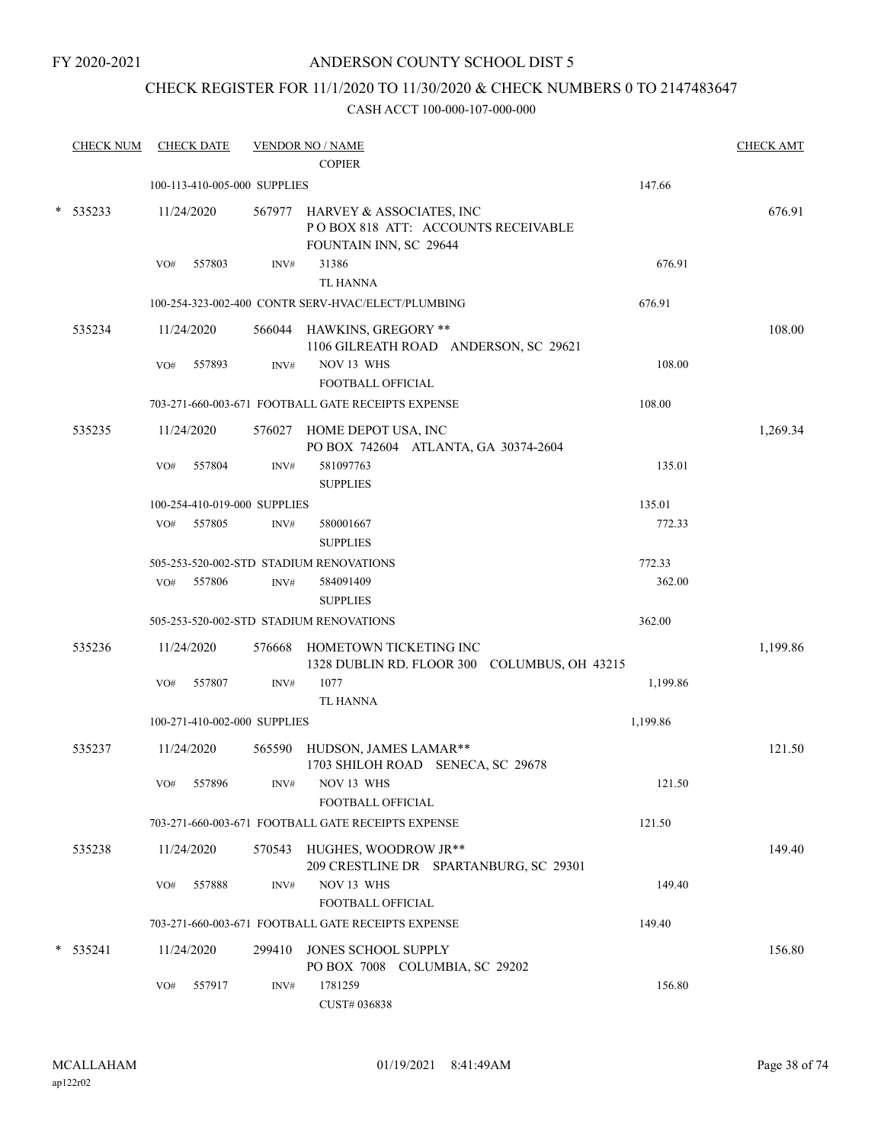FY 2020-2021

### ANDERSON COUNTY SCHOOL DIST 5

### CHECK REGISTER FOR 11/1/2020 TO 11/30/2020 & CHECK NUMBERS 0 TO 2147483647

|        | <b>CHECK NUM</b> |     | <b>CHECK DATE</b> |                              | <b>VENDOR NO / NAME</b><br><b>COPIER</b>                                                        |          | <b>CHECK AMT</b> |
|--------|------------------|-----|-------------------|------------------------------|-------------------------------------------------------------------------------------------------|----------|------------------|
|        |                  |     |                   | 100-113-410-005-000 SUPPLIES |                                                                                                 | 147.66   |                  |
| $\ast$ | 535233           |     | 11/24/2020        |                              | 567977 HARVEY & ASSOCIATES, INC<br>POBOX 818 ATT: ACCOUNTS RECEIVABLE<br>FOUNTAIN INN, SC 29644 |          | 676.91           |
|        |                  | VO# | 557803            | INV#                         | 31386                                                                                           | 676.91   |                  |
|        |                  |     |                   |                              | <b>TL HANNA</b>                                                                                 |          |                  |
|        |                  |     |                   |                              | 100-254-323-002-400 CONTR SERV-HVAC/ELECT/PLUMBING                                              | 676.91   |                  |
|        | 535234           |     | 11/24/2020        |                              | 566044 HAWKINS, GREGORY **<br>1106 GILREATH ROAD ANDERSON, SC 29621                             |          | 108.00           |
|        |                  | VO# | 557893            | INV#                         | NOV 13 WHS<br>FOOTBALL OFFICIAL                                                                 | 108.00   |                  |
|        |                  |     |                   |                              | 703-271-660-003-671 FOOTBALL GATE RECEIPTS EXPENSE                                              | 108.00   |                  |
|        | 535235           |     | 11/24/2020        |                              | 576027 HOME DEPOT USA, INC<br>PO BOX 742604 ATLANTA, GA 30374-2604                              |          | 1,269.34         |
|        |                  | VO# | 557804            | INV#                         | 581097763<br><b>SUPPLIES</b>                                                                    | 135.01   |                  |
|        |                  |     |                   | 100-254-410-019-000 SUPPLIES |                                                                                                 | 135.01   |                  |
|        |                  | VO# | 557805            | INV#                         | 580001667<br><b>SUPPLIES</b>                                                                    | 772.33   |                  |
|        |                  |     |                   |                              | 505-253-520-002-STD STADIUM RENOVATIONS                                                         | 772.33   |                  |
|        |                  | VO# | 557806            | INV#                         | 584091409<br><b>SUPPLIES</b>                                                                    | 362.00   |                  |
|        |                  |     |                   |                              | 505-253-520-002-STD STADIUM RENOVATIONS                                                         | 362.00   |                  |
|        | 535236           |     | 11/24/2020        | 576668                       | HOMETOWN TICKETING INC<br>1328 DUBLIN RD. FLOOR 300 COLUMBUS, OH 43215                          |          | 1,199.86         |
|        |                  | VO# | 557807            | INV#                         | 1077                                                                                            | 1,199.86 |                  |
|        |                  |     |                   |                              | <b>TL HANNA</b>                                                                                 |          |                  |
|        |                  |     |                   | 100-271-410-002-000 SUPPLIES |                                                                                                 | 1,199.86 |                  |
|        | 535237           |     | 11/24/2020        |                              | 565590 HUDSON, JAMES LAMAR**<br>1703 SHILOH ROAD SENECA, SC 29678                               |          | 121.50           |
|        |                  |     | VO# 557896        |                              | $INV#$ NOV 13 WHS<br>FOOTBALL OFFICIAL                                                          | 121.50   |                  |
|        |                  |     |                   |                              | 703-271-660-003-671 FOOTBALL GATE RECEIPTS EXPENSE                                              | 121.50   |                  |
|        | 535238           |     | 11/24/2020        |                              | 570543 HUGHES, WOODROW JR**<br>209 CRESTLINE DR SPARTANBURG, SC 29301                           |          | 149.40           |
|        |                  | VO# | 557888            | INV#                         | NOV 13 WHS<br>FOOTBALL OFFICIAL                                                                 | 149.40   |                  |
|        |                  |     |                   |                              | 703-271-660-003-671 FOOTBALL GATE RECEIPTS EXPENSE                                              | 149.40   |                  |
|        | $*$ 535241       |     | 11/24/2020        |                              | 299410 JONES SCHOOL SUPPLY<br>PO BOX 7008 COLUMBIA, SC 29202                                    |          | 156.80           |
|        |                  | VO# | 557917            | INV#                         | 1781259<br>CUST# 036838                                                                         | 156.80   |                  |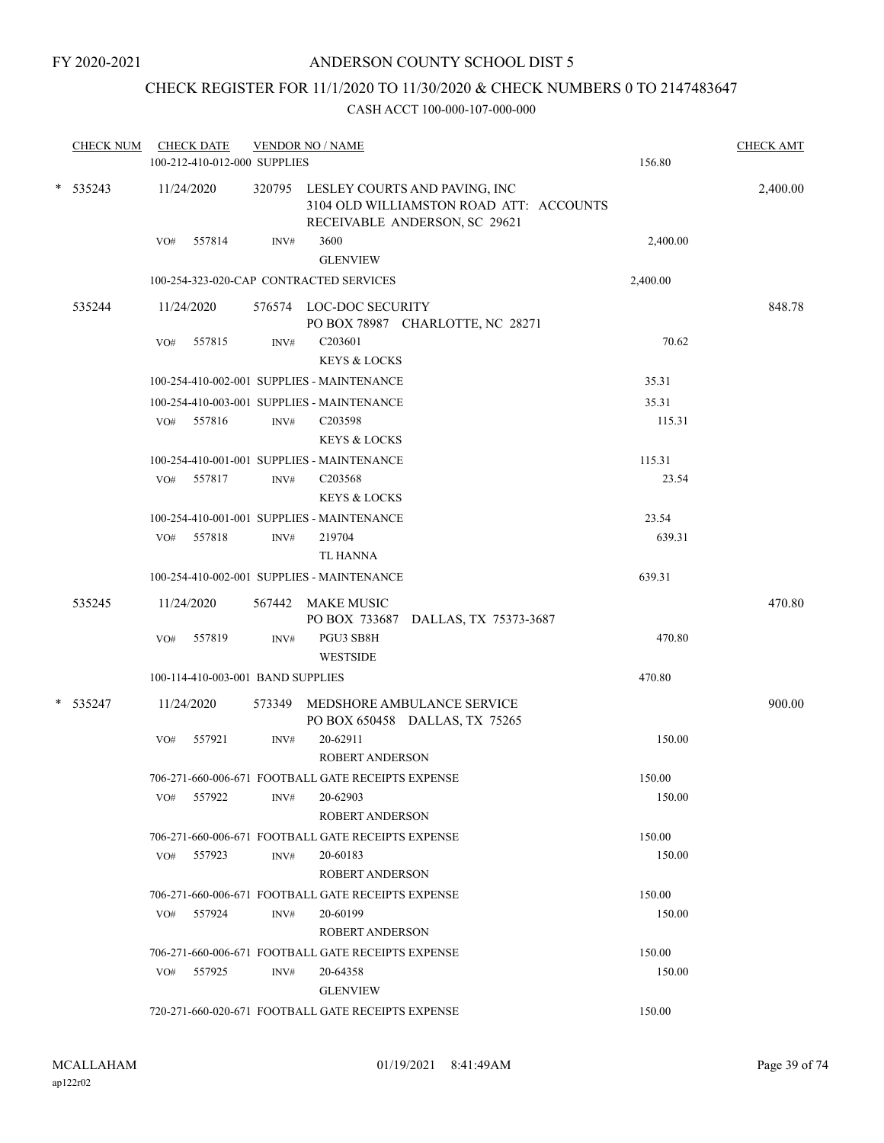### CHECK REGISTER FOR 11/1/2020 TO 11/30/2020 & CHECK NUMBERS 0 TO 2147483647

| <b>CHECK NUM</b> | <b>CHECK DATE</b><br>100-212-410-012-000 SUPPLIES | <b>VENDOR NO / NAME</b> |                                                                                                                  | 156.80   | <b>CHECK AMT</b> |
|------------------|---------------------------------------------------|-------------------------|------------------------------------------------------------------------------------------------------------------|----------|------------------|
| $*$ 535243       | 11/24/2020                                        |                         | 320795 LESLEY COURTS AND PAVING, INC<br>3104 OLD WILLIAMSTON ROAD ATT: ACCOUNTS<br>RECEIVABLE ANDERSON, SC 29621 |          | 2,400.00         |
|                  | 557814<br>VO#                                     | INV#                    | 3600<br><b>GLENVIEW</b>                                                                                          | 2,400.00 |                  |
|                  | 100-254-323-020-CAP CONTRACTED SERVICES           |                         |                                                                                                                  | 2,400.00 |                  |
| 535244           | 11/24/2020                                        |                         | 576574 LOC-DOC SECURITY<br>PO BOX 78987 CHARLOTTE, NC 28271                                                      |          | 848.78           |
|                  | 557815<br>VO#                                     | INV#                    | C203601<br><b>KEYS &amp; LOCKS</b>                                                                               | 70.62    |                  |
|                  | 100-254-410-002-001 SUPPLIES - MAINTENANCE        |                         |                                                                                                                  | 35.31    |                  |
|                  | 100-254-410-003-001 SUPPLIES - MAINTENANCE        |                         |                                                                                                                  | 35.31    |                  |
|                  | VO# 557816                                        | INV#                    | C <sub>203598</sub><br><b>KEYS &amp; LOCKS</b>                                                                   | 115.31   |                  |
|                  | 100-254-410-001-001 SUPPLIES - MAINTENANCE        |                         |                                                                                                                  | 115.31   |                  |
|                  | VO# 557817                                        | INV#                    | C203568<br><b>KEYS &amp; LOCKS</b>                                                                               | 23.54    |                  |
|                  | 100-254-410-001-001 SUPPLIES - MAINTENANCE        |                         |                                                                                                                  | 23.54    |                  |
|                  | 557818<br>VO#                                     | INV#                    | 219704<br><b>TL HANNA</b>                                                                                        | 639.31   |                  |
|                  | 100-254-410-002-001 SUPPLIES - MAINTENANCE        |                         |                                                                                                                  | 639.31   |                  |
| 535245           | 11/24/2020                                        |                         | 567442 MAKE MUSIC<br>PO BOX 733687 DALLAS, TX 75373-3687                                                         |          | 470.80           |
|                  | VO#<br>557819                                     | INV#                    | PGU3 SB8H<br><b>WESTSIDE</b>                                                                                     | 470.80   |                  |
|                  | 100-114-410-003-001 BAND SUPPLIES                 |                         |                                                                                                                  | 470.80   |                  |
| * 535247         | 11/24/2020                                        | 573349                  | MEDSHORE AMBULANCE SERVICE<br>PO BOX 650458 DALLAS, TX 75265                                                     |          | 900.00           |
|                  | VO#<br>557921                                     | INV#                    | 20-62911<br><b>ROBERT ANDERSON</b>                                                                               | 150.00   |                  |
|                  |                                                   |                         | 706-271-660-006-671 FOOTBALL GATE RECEIPTS EXPENSE                                                               | 150.00   |                  |
|                  | 557922<br>VO#                                     | INV#                    | 20-62903<br><b>ROBERT ANDERSON</b>                                                                               | 150.00   |                  |
|                  |                                                   |                         | 706-271-660-006-671 FOOTBALL GATE RECEIPTS EXPENSE                                                               | 150.00   |                  |
|                  | 557923<br>VO#                                     | INV#                    | 20-60183<br><b>ROBERT ANDERSON</b>                                                                               | 150.00   |                  |
|                  |                                                   |                         | 706-271-660-006-671 FOOTBALL GATE RECEIPTS EXPENSE                                                               | 150.00   |                  |
|                  | 557924<br>VO#                                     | INV#                    | 20-60199<br><b>ROBERT ANDERSON</b>                                                                               | 150.00   |                  |
|                  |                                                   |                         | 706-271-660-006-671 FOOTBALL GATE RECEIPTS EXPENSE                                                               | 150.00   |                  |
|                  | 557925<br>VO#                                     | INV#                    | 20-64358<br><b>GLENVIEW</b>                                                                                      | 150.00   |                  |
|                  |                                                   |                         | 720-271-660-020-671 FOOTBALL GATE RECEIPTS EXPENSE                                                               | 150.00   |                  |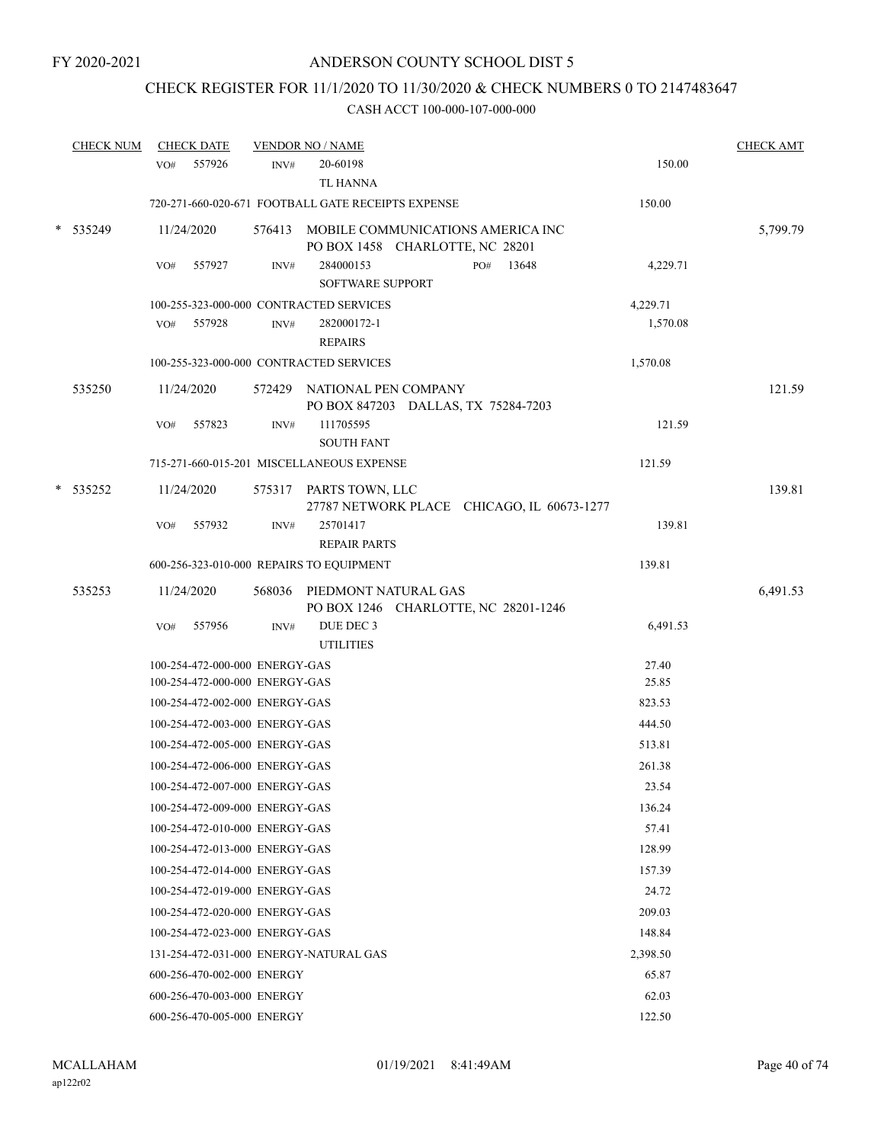### CHECK REGISTER FOR 11/1/2020 TO 11/30/2020 & CHECK NUMBERS 0 TO 2147483647

| <b>CHECK NUM</b> |     | <b>CHECK DATE</b>              |        | <b>VENDOR NO / NAME</b>                                                     |     |       |          | <b>CHECK AMT</b> |
|------------------|-----|--------------------------------|--------|-----------------------------------------------------------------------------|-----|-------|----------|------------------|
|                  |     | VO# 557926                     | INV#   | 20-60198<br>TL HANNA                                                        |     |       | 150.00   |                  |
|                  |     |                                |        | 720-271-660-020-671 FOOTBALL GATE RECEIPTS EXPENSE                          |     |       | 150.00   |                  |
|                  |     |                                |        |                                                                             |     |       |          |                  |
| 535249           |     | 11/24/2020                     |        | 576413 MOBILE COMMUNICATIONS AMERICA INC<br>PO BOX 1458 CHARLOTTE, NC 28201 |     |       |          | 5,799.79         |
|                  | VO# | 557927                         | INV#   | 284000153                                                                   | PO# | 13648 | 4,229.71 |                  |
|                  |     |                                |        | <b>SOFTWARE SUPPORT</b>                                                     |     |       |          |                  |
|                  |     |                                |        | 100-255-323-000-000 CONTRACTED SERVICES                                     |     |       | 4,229.71 |                  |
|                  |     | VO# 557928                     | INV#   | 282000172-1                                                                 |     |       | 1,570.08 |                  |
|                  |     |                                |        | <b>REPAIRS</b>                                                              |     |       |          |                  |
|                  |     |                                |        | 100-255-323-000-000 CONTRACTED SERVICES                                     |     |       | 1,570.08 |                  |
| 535250           |     | 11/24/2020                     |        | 572429 NATIONAL PEN COMPANY<br>PO BOX 847203 DALLAS, TX 75284-7203          |     |       |          | 121.59           |
|                  | VO# | 557823                         | INV#   | 111705595                                                                   |     |       | 121.59   |                  |
|                  |     |                                |        | <b>SOUTH FANT</b>                                                           |     |       |          |                  |
|                  |     |                                |        | 715-271-660-015-201 MISCELLANEOUS EXPENSE                                   |     |       | 121.59   |                  |
| $*$ 535252       |     | 11/24/2020                     |        | 575317 PARTS TOWN, LLC                                                      |     |       |          | 139.81           |
|                  | VO# | 557932                         | INV#   | 27787 NETWORK PLACE CHICAGO, IL 60673-1277<br>25701417                      |     |       | 139.81   |                  |
|                  |     |                                |        | <b>REPAIR PARTS</b>                                                         |     |       |          |                  |
|                  |     |                                |        | 600-256-323-010-000 REPAIRS TO EQUIPMENT                                    |     |       | 139.81   |                  |
| 535253           |     | 11/24/2020                     | 568036 | PIEDMONT NATURAL GAS                                                        |     |       |          | 6,491.53         |
|                  |     |                                |        | PO BOX 1246 CHARLOTTE, NC 28201-1246                                        |     |       |          |                  |
|                  | VO# | 557956                         | INV#   | DUE DEC 3                                                                   |     |       | 6,491.53 |                  |
|                  |     |                                |        | <b>UTILITIES</b>                                                            |     |       |          |                  |
|                  |     | 100-254-472-000-000 ENERGY-GAS |        |                                                                             |     |       | 27.40    |                  |
|                  |     | 100-254-472-000-000 ENERGY-GAS |        |                                                                             |     |       | 25.85    |                  |
|                  |     | 100-254-472-002-000 ENERGY-GAS |        |                                                                             |     |       | 823.53   |                  |
|                  |     | 100-254-472-003-000 ENERGY-GAS |        |                                                                             |     |       | 444.50   |                  |
|                  |     | 100-254-472-005-000 ENERGY-GAS |        |                                                                             |     |       | 513.81   |                  |
|                  |     | 100-254-472-006-000 ENERGY-GAS |        |                                                                             |     |       | 261.38   |                  |
|                  |     | 100-254-472-007-000 ENERGY-GAS |        |                                                                             |     |       | 23.54    |                  |
|                  |     | 100-254-472-009-000 ENERGY-GAS |        |                                                                             |     |       | 136.24   |                  |
|                  |     | 100-254-472-010-000 ENERGY-GAS |        |                                                                             |     |       | 57.41    |                  |
|                  |     | 100-254-472-013-000 ENERGY-GAS |        |                                                                             |     |       | 128.99   |                  |
|                  |     | 100-254-472-014-000 ENERGY-GAS |        |                                                                             |     |       | 157.39   |                  |
|                  |     | 100-254-472-019-000 ENERGY-GAS |        |                                                                             |     |       | 24.72    |                  |
|                  |     | 100-254-472-020-000 ENERGY-GAS |        |                                                                             |     |       | 209.03   |                  |
|                  |     | 100-254-472-023-000 ENERGY-GAS |        |                                                                             |     |       | 148.84   |                  |
|                  |     |                                |        | 131-254-472-031-000 ENERGY-NATURAL GAS                                      |     |       | 2,398.50 |                  |
|                  |     | 600-256-470-002-000 ENERGY     |        |                                                                             |     |       | 65.87    |                  |
|                  |     | 600-256-470-003-000 ENERGY     |        |                                                                             |     |       | 62.03    |                  |
|                  |     | 600-256-470-005-000 ENERGY     |        |                                                                             |     |       | 122.50   |                  |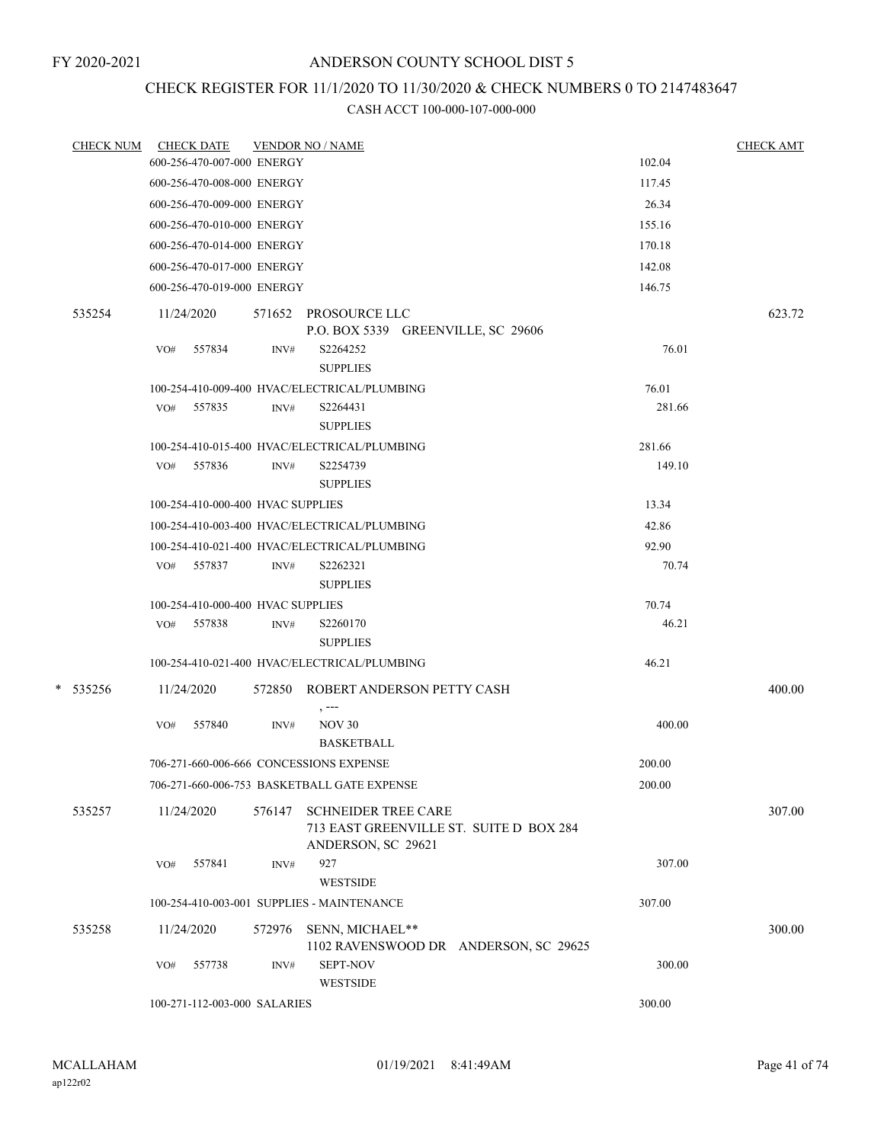### CHECK REGISTER FOR 11/1/2020 TO 11/30/2020 & CHECK NUMBERS 0 TO 2147483647

|          | CHECK NUM CHECK DATE                    |        | <b>VENDOR NO / NAME</b>                                                                     |        | <b>CHECK AMT</b> |
|----------|-----------------------------------------|--------|---------------------------------------------------------------------------------------------|--------|------------------|
|          | 600-256-470-007-000 ENERGY              |        |                                                                                             | 102.04 |                  |
|          | 600-256-470-008-000 ENERGY              |        |                                                                                             | 117.45 |                  |
|          | 600-256-470-009-000 ENERGY              |        |                                                                                             | 26.34  |                  |
|          | 600-256-470-010-000 ENERGY              |        |                                                                                             | 155.16 |                  |
|          | 600-256-470-014-000 ENERGY              |        |                                                                                             | 170.18 |                  |
|          | 600-256-470-017-000 ENERGY              |        |                                                                                             | 142.08 |                  |
|          | 600-256-470-019-000 ENERGY              |        |                                                                                             | 146.75 |                  |
| 535254   | 11/24/2020                              |        | 571652 PROSOURCE LLC                                                                        |        | 623.72           |
|          |                                         |        | P.O. BOX 5339 GREENVILLE, SC 29606                                                          |        |                  |
|          | 557834<br>VO#                           | INV#   | S2264252<br><b>SUPPLIES</b>                                                                 | 76.01  |                  |
|          |                                         |        | 100-254-410-009-400 HVAC/ELECTRICAL/PLUMBING                                                | 76.01  |                  |
|          | VO# 557835                              | INV#   | S2264431<br><b>SUPPLIES</b>                                                                 | 281.66 |                  |
|          |                                         |        | 100-254-410-015-400 HVAC/ELECTRICAL/PLUMBING                                                | 281.66 |                  |
|          | VO# 557836                              | INV#   | S2254739                                                                                    | 149.10 |                  |
|          |                                         |        | <b>SUPPLIES</b>                                                                             |        |                  |
|          | 100-254-410-000-400 HVAC SUPPLIES       |        |                                                                                             | 13.34  |                  |
|          |                                         |        | 100-254-410-003-400 HVAC/ELECTRICAL/PLUMBING                                                | 42.86  |                  |
|          |                                         |        | 100-254-410-021-400 HVAC/ELECTRICAL/PLUMBING                                                | 92.90  |                  |
|          | VO# 557837                              | INV#   | S2262321<br><b>SUPPLIES</b>                                                                 | 70.74  |                  |
|          | 100-254-410-000-400 HVAC SUPPLIES       |        |                                                                                             | 70.74  |                  |
|          | VO# 557838                              | INV#   | S2260170                                                                                    | 46.21  |                  |
|          |                                         |        | <b>SUPPLIES</b>                                                                             |        |                  |
|          |                                         |        | 100-254-410-021-400 HVAC/ELECTRICAL/PLUMBING                                                | 46.21  |                  |
| * 535256 | 11/24/2020                              |        | 572850 ROBERT ANDERSON PETTY CASH<br>$, --$                                                 |        | 400.00           |
|          | 557840<br>VO#                           | INV#   | <b>NOV 30</b><br><b>BASKETBALL</b>                                                          | 400.00 |                  |
|          | 706-271-660-006-666 CONCESSIONS EXPENSE |        |                                                                                             | 200.00 |                  |
|          |                                         |        | 706-271-660-006-753 BASKETBALL GATE EXPENSE                                                 | 200.00 |                  |
| 535257   | 11/24/2020                              | 576147 | <b>SCHNEIDER TREE CARE</b><br>713 EAST GREENVILLE ST. SUITE D BOX 284<br>ANDERSON, SC 29621 |        | 307.00           |
|          | 557841<br>VO#                           | INV#   | 927                                                                                         | 307.00 |                  |
|          |                                         |        | <b>WESTSIDE</b>                                                                             |        |                  |
|          |                                         |        | 100-254-410-003-001 SUPPLIES - MAINTENANCE                                                  | 307.00 |                  |
| 535258   | 11/24/2020                              | 572976 | SENN, MICHAEL**<br>1102 RAVENSWOOD DR ANDERSON, SC 29625                                    |        | 300.00           |
|          | 557738<br>VO#                           | INV#   | SEPT-NOV<br><b>WESTSIDE</b>                                                                 | 300.00 |                  |
|          | 100-271-112-003-000 SALARIES            |        |                                                                                             | 300.00 |                  |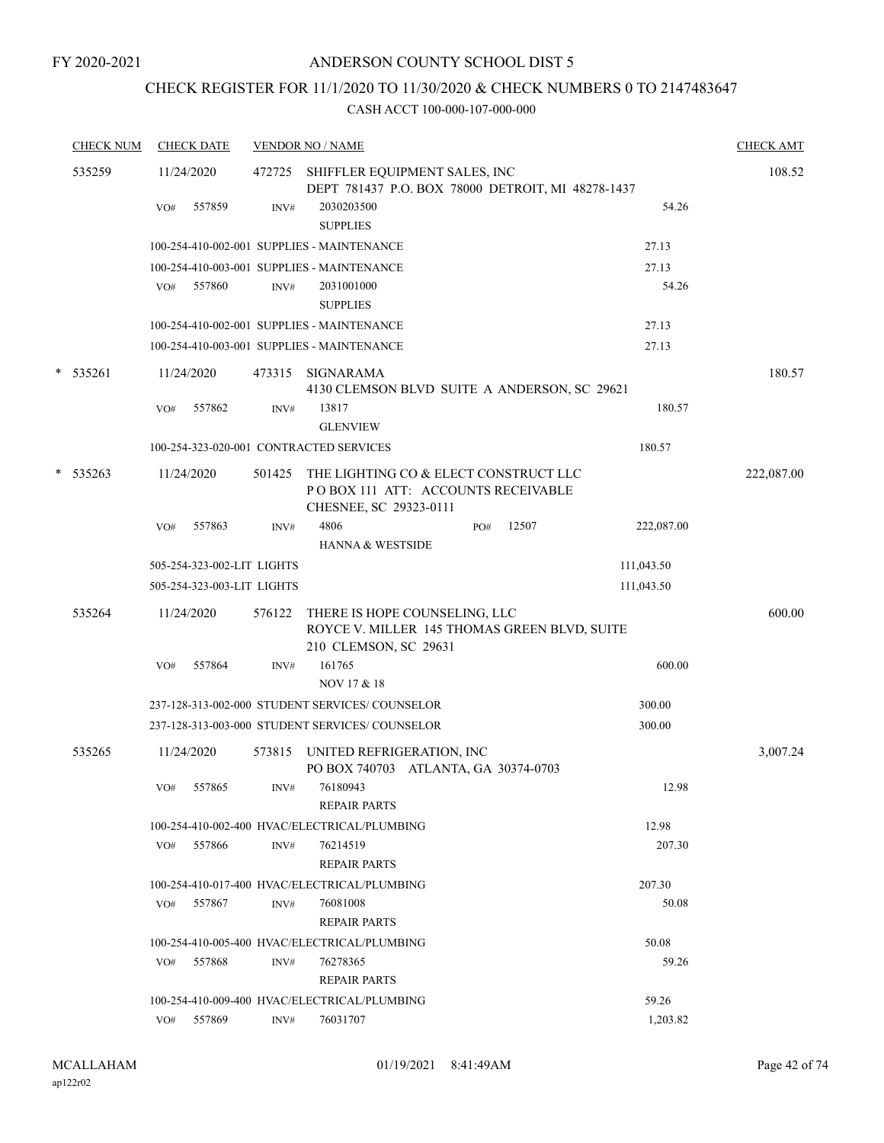### CHECK REGISTER FOR 11/1/2020 TO 11/30/2020 & CHECK NUMBERS 0 TO 2147483647

| <b>CHECK NUM</b> | <b>CHECK DATE</b> |               | <b>VENDOR NO / NAME</b>    | <b>CHECK AMT</b>                                                                                       |              |            |            |
|------------------|-------------------|---------------|----------------------------|--------------------------------------------------------------------------------------------------------|--------------|------------|------------|
| 535259           |                   | 11/24/2020    |                            | 472725 SHIFFLER EQUIPMENT SALES, INC                                                                   | 108.52       |            |            |
|                  |                   |               |                            | DEPT 781437 P.O. BOX 78000 DETROIT, MI 48278-1437                                                      |              |            |            |
|                  |                   | 557859<br>VO# | $\text{INV}\#$             | 2030203500<br><b>SUPPLIES</b>                                                                          |              | 54.26      |            |
|                  |                   |               |                            | 100-254-410-002-001 SUPPLIES - MAINTENANCE                                                             |              | 27.13      |            |
|                  |                   |               |                            | 100-254-410-003-001 SUPPLIES - MAINTENANCE                                                             |              | 27.13      |            |
|                  |                   | 557860<br>VO# | INV#                       | 2031001000<br><b>SUPPLIES</b>                                                                          |              | 54.26      |            |
|                  |                   |               |                            | 100-254-410-002-001 SUPPLIES - MAINTENANCE                                                             |              | 27.13      |            |
|                  |                   |               |                            | 100-254-410-003-001 SUPPLIES - MAINTENANCE                                                             |              | 27.13      |            |
|                  | $*$ 535261        | 11/24/2020    | 473315                     | SIGNARAMA                                                                                              |              |            | 180.57     |
|                  |                   |               |                            | 4130 CLEMSON BLVD SUITE A ANDERSON, SC 29621                                                           |              |            |            |
|                  |                   | 557862<br>VO# | INV#                       | 13817<br><b>GLENVIEW</b>                                                                               |              | 180.57     |            |
|                  |                   |               |                            | 100-254-323-020-001 CONTRACTED SERVICES                                                                |              | 180.57     |            |
| *                | 535263            | 11/24/2020    | 501425                     | THE LIGHTING CO & ELECT CONSTRUCT LLC<br>POBOX 111 ATT: ACCOUNTS RECEIVABLE<br>CHESNEE, SC 29323-0111  |              |            | 222,087.00 |
|                  |                   | 557863<br>VO# | INV#                       | 4806<br>HANNA & WESTSIDE                                                                               | 12507<br>PO# | 222,087.00 |            |
|                  |                   |               | 505-254-323-002-LIT LIGHTS |                                                                                                        |              | 111,043.50 |            |
|                  |                   |               | 505-254-323-003-LIT LIGHTS |                                                                                                        |              | 111,043.50 |            |
|                  |                   |               |                            |                                                                                                        |              |            |            |
|                  | 535264            | 11/24/2020    | 576122                     | THERE IS HOPE COUNSELING, LLC<br>ROYCE V. MILLER 145 THOMAS GREEN BLVD, SUITE<br>210 CLEMSON, SC 29631 |              |            | 600.00     |
|                  |                   | 557864<br>VO# | INV#                       | 161765<br>NOV 17 & 18                                                                                  |              | 600.00     |            |
|                  |                   |               |                            | 237-128-313-002-000 STUDENT SERVICES/COUNSELOR                                                         |              | 300.00     |            |
|                  |                   |               |                            | 237-128-313-003-000 STUDENT SERVICES/ COUNSELOR                                                        |              | 300.00     |            |
|                  |                   |               |                            |                                                                                                        |              |            |            |
|                  | 535265            | 11/24/2020    | 573815                     | UNITED REFRIGERATION, INC<br>PO BOX 740703 ATLANTA, GA 30374-0703                                      |              |            | 3,007.24   |
|                  |                   | 557865<br>VO# | INV#                       | 76180943<br><b>REPAIR PARTS</b>                                                                        |              | 12.98      |            |
|                  |                   |               |                            | 100-254-410-002-400 HVAC/ELECTRICAL/PLUMBING                                                           |              | 12.98      |            |
|                  |                   | VO# 557866    | INV#                       | 76214519<br><b>REPAIR PARTS</b>                                                                        |              | 207.30     |            |
|                  |                   |               |                            | 100-254-410-017-400 HVAC/ELECTRICAL/PLUMBING                                                           |              | 207.30     |            |
|                  |                   | 557867<br>VO# | INV#                       | 76081008                                                                                               |              | 50.08      |            |
|                  |                   |               |                            | <b>REPAIR PARTS</b>                                                                                    |              |            |            |
|                  |                   |               |                            | 100-254-410-005-400 HVAC/ELECTRICAL/PLUMBING                                                           |              | 50.08      |            |
|                  |                   | 557868<br>VO# | INV#                       | 76278365<br><b>REPAIR PARTS</b>                                                                        |              | 59.26      |            |
|                  |                   |               |                            | 100-254-410-009-400 HVAC/ELECTRICAL/PLUMBING                                                           |              | 59.26      |            |
|                  |                   | 557869<br>VO# | INV#                       | 76031707                                                                                               |              | 1,203.82   |            |
|                  |                   |               |                            |                                                                                                        |              |            |            |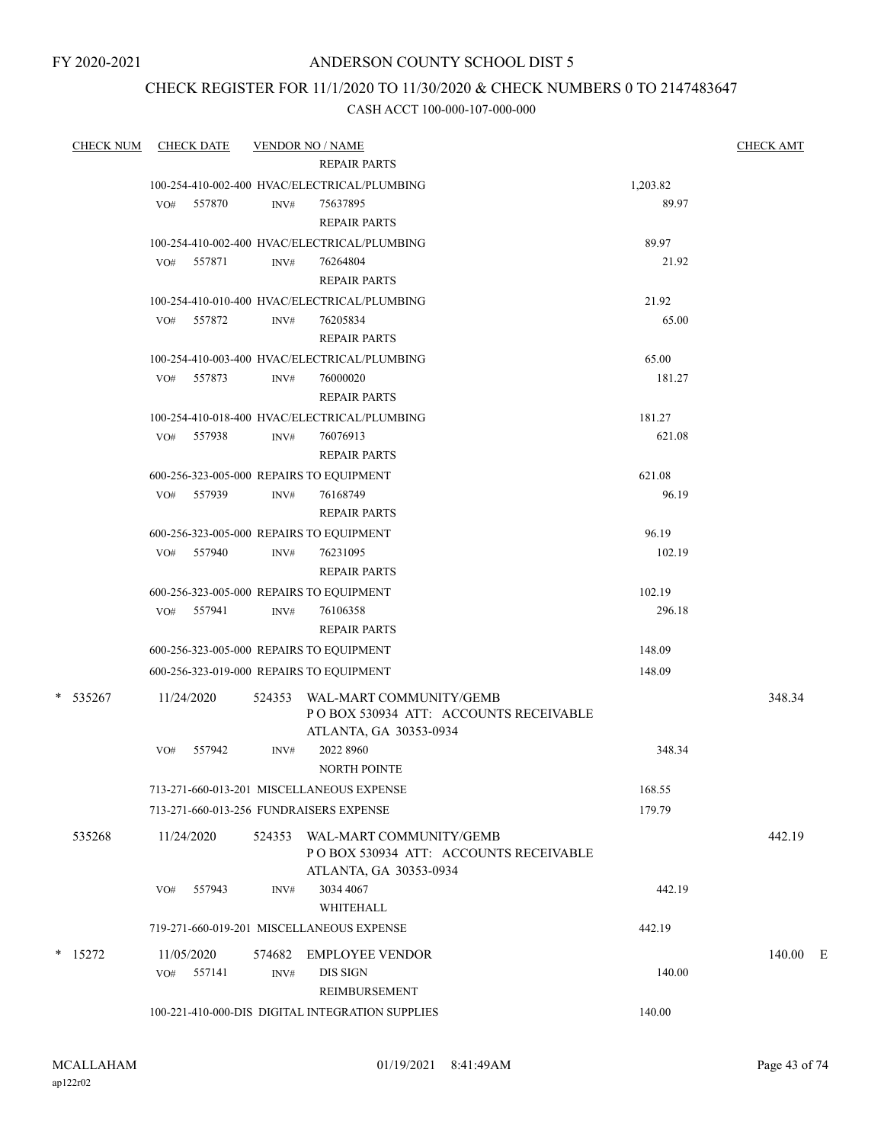FY 2020-2021

### ANDERSON COUNTY SCHOOL DIST 5

### CHECK REGISTER FOR 11/1/2020 TO 11/30/2020 & CHECK NUMBERS 0 TO 2147483647

| <b>CHECK NUM</b> | <b>CHECK DATE</b>                                      |                  | <b>VENDOR NO / NAME</b>                                          |                 | <b>CHECK AMT</b> |
|------------------|--------------------------------------------------------|------------------|------------------------------------------------------------------|-----------------|------------------|
|                  |                                                        |                  | <b>REPAIR PARTS</b>                                              |                 |                  |
|                  |                                                        |                  | 100-254-410-002-400 HVAC/ELECTRICAL/PLUMBING                     | 1,203.82        |                  |
|                  | VO#<br>557870                                          | INV#             | 75637895                                                         | 89.97           |                  |
|                  |                                                        |                  | <b>REPAIR PARTS</b>                                              |                 |                  |
|                  |                                                        |                  | 100-254-410-002-400 HVAC/ELECTRICAL/PLUMBING                     | 89.97           |                  |
|                  | 557871<br>VO#                                          | INV#             | 76264804                                                         | 21.92           |                  |
|                  |                                                        |                  | <b>REPAIR PARTS</b>                                              |                 |                  |
|                  |                                                        |                  | 100-254-410-010-400 HVAC/ELECTRICAL/PLUMBING                     | 21.92           |                  |
|                  | VO# 557872                                             | INV#             | 76205834                                                         | 65.00           |                  |
|                  |                                                        |                  | <b>REPAIR PARTS</b>                                              |                 |                  |
|                  |                                                        |                  | 100-254-410-003-400 HVAC/ELECTRICAL/PLUMBING                     | 65.00           |                  |
|                  | 557873<br>VO#                                          | INV#             | 76000020                                                         | 181.27          |                  |
|                  |                                                        |                  | <b>REPAIR PARTS</b>                                              |                 |                  |
|                  |                                                        |                  | 100-254-410-018-400 HVAC/ELECTRICAL/PLUMBING                     | 181.27          |                  |
|                  | 557938<br>VO#                                          | $\mathrm{INV}\#$ | 76076913<br><b>REPAIR PARTS</b>                                  | 621.08          |                  |
|                  |                                                        |                  |                                                                  |                 |                  |
|                  | 600-256-323-005-000 REPAIRS TO EQUIPMENT<br>VO# 557939 |                  | 76168749                                                         | 621.08<br>96.19 |                  |
|                  |                                                        | INV#             | <b>REPAIR PARTS</b>                                              |                 |                  |
|                  | 600-256-323-005-000 REPAIRS TO EQUIPMENT               |                  |                                                                  | 96.19           |                  |
|                  | 557940<br>VO#                                          | INV#             | 76231095                                                         | 102.19          |                  |
|                  |                                                        |                  | <b>REPAIR PARTS</b>                                              |                 |                  |
|                  | 600-256-323-005-000 REPAIRS TO EQUIPMENT               |                  |                                                                  | 102.19          |                  |
|                  | VO# 557941                                             | INV#             | 76106358                                                         | 296.18          |                  |
|                  |                                                        |                  | <b>REPAIR PARTS</b>                                              |                 |                  |
|                  | 600-256-323-005-000 REPAIRS TO EQUIPMENT               |                  |                                                                  | 148.09          |                  |
|                  | 600-256-323-019-000 REPAIRS TO EQUIPMENT               |                  |                                                                  | 148.09          |                  |
|                  |                                                        |                  |                                                                  |                 |                  |
| * 535267         | 11/24/2020                                             | 524353           | WAL-MART COMMUNITY/GEMB<br>POBOX 530934 ATT: ACCOUNTS RECEIVABLE |                 | 348.34           |
|                  |                                                        |                  | ATLANTA, GA 30353-0934                                           |                 |                  |
|                  | 557942<br>VO#                                          | INV#             | 2022 8960                                                        | 348.34          |                  |
|                  |                                                        |                  | <b>NORTH POINTE</b>                                              |                 |                  |
|                  |                                                        |                  | 713-271-660-013-201 MISCELLANEOUS EXPENSE                        | 168.55          |                  |
|                  | 713-271-660-013-256 FUNDRAISERS EXPENSE                |                  |                                                                  | 179.79          |                  |
| 535268           | 11/24/2020                                             | 524353           | WAL-MART COMMUNITY/GEMB                                          |                 | 442.19           |
|                  |                                                        |                  | POBOX 530934 ATT: ACCOUNTS RECEIVABLE                            |                 |                  |
|                  |                                                        |                  | ATLANTA, GA 30353-0934                                           |                 |                  |
|                  | 557943<br>VO#                                          | INV#             | 3034 4067                                                        | 442.19          |                  |
|                  |                                                        |                  | WHITEHALL                                                        |                 |                  |
|                  |                                                        |                  | 719-271-660-019-201 MISCELLANEOUS EXPENSE                        | 442.19          |                  |
| $*$ 15272        | 11/05/2020                                             | 574682           | <b>EMPLOYEE VENDOR</b>                                           |                 | 140.00 E         |
|                  | VO# 557141                                             | INV#             | <b>DIS SIGN</b>                                                  | 140.00          |                  |
|                  |                                                        |                  | REIMBURSEMENT                                                    |                 |                  |
|                  |                                                        |                  | 100-221-410-000-DIS DIGITAL INTEGRATION SUPPLIES                 | 140.00          |                  |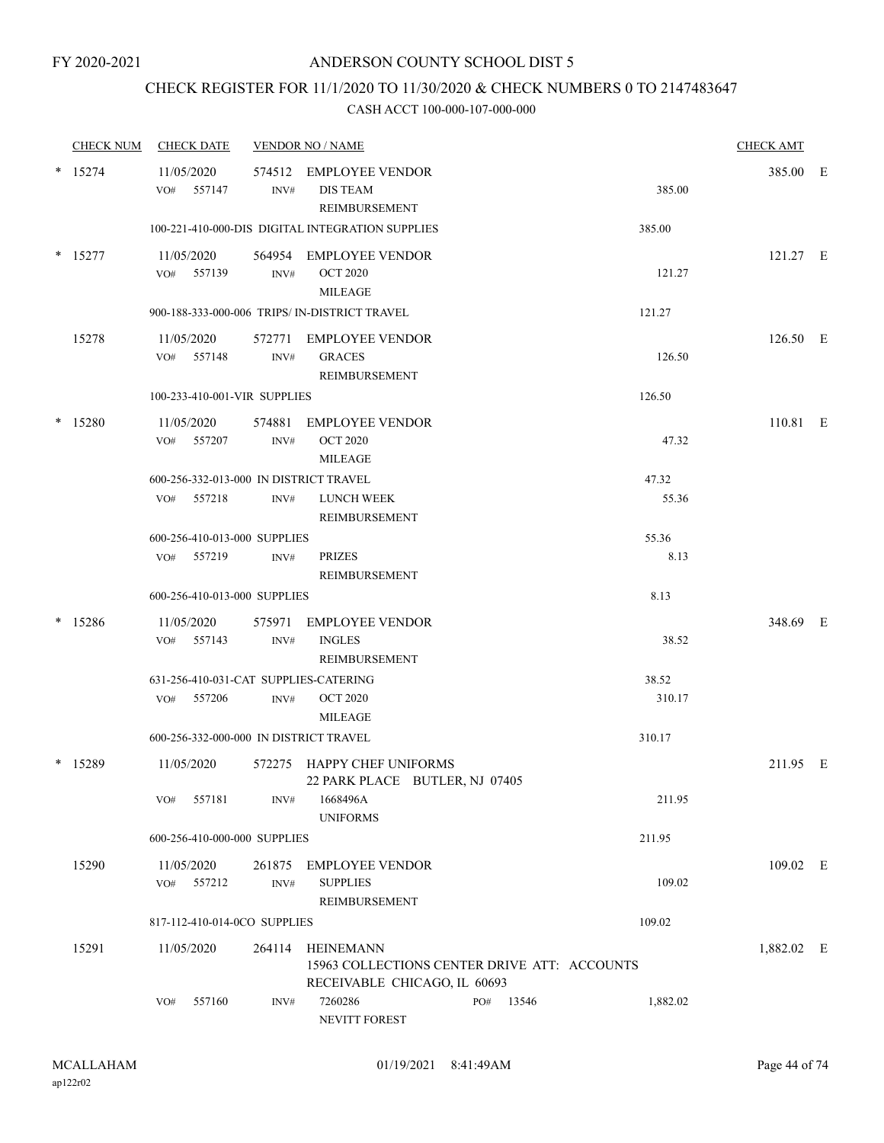### CHECK REGISTER FOR 11/1/2020 TO 11/30/2020 & CHECK NUMBERS 0 TO 2147483647

|        | <b>CHECK NUM</b> | <b>CHECK DATE</b>        |                              |                | <b>VENDOR NO / NAME</b>                                                                          |           |          | <b>CHECK AMT</b> |  |
|--------|------------------|--------------------------|------------------------------|----------------|--------------------------------------------------------------------------------------------------|-----------|----------|------------------|--|
|        | $*$ 15274        | 11/05/2020<br>VO# 557147 |                              | INV#           | 574512 EMPLOYEE VENDOR<br><b>DIS TEAM</b><br>REIMBURSEMENT                                       |           | 385.00   | 385.00 E         |  |
|        |                  |                          |                              |                | 100-221-410-000-DIS DIGITAL INTEGRATION SUPPLIES                                                 |           | 385.00   |                  |  |
|        | $*$ 15277        | 11/05/2020<br>VO# 557139 |                              | $\text{INV}\#$ | 564954 EMPLOYEE VENDOR<br><b>OCT 2020</b><br><b>MILEAGE</b>                                      |           | 121.27   | $121.27$ E       |  |
|        |                  |                          |                              |                | 900-188-333-000-006 TRIPS/ IN-DISTRICT TRAVEL                                                    |           | 121.27   |                  |  |
|        | 15278            | 11/05/2020<br>VO# 557148 |                              | INV#           | 572771 EMPLOYEE VENDOR<br><b>GRACES</b><br>REIMBURSEMENT                                         |           | 126.50   | 126.50 E         |  |
|        |                  |                          | 100-233-410-001-VIR SUPPLIES |                |                                                                                                  |           | 126.50   |                  |  |
| $\ast$ | 15280            | 11/05/2020<br>VO# 557207 |                              | INV#           | 574881 EMPLOYEE VENDOR<br><b>OCT 2020</b><br><b>MILEAGE</b>                                      |           | 47.32    | 110.81 E         |  |
|        |                  |                          |                              |                | 600-256-332-013-000 IN DISTRICT TRAVEL                                                           |           | 47.32    |                  |  |
|        |                  | VO# 557218               |                              | INV#           | <b>LUNCH WEEK</b><br>REIMBURSEMENT                                                               |           | 55.36    |                  |  |
|        |                  |                          | 600-256-410-013-000 SUPPLIES |                |                                                                                                  |           | 55.36    |                  |  |
|        |                  | VO# 557219               |                              | INV#           | <b>PRIZES</b><br>REIMBURSEMENT                                                                   |           | 8.13     |                  |  |
|        |                  |                          | 600-256-410-013-000 SUPPLIES |                |                                                                                                  |           | 8.13     |                  |  |
|        | $*$ 15286        | 11/05/2020<br>VO# 557143 |                              | 575971<br>INV# | <b>EMPLOYEE VENDOR</b><br><b>INGLES</b><br>REIMBURSEMENT                                         |           | 38.52    | 348.69 E         |  |
|        |                  |                          |                              |                | 631-256-410-031-CAT SUPPLIES-CATERING                                                            |           | 38.52    |                  |  |
|        |                  | VO# 557206               |                              | INV#           | <b>OCT 2020</b><br><b>MILEAGE</b>                                                                |           | 310.17   |                  |  |
|        |                  |                          |                              |                | 600-256-332-000-000 IN DISTRICT TRAVEL                                                           |           | 310.17   |                  |  |
|        | * 15289          | 11/05/2020               |                              |                | 572275 HAPPY CHEF UNIFORMS<br>22 PARK PLACE BUTLER, NJ 07405                                     |           |          | 211.95 E         |  |
|        |                  | VO#                      | 557181                       | INV#           | 1668496A<br><b>UNIFORMS</b>                                                                      |           | 211.95   |                  |  |
|        |                  |                          | 600-256-410-000-000 SUPPLIES |                |                                                                                                  |           | 211.95   |                  |  |
|        | 15290            | 11/05/2020<br>VO# 557212 |                              | 261875<br>INV# | <b>EMPLOYEE VENDOR</b><br><b>SUPPLIES</b><br><b>REIMBURSEMENT</b>                                |           | 109.02   | 109.02 E         |  |
|        |                  |                          | 817-112-410-014-0CO SUPPLIES |                |                                                                                                  |           | 109.02   |                  |  |
|        | 15291            | 11/05/2020               |                              | 264114         | <b>HEINEMANN</b><br>15963 COLLECTIONS CENTER DRIVE ATT: ACCOUNTS<br>RECEIVABLE CHICAGO, IL 60693 |           |          | 1,882.02 E       |  |
|        |                  | VO#                      | 557160                       | INV#           | 7260286<br><b>NEVITT FOREST</b>                                                                  | PO# 13546 | 1,882.02 |                  |  |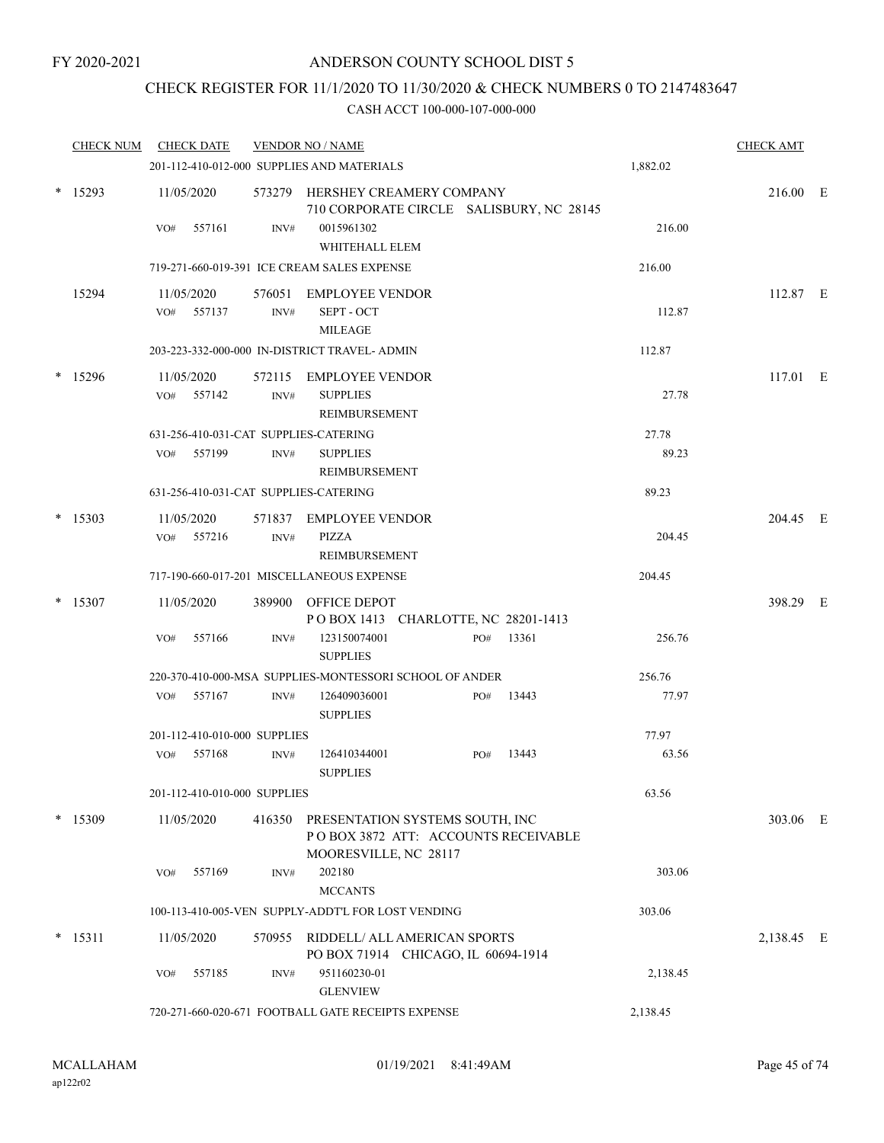### CHECK REGISTER FOR 11/1/2020 TO 11/30/2020 & CHECK NUMBERS 0 TO 2147483647

| <b>CHECK NUM</b> |     | <b>CHECK DATE</b>                                  |                              | <b>VENDOR NO / NAME</b>                                                                         |  |     |             |          | <b>CHECK AMT</b> |  |
|------------------|-----|----------------------------------------------------|------------------------------|-------------------------------------------------------------------------------------------------|--|-----|-------------|----------|------------------|--|
|                  |     |                                                    |                              | 201-112-410-012-000 SUPPLIES AND MATERIALS                                                      |  |     |             | 1,882.02 |                  |  |
| $*$ 15293        |     | 11/05/2020                                         |                              | 573279 HERSHEY CREAMERY COMPANY<br>710 CORPORATE CIRCLE SALISBURY, NC 28145                     |  |     |             |          | 216.00 E         |  |
|                  | VO# | 557161                                             | INV#                         | 0015961302                                                                                      |  |     |             | 216.00   |                  |  |
|                  |     |                                                    |                              | WHITEHALL ELEM                                                                                  |  |     |             |          |                  |  |
|                  |     |                                                    |                              | 719-271-660-019-391 ICE CREAM SALES EXPENSE                                                     |  |     |             | 216.00   |                  |  |
| 15294            |     | 11/05/2020                                         |                              | 576051 EMPLOYEE VENDOR                                                                          |  |     |             |          | 112.87 E         |  |
|                  | VO# | 557137                                             | INV#                         | SEPT - OCT                                                                                      |  |     |             | 112.87   |                  |  |
|                  |     |                                                    |                              | <b>MILEAGE</b>                                                                                  |  |     |             |          |                  |  |
|                  |     |                                                    |                              | 203-223-332-000-000 IN-DISTRICT TRAVEL- ADMIN                                                   |  |     |             | 112.87   |                  |  |
| $*$ 15296        |     | 11/05/2020                                         |                              | 572115 EMPLOYEE VENDOR                                                                          |  |     |             |          | 117.01 E         |  |
|                  |     | VO# 557142                                         | INV#                         | <b>SUPPLIES</b>                                                                                 |  |     |             | 27.78    |                  |  |
|                  |     |                                                    |                              | REIMBURSEMENT                                                                                   |  |     |             |          |                  |  |
|                  |     |                                                    |                              | 631-256-410-031-CAT SUPPLIES-CATERING                                                           |  |     |             | 27.78    |                  |  |
|                  |     | VO# 557199                                         | INV#                         | <b>SUPPLIES</b>                                                                                 |  |     |             | 89.23    |                  |  |
|                  |     |                                                    |                              | <b>REIMBURSEMENT</b>                                                                            |  |     |             |          |                  |  |
|                  |     |                                                    |                              | 631-256-410-031-CAT SUPPLIES-CATERING                                                           |  |     |             | 89.23    |                  |  |
| $*$ 15303        |     | 11/05/2020                                         |                              | 571837 EMPLOYEE VENDOR                                                                          |  |     |             |          | 204.45 E         |  |
|                  | VO# | 557216                                             | INV#                         | PIZZA                                                                                           |  |     |             | 204.45   |                  |  |
|                  |     |                                                    |                              | REIMBURSEMENT                                                                                   |  |     |             |          |                  |  |
|                  |     |                                                    |                              | 717-190-660-017-201 MISCELLANEOUS EXPENSE                                                       |  |     |             | 204.45   |                  |  |
| $*$ 15307        |     | 11/05/2020                                         |                              | 389900 OFFICE DEPOT<br>POBOX 1413 CHARLOTTE, NC 28201-1413                                      |  |     |             |          | 398.29 E         |  |
|                  | VO# | 557166                                             | INV#                         | 123150074001                                                                                    |  | PO# | 13361       | 256.76   |                  |  |
|                  |     |                                                    |                              | <b>SUPPLIES</b>                                                                                 |  |     |             |          |                  |  |
|                  |     |                                                    |                              | 220-370-410-000-MSA SUPPLIES-MONTESSORI SCHOOL OF ANDER                                         |  |     |             | 256.76   |                  |  |
|                  |     | VO# 557167                                         | INV#                         | 126409036001                                                                                    |  |     | $PO#$ 13443 | 77.97    |                  |  |
|                  |     |                                                    |                              | <b>SUPPLIES</b>                                                                                 |  |     |             |          |                  |  |
|                  |     |                                                    | 201-112-410-010-000 SUPPLIES |                                                                                                 |  |     |             | 77.97    |                  |  |
|                  | VO# | 557168                                             | INV#                         | 126410344001<br><b>SUPPLIES</b>                                                                 |  | PO# | 13443       | 63.56    |                  |  |
|                  |     |                                                    | 201-112-410-010-000 SUPPLIES |                                                                                                 |  |     |             | 63.56    |                  |  |
| $*$ 15309        |     | 11/05/2020                                         | 416350                       | PRESENTATION SYSTEMS SOUTH, INC<br>POBOX 3872 ATT: ACCOUNTS RECEIVABLE<br>MOORESVILLE, NC 28117 |  |     |             |          | 303.06 E         |  |
|                  | VO# | 557169                                             | INV#                         | 202180                                                                                          |  |     |             | 303.06   |                  |  |
|                  |     |                                                    |                              | <b>MCCANTS</b>                                                                                  |  |     |             |          |                  |  |
|                  |     |                                                    |                              | 100-113-410-005-VEN SUPPLY-ADDT'L FOR LOST VENDING                                              |  |     |             | 303.06   |                  |  |
| $*$ 15311        |     | 11/05/2020                                         |                              | 570955 RIDDELL/ ALL AMERICAN SPORTS                                                             |  |     |             |          | 2,138.45 E       |  |
|                  |     |                                                    |                              | PO BOX 71914 CHICAGO, IL 60694-1914                                                             |  |     |             |          |                  |  |
|                  | VO# | 557185                                             | INV#                         | 951160230-01                                                                                    |  |     |             | 2,138.45 |                  |  |
|                  |     |                                                    |                              | <b>GLENVIEW</b>                                                                                 |  |     |             |          |                  |  |
|                  |     | 720-271-660-020-671 FOOTBALL GATE RECEIPTS EXPENSE |                              |                                                                                                 |  |     |             | 2,138.45 |                  |  |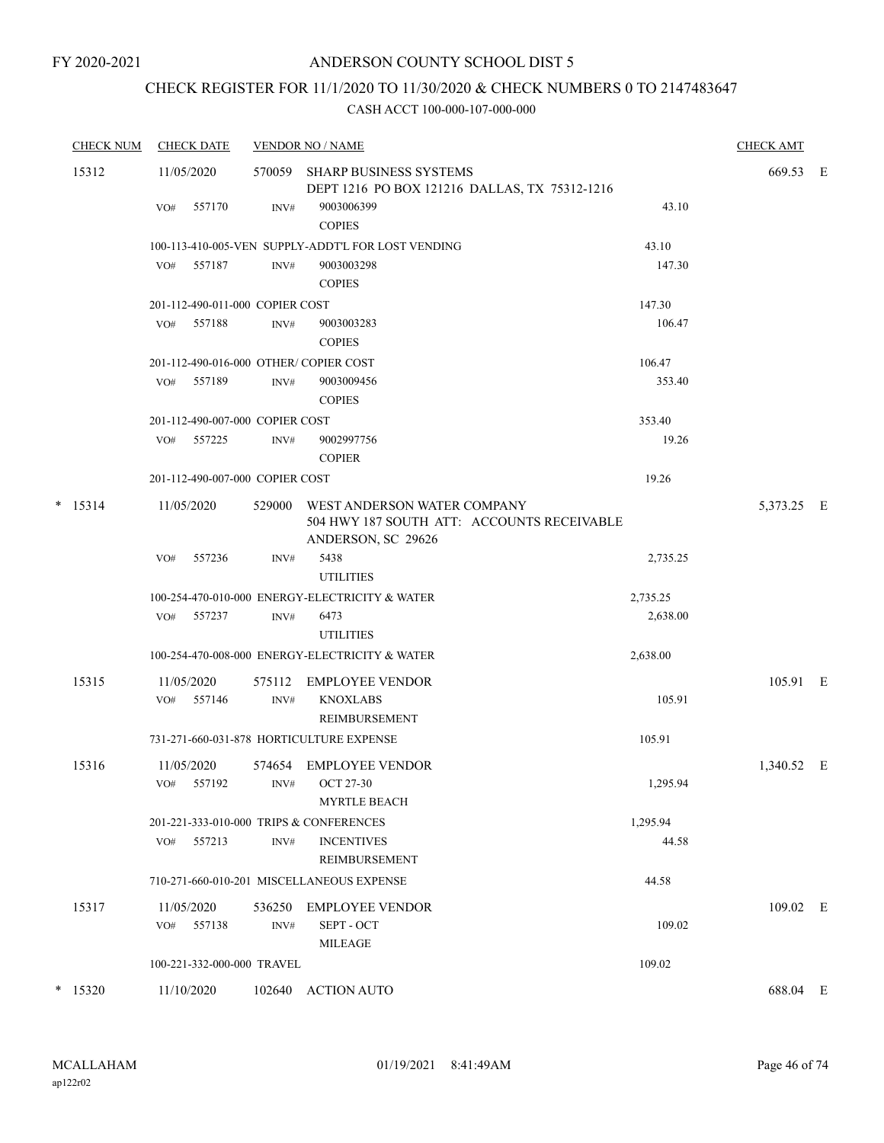### CHECK REGISTER FOR 11/1/2020 TO 11/30/2020 & CHECK NUMBERS 0 TO 2147483647

| <b>CHECK NUM</b> | <b>CHECK DATE</b>                       | <b>VENDOR NO / NAME</b> |                                                                                                 |          |            |  |  |  |
|------------------|-----------------------------------------|-------------------------|-------------------------------------------------------------------------------------------------|----------|------------|--|--|--|
| 15312            | 11/05/2020                              | 570059                  | SHARP BUSINESS SYSTEMS<br>DEPT 1216 PO BOX 121216 DALLAS, TX 75312-1216                         |          | 669.53 E   |  |  |  |
|                  | 557170<br>VO#                           | INV#                    | 9003006399<br><b>COPIES</b>                                                                     | 43.10    |            |  |  |  |
|                  |                                         |                         | 100-113-410-005-VEN SUPPLY-ADDT'L FOR LOST VENDING                                              | 43.10    |            |  |  |  |
|                  | 557187<br>VO#                           | INV#                    | 9003003298<br><b>COPIES</b>                                                                     | 147.30   |            |  |  |  |
|                  | 201-112-490-011-000 COPIER COST         |                         |                                                                                                 |          |            |  |  |  |
|                  | VO#<br>557188                           | INV#                    | 9003003283<br><b>COPIES</b>                                                                     | 106.47   |            |  |  |  |
|                  | 201-112-490-016-000 OTHER/COPIER COST   |                         |                                                                                                 | 106.47   |            |  |  |  |
|                  | 557189<br>VO#                           | INV#                    | 9003009456<br><b>COPIES</b>                                                                     | 353.40   |            |  |  |  |
|                  | 201-112-490-007-000 COPIER COST         |                         |                                                                                                 | 353.40   |            |  |  |  |
|                  | VO# 557225                              | INV#                    | 9002997756<br><b>COPIER</b>                                                                     | 19.26    |            |  |  |  |
|                  | 201-112-490-007-000 COPIER COST         |                         |                                                                                                 | 19.26    |            |  |  |  |
| $*$ 15314        | 11/05/2020                              | 529000                  | WEST ANDERSON WATER COMPANY<br>504 HWY 187 SOUTH ATT: ACCOUNTS RECEIVABLE<br>ANDERSON, SC 29626 |          | 5,373.25 E |  |  |  |
|                  | 557236<br>VO#                           | INV#                    | 5438<br><b>UTILITIES</b>                                                                        | 2,735.25 |            |  |  |  |
|                  |                                         |                         | 100-254-470-010-000 ENERGY-ELECTRICITY & WATER                                                  | 2,735.25 |            |  |  |  |
|                  | VO# 557237                              | INV#                    | 6473<br><b>UTILITIES</b>                                                                        | 2,638.00 |            |  |  |  |
|                  |                                         |                         | 100-254-470-008-000 ENERGY-ELECTRICITY & WATER                                                  | 2,638.00 |            |  |  |  |
| 15315            | 11/05/2020                              | 575112                  | EMPLOYEE VENDOR                                                                                 |          | 105.91 E   |  |  |  |
|                  | VO# 557146                              | INV#                    | <b>KNOXLABS</b><br><b>REIMBURSEMENT</b>                                                         | 105.91   |            |  |  |  |
|                  |                                         |                         | 731-271-660-031-878 HORTICULTURE EXPENSE                                                        | 105.91   |            |  |  |  |
| 15316            | 11/05/2020<br>VO# 557192                |                         | 574654 EMPLOYEE VENDOR<br>$INV\#$ OCT 27-30<br><b>MYRTLE BEACH</b>                              | 1,295.94 | 1,340.52 E |  |  |  |
|                  | 201-221-333-010-000 TRIPS & CONFERENCES |                         |                                                                                                 | 1,295.94 |            |  |  |  |
|                  | 557213<br>VO#                           | INV#                    | <b>INCENTIVES</b><br>REIMBURSEMENT                                                              | 44.58    |            |  |  |  |
|                  |                                         |                         | 710-271-660-010-201 MISCELLANEOUS EXPENSE                                                       | 44.58    |            |  |  |  |
| 15317            | 11/05/2020<br>VO# 557138                | INV#                    | 536250 EMPLOYEE VENDOR<br>SEPT - OCT                                                            | 109.02   | 109.02 E   |  |  |  |
|                  |                                         |                         | <b>MILEAGE</b>                                                                                  |          |            |  |  |  |
|                  | 100-221-332-000-000 TRAVEL              |                         |                                                                                                 | 109.02   |            |  |  |  |
| $*$ 15320        | 11/10/2020                              |                         | 102640 ACTION AUTO                                                                              |          | 688.04 E   |  |  |  |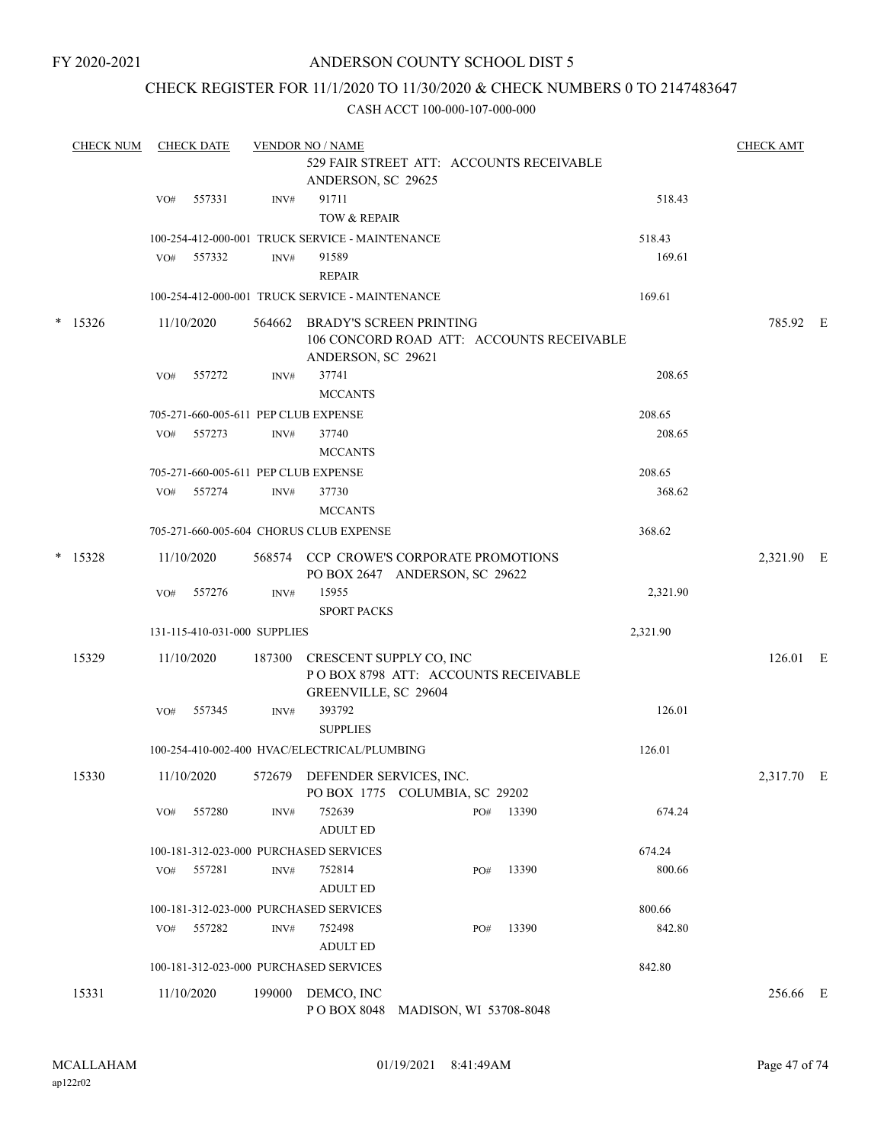FY 2020-2021

### ANDERSON COUNTY SCHOOL DIST 5

### CHECK REGISTER FOR 11/1/2020 TO 11/30/2020 & CHECK NUMBERS 0 TO 2147483647

|  | <b>CHECK NUM</b> |     | <b>CHECK DATE</b> |                              | <b>VENDOR NO / NAME</b>                         |                                                                             |       |          | <b>CHECK AMT</b> |  |
|--|------------------|-----|-------------------|------------------------------|-------------------------------------------------|-----------------------------------------------------------------------------|-------|----------|------------------|--|
|  |                  |     |                   |                              | ANDERSON, SC 29625                              | 529 FAIR STREET ATT: ACCOUNTS RECEIVABLE                                    |       |          |                  |  |
|  |                  | VO# | 557331            | INV#                         | 91711                                           |                                                                             |       | 518.43   |                  |  |
|  |                  |     |                   |                              | TOW & REPAIR                                    |                                                                             |       |          |                  |  |
|  |                  |     |                   |                              | 100-254-412-000-001 TRUCK SERVICE - MAINTENANCE |                                                                             |       | 518.43   |                  |  |
|  |                  | VO# | 557332            | INV#                         | 91589                                           |                                                                             |       | 169.61   |                  |  |
|  |                  |     |                   |                              | <b>REPAIR</b>                                   |                                                                             |       |          |                  |  |
|  |                  |     |                   |                              | 100-254-412-000-001 TRUCK SERVICE - MAINTENANCE |                                                                             |       | 169.61   |                  |  |
|  | $*$ 15326        |     | 11/10/2020        | 564662                       | ANDERSON, SC 29621                              | <b>BRADY'S SCREEN PRINTING</b><br>106 CONCORD ROAD ATT: ACCOUNTS RECEIVABLE |       |          | 785.92 E         |  |
|  |                  | VO# | 557272            | INV#                         | 37741                                           |                                                                             |       | 208.65   |                  |  |
|  |                  |     |                   |                              | <b>MCCANTS</b>                                  |                                                                             |       |          |                  |  |
|  |                  |     |                   |                              | 705-271-660-005-611 PEP CLUB EXPENSE            |                                                                             |       | 208.65   |                  |  |
|  |                  | VO# | 557273            | INV#                         | 37740                                           |                                                                             |       | 208.65   |                  |  |
|  |                  |     |                   |                              | <b>MCCANTS</b>                                  |                                                                             |       |          |                  |  |
|  |                  |     |                   |                              | 705-271-660-005-611 PEP CLUB EXPENSE            |                                                                             |       | 208.65   |                  |  |
|  |                  | VO# | 557274            | INV#                         | 37730                                           |                                                                             |       | 368.62   |                  |  |
|  |                  |     |                   |                              | <b>MCCANTS</b>                                  |                                                                             |       |          |                  |  |
|  |                  |     |                   |                              | 705-271-660-005-604 CHORUS CLUB EXPENSE         |                                                                             |       | 368.62   |                  |  |
|  | $*$ 15328        |     | 11/10/2020        |                              |                                                 | 568574 CCP CROWE'S CORPORATE PROMOTIONS<br>PO BOX 2647 ANDERSON, SC 29622   |       |          | 2,321.90 E       |  |
|  |                  | VO# | 557276            | INV#                         | 15955<br><b>SPORT PACKS</b>                     |                                                                             |       | 2,321.90 |                  |  |
|  |                  |     |                   | 131-115-410-031-000 SUPPLIES |                                                 |                                                                             |       | 2,321.90 |                  |  |
|  | 15329            |     | 11/10/2020        | 187300                       | CRESCENT SUPPLY CO, INC<br>GREENVILLE, SC 29604 | POBOX 8798 ATT: ACCOUNTS RECEIVABLE                                         |       |          | 126.01 E         |  |
|  |                  | VO# | 557345            | INV#                         | 393792<br><b>SUPPLIES</b>                       |                                                                             |       | 126.01   |                  |  |
|  |                  |     |                   |                              | 100-254-410-002-400 HVAC/ELECTRICAL/PLUMBING    |                                                                             |       | 126.01   |                  |  |
|  | 15330            |     | 11/10/2020        |                              | 572679 DEFENDER SERVICES, INC.                  | PO BOX 1775 COLUMBIA, SC 29202                                              |       |          | 2,317.70 E       |  |
|  |                  | VO# | 557280            | INV#                         | 752639<br><b>ADULT ED</b>                       | PO#                                                                         | 13390 | 674.24   |                  |  |
|  |                  |     |                   |                              | 100-181-312-023-000 PURCHASED SERVICES          |                                                                             |       | 674.24   |                  |  |
|  |                  | VO# | 557281            | INV#                         | 752814<br><b>ADULT ED</b>                       | PO#                                                                         | 13390 | 800.66   |                  |  |
|  |                  |     |                   |                              | 100-181-312-023-000 PURCHASED SERVICES          |                                                                             |       | 800.66   |                  |  |
|  |                  | VO# | 557282            | INV#                         | 752498                                          | PO#                                                                         | 13390 | 842.80   |                  |  |
|  |                  |     |                   |                              | <b>ADULT ED</b>                                 |                                                                             |       |          |                  |  |
|  |                  |     |                   |                              | 100-181-312-023-000 PURCHASED SERVICES          |                                                                             |       | 842.80   |                  |  |
|  | 15331            |     | 11/10/2020        | 199000                       | DEMCO, INC                                      | POBOX 8048 MADISON, WI 53708-8048                                           |       |          | 256.66 E         |  |
|  |                  |     |                   |                              |                                                 |                                                                             |       |          |                  |  |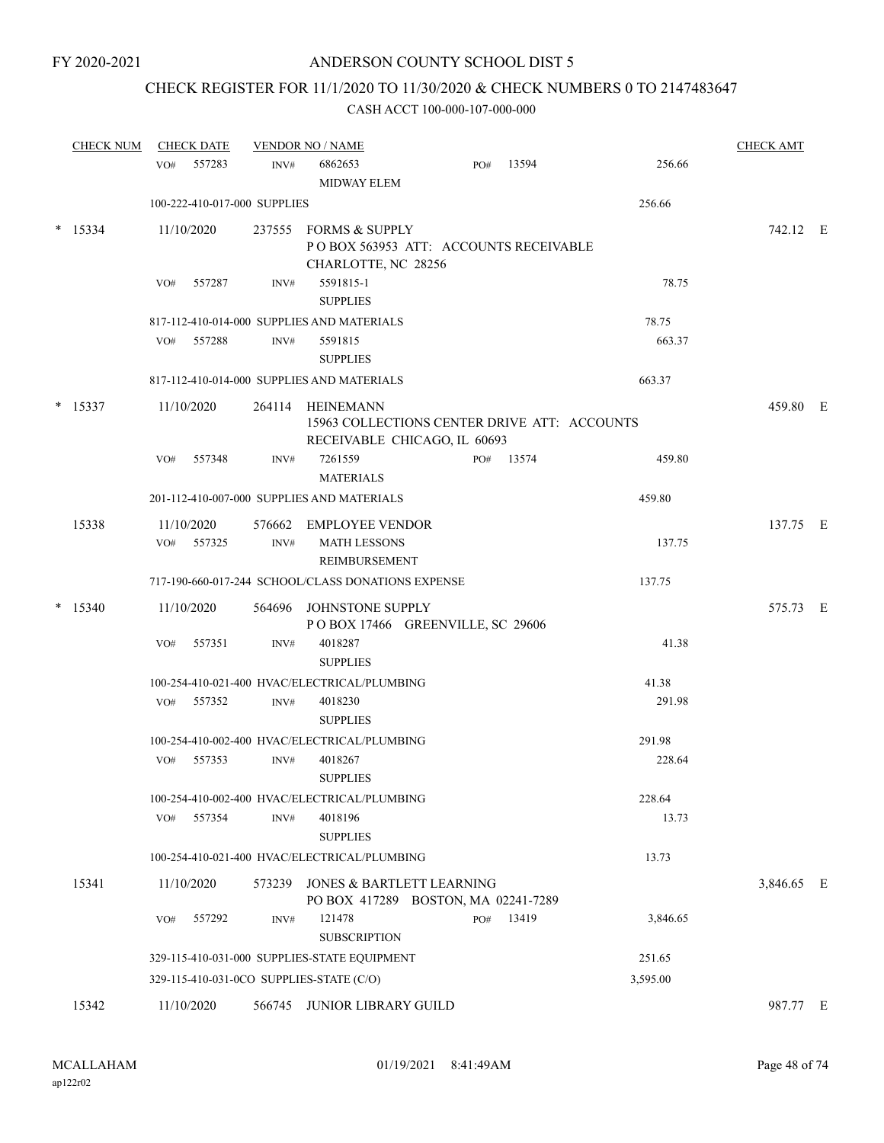### CHECK REGISTER FOR 11/1/2020 TO 11/30/2020 & CHECK NUMBERS 0 TO 2147483647

| <b>CHECK NUM</b> | <b>CHECK DATE</b>            |        | <b>VENDOR NO / NAME</b>                                                                          |     |           |          | <b>CHECK AMT</b> |  |
|------------------|------------------------------|--------|--------------------------------------------------------------------------------------------------|-----|-----------|----------|------------------|--|
|                  | 557283<br>VO#                | INV#   | 6862653<br><b>MIDWAY ELEM</b>                                                                    | PO# | 13594     | 256.66   |                  |  |
|                  | 100-222-410-017-000 SUPPLIES |        |                                                                                                  |     |           | 256.66   |                  |  |
| $*$ 15334        | 11/10/2020                   |        | 237555 FORMS & SUPPLY<br>POBOX 563953 ATT: ACCOUNTS RECEIVABLE<br>CHARLOTTE, NC 28256            |     |           |          | 742.12 E         |  |
|                  | 557287<br>VO#                | INV#   | 5591815-1<br><b>SUPPLIES</b>                                                                     |     |           | 78.75    |                  |  |
|                  |                              |        | 817-112-410-014-000 SUPPLIES AND MATERIALS                                                       |     |           | 78.75    |                  |  |
|                  | VO#<br>557288                | INV#   | 5591815<br><b>SUPPLIES</b>                                                                       |     |           | 663.37   |                  |  |
|                  |                              |        | 817-112-410-014-000 SUPPLIES AND MATERIALS                                                       |     |           | 663.37   |                  |  |
| $*$ 15337        | 11/10/2020                   |        | 264114 HEINEMANN<br>15963 COLLECTIONS CENTER DRIVE ATT: ACCOUNTS<br>RECEIVABLE CHICAGO, IL 60693 |     |           |          | 459.80 E         |  |
|                  | 557348<br>VO#                | INV#   | 7261559<br><b>MATERIALS</b>                                                                      |     | PO# 13574 | 459.80   |                  |  |
|                  |                              |        | 201-112-410-007-000 SUPPLIES AND MATERIALS                                                       |     |           | 459.80   |                  |  |
| 15338            | 11/10/2020<br>VO# 557325     | INV#   | 576662 EMPLOYEE VENDOR<br><b>MATH LESSONS</b><br>REIMBURSEMENT                                   |     |           | 137.75   | 137.75 E         |  |
|                  |                              |        | 717-190-660-017-244 SCHOOL/CLASS DONATIONS EXPENSE                                               |     |           | 137.75   |                  |  |
| $*$ 15340        | 11/10/2020                   |        | 564696 JOHNSTONE SUPPLY                                                                          |     |           |          | 575.73 E         |  |
|                  | 557351<br>VO#                | INV#   | POBOX 17466 GREENVILLE, SC 29606<br>4018287<br><b>SUPPLIES</b>                                   |     |           | 41.38    |                  |  |
|                  |                              |        | 100-254-410-021-400 HVAC/ELECTRICAL/PLUMBING                                                     |     |           | 41.38    |                  |  |
|                  | VO# 557352                   | INV#   | 4018230<br><b>SUPPLIES</b>                                                                       |     |           | 291.98   |                  |  |
|                  |                              |        | 100-254-410-002-400 HVAC/ELECTRICAL/PLUMBING                                                     |     |           | 291.98   |                  |  |
|                  | 557353<br>VO#                | INV#   | 4018267<br><b>SUPPLIES</b>                                                                       |     |           | 228.64   |                  |  |
|                  |                              |        | 100-254-410-002-400 HVAC/ELECTRICAL/PLUMBING                                                     |     |           | 228.64   |                  |  |
|                  | 557354<br>VO#                | INV#   | 4018196<br><b>SUPPLIES</b>                                                                       |     |           | 13.73    |                  |  |
|                  |                              |        | 100-254-410-021-400 HVAC/ELECTRICAL/PLUMBING                                                     |     |           | 13.73    |                  |  |
| 15341            | 11/10/2020                   | 573239 | <b>JONES &amp; BARTLETT LEARNING</b><br>PO BOX 417289 BOSTON, MA 02241-7289                      |     |           |          | 3,846.65 E       |  |
|                  | 557292<br>VO#                | INV#   | 121478<br><b>SUBSCRIPTION</b>                                                                    | PO# | 13419     | 3,846.65 |                  |  |
|                  |                              |        | 329-115-410-031-000 SUPPLIES-STATE EQUIPMENT                                                     |     |           | 251.65   |                  |  |
|                  |                              |        | 329-115-410-031-0CO SUPPLIES-STATE (C/O)                                                         |     |           | 3,595.00 |                  |  |
| 15342            | 11/10/2020                   |        | 566745 JUNIOR LIBRARY GUILD                                                                      |     |           |          | 987.77 E         |  |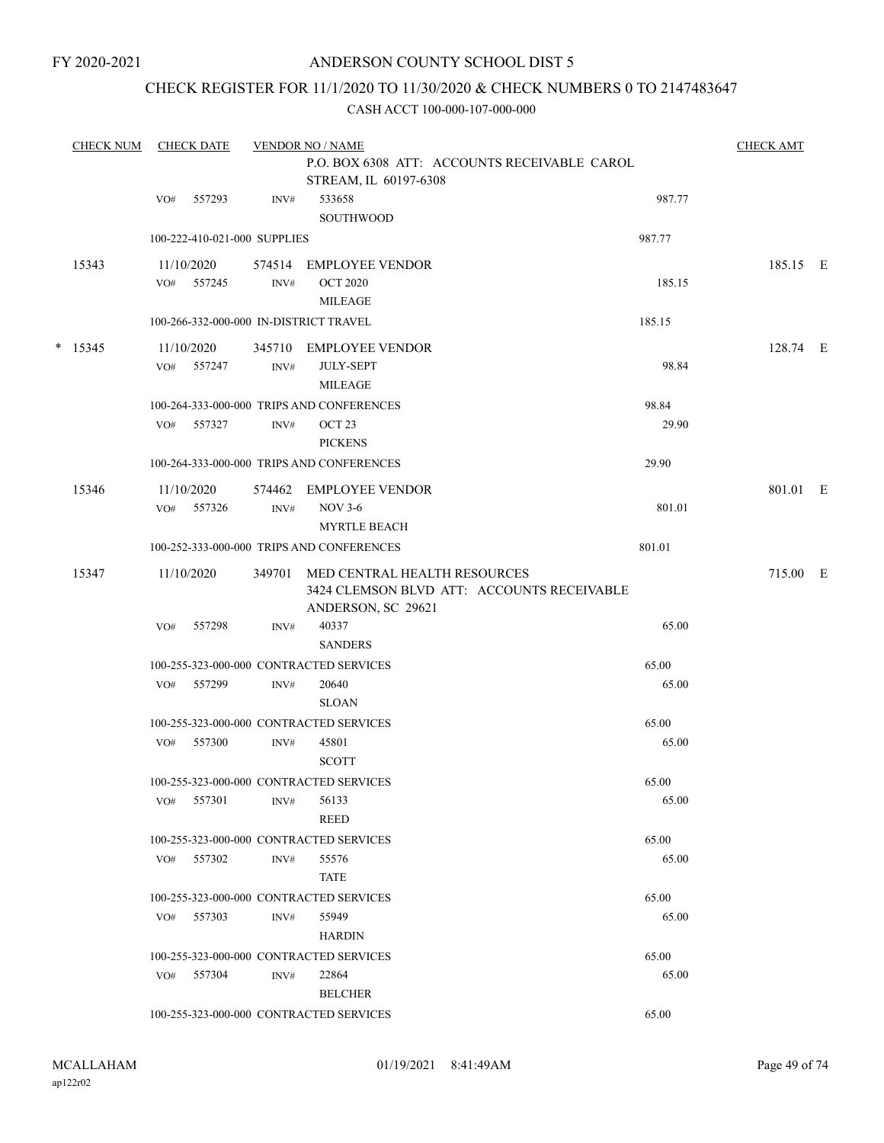### CHECK REGISTER FOR 11/1/2020 TO 11/30/2020 & CHECK NUMBERS 0 TO 2147483647

| <b>CHECK NUM</b> | <b>CHECK DATE</b> | <b>VENDOR NO / NAME</b>      |                | <b>CHECK AMT</b>                                                                                 |        |          |  |  |  |  |
|------------------|-------------------|------------------------------|----------------|--------------------------------------------------------------------------------------------------|--------|----------|--|--|--|--|
|                  |                   |                              |                | P.O. BOX 6308 ATT: ACCOUNTS RECEIVABLE CAROL<br>STREAM, IL 60197-6308                            |        |          |  |  |  |  |
|                  | VO#               | 557293                       | INV#           | 533658<br><b>SOUTHWOOD</b>                                                                       | 987.77 |          |  |  |  |  |
|                  |                   | 100-222-410-021-000 SUPPLIES |                |                                                                                                  | 987.77 |          |  |  |  |  |
| 15343            | VO#               | 11/10/2020<br>557245         | 574514<br>INV# | <b>EMPLOYEE VENDOR</b><br><b>OCT 2020</b>                                                        | 185.15 | 185.15 E |  |  |  |  |
|                  |                   |                              |                | <b>MILEAGE</b><br>100-266-332-000-000 IN-DISTRICT TRAVEL                                         | 185.15 |          |  |  |  |  |
| $*$ 15345        |                   | 11/10/2020                   | 345710         | <b>EMPLOYEE VENDOR</b>                                                                           |        | 128.74 E |  |  |  |  |
|                  | VO#               | 557247                       | INV#           | <b>JULY-SEPT</b><br><b>MILEAGE</b>                                                               | 98.84  |          |  |  |  |  |
|                  |                   |                              |                | 100-264-333-000-000 TRIPS AND CONFERENCES                                                        | 98.84  |          |  |  |  |  |
|                  |                   | VO# 557327                   | INV#           | OCT <sub>23</sub><br><b>PICKENS</b>                                                              | 29.90  |          |  |  |  |  |
|                  |                   |                              |                | 100-264-333-000-000 TRIPS AND CONFERENCES                                                        | 29.90  |          |  |  |  |  |
| 15346            |                   | 11/10/2020                   | 574462         | <b>EMPLOYEE VENDOR</b>                                                                           |        | 801.01 E |  |  |  |  |
|                  | VO#               | 557326                       | INV#           | <b>NOV 3-6</b><br><b>MYRTLE BEACH</b>                                                            | 801.01 |          |  |  |  |  |
|                  |                   |                              |                | 100-252-333-000-000 TRIPS AND CONFERENCES                                                        | 801.01 |          |  |  |  |  |
| 15347            |                   | 11/10/2020                   | 349701         | MED CENTRAL HEALTH RESOURCES<br>3424 CLEMSON BLVD ATT: ACCOUNTS RECEIVABLE<br>ANDERSON, SC 29621 |        | 715.00 E |  |  |  |  |
|                  | VO#               | 557298                       | INV#           | 40337<br><b>SANDERS</b>                                                                          | 65.00  |          |  |  |  |  |
|                  |                   |                              |                | 100-255-323-000-000 CONTRACTED SERVICES                                                          | 65.00  |          |  |  |  |  |
|                  | VO#               | 557299                       | INV#           | 20640<br><b>SLOAN</b>                                                                            | 65.00  |          |  |  |  |  |
|                  |                   |                              |                | 100-255-323-000-000 CONTRACTED SERVICES                                                          | 65.00  |          |  |  |  |  |
|                  | VO#               | 557300                       | INV#           | 45801<br><b>SCOTT</b>                                                                            | 65.00  |          |  |  |  |  |
|                  |                   |                              |                | 100-255-323-000-000 CONTRACTED SERVICES                                                          | 65.00  |          |  |  |  |  |
|                  |                   | VO# 557301                   | INV#           | 56133<br><b>REED</b>                                                                             | 65.00  |          |  |  |  |  |
|                  |                   |                              |                | 100-255-323-000-000 CONTRACTED SERVICES                                                          | 65.00  |          |  |  |  |  |
|                  |                   | VO# 557302                   | INV#           | 55576<br>TATE                                                                                    | 65.00  |          |  |  |  |  |
|                  |                   |                              |                | 100-255-323-000-000 CONTRACTED SERVICES                                                          | 65.00  |          |  |  |  |  |
|                  |                   | VO# 557303                   | INV#           | 55949<br>HARDIN                                                                                  | 65.00  |          |  |  |  |  |
|                  |                   |                              |                | 100-255-323-000-000 CONTRACTED SERVICES                                                          | 65.00  |          |  |  |  |  |
|                  |                   | VO# 557304                   | INV#           | 22864<br><b>BELCHER</b>                                                                          | 65.00  |          |  |  |  |  |
|                  |                   |                              |                | 100-255-323-000-000 CONTRACTED SERVICES                                                          | 65.00  |          |  |  |  |  |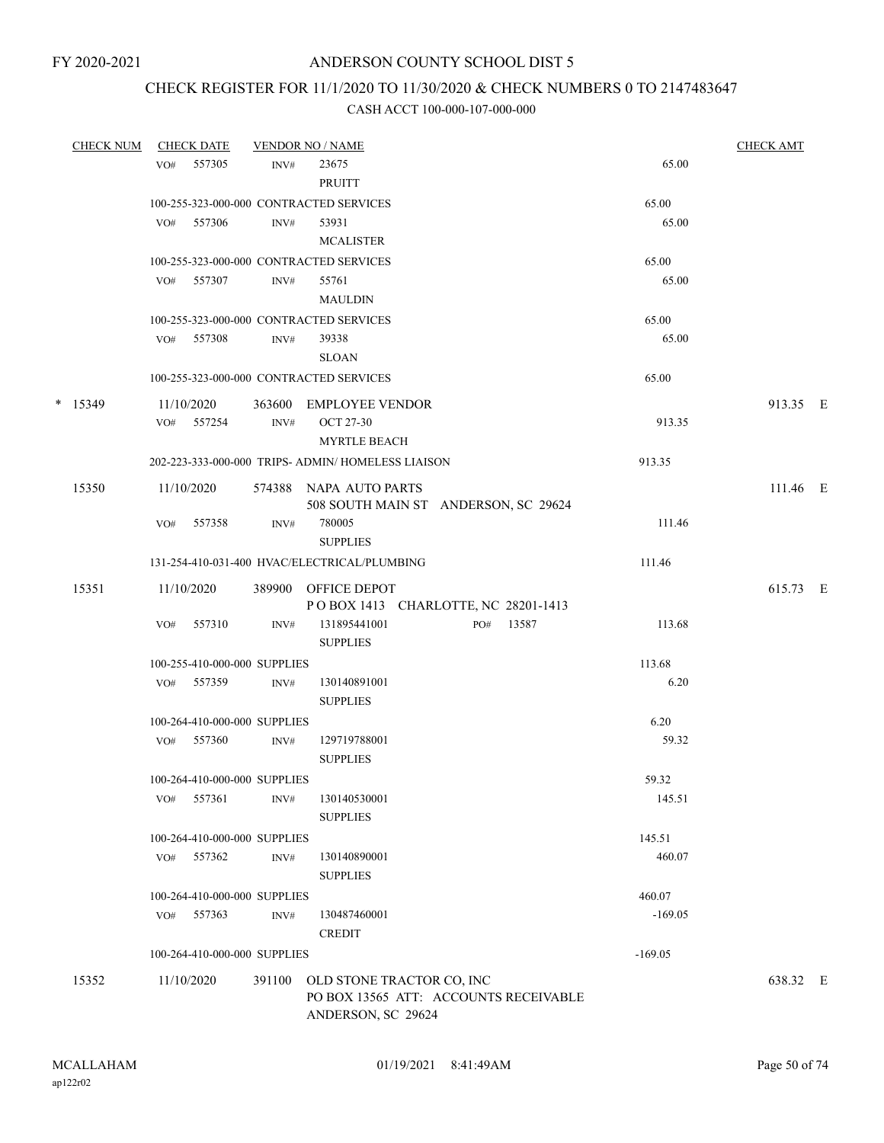# CHECK REGISTER FOR 11/1/2020 TO 11/30/2020 & CHECK NUMBERS 0 TO 2147483647

| <b>CHECK NUM</b> |     | <b>CHECK DATE</b>        |                              | <b>VENDOR NO / NAME</b>                                                                  |           | <b>CHECK AMT</b> |  |
|------------------|-----|--------------------------|------------------------------|------------------------------------------------------------------------------------------|-----------|------------------|--|
|                  | VO# | 557305                   | INV#                         | 23675<br><b>PRUITT</b>                                                                   | 65.00     |                  |  |
|                  |     |                          |                              | 100-255-323-000-000 CONTRACTED SERVICES                                                  | 65.00     |                  |  |
|                  | VO# | 557306                   | INV#                         | 53931<br><b>MCALISTER</b>                                                                | 65.00     |                  |  |
|                  |     |                          |                              | 100-255-323-000-000 CONTRACTED SERVICES                                                  | 65.00     |                  |  |
|                  |     | VO# 557307               | INV#                         | 55761<br><b>MAULDIN</b>                                                                  | 65.00     |                  |  |
|                  |     |                          |                              | 100-255-323-000-000 CONTRACTED SERVICES                                                  | 65.00     |                  |  |
|                  |     | VO# 557308               | INV#                         | 39338<br><b>SLOAN</b>                                                                    | 65.00     |                  |  |
|                  |     |                          |                              | 100-255-323-000-000 CONTRACTED SERVICES                                                  | 65.00     |                  |  |
| $*$ 15349        |     | 11/10/2020<br>VO# 557254 | INV#                         | 363600 EMPLOYEE VENDOR<br><b>OCT 27-30</b>                                               | 913.35    | 913.35 E         |  |
|                  |     |                          |                              | <b>MYRTLE BEACH</b>                                                                      |           |                  |  |
|                  |     |                          |                              | 202-223-333-000-000 TRIPS- ADMIN/ HOMELESS LIAISON                                       | 913.35    |                  |  |
| 15350            |     | 11/10/2020               |                              | 574388 NAPA AUTO PARTS<br>508 SOUTH MAIN ST ANDERSON, SC 29624                           |           | 111.46 E         |  |
|                  | VO# | 557358                   | INV#                         | 780005<br><b>SUPPLIES</b>                                                                | 111.46    |                  |  |
|                  |     |                          |                              | 131-254-410-031-400 HVAC/ELECTRICAL/PLUMBING                                             | 111.46    |                  |  |
| 15351            |     | 11/10/2020               |                              | 389900 OFFICE DEPOT<br>POBOX 1413 CHARLOTTE, NC 28201-1413                               |           | 615.73 E         |  |
|                  | VO# | 557310                   | INV#                         | 131895441001<br>PO#<br>13587<br><b>SUPPLIES</b>                                          | 113.68    |                  |  |
|                  |     |                          | 100-255-410-000-000 SUPPLIES |                                                                                          | 113.68    |                  |  |
|                  |     | VO# 557359               | INV#                         | 130140891001<br><b>SUPPLIES</b>                                                          | 6.20      |                  |  |
|                  |     |                          | 100-264-410-000-000 SUPPLIES |                                                                                          | 6.20      |                  |  |
|                  | VO# | 557360                   | INV#                         | 129719788001<br><b>SUPPLIES</b>                                                          | 59.32     |                  |  |
|                  |     |                          | 100-264-410-000-000 SUPPLIES |                                                                                          | 59.32     |                  |  |
|                  |     | VO# 557361               | INV#                         | 130140530001<br><b>SUPPLIES</b>                                                          | 145.51    |                  |  |
|                  |     |                          | 100-264-410-000-000 SUPPLIES |                                                                                          | 145.51    |                  |  |
|                  |     | VO# 557362               | INV#                         | 130140890001<br><b>SUPPLIES</b>                                                          | 460.07    |                  |  |
|                  |     |                          | 100-264-410-000-000 SUPPLIES |                                                                                          | 460.07    |                  |  |
|                  |     | VO# 557363               | INV#                         | 130487460001<br><b>CREDIT</b>                                                            | $-169.05$ |                  |  |
|                  |     |                          | 100-264-410-000-000 SUPPLIES |                                                                                          | $-169.05$ |                  |  |
| 15352            |     | 11/10/2020               | 391100                       | OLD STONE TRACTOR CO, INC<br>PO BOX 13565 ATT: ACCOUNTS RECEIVABLE<br>ANDERSON, SC 29624 |           | 638.32 E         |  |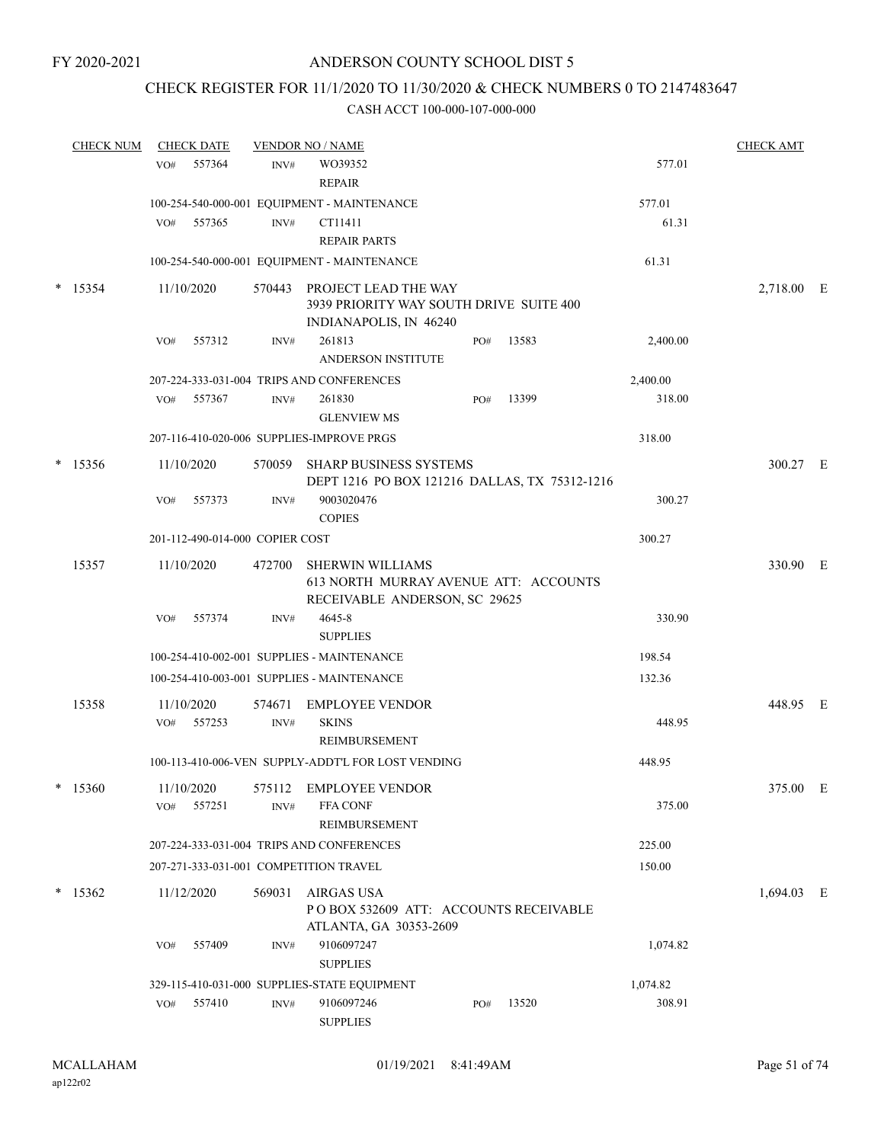### CHECK REGISTER FOR 11/1/2020 TO 11/30/2020 & CHECK NUMBERS 0 TO 2147483647

|        | <b>CHECK NUM</b> |     | <b>CHECK DATE</b>               |                | <b>VENDOR NO / NAME</b>                                                                           |     |                                               |          | <b>CHECK AMT</b> |  |
|--------|------------------|-----|---------------------------------|----------------|---------------------------------------------------------------------------------------------------|-----|-----------------------------------------------|----------|------------------|--|
|        |                  | VO# | 557364                          | INV#           | WO39352                                                                                           |     |                                               | 577.01   |                  |  |
|        |                  |     |                                 |                | <b>REPAIR</b>                                                                                     |     |                                               |          |                  |  |
|        |                  |     |                                 |                | 100-254-540-000-001 EQUIPMENT - MAINTENANCE                                                       |     |                                               | 577.01   |                  |  |
|        |                  | VO# | 557365                          | INV#           | CT11411<br><b>REPAIR PARTS</b>                                                                    |     |                                               | 61.31    |                  |  |
|        |                  |     |                                 |                | 100-254-540-000-001 EQUIPMENT - MAINTENANCE                                                       |     |                                               | 61.31    |                  |  |
| $\ast$ | 15354            |     | 11/10/2020                      |                | 570443 PROJECT LEAD THE WAY<br>3939 PRIORITY WAY SOUTH DRIVE SUITE 400<br>INDIANAPOLIS, IN 46240  |     |                                               |          | 2,718.00 E       |  |
|        |                  | VO# | 557312                          | INV#           | 261813<br>ANDERSON INSTITUTE                                                                      | PO# | 13583                                         | 2,400.00 |                  |  |
|        |                  |     |                                 |                | 207-224-333-031-004 TRIPS AND CONFERENCES                                                         |     |                                               | 2,400.00 |                  |  |
|        |                  | VO# | 557367                          | INV#           | 261830<br><b>GLENVIEW MS</b>                                                                      | PO# | 13399                                         | 318.00   |                  |  |
|        |                  |     |                                 |                | 207-116-410-020-006 SUPPLIES-IMPROVE PRGS                                                         |     |                                               | 318.00   |                  |  |
|        | $*$ 15356        |     | 11/10/2020                      |                | 570059 SHARP BUSINESS SYSTEMS                                                                     |     | DEPT 1216 PO BOX 121216 DALLAS, TX 75312-1216 |          | 300.27 E         |  |
|        |                  | VO# | 557373                          | INV#           | 9003020476<br><b>COPIES</b>                                                                       |     |                                               | 300.27   |                  |  |
|        |                  |     | 201-112-490-014-000 COPIER COST |                |                                                                                                   |     |                                               | 300.27   |                  |  |
|        | 15357            |     | 11/10/2020                      | 472700         | <b>SHERWIN WILLIAMS</b><br>613 NORTH MURRAY AVENUE ATT: ACCOUNTS<br>RECEIVABLE ANDERSON, SC 29625 |     |                                               |          | 330.90 E         |  |
|        |                  | VO# | 557374                          | INV#           | 4645-8<br><b>SUPPLIES</b>                                                                         |     |                                               | 330.90   |                  |  |
|        |                  |     |                                 |                | 100-254-410-002-001 SUPPLIES - MAINTENANCE                                                        |     |                                               | 198.54   |                  |  |
|        |                  |     |                                 |                | 100-254-410-003-001 SUPPLIES - MAINTENANCE                                                        |     |                                               | 132.36   |                  |  |
|        | 15358            | VO# | 11/10/2020<br>557253            | 574671<br>INV# | <b>EMPLOYEE VENDOR</b><br><b>SKINS</b><br>REIMBURSEMENT                                           |     |                                               | 448.95   | 448.95 E         |  |
|        |                  |     |                                 |                | 100-113-410-006-VEN SUPPLY-ADDT'L FOR LOST VENDING                                                |     |                                               | 448.95   |                  |  |
|        | 15360            | VO# | 11/10/2020<br>557251            | 575112<br>INV# | <b>EMPLOYEE VENDOR</b><br><b>FFA CONF</b>                                                         |     |                                               | 375.00   | 375.00 E         |  |
|        |                  |     |                                 |                | REIMBURSEMENT                                                                                     |     |                                               |          |                  |  |
|        |                  |     |                                 |                | 207-224-333-031-004 TRIPS AND CONFERENCES                                                         |     |                                               | 225.00   |                  |  |
|        |                  |     |                                 |                | 207-271-333-031-001 COMPETITION TRAVEL                                                            |     |                                               | 150.00   |                  |  |
|        | $*$ 15362        |     | 11/12/2020                      | 569031         | <b>AIRGAS USA</b><br>PO BOX 532609 ATT: ACCOUNTS RECEIVABLE<br>ATLANTA, GA 30353-2609             |     |                                               |          | $1,694.03$ E     |  |
|        |                  | VO# | 557409                          | INV#           | 9106097247<br><b>SUPPLIES</b>                                                                     |     |                                               | 1,074.82 |                  |  |
|        |                  |     |                                 |                | 329-115-410-031-000 SUPPLIES-STATE EQUIPMENT                                                      |     |                                               | 1,074.82 |                  |  |
|        |                  | VO# | 557410                          | INV#           | 9106097246<br><b>SUPPLIES</b>                                                                     | PO# | 13520                                         | 308.91   |                  |  |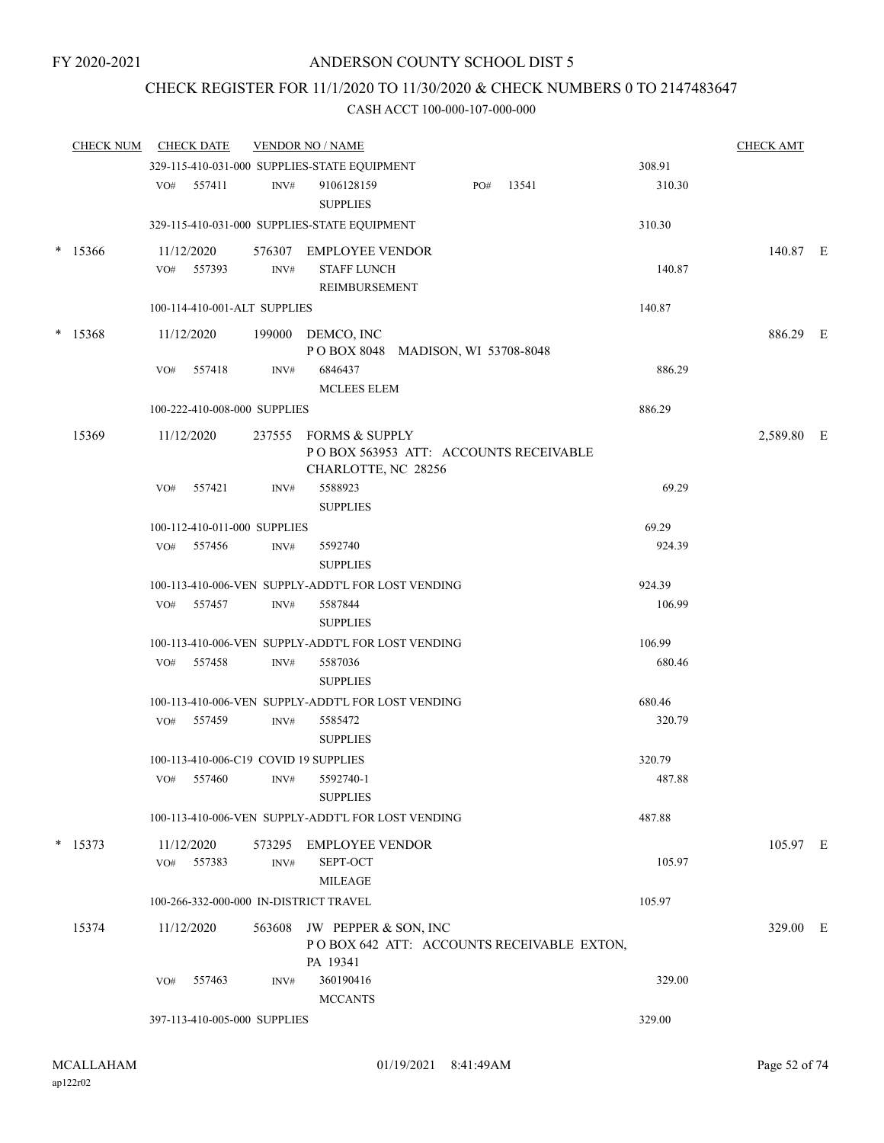### CHECK REGISTER FOR 11/1/2020 TO 11/30/2020 & CHECK NUMBERS 0 TO 2147483647

|        | <b>CHECK NUM</b> |     | <b>CHECK DATE</b> |                              | <b>VENDOR NO / NAME</b>                                                               |     |       |        | <b>CHECK AMT</b> |  |
|--------|------------------|-----|-------------------|------------------------------|---------------------------------------------------------------------------------------|-----|-------|--------|------------------|--|
|        |                  |     |                   |                              | 329-115-410-031-000 SUPPLIES-STATE EQUIPMENT                                          |     |       | 308.91 |                  |  |
|        |                  |     | VO# 557411        | INV#                         | 9106128159<br><b>SUPPLIES</b>                                                         | PO# | 13541 | 310.30 |                  |  |
|        |                  |     |                   |                              | 329-115-410-031-000 SUPPLIES-STATE EQUIPMENT                                          |     |       | 310.30 |                  |  |
|        | $*$ 15366        |     | 11/12/2020        |                              | 576307 EMPLOYEE VENDOR                                                                |     |       |        | 140.87 E         |  |
|        |                  |     | VO# 557393        | INV#                         | <b>STAFF LUNCH</b>                                                                    |     |       | 140.87 |                  |  |
|        |                  |     |                   |                              | <b>REIMBURSEMENT</b>                                                                  |     |       |        |                  |  |
|        |                  |     |                   | 100-114-410-001-ALT SUPPLIES |                                                                                       |     |       | 140.87 |                  |  |
| $\ast$ | 15368            |     | 11/12/2020        |                              | 199000 DEMCO, INC<br>POBOX 8048 MADISON, WI 53708-8048                                |     |       |        | 886.29 E         |  |
|        |                  | VO# | 557418            | INV#                         | 6846437<br><b>MCLEES ELEM</b>                                                         |     |       | 886.29 |                  |  |
|        |                  |     |                   | 100-222-410-008-000 SUPPLIES |                                                                                       |     |       | 886.29 |                  |  |
|        | 15369            |     | 11/12/2020        |                              | 237555 FORMS & SUPPLY<br>POBOX 563953 ATT: ACCOUNTS RECEIVABLE<br>CHARLOTTE, NC 28256 |     |       |        | 2,589.80 E       |  |
|        |                  | VO# | 557421            | INV#                         | 5588923                                                                               |     |       | 69.29  |                  |  |
|        |                  |     |                   |                              | <b>SUPPLIES</b>                                                                       |     |       |        |                  |  |
|        |                  |     |                   | 100-112-410-011-000 SUPPLIES |                                                                                       |     |       | 69.29  |                  |  |
|        |                  |     | VO# 557456        | INV#                         | 5592740<br><b>SUPPLIES</b>                                                            |     |       | 924.39 |                  |  |
|        |                  |     |                   |                              | 100-113-410-006-VEN SUPPLY-ADDT'L FOR LOST VENDING                                    |     |       | 924.39 |                  |  |
|        |                  | VO# | 557457            | INV#                         | 5587844<br><b>SUPPLIES</b>                                                            |     |       | 106.99 |                  |  |
|        |                  |     |                   |                              | 100-113-410-006-VEN SUPPLY-ADDT'L FOR LOST VENDING                                    |     |       | 106.99 |                  |  |
|        |                  |     | VO# 557458        | INV#                         | 5587036<br><b>SUPPLIES</b>                                                            |     |       | 680.46 |                  |  |
|        |                  |     |                   |                              | 100-113-410-006-VEN SUPPLY-ADDT'L FOR LOST VENDING                                    |     |       | 680.46 |                  |  |
|        |                  |     | VO# 557459        | INV#                         | 5585472<br><b>SUPPLIES</b>                                                            |     |       | 320.79 |                  |  |
|        |                  |     |                   |                              | 100-113-410-006-C19 COVID 19 SUPPLIES                                                 |     |       | 320.79 |                  |  |
|        |                  | VO# | 557460            | $\text{INV}\#$               | 5592740-1<br><b>SUPPLIES</b>                                                          |     |       | 487.88 |                  |  |
|        |                  |     |                   |                              | 100-113-410-006-VEN SUPPLY-ADDT'L FOR LOST VENDING                                    |     |       | 487.88 |                  |  |
| $\ast$ | 15373            |     | 11/12/2020        |                              | 573295 EMPLOYEE VENDOR                                                                |     |       |        | 105.97 E         |  |
|        |                  | VO# | 557383            | INV#                         | <b>SEPT-OCT</b><br><b>MILEAGE</b>                                                     |     |       | 105.97 |                  |  |
|        |                  |     |                   |                              | 100-266-332-000-000 IN-DISTRICT TRAVEL                                                |     |       | 105.97 |                  |  |
|        | 15374            |     | 11/12/2020        | 563608                       | JW PEPPER & SON, INC<br>POBOX 642 ATT: ACCOUNTS RECEIVABLE EXTON,                     |     |       |        | 329.00 E         |  |
|        |                  |     |                   |                              | PA 19341<br>360190416                                                                 |     |       |        |                  |  |
|        |                  | VO# | 557463            | INV#                         | <b>MCCANTS</b>                                                                        |     |       | 329.00 |                  |  |
|        |                  |     |                   | 397-113-410-005-000 SUPPLIES |                                                                                       |     |       | 329.00 |                  |  |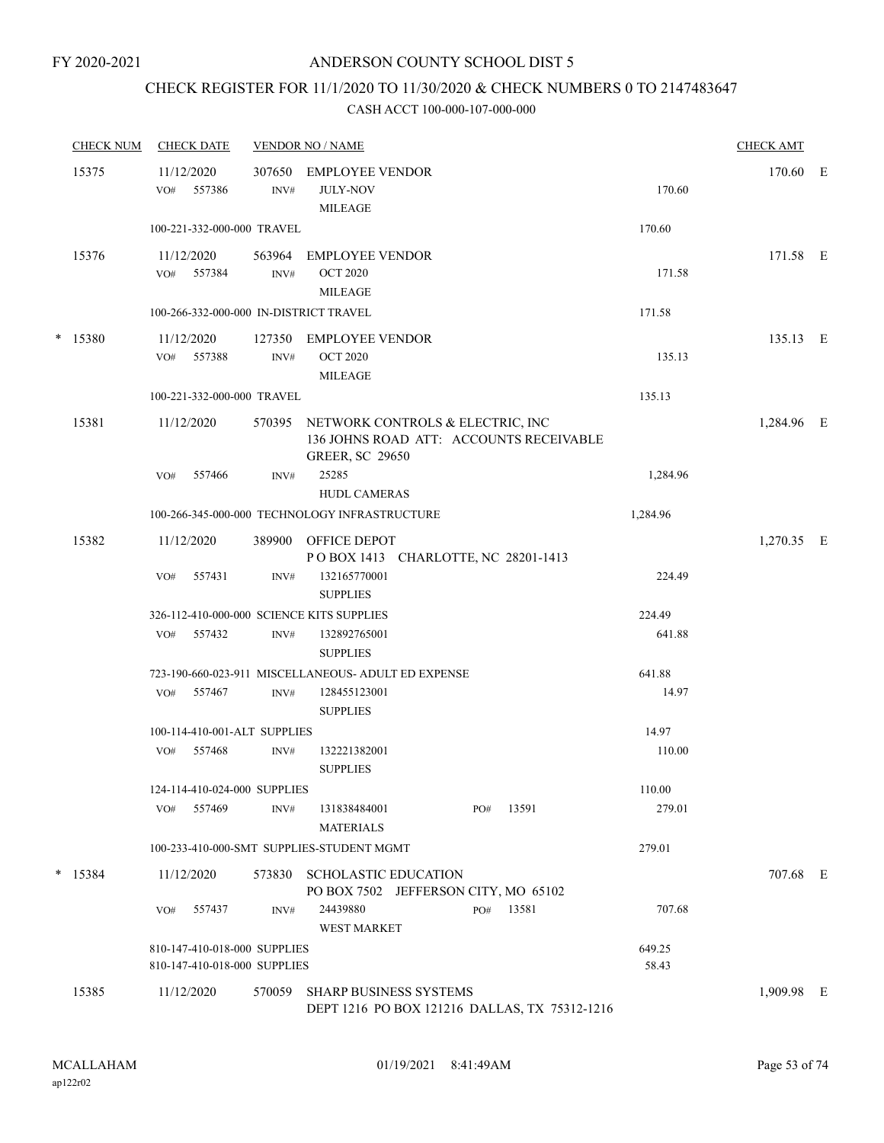### CHECK REGISTER FOR 11/1/2020 TO 11/30/2020 & CHECK NUMBERS 0 TO 2147483647

| <b>CHECK NUM</b> | <b>CHECK DATE</b>                                            |                          | <b>VENDOR NO / NAME</b>                                                                               |                 | <b>CHECK AMT</b> |     |
|------------------|--------------------------------------------------------------|--------------------------|-------------------------------------------------------------------------------------------------------|-----------------|------------------|-----|
| 15375            | 11/12/2020<br>557386<br>VO#                                  | 307650<br>INV#           | <b>EMPLOYEE VENDOR</b><br><b>JULY-NOV</b><br><b>MILEAGE</b>                                           | 170.60          | 170.60           | – E |
|                  | 100-221-332-000-000 TRAVEL                                   |                          |                                                                                                       | 170.60          |                  |     |
| 15376            | 11/12/2020<br>VO# 557384                                     | 563964<br>INV#           | <b>EMPLOYEE VENDOR</b><br><b>OCT 2020</b><br><b>MILEAGE</b>                                           | 171.58          | 171.58 E         |     |
|                  | 100-266-332-000-000 IN-DISTRICT TRAVEL                       |                          |                                                                                                       | 171.58          |                  |     |
| $*$ 15380        | 11/12/2020<br>VO# 557388                                     | 127350<br>$\text{INV}\#$ | EMPLOYEE VENDOR<br><b>OCT 2020</b><br><b>MILEAGE</b>                                                  | 135.13          | 135.13 E         |     |
|                  | 100-221-332-000-000 TRAVEL                                   |                          |                                                                                                       | 135.13          |                  |     |
| 15381            | 11/12/2020                                                   | 570395                   | NETWORK CONTROLS & ELECTRIC, INC<br>136 JOHNS ROAD ATT: ACCOUNTS RECEIVABLE<br><b>GREER, SC 29650</b> |                 | 1,284.96 E       |     |
|                  | 557466<br>VO#                                                | INV#                     | 25285<br><b>HUDL CAMERAS</b>                                                                          | 1,284.96        |                  |     |
|                  |                                                              |                          | 100-266-345-000-000 TECHNOLOGY INFRASTRUCTURE                                                         | 1,284.96        |                  |     |
| 15382            | 11/12/2020                                                   |                          | 389900 OFFICE DEPOT<br>POBOX 1413 CHARLOTTE, NC 28201-1413                                            |                 | 1,270.35 E       |     |
|                  | VO#<br>557431                                                | INV#                     | 132165770001<br><b>SUPPLIES</b>                                                                       | 224.49          |                  |     |
|                  | 326-112-410-000-000 SCIENCE KITS SUPPLIES                    |                          |                                                                                                       | 224.49          |                  |     |
|                  | 557432<br>VO#                                                | $\text{INV}\#$           | 132892765001<br><b>SUPPLIES</b>                                                                       | 641.88          |                  |     |
|                  |                                                              |                          | 723-190-660-023-911 MISCELLANEOUS- ADULT ED EXPENSE                                                   | 641.88          |                  |     |
|                  | 557467<br>VO#                                                | INV#                     | 128455123001<br><b>SUPPLIES</b>                                                                       | 14.97           |                  |     |
|                  | 100-114-410-001-ALT SUPPLIES                                 |                          |                                                                                                       | 14.97           |                  |     |
|                  | 557468<br>VO#                                                | INV#                     | 132221382001<br><b>SUPPLIES</b>                                                                       | 110.00          |                  |     |
|                  | 124-114-410-024-000 SUPPLIES                                 |                          |                                                                                                       | 110.00          |                  |     |
|                  | 557469<br>VO#                                                | INV#                     | 131838484001<br>13591<br>PO#<br><b>MATERIALS</b>                                                      | 279.01          |                  |     |
|                  |                                                              |                          | 100-233-410-000-SMT SUPPLIES-STUDENT MGMT                                                             | 279.01          |                  |     |
| $*$ 15384        | 11/12/2020                                                   | 573830                   | SCHOLASTIC EDUCATION<br>PO BOX 7502 JEFFERSON CITY, MO 65102                                          |                 | 707.68 E         |     |
|                  | 557437<br>VO#                                                | INV#                     | 24439880<br>PO#<br>13581<br><b>WEST MARKET</b>                                                        | 707.68          |                  |     |
|                  | 810-147-410-018-000 SUPPLIES<br>810-147-410-018-000 SUPPLIES |                          |                                                                                                       | 649.25<br>58.43 |                  |     |
| 15385            | 11/12/2020                                                   | 570059                   | <b>SHARP BUSINESS SYSTEMS</b><br>DEPT 1216 PO BOX 121216 DALLAS, TX 75312-1216                        |                 | 1,909.98 E       |     |
|                  |                                                              |                          |                                                                                                       |                 |                  |     |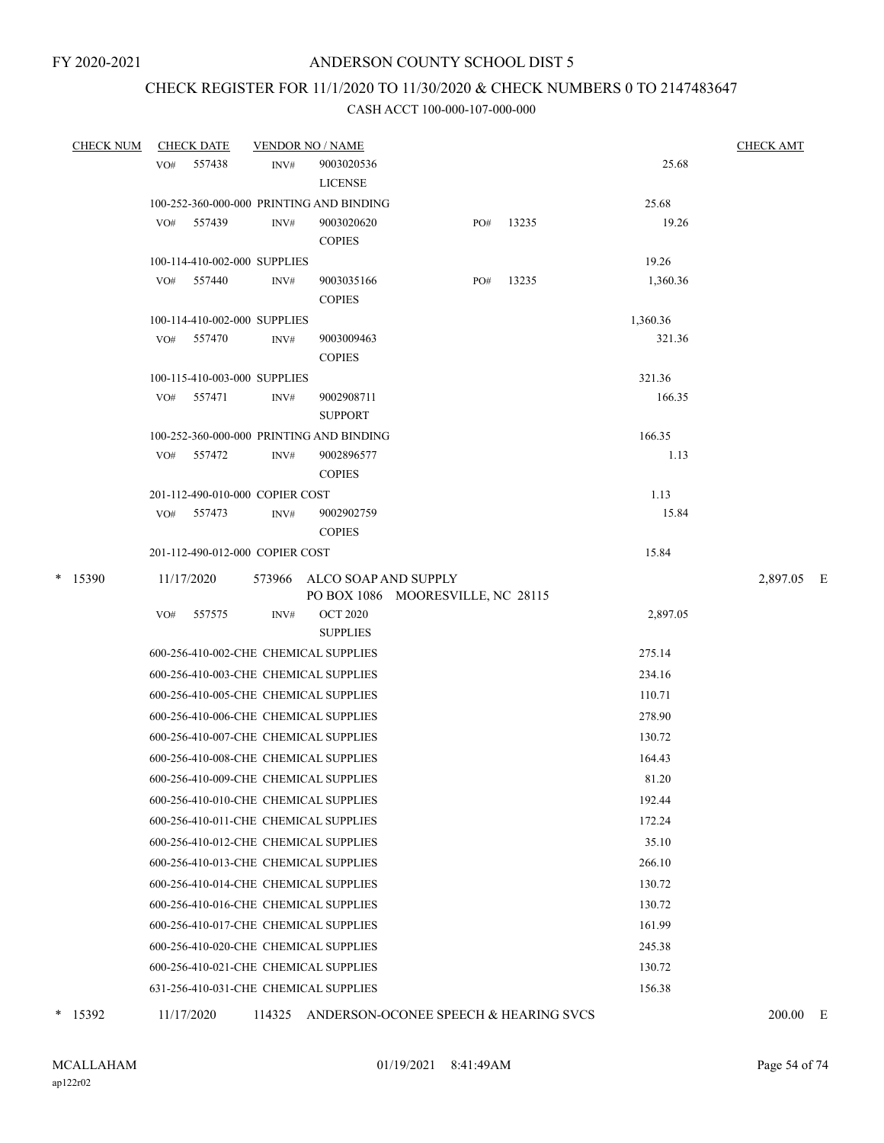### CHECK REGISTER FOR 11/1/2020 TO 11/30/2020 & CHECK NUMBERS 0 TO 2147483647

#### CASH ACCT 100-000-107-000-000

| <b>CHECK NUM</b> |     | <b>CHECK DATE</b> | <b>VENDOR NO / NAME</b>         |                                                                  |  |        |       |          | <b>CHECK AMT</b> |  |  |
|------------------|-----|-------------------|---------------------------------|------------------------------------------------------------------|--|--------|-------|----------|------------------|--|--|
|                  | VO# | 557438            | INV#                            | 9003020536                                                       |  |        |       | 25.68    |                  |  |  |
|                  |     |                   |                                 | <b>LICENSE</b>                                                   |  |        |       |          |                  |  |  |
|                  |     |                   |                                 | 100-252-360-000-000 PRINTING AND BINDING                         |  |        |       | 25.68    |                  |  |  |
|                  | VO# | 557439            | INV#                            | 9003020620<br><b>COPIES</b>                                      |  | PO#    | 13235 | 19.26    |                  |  |  |
|                  |     |                   | 100-114-410-002-000 SUPPLIES    |                                                                  |  |        |       | 19.26    |                  |  |  |
|                  |     | VO# 557440        | INV#                            | 9003035166                                                       |  | PO#    | 13235 | 1,360.36 |                  |  |  |
|                  |     |                   |                                 | <b>COPIES</b>                                                    |  |        |       |          |                  |  |  |
|                  |     |                   | 100-114-410-002-000 SUPPLIES    |                                                                  |  |        |       | 1,360.36 |                  |  |  |
|                  |     | VO# 557470        | INV#                            | 9003009463                                                       |  |        |       | 321.36   |                  |  |  |
|                  |     |                   |                                 | <b>COPIES</b>                                                    |  |        |       |          |                  |  |  |
|                  |     |                   | 100-115-410-003-000 SUPPLIES    |                                                                  |  |        |       | 321.36   |                  |  |  |
|                  |     | VO# 557471        | INV#                            | 9002908711<br><b>SUPPORT</b>                                     |  |        |       | 166.35   |                  |  |  |
|                  |     |                   |                                 | 100-252-360-000-000 PRINTING AND BINDING                         |  |        |       | 166.35   |                  |  |  |
|                  |     | VO# 557472        | INV#                            | 9002896577                                                       |  |        |       | 1.13     |                  |  |  |
|                  |     |                   |                                 | <b>COPIES</b>                                                    |  |        |       |          |                  |  |  |
|                  |     |                   | 201-112-490-010-000 COPIER COST |                                                                  |  |        |       | 1.13     |                  |  |  |
|                  | VO# | 557473            | INV#                            | 9002902759                                                       |  |        |       | 15.84    |                  |  |  |
|                  |     |                   |                                 | <b>COPIES</b>                                                    |  |        |       |          |                  |  |  |
|                  |     |                   | 201-112-490-012-000 COPIER COST |                                                                  |  |        |       | 15.84    |                  |  |  |
| $*$ 15390        |     | 11/17/2020        |                                 | 573966 ALCO SOAP AND SUPPLY<br>PO BOX 1086 MOORESVILLE, NC 28115 |  |        |       |          | 2,897.05 E       |  |  |
|                  | VO# | 557575            | INV#                            | <b>OCT 2020</b>                                                  |  |        |       | 2,897.05 |                  |  |  |
|                  |     |                   |                                 | <b>SUPPLIES</b>                                                  |  |        |       |          |                  |  |  |
|                  |     |                   |                                 | 600-256-410-002-CHE CHEMICAL SUPPLIES                            |  | 275.14 |       |          |                  |  |  |
|                  |     |                   |                                 | 600-256-410-003-CHE CHEMICAL SUPPLIES                            |  |        |       | 234.16   |                  |  |  |
|                  |     |                   |                                 | 600-256-410-005-CHE CHEMICAL SUPPLIES                            |  |        |       | 110.71   |                  |  |  |
|                  |     |                   |                                 | 600-256-410-006-CHE CHEMICAL SUPPLIES                            |  |        |       | 278.90   |                  |  |  |
|                  |     |                   |                                 | 600-256-410-007-CHE CHEMICAL SUPPLIES                            |  |        |       | 130.72   |                  |  |  |
|                  |     |                   |                                 | 600-256-410-008-CHE CHEMICAL SUPPLIES                            |  |        |       | 164.43   |                  |  |  |
|                  |     |                   |                                 | 600-256-410-009-CHE CHEMICAL SUPPLIES                            |  |        |       | 81.20    |                  |  |  |
|                  |     |                   |                                 | 600-256-410-010-CHE CHEMICAL SUPPLIES                            |  |        |       | 192.44   |                  |  |  |
|                  |     |                   |                                 | 600-256-410-011-CHE CHEMICAL SUPPLIES                            |  |        |       | 172.24   |                  |  |  |
|                  |     |                   |                                 | 600-256-410-012-CHE CHEMICAL SUPPLIES                            |  |        |       | 35.10    |                  |  |  |
|                  |     |                   |                                 | 600-256-410-013-CHE CHEMICAL SUPPLIES                            |  |        |       | 266.10   |                  |  |  |
|                  |     |                   |                                 | 600-256-410-014-CHE CHEMICAL SUPPLIES                            |  |        |       | 130.72   |                  |  |  |
|                  |     |                   |                                 | 600-256-410-016-CHE CHEMICAL SUPPLIES                            |  |        |       | 130.72   |                  |  |  |
|                  |     |                   |                                 | 600-256-410-017-CHE CHEMICAL SUPPLIES                            |  |        |       | 161.99   |                  |  |  |
|                  |     |                   |                                 | 600-256-410-020-CHE CHEMICAL SUPPLIES                            |  |        |       | 245.38   |                  |  |  |
|                  |     |                   |                                 | 600-256-410-021-CHE CHEMICAL SUPPLIES                            |  |        |       | 130.72   |                  |  |  |
|                  |     |                   |                                 | 631-256-410-031-CHE CHEMICAL SUPPLIES                            |  |        |       | 156.38   |                  |  |  |
|                  |     |                   |                                 |                                                                  |  |        |       |          |                  |  |  |

\* 15392 11/17/2020 114325 ANDERSON-OCONEE SPEECH & HEARING SVCS 200.00 E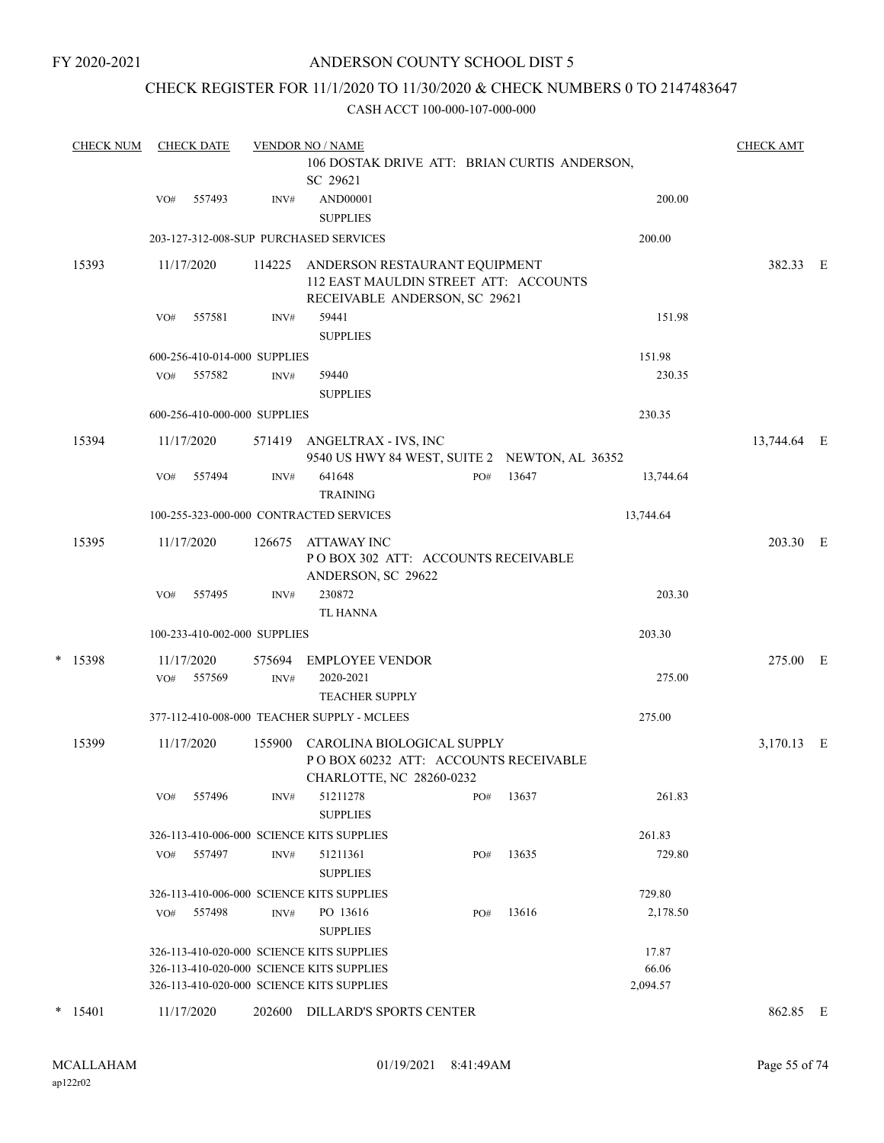### CHECK REGISTER FOR 11/1/2020 TO 11/30/2020 & CHECK NUMBERS 0 TO 2147483647

|   | <b>CHECK NUM</b> |     | <b>CHECK DATE</b>        |                              | <b>VENDOR NO / NAME</b>                                                                                 |     |       |                   | <b>CHECK AMT</b> |  |
|---|------------------|-----|--------------------------|------------------------------|---------------------------------------------------------------------------------------------------------|-----|-------|-------------------|------------------|--|
|   |                  |     |                          |                              | 106 DOSTAK DRIVE ATT: BRIAN CURTIS ANDERSON,<br>SC 29621                                                |     |       |                   |                  |  |
|   |                  | VO# | 557493                   | INV#                         | AND00001<br><b>SUPPLIES</b>                                                                             |     |       | 200.00            |                  |  |
|   |                  |     |                          |                              | 203-127-312-008-SUP PURCHASED SERVICES                                                                  |     |       | 200.00            |                  |  |
|   | 15393            |     | 11/17/2020               | 114225                       | ANDERSON RESTAURANT EQUIPMENT<br>112 EAST MAULDIN STREET ATT: ACCOUNTS<br>RECEIVABLE ANDERSON, SC 29621 |     |       |                   | 382.33 E         |  |
|   |                  | VO# | 557581                   | INV#                         | 59441<br><b>SUPPLIES</b>                                                                                |     |       | 151.98            |                  |  |
|   |                  |     |                          | 600-256-410-014-000 SUPPLIES |                                                                                                         |     |       | 151.98            |                  |  |
|   |                  |     | VO# 557582               | INV#                         | 59440                                                                                                   |     |       | 230.35            |                  |  |
|   |                  |     |                          |                              | <b>SUPPLIES</b>                                                                                         |     |       |                   |                  |  |
|   |                  |     |                          | 600-256-410-000-000 SUPPLIES |                                                                                                         |     |       | 230.35            |                  |  |
|   | 15394            |     | 11/17/2020               |                              | 571419 ANGELTRAX - IVS, INC<br>9540 US HWY 84 WEST, SUITE 2 NEWTON, AL 36352                            |     |       |                   | 13,744.64 E      |  |
|   |                  | VO# | 557494                   | INV#                         | 641648<br><b>TRAINING</b>                                                                               | PO# | 13647 | 13,744.64         |                  |  |
|   |                  |     |                          |                              | 100-255-323-000-000 CONTRACTED SERVICES                                                                 |     |       | 13,744.64         |                  |  |
|   | 15395            |     | 11/17/2020               | 126675                       | ATTAWAY INC<br>POBOX 302 ATT: ACCOUNTS RECEIVABLE<br>ANDERSON, SC 29622                                 |     |       |                   | 203.30 E         |  |
|   |                  | VO# | 557495                   | INV#                         | 230872<br><b>TL HANNA</b>                                                                               |     |       | 203.30            |                  |  |
|   |                  |     |                          | 100-233-410-002-000 SUPPLIES |                                                                                                         |     |       | 203.30            |                  |  |
| * | 15398            |     | 11/17/2020<br>VO# 557569 | 575694<br>INV#               | <b>EMPLOYEE VENDOR</b><br>2020-2021<br><b>TEACHER SUPPLY</b>                                            |     |       | 275.00            | 275.00 E         |  |
|   |                  |     |                          |                              | 377-112-410-008-000 TEACHER SUPPLY - MCLEES                                                             |     |       | 275.00            |                  |  |
|   | 15399            |     | 11/17/2020               | 155900                       | CAROLINA BIOLOGICAL SUPPLY<br>POBOX 60232 ATT: ACCOUNTS RECEIVABLE<br>CHARLOTTE, NC 28260-0232          |     |       |                   | 3,170.13 E       |  |
|   |                  | VO# | 557496                   | INV#                         | 51211278<br><b>SUPPLIES</b>                                                                             | PO# | 13637 | 261.83            |                  |  |
|   |                  |     |                          |                              | 326-113-410-006-000 SCIENCE KITS SUPPLIES                                                               |     |       | 261.83            |                  |  |
|   |                  | VO# | 557497                   | INV#                         | 51211361<br><b>SUPPLIES</b>                                                                             | PO# | 13635 | 729.80            |                  |  |
|   |                  |     |                          |                              | 326-113-410-006-000 SCIENCE KITS SUPPLIES                                                               |     |       | 729.80            |                  |  |
|   |                  | VO# | 557498                   | INV#                         | PO 13616<br><b>SUPPLIES</b>                                                                             | PO# | 13616 | 2,178.50          |                  |  |
|   |                  |     |                          |                              | 326-113-410-020-000 SCIENCE KITS SUPPLIES                                                               |     |       | 17.87             |                  |  |
|   |                  |     |                          |                              | 326-113-410-020-000 SCIENCE KITS SUPPLIES<br>326-113-410-020-000 SCIENCE KITS SUPPLIES                  |     |       | 66.06<br>2,094.57 |                  |  |
|   | $*$ 15401        |     | 11/17/2020               | 202600                       | DILLARD'S SPORTS CENTER                                                                                 |     |       |                   | 862.85 E         |  |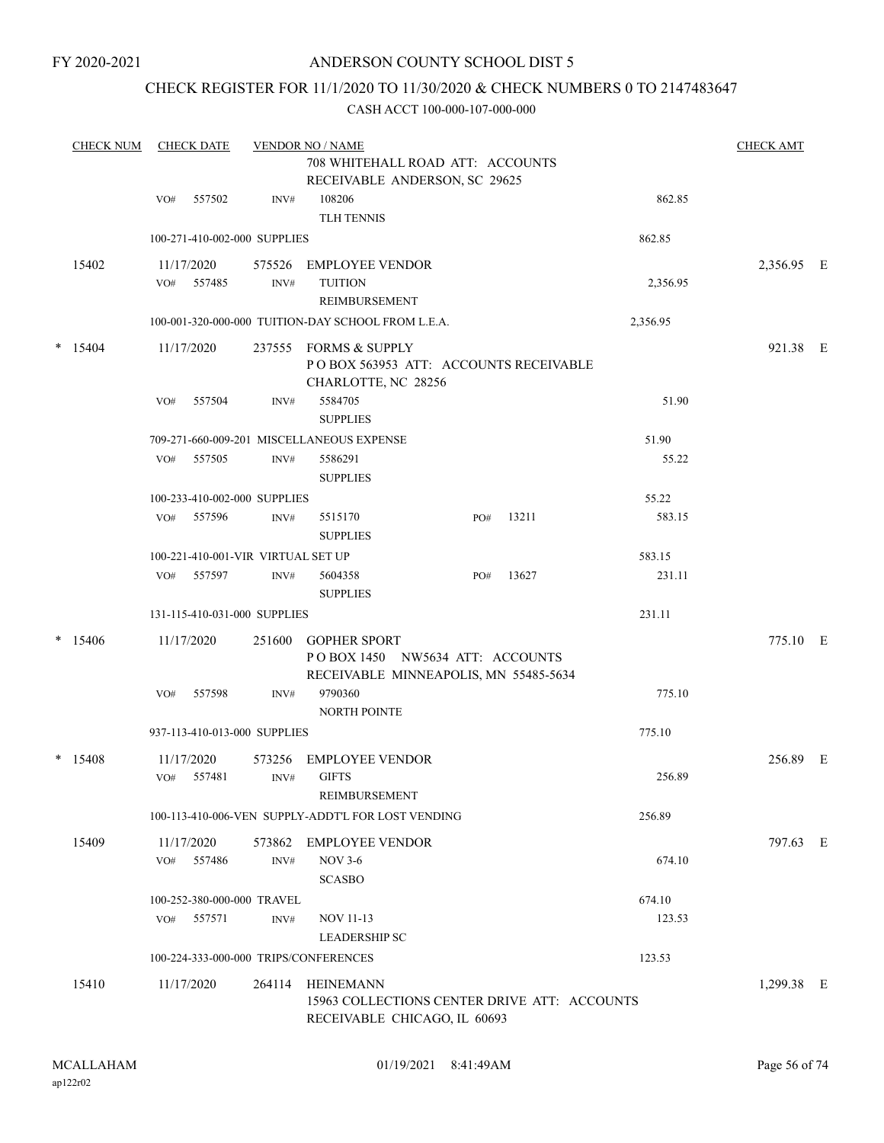### CHECK REGISTER FOR 11/1/2020 TO 11/30/2020 & CHECK NUMBERS 0 TO 2147483647

|   | <b>CHECK NUM</b> |     | <b>CHECK DATE</b>    |                                    | <b>VENDOR NO / NAME</b>                                                                         |     |       |          | <b>CHECK AMT</b> |  |
|---|------------------|-----|----------------------|------------------------------------|-------------------------------------------------------------------------------------------------|-----|-------|----------|------------------|--|
|   |                  |     |                      |                                    | 708 WHITEHALL ROAD ATT: ACCOUNTS<br>RECEIVABLE ANDERSON, SC 29625                               |     |       |          |                  |  |
|   |                  | VO# | 557502               | INV#                               | 108206<br><b>TLH TENNIS</b>                                                                     |     |       | 862.85   |                  |  |
|   |                  |     |                      | 100-271-410-002-000 SUPPLIES       |                                                                                                 |     |       | 862.85   |                  |  |
|   | 15402            | VO# | 11/17/2020<br>557485 | 575526<br>INV#                     | <b>EMPLOYEE VENDOR</b><br><b>TUITION</b><br>REIMBURSEMENT                                       |     |       | 2,356.95 | 2,356.95 E       |  |
|   |                  |     |                      |                                    | 100-001-320-000-000 TUITION-DAY SCHOOL FROM L.E.A.                                              |     |       | 2,356.95 |                  |  |
| * | 15404            |     | 11/17/2020           | 237555                             | FORMS & SUPPLY<br>POBOX 563953 ATT: ACCOUNTS RECEIVABLE<br>CHARLOTTE, NC 28256                  |     |       |          | 921.38 E         |  |
|   |                  | VO# | 557504               | INV#                               | 5584705<br><b>SUPPLIES</b>                                                                      |     |       | 51.90    |                  |  |
|   |                  |     |                      |                                    | 709-271-660-009-201 MISCELLANEOUS EXPENSE                                                       |     |       | 51.90    |                  |  |
|   |                  | VO# | 557505               | INV#                               | 5586291<br><b>SUPPLIES</b>                                                                      |     |       | 55.22    |                  |  |
|   |                  |     |                      | 100-233-410-002-000 SUPPLIES       |                                                                                                 |     |       | 55.22    |                  |  |
|   |                  | VO# | 557596               | INV#                               | 5515170<br><b>SUPPLIES</b>                                                                      | PO# | 13211 | 583.15   |                  |  |
|   |                  |     |                      | 100-221-410-001-VIR VIRTUAL SET UP |                                                                                                 |     |       | 583.15   |                  |  |
|   |                  | VO# | 557597               | INV#                               | 5604358<br><b>SUPPLIES</b>                                                                      | PO# | 13627 | 231.11   |                  |  |
|   |                  |     |                      | 131-115-410-031-000 SUPPLIES       |                                                                                                 |     |       | 231.11   |                  |  |
|   | $*$ 15406        |     | 11/17/2020           | 251600                             | <b>GOPHER SPORT</b><br>POBOX 1450 NW5634 ATT: ACCOUNTS<br>RECEIVABLE MINNEAPOLIS, MN 55485-5634 |     |       |          | 775.10 E         |  |
|   |                  | VO# | 557598               | INV#                               | 9790360<br><b>NORTH POINTE</b>                                                                  |     |       | 775.10   |                  |  |
|   |                  |     |                      | 937-113-410-013-000 SUPPLIES       |                                                                                                 |     |       | 775.10   |                  |  |
|   | $*$ 15408        | VO# | 11/17/2020<br>557481 | 573256<br>INV#                     | <b>EMPLOYEE VENDOR</b><br><b>GIFTS</b><br>REIMBURSEMENT                                         |     |       | 256.89   | 256.89 E         |  |
|   |                  |     |                      |                                    | 100-113-410-006-VEN SUPPLY-ADDT'L FOR LOST VENDING                                              |     |       | 256.89   |                  |  |
|   | 15409            | VO# | 11/17/2020<br>557486 | 573862<br>INV#                     | <b>EMPLOYEE VENDOR</b><br><b>NOV 3-6</b>                                                        |     |       | 674.10   | 797.63 E         |  |
|   |                  |     |                      |                                    | <b>SCASBO</b>                                                                                   |     |       |          |                  |  |
|   |                  |     |                      | 100-252-380-000-000 TRAVEL         |                                                                                                 |     |       | 674.10   |                  |  |
|   |                  | VO# | 557571               | INV#                               | NOV 11-13<br><b>LEADERSHIP SC</b>                                                               |     |       | 123.53   |                  |  |
|   |                  |     |                      |                                    | 100-224-333-000-000 TRIPS/CONFERENCES                                                           |     |       | 123.53   |                  |  |
|   | 15410            |     | 11/17/2020           | 264114                             | HEINEMANN<br>15963 COLLECTIONS CENTER DRIVE ATT: ACCOUNTS<br>RECEIVABLE CHICAGO, IL 60693       |     |       |          | 1,299.38 E       |  |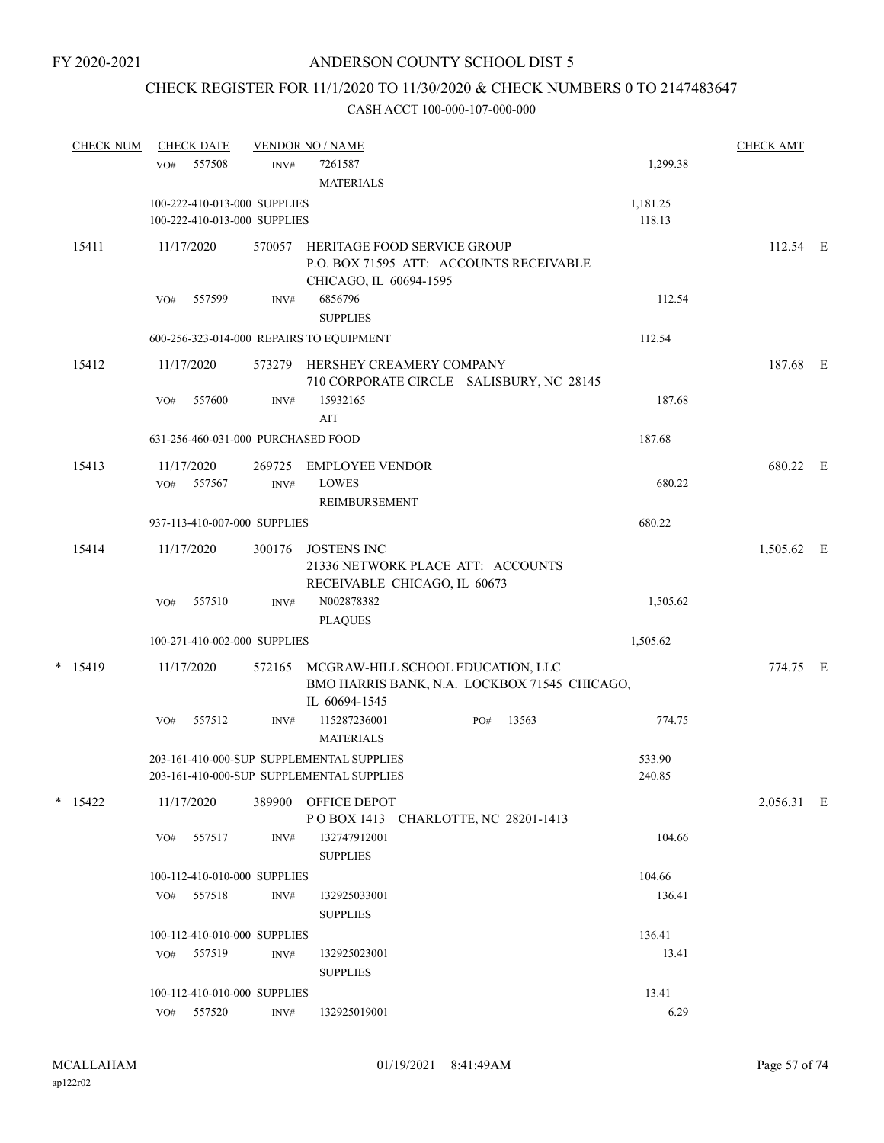# CHECK REGISTER FOR 11/1/2020 TO 11/30/2020 & CHECK NUMBERS 0 TO 2147483647

| <b>CHECK NUM</b> |                   | <b>CHECK DATE</b> |                              | <b>VENDOR NO / NAME</b>                                                                            |     |       |                  | <b>CHECK AMT</b> |  |
|------------------|-------------------|-------------------|------------------------------|----------------------------------------------------------------------------------------------------|-----|-------|------------------|------------------|--|
|                  | VO#               | 557508            | INV#                         | 7261587<br><b>MATERIALS</b>                                                                        |     |       | 1,299.38         |                  |  |
|                  |                   |                   | 100-222-410-013-000 SUPPLIES |                                                                                                    |     |       | 1,181.25         |                  |  |
|                  |                   |                   | 100-222-410-013-000 SUPPLIES |                                                                                                    |     |       | 118.13           |                  |  |
| 15411            | 11/17/2020        |                   | 570057                       | HERITAGE FOOD SERVICE GROUP<br>P.O. BOX 71595 ATT: ACCOUNTS RECEIVABLE                             |     |       |                  | 112.54 E         |  |
|                  | VO#               | 557599            | INV#                         | CHICAGO, IL 60694-1595<br>6856796<br><b>SUPPLIES</b>                                               |     |       | 112.54           |                  |  |
|                  |                   |                   |                              | 600-256-323-014-000 REPAIRS TO EQUIPMENT                                                           |     |       | 112.54           |                  |  |
| 15412            | 11/17/2020        |                   |                              | 573279 HERSHEY CREAMERY COMPANY<br>710 CORPORATE CIRCLE SALISBURY, NC 28145                        |     |       |                  | 187.68 E         |  |
|                  | VO#               | 557600            | INV#                         | 15932165<br>AIT                                                                                    |     |       | 187.68           |                  |  |
|                  |                   |                   |                              | 631-256-460-031-000 PURCHASED FOOD                                                                 |     |       | 187.68           |                  |  |
| 15413            | 11/17/2020<br>VO# | 557567            | 269725<br>INV#               | <b>EMPLOYEE VENDOR</b><br><b>LOWES</b><br>REIMBURSEMENT                                            |     |       | 680.22           | 680.22 E         |  |
|                  |                   |                   | 937-113-410-007-000 SUPPLIES |                                                                                                    |     |       | 680.22           |                  |  |
| 15414            | 11/17/2020        |                   | 300176                       | <b>JOSTENS INC</b><br>21336 NETWORK PLACE ATT: ACCOUNTS                                            |     |       |                  | 1,505.62 E       |  |
|                  | VO#               | 557510            | INV#                         | RECEIVABLE CHICAGO, IL 60673<br>N002878382<br><b>PLAQUES</b>                                       |     |       | 1,505.62         |                  |  |
|                  |                   |                   | 100-271-410-002-000 SUPPLIES |                                                                                                    |     |       | 1,505.62         |                  |  |
| $*$ 15419        | 11/17/2020        |                   | 572165                       | MCGRAW-HILL SCHOOL EDUCATION, LLC<br>BMO HARRIS BANK, N.A. LOCKBOX 71545 CHICAGO,<br>IL 60694-1545 |     |       |                  | 774.75 E         |  |
|                  | VO#               | 557512            | INV#                         | 115287236001<br><b>MATERIALS</b>                                                                   | PO# | 13563 | 774.75           |                  |  |
|                  |                   |                   |                              | 203-161-410-000-SUP SUPPLEMENTAL SUPPLIES<br>203-161-410-000-SUP SUPPLEMENTAL SUPPLIES             |     |       | 533.90<br>240.85 |                  |  |
| * 15422          | 11/17/2020        |                   | 389900                       | OFFICE DEPOT<br>POBOX 1413 CHARLOTTE, NC 28201-1413                                                |     |       |                  | 2,056.31 E       |  |
|                  | VO#               | 557517            | INV#                         | 132747912001<br><b>SUPPLIES</b>                                                                    |     |       | 104.66           |                  |  |
|                  |                   |                   | 100-112-410-010-000 SUPPLIES |                                                                                                    |     |       | 104.66           |                  |  |
|                  |                   | VO# 557518        | INV#                         | 132925033001<br><b>SUPPLIES</b>                                                                    |     |       | 136.41           |                  |  |
|                  |                   |                   | 100-112-410-010-000 SUPPLIES |                                                                                                    |     |       | 136.41           |                  |  |
|                  |                   | VO# 557519        | INV#                         | 132925023001<br><b>SUPPLIES</b>                                                                    |     |       | 13.41            |                  |  |
|                  |                   |                   | 100-112-410-010-000 SUPPLIES |                                                                                                    |     |       | 13.41            |                  |  |
|                  | VO#               | 557520            | INV#                         | 132925019001                                                                                       |     |       | 6.29             |                  |  |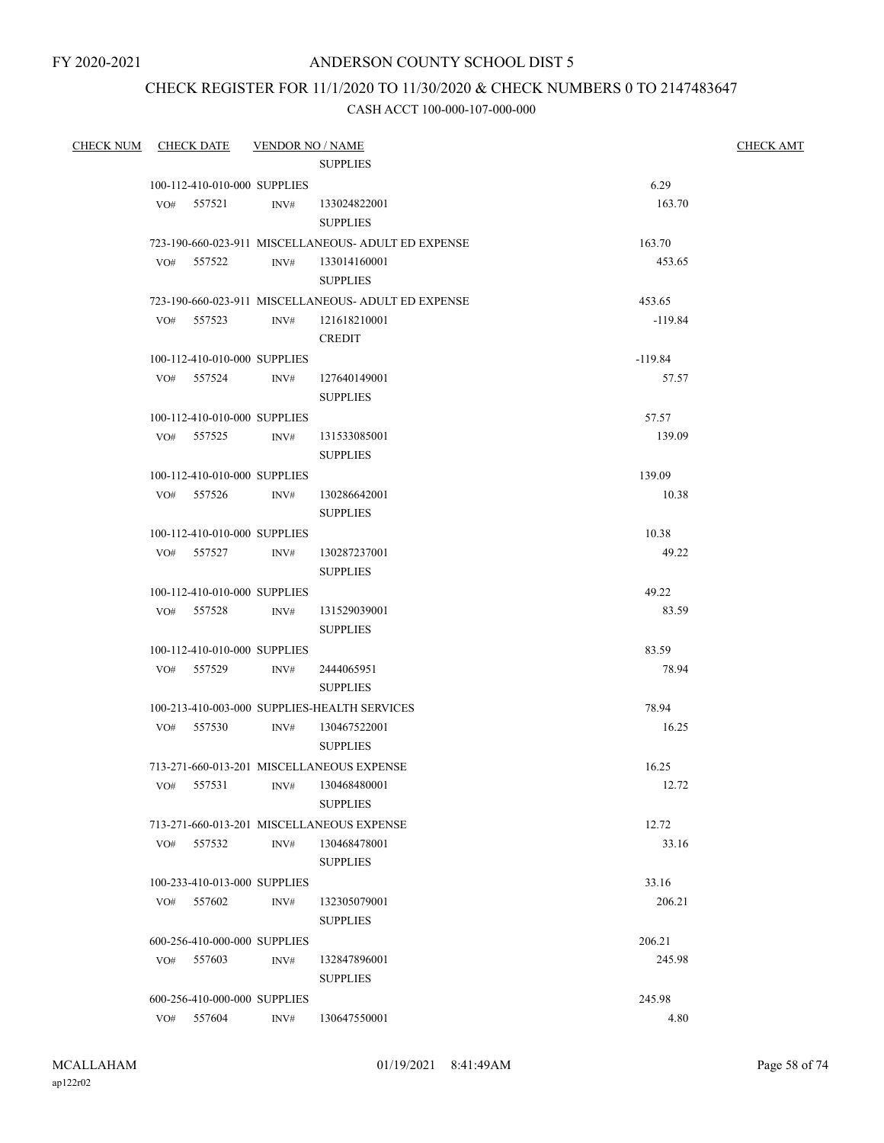### CHECK REGISTER FOR 11/1/2020 TO 11/30/2020 & CHECK NUMBERS 0 TO 2147483647

| CHECK NUM CHECK DATE |                              | <b>VENDOR NO / NAME</b> |                                                     |                  | <b>CHECK AMT</b> |
|----------------------|------------------------------|-------------------------|-----------------------------------------------------|------------------|------------------|
|                      |                              |                         | <b>SUPPLIES</b>                                     |                  |                  |
|                      | 100-112-410-010-000 SUPPLIES |                         |                                                     | 6.29             |                  |
|                      | VO# 557521                   |                         | INV# 133024822001                                   | 163.70           |                  |
|                      |                              |                         | <b>SUPPLIES</b>                                     |                  |                  |
|                      |                              |                         | 723-190-660-023-911 MISCELLANEOUS- ADULT ED EXPENSE | 163.70           |                  |
|                      | VO# 557522                   |                         | INV# 133014160001                                   | 453.65           |                  |
|                      |                              |                         | <b>SUPPLIES</b>                                     |                  |                  |
|                      |                              |                         | 723-190-660-023-911 MISCELLANEOUS- ADULT ED EXPENSE | 453.65           |                  |
|                      | VO# 557523                   | INV#                    | 121618210001                                        | $-119.84$        |                  |
|                      |                              |                         | <b>CREDIT</b>                                       |                  |                  |
|                      | 100-112-410-010-000 SUPPLIES |                         |                                                     | $-119.84$        |                  |
|                      | VO# 557524                   | INV#                    | 127640149001                                        | 57.57            |                  |
|                      |                              |                         | <b>SUPPLIES</b>                                     |                  |                  |
|                      | 100-112-410-010-000 SUPPLIES |                         |                                                     | 57.57            |                  |
|                      | VO# 557525                   | INV#                    | 131533085001                                        | 139.09           |                  |
|                      |                              |                         | <b>SUPPLIES</b>                                     |                  |                  |
|                      | 100-112-410-010-000 SUPPLIES |                         |                                                     | 139.09           |                  |
|                      | VO# 557526                   | INV#                    | 130286642001                                        | 10.38            |                  |
|                      |                              |                         | <b>SUPPLIES</b>                                     |                  |                  |
|                      | 100-112-410-010-000 SUPPLIES |                         |                                                     | 10.38            |                  |
|                      | VO# 557527                   | INV#                    | 130287237001                                        | 49.22            |                  |
|                      |                              |                         | <b>SUPPLIES</b>                                     |                  |                  |
|                      | 100-112-410-010-000 SUPPLIES |                         |                                                     | 49.22            |                  |
|                      | VO# 557528 INV#              |                         | 131529039001                                        | 83.59            |                  |
|                      |                              |                         | <b>SUPPLIES</b>                                     |                  |                  |
|                      | 100-112-410-010-000 SUPPLIES |                         |                                                     | 83.59            |                  |
|                      | VO# 557529                   | INV#                    | 2444065951                                          | 78.94            |                  |
|                      |                              |                         | <b>SUPPLIES</b>                                     |                  |                  |
|                      |                              |                         | 100-213-410-003-000 SUPPLIES-HEALTH SERVICES        | 78.94            |                  |
|                      | VO# 557530                   | INV#                    | 130467522001                                        | 16.25            |                  |
|                      |                              |                         | <b>SUPPLIES</b>                                     |                  |                  |
|                      |                              |                         | 713-271-660-013-201 MISCELLANEOUS EXPENSE           | 16.25            |                  |
|                      | VO# 557531                   |                         | INV# 130468480001                                   | 12.72            |                  |
|                      |                              |                         | <b>SUPPLIES</b>                                     |                  |                  |
|                      |                              |                         | 713-271-660-013-201 MISCELLANEOUS EXPENSE           | 12.72            |                  |
|                      | VO# 557532                   | INV#                    | 130468478001                                        | 33.16            |                  |
|                      |                              |                         | <b>SUPPLIES</b>                                     |                  |                  |
|                      | 100-233-410-013-000 SUPPLIES |                         |                                                     | 33.16            |                  |
|                      | 557602<br>VO#                | INV#                    | 132305079001<br><b>SUPPLIES</b>                     | 206.21           |                  |
|                      |                              |                         |                                                     |                  |                  |
|                      | 600-256-410-000-000 SUPPLIES |                         |                                                     | 206.21<br>245.98 |                  |
|                      | VO# 557603                   | INV#                    | 132847896001<br><b>SUPPLIES</b>                     |                  |                  |
|                      | 600-256-410-000-000 SUPPLIES |                         |                                                     | 245.98           |                  |
|                      | VO# 557604                   | INV#                    | 130647550001                                        | 4.80             |                  |
|                      |                              |                         |                                                     |                  |                  |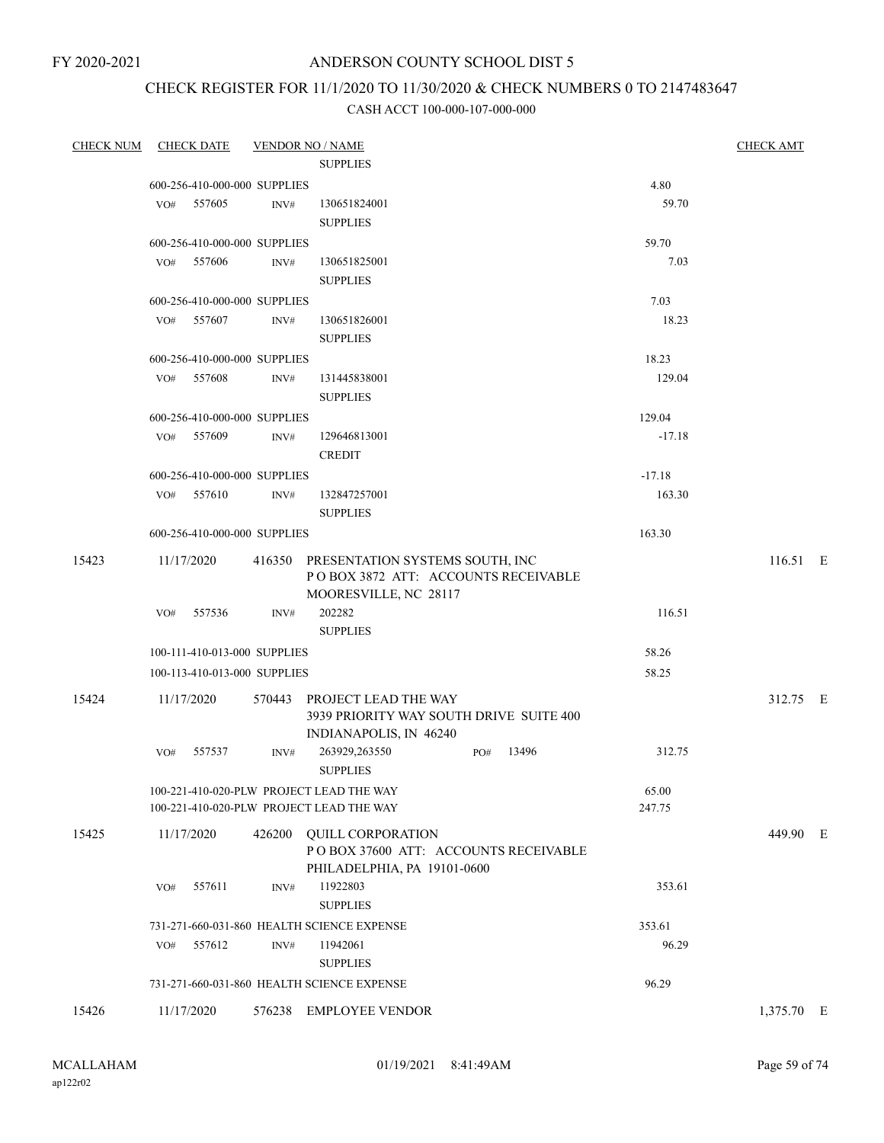FY 2020-2021

### ANDERSON COUNTY SCHOOL DIST 5

## CHECK REGISTER FOR 11/1/2020 TO 11/30/2020 & CHECK NUMBERS 0 TO 2147483647

|       | CHECK NUM CHECK DATE                                                                 |      | <b>VENDOR NO / NAME</b>                                                                                |     |       |                 | <b>CHECK AMT</b> |
|-------|--------------------------------------------------------------------------------------|------|--------------------------------------------------------------------------------------------------------|-----|-------|-----------------|------------------|
|       |                                                                                      |      | <b>SUPPLIES</b>                                                                                        |     |       |                 |                  |
|       | 600-256-410-000-000 SUPPLIES                                                         |      |                                                                                                        |     |       | 4.80            |                  |
|       | VO# 557605                                                                           | INV# | 130651824001<br><b>SUPPLIES</b>                                                                        |     |       | 59.70           |                  |
|       | 600-256-410-000-000 SUPPLIES                                                         |      |                                                                                                        |     |       | 59.70           |                  |
|       | VO# 557606                                                                           | INV# | 130651825001<br><b>SUPPLIES</b>                                                                        |     |       | 7.03            |                  |
|       | 600-256-410-000-000 SUPPLIES                                                         |      |                                                                                                        |     |       | 7.03            |                  |
|       | VO# 557607                                                                           | INV# | 130651826001<br><b>SUPPLIES</b>                                                                        |     |       | 18.23           |                  |
|       | 600-256-410-000-000 SUPPLIES                                                         |      |                                                                                                        |     |       | 18.23           |                  |
|       | VO# 557608                                                                           | INV# | 131445838001<br><b>SUPPLIES</b>                                                                        |     |       | 129.04          |                  |
|       | 600-256-410-000-000 SUPPLIES                                                         |      |                                                                                                        |     |       | 129.04          |                  |
|       | VO# 557609                                                                           | INV# | 129646813001<br><b>CREDIT</b>                                                                          |     |       | $-17.18$        |                  |
|       | 600-256-410-000-000 SUPPLIES                                                         |      |                                                                                                        |     |       | $-17.18$        |                  |
|       | VO# 557610                                                                           | INV# | 132847257001<br><b>SUPPLIES</b>                                                                        |     |       | 163.30          |                  |
|       | 600-256-410-000-000 SUPPLIES                                                         |      |                                                                                                        |     |       | 163.30          |                  |
| 15423 | 11/17/2020                                                                           |      | 416350 PRESENTATION SYSTEMS SOUTH, INC<br>POBOX 3872 ATT: ACCOUNTS RECEIVABLE<br>MOORESVILLE, NC 28117 |     |       |                 | $116.51$ E       |
|       | VO# 557536                                                                           | INV# | 202282<br><b>SUPPLIES</b>                                                                              |     |       | 116.51          |                  |
|       | 100-111-410-013-000 SUPPLIES                                                         |      |                                                                                                        |     |       | 58.26           |                  |
|       | 100-113-410-013-000 SUPPLIES                                                         |      |                                                                                                        |     |       | 58.25           |                  |
| 15424 | 11/17/2020                                                                           |      | 570443 PROJECT LEAD THE WAY<br>3939 PRIORITY WAY SOUTH DRIVE SUITE 400<br>INDIANAPOLIS, IN 46240       |     |       |                 | 312.75 E         |
|       | 557537<br>VO#                                                                        | INV# | 263929,263550<br><b>SUPPLIES</b>                                                                       | PO# | 13496 | 312.75          |                  |
|       | 100-221-410-020-PLW PROJECT LEAD THE WAY<br>100-221-410-020-PLW PROJECT LEAD THE WAY |      |                                                                                                        |     |       | 65.00<br>247.75 |                  |
| 15425 | 11/17/2020                                                                           |      | 426200 QUILL CORPORATION<br>POBOX 37600 ATT: ACCOUNTS RECEIVABLE<br>PHILADELPHIA, PA 19101-0600        |     |       |                 | 449.90 E         |
|       | 557611<br>VO#                                                                        | INV# | 11922803<br><b>SUPPLIES</b>                                                                            |     |       | 353.61          |                  |
|       |                                                                                      |      | 731-271-660-031-860 HEALTH SCIENCE EXPENSE                                                             |     |       | 353.61          |                  |
|       | 557612<br>VO#                                                                        | INV# | 11942061<br><b>SUPPLIES</b>                                                                            |     |       | 96.29           |                  |
|       |                                                                                      |      | 731-271-660-031-860 HEALTH SCIENCE EXPENSE                                                             |     |       | 96.29           |                  |
| 15426 | 11/17/2020                                                                           |      | 576238 EMPLOYEE VENDOR                                                                                 |     |       |                 | 1,375.70 E       |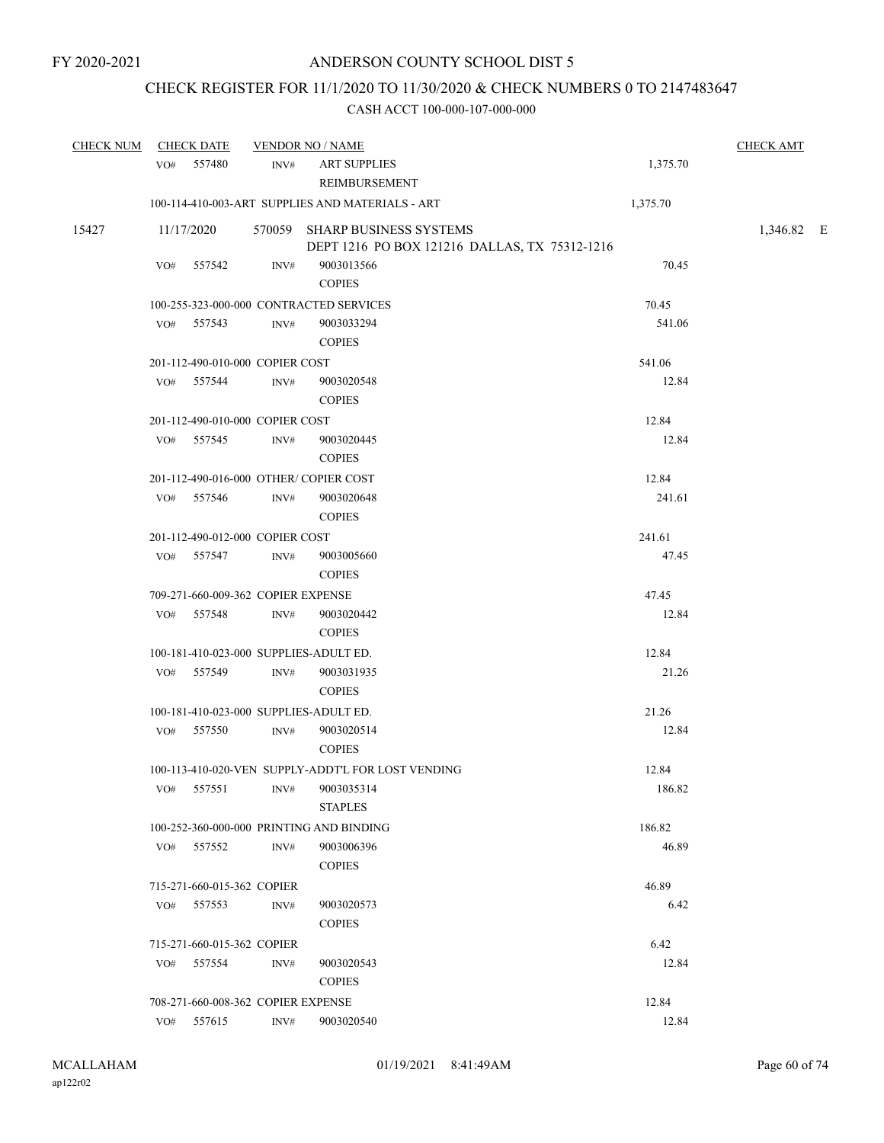### CHECK REGISTER FOR 11/1/2020 TO 11/30/2020 & CHECK NUMBERS 0 TO 2147483647

| <b>CHECK NUM</b> |     | <b>CHECK DATE</b>                  |      | <b>VENDOR NO / NAME</b>                                                        |          | <b>CHECK AMT</b> |  |
|------------------|-----|------------------------------------|------|--------------------------------------------------------------------------------|----------|------------------|--|
|                  |     | VO# 557480                         | INV# | <b>ART SUPPLIES</b><br><b>REIMBURSEMENT</b>                                    | 1,375.70 |                  |  |
|                  |     |                                    |      | 100-114-410-003-ART SUPPLIES AND MATERIALS - ART                               | 1,375.70 |                  |  |
| 15427            |     | 11/17/2020                         |      | 570059 SHARP BUSINESS SYSTEMS<br>DEPT 1216 PO BOX 121216 DALLAS, TX 75312-1216 |          | 1,346.82 E       |  |
|                  | VO# | 557542                             | INV# | 9003013566<br><b>COPIES</b>                                                    | 70.45    |                  |  |
|                  |     |                                    |      | 100-255-323-000-000 CONTRACTED SERVICES                                        | 70.45    |                  |  |
|                  |     | VO# 557543                         | INV# | 9003033294<br><b>COPIES</b>                                                    | 541.06   |                  |  |
|                  |     | 201-112-490-010-000 COPIER COST    |      |                                                                                | 541.06   |                  |  |
|                  |     | VO# 557544                         | INV# | 9003020548<br><b>COPIES</b>                                                    | 12.84    |                  |  |
|                  |     | 201-112-490-010-000 COPIER COST    |      |                                                                                | 12.84    |                  |  |
|                  |     | VO# 557545                         | INV# | 9003020445<br><b>COPIES</b>                                                    | 12.84    |                  |  |
|                  |     |                                    |      | 201-112-490-016-000 OTHER/COPIER COST                                          | 12.84    |                  |  |
|                  | VO# | 557546                             | INV# | 9003020648<br><b>COPIES</b>                                                    | 241.61   |                  |  |
|                  |     | 201-112-490-012-000 COPIER COST    |      |                                                                                | 241.61   |                  |  |
|                  |     | VO# 557547                         | INV# | 9003005660<br><b>COPIES</b>                                                    | 47.45    |                  |  |
|                  |     | 709-271-660-009-362 COPIER EXPENSE |      |                                                                                | 47.45    |                  |  |
|                  |     | VO# 557548                         | INV# | 9003020442<br><b>COPIES</b>                                                    | 12.84    |                  |  |
|                  |     |                                    |      | 100-181-410-023-000 SUPPLIES-ADULT ED.                                         | 12.84    |                  |  |
|                  |     | VO# 557549                         | INV# | 9003031935<br><b>COPIES</b>                                                    | 21.26    |                  |  |
|                  |     |                                    |      | 100-181-410-023-000 SUPPLIES-ADULT ED.                                         | 21.26    |                  |  |
|                  | VO# | 557550                             | INV# | 9003020514<br><b>COPIES</b>                                                    | 12.84    |                  |  |
|                  |     |                                    |      | 100-113-410-020-VEN SUPPLY-ADDT'L FOR LOST VENDING                             | 12.84    |                  |  |
|                  |     | VO# 557551                         |      | INV# 9003035314<br><b>STAPLES</b>                                              | 186.82   |                  |  |
|                  |     |                                    |      | 100-252-360-000-000 PRINTING AND BINDING                                       | 186.82   |                  |  |
|                  |     | VO# 557552                         | INV# | 9003006396<br><b>COPIES</b>                                                    | 46.89    |                  |  |
|                  |     | 715-271-660-015-362 COPIER         |      |                                                                                | 46.89    |                  |  |
|                  | VO# | 557553                             | INV# | 9003020573<br><b>COPIES</b>                                                    | 6.42     |                  |  |
|                  |     | 715-271-660-015-362 COPIER         |      |                                                                                | 6.42     |                  |  |
|                  | VO# | 557554                             | INV# | 9003020543<br><b>COPIES</b>                                                    | 12.84    |                  |  |
|                  |     | 708-271-660-008-362 COPIER EXPENSE |      |                                                                                | 12.84    |                  |  |
|                  | VO# | 557615                             | INV# | 9003020540                                                                     | 12.84    |                  |  |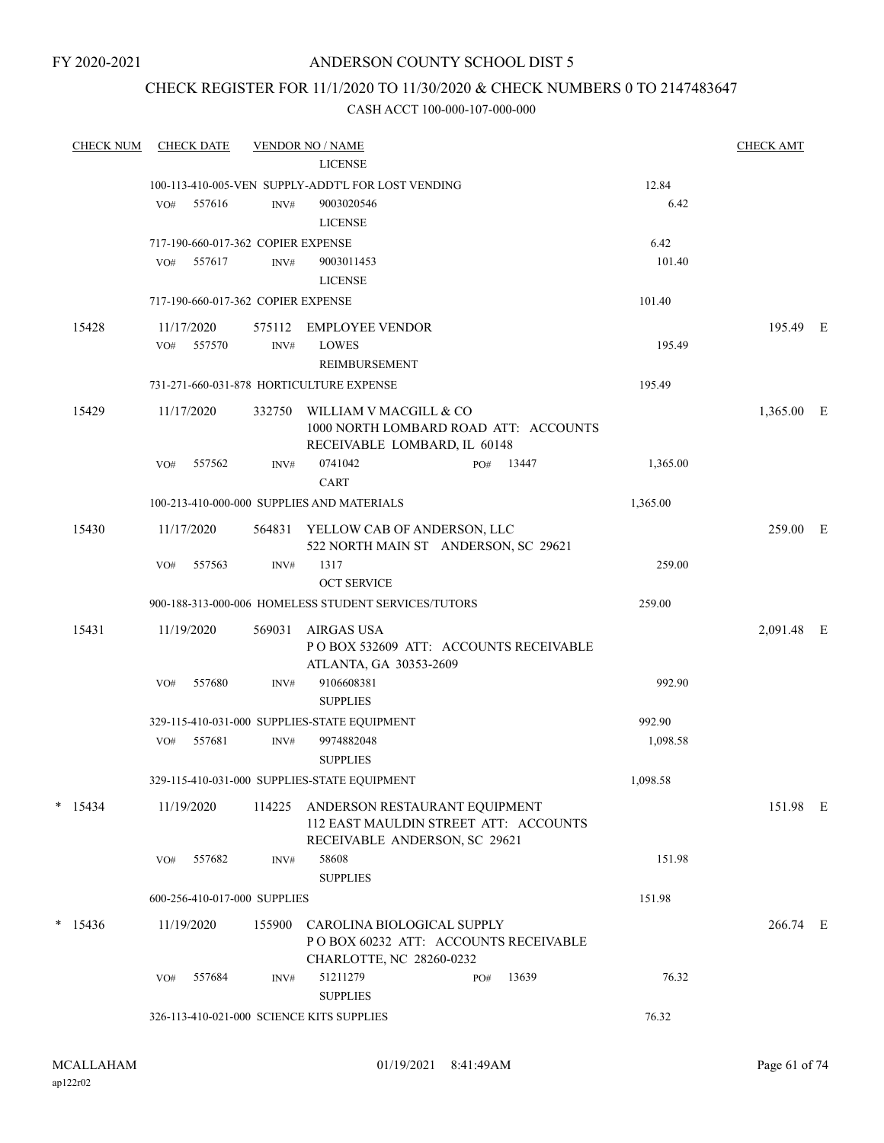FY 2020-2021

### ANDERSON COUNTY SCHOOL DIST 5

### CHECK REGISTER FOR 11/1/2020 TO 11/30/2020 & CHECK NUMBERS 0 TO 2147483647

| <b>CHECK NUM</b> |     | <b>CHECK DATE</b> |                                    | <b>VENDOR NO / NAME</b>                                                                                 |     |       |          | <b>CHECK AMT</b> |  |
|------------------|-----|-------------------|------------------------------------|---------------------------------------------------------------------------------------------------------|-----|-------|----------|------------------|--|
|                  |     |                   |                                    | <b>LICENSE</b>                                                                                          |     |       |          |                  |  |
|                  |     |                   |                                    | 100-113-410-005-VEN SUPPLY-ADDT'L FOR LOST VENDING                                                      |     |       | 12.84    |                  |  |
|                  | VO# | 557616            | INV#                               | 9003020546<br><b>LICENSE</b>                                                                            |     |       | 6.42     |                  |  |
|                  |     |                   | 717-190-660-017-362 COPIER EXPENSE |                                                                                                         |     |       | 6.42     |                  |  |
|                  | VO# | 557617            | INV#                               | 9003011453                                                                                              |     |       | 101.40   |                  |  |
|                  |     |                   |                                    | <b>LICENSE</b>                                                                                          |     |       |          |                  |  |
|                  |     |                   | 717-190-660-017-362 COPIER EXPENSE |                                                                                                         |     |       | 101.40   |                  |  |
| 15428            |     | 11/17/2020        | 575112                             | <b>EMPLOYEE VENDOR</b>                                                                                  |     |       |          | 195.49 E         |  |
|                  | VO# | 557570            | INV#                               | <b>LOWES</b>                                                                                            |     |       | 195.49   |                  |  |
|                  |     |                   |                                    | REIMBURSEMENT                                                                                           |     |       |          |                  |  |
|                  |     |                   |                                    | 731-271-660-031-878 HORTICULTURE EXPENSE                                                                |     |       | 195.49   |                  |  |
| 15429            |     | 11/17/2020        | 332750                             | WILLIAM V MACGILL & CO<br>1000 NORTH LOMBARD ROAD ATT: ACCOUNTS<br>RECEIVABLE LOMBARD, IL 60148         |     |       |          | 1,365.00 E       |  |
|                  | VO# | 557562            | INV#                               | 0741042<br><b>CART</b>                                                                                  | PO# | 13447 | 1,365.00 |                  |  |
|                  |     |                   |                                    | 100-213-410-000-000 SUPPLIES AND MATERIALS                                                              |     |       | 1,365.00 |                  |  |
| 15430            |     | 11/17/2020        |                                    | 564831 YELLOW CAB OF ANDERSON, LLC<br>522 NORTH MAIN ST ANDERSON, SC 29621                              |     |       |          | 259.00 E         |  |
|                  | VO# | 557563            | INV#                               | 1317<br><b>OCT SERVICE</b>                                                                              |     |       | 259.00   |                  |  |
|                  |     |                   |                                    | 900-188-313-000-006 HOMELESS STUDENT SERVICES/TUTORS                                                    |     |       | 259.00   |                  |  |
| 15431            |     | 11/19/2020        | 569031                             | AIRGAS USA<br>PO BOX 532609 ATT: ACCOUNTS RECEIVABLE<br>ATLANTA, GA 30353-2609                          |     |       |          | 2,091.48 E       |  |
|                  | VO# | 557680            | INV#                               | 9106608381<br><b>SUPPLIES</b>                                                                           |     |       | 992.90   |                  |  |
|                  |     |                   |                                    | 329-115-410-031-000 SUPPLIES-STATE EQUIPMENT                                                            |     |       | 992.90   |                  |  |
|                  | VO# | 557681            | INV#                               | 9974882048<br><b>SUPPLIES</b>                                                                           |     |       | 1,098.58 |                  |  |
|                  |     |                   |                                    | 329-115-410-031-000 SUPPLIES-STATE EQUIPMENT                                                            |     |       | 1,098.58 |                  |  |
| $*$ 15434        |     | 11/19/2020        | 114225                             | ANDERSON RESTAURANT EQUIPMENT<br>112 EAST MAULDIN STREET ATT: ACCOUNTS<br>RECEIVABLE ANDERSON, SC 29621 |     |       |          | 151.98 E         |  |
|                  | VO# | 557682            | INV#                               | 58608<br><b>SUPPLIES</b>                                                                                |     |       | 151.98   |                  |  |
|                  |     |                   | 600-256-410-017-000 SUPPLIES       |                                                                                                         |     |       | 151.98   |                  |  |
| $*$ 15436        |     | 11/19/2020        | 155900                             | CAROLINA BIOLOGICAL SUPPLY<br>POBOX 60232 ATT: ACCOUNTS RECEIVABLE<br>CHARLOTTE, NC 28260-0232          |     |       |          | 266.74 E         |  |
|                  | VO# | 557684            | INV#                               | 51211279<br><b>SUPPLIES</b>                                                                             | PO# | 13639 | 76.32    |                  |  |
|                  |     |                   |                                    | 326-113-410-021-000 SCIENCE KITS SUPPLIES                                                               |     |       | 76.32    |                  |  |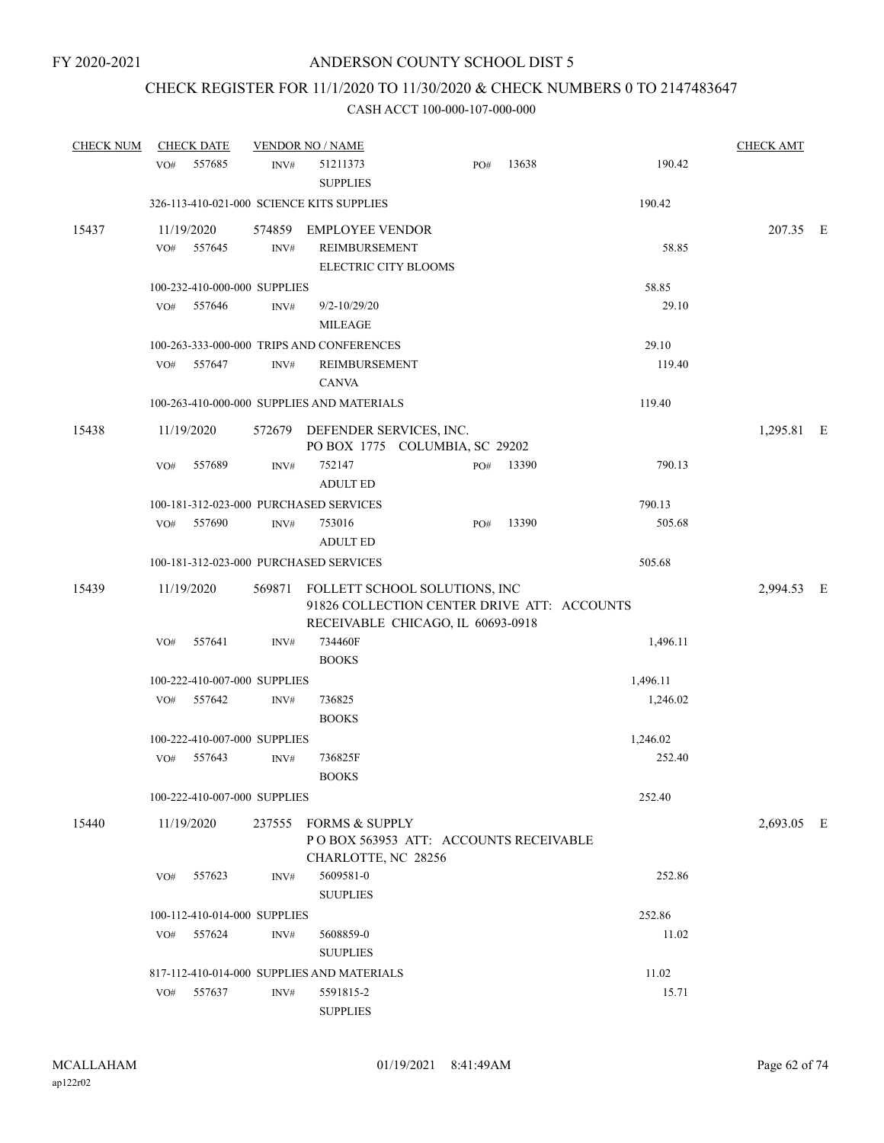### CHECK REGISTER FOR 11/1/2020 TO 11/30/2020 & CHECK NUMBERS 0 TO 2147483647

| <b>CHECK NUM</b> |     | <b>CHECK DATE</b>            |                  | <b>VENDOR NO / NAME</b>                                                                                                  |     |       |          | <b>CHECK AMT</b> |  |
|------------------|-----|------------------------------|------------------|--------------------------------------------------------------------------------------------------------------------------|-----|-------|----------|------------------|--|
|                  | VO# | 557685                       | INV#             | 51211373<br><b>SUPPLIES</b>                                                                                              | PO# | 13638 | 190.42   |                  |  |
|                  |     |                              |                  | 326-113-410-021-000 SCIENCE KITS SUPPLIES                                                                                |     |       | 190.42   |                  |  |
| 15437            | VO# | 11/19/2020<br>557645         | $\text{INV}\#$   | 574859 EMPLOYEE VENDOR<br>REIMBURSEMENT<br>ELECTRIC CITY BLOOMS                                                          |     |       | 58.85    | 207.35 E         |  |
|                  |     | 100-232-410-000-000 SUPPLIES |                  |                                                                                                                          |     |       | 58.85    |                  |  |
|                  | VO# | 557646                       | $\mathrm{INV}\#$ | $9/2 - 10/29/20$<br><b>MILEAGE</b>                                                                                       |     |       | 29.10    |                  |  |
|                  |     |                              |                  | 100-263-333-000-000 TRIPS AND CONFERENCES                                                                                |     |       | 29.10    |                  |  |
|                  | VO# | 557647                       | INV#             | REIMBURSEMENT<br><b>CANVA</b>                                                                                            |     |       | 119.40   |                  |  |
|                  |     |                              |                  | 100-263-410-000-000 SUPPLIES AND MATERIALS                                                                               |     |       | 119.40   |                  |  |
| 15438            |     | 11/19/2020                   |                  | 572679 DEFENDER SERVICES, INC.<br>PO BOX 1775 COLUMBIA, SC 29202                                                         |     |       |          | 1,295.81 E       |  |
|                  | VO# | 557689                       | INV#             | 752147<br><b>ADULT ED</b>                                                                                                | PO# | 13390 | 790.13   |                  |  |
|                  |     |                              |                  | 100-181-312-023-000 PURCHASED SERVICES                                                                                   |     |       | 790.13   |                  |  |
|                  | VO# | 557690                       | INV#             | 753016<br><b>ADULT ED</b>                                                                                                | PO# | 13390 | 505.68   |                  |  |
|                  |     |                              |                  | 100-181-312-023-000 PURCHASED SERVICES                                                                                   |     |       | 505.68   |                  |  |
| 15439            |     | 11/19/2020                   |                  | 569871 FOLLETT SCHOOL SOLUTIONS, INC<br>91826 COLLECTION CENTER DRIVE ATT: ACCOUNTS<br>RECEIVABLE CHICAGO, IL 60693-0918 |     |       |          | 2,994.53 E       |  |
|                  | VO# | 557641                       | INV#             | 734460F<br><b>BOOKS</b>                                                                                                  |     |       | 1,496.11 |                  |  |
|                  |     | 100-222-410-007-000 SUPPLIES |                  |                                                                                                                          |     |       | 1,496.11 |                  |  |
|                  | VO# | 557642                       | INV#             | 736825<br><b>BOOKS</b>                                                                                                   |     |       | 1,246.02 |                  |  |
|                  |     | 100-222-410-007-000 SUPPLIES |                  |                                                                                                                          |     |       | 1,246.02 |                  |  |
|                  | VO# | 557643                       | INV#             | 736825F<br><b>BOOKS</b>                                                                                                  |     |       | 252.40   |                  |  |
|                  |     | 100-222-410-007-000 SUPPLIES |                  |                                                                                                                          |     |       | 252.40   |                  |  |
| 15440            |     | 11/19/2020                   |                  | 237555 FORMS & SUPPLY<br>POBOX 563953 ATT: ACCOUNTS RECEIVABLE<br>CHARLOTTE, NC 28256                                    |     |       |          | 2,693.05 E       |  |
|                  | VO# | 557623                       | INV#             | 5609581-0<br><b>SUUPLIES</b>                                                                                             |     |       | 252.86   |                  |  |
|                  |     | 100-112-410-014-000 SUPPLIES |                  |                                                                                                                          |     |       | 252.86   |                  |  |
|                  | VO# | 557624                       | INV#             | 5608859-0<br><b>SUUPLIES</b>                                                                                             |     |       | 11.02    |                  |  |
|                  |     |                              |                  | 817-112-410-014-000 SUPPLIES AND MATERIALS                                                                               |     |       | 11.02    |                  |  |
|                  | VO# | 557637                       | INV#             | 5591815-2<br><b>SUPPLIES</b>                                                                                             |     |       | 15.71    |                  |  |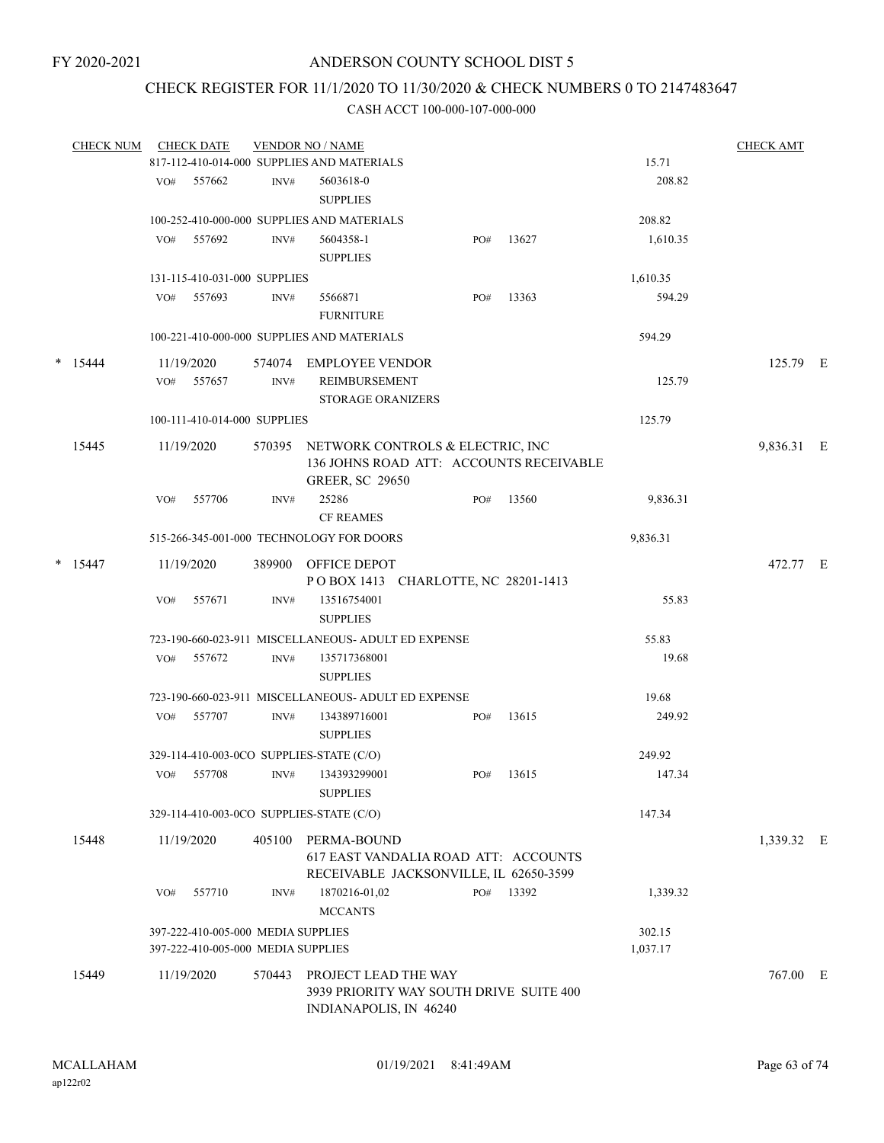### CHECK REGISTER FOR 11/1/2020 TO 11/30/2020 & CHECK NUMBERS 0 TO 2147483647

|        | <b>CHECK NUM</b> |     | <b>CHECK DATE</b>                  |        | <b>VENDOR NO / NAME</b>                                                                                      |     |       |          | <b>CHECK AMT</b> |  |
|--------|------------------|-----|------------------------------------|--------|--------------------------------------------------------------------------------------------------------------|-----|-------|----------|------------------|--|
|        |                  |     |                                    |        | 817-112-410-014-000 SUPPLIES AND MATERIALS                                                                   |     |       | 15.71    |                  |  |
|        |                  | VO# | 557662                             | INV#   | 5603618-0                                                                                                    |     |       | 208.82   |                  |  |
|        |                  |     |                                    |        | <b>SUPPLIES</b>                                                                                              |     |       |          |                  |  |
|        |                  |     |                                    |        | 100-252-410-000-000 SUPPLIES AND MATERIALS                                                                   |     |       | 208.82   |                  |  |
|        |                  | VO# | 557692                             | INV#   | 5604358-1<br><b>SUPPLIES</b>                                                                                 | PO# | 13627 | 1,610.35 |                  |  |
|        |                  |     | 131-115-410-031-000 SUPPLIES       |        |                                                                                                              |     |       | 1,610.35 |                  |  |
|        |                  | VO# | 557693                             | INV#   | 5566871<br><b>FURNITURE</b>                                                                                  | PO# | 13363 | 594.29   |                  |  |
|        |                  |     |                                    |        | 100-221-410-000-000 SUPPLIES AND MATERIALS                                                                   |     |       | 594.29   |                  |  |
| $\ast$ | 15444            |     | 11/19/2020                         | 574074 | EMPLOYEE VENDOR                                                                                              |     |       |          | 125.79 E         |  |
|        |                  | VO# | 557657                             | INV#   | REIMBURSEMENT<br><b>STORAGE ORANIZERS</b>                                                                    |     |       | 125.79   |                  |  |
|        |                  |     | 100-111-410-014-000 SUPPLIES       |        |                                                                                                              |     |       | 125.79   |                  |  |
|        | 15445            |     | 11/19/2020                         |        | 570395 NETWORK CONTROLS & ELECTRIC, INC<br>136 JOHNS ROAD ATT: ACCOUNTS RECEIVABLE<br><b>GREER, SC 29650</b> |     |       |          | 9,836.31 E       |  |
|        |                  | VO# | 557706                             | INV#   | 25286<br><b>CF REAMES</b>                                                                                    | PO# | 13560 | 9,836.31 |                  |  |
|        |                  |     |                                    |        | 515-266-345-001-000 TECHNOLOGY FOR DOORS                                                                     |     |       | 9,836.31 |                  |  |
|        | $*$ 15447        |     | 11/19/2020                         |        | 389900 OFFICE DEPOT<br>POBOX 1413 CHARLOTTE, NC 28201-1413                                                   |     |       |          | 472.77 E         |  |
|        |                  | VO# | 557671                             | INV#   | 13516754001<br><b>SUPPLIES</b>                                                                               |     |       | 55.83    |                  |  |
|        |                  |     |                                    |        | 723-190-660-023-911 MISCELLANEOUS- ADULT ED EXPENSE                                                          |     |       | 55.83    |                  |  |
|        |                  | VO# | 557672                             | INV#   | 135717368001<br><b>SUPPLIES</b>                                                                              |     |       | 19.68    |                  |  |
|        |                  |     |                                    |        | 723-190-660-023-911 MISCELLANEOUS- ADULT ED EXPENSE                                                          |     |       | 19.68    |                  |  |
|        |                  | VO# | 557707                             |        | 134389716001                                                                                                 |     | 13615 | 249.92   |                  |  |
|        |                  |     |                                    | INV#   | <b>SUPPLIES</b>                                                                                              | PO# |       |          |                  |  |
|        |                  |     |                                    |        | 329-114-410-003-0CO SUPPLIES-STATE (C/O)                                                                     |     |       | 249.92   |                  |  |
|        |                  |     | VO# 557708                         | INV#   | 134393299001<br><b>SUPPLIES</b>                                                                              | PO# | 13615 | 147.34   |                  |  |
|        |                  |     |                                    |        | 329-114-410-003-0CO SUPPLIES-STATE (C/O)                                                                     |     |       | 147.34   |                  |  |
|        | 15448            |     | 11/19/2020                         | 405100 | PERMA-BOUND<br>617 EAST VANDALIA ROAD ATT: ACCOUNTS<br>RECEIVABLE JACKSONVILLE, IL 62650-3599                |     |       |          | 1,339.32 E       |  |
|        |                  | VO# | 557710                             | INV#   | 1870216-01,02<br><b>MCCANTS</b>                                                                              | PO# | 13392 | 1,339.32 |                  |  |
|        |                  |     | 397-222-410-005-000 MEDIA SUPPLIES |        |                                                                                                              |     |       | 302.15   |                  |  |
|        |                  |     | 397-222-410-005-000 MEDIA SUPPLIES |        |                                                                                                              |     |       | 1,037.17 |                  |  |
|        | 15449            |     | 11/19/2020                         | 570443 | PROJECT LEAD THE WAY<br>3939 PRIORITY WAY SOUTH DRIVE SUITE 400<br>INDIANAPOLIS, IN 46240                    |     |       |          | 767.00 E         |  |
|        |                  |     |                                    |        |                                                                                                              |     |       |          |                  |  |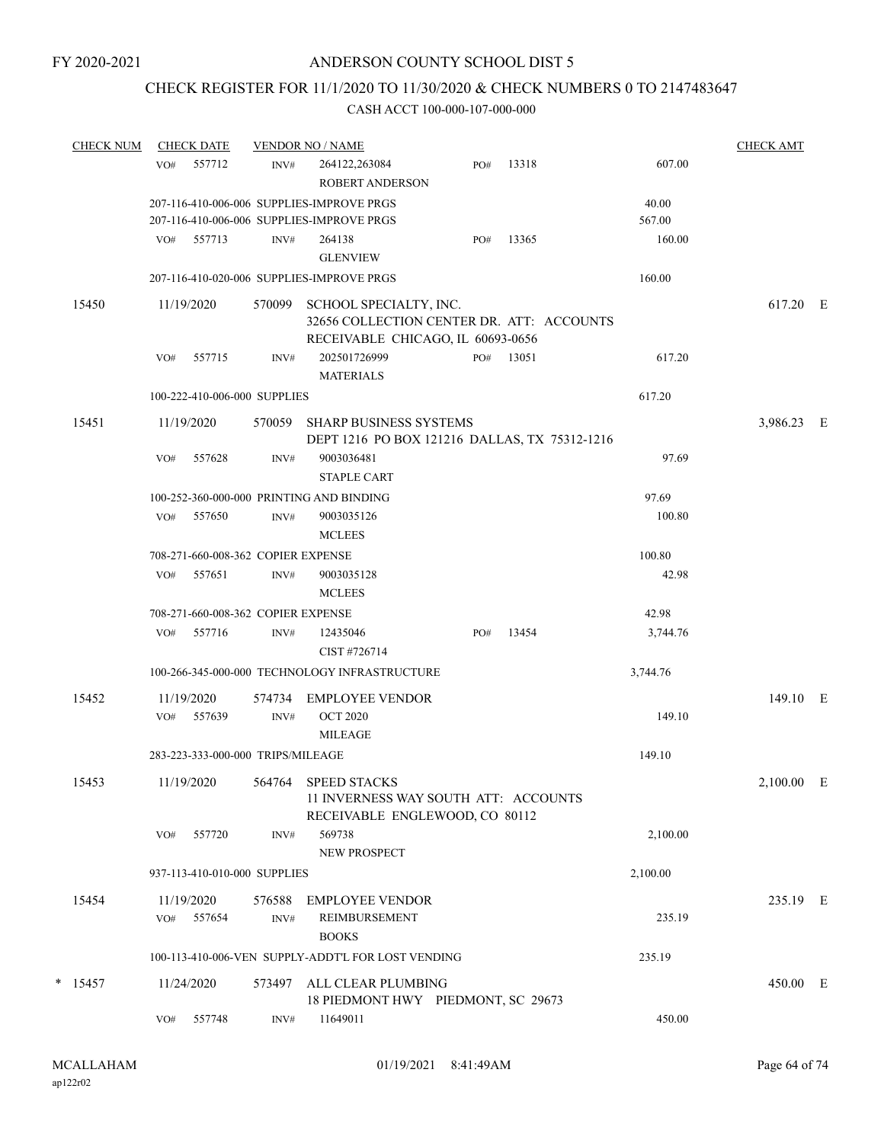### CHECK REGISTER FOR 11/1/2020 TO 11/30/2020 & CHECK NUMBERS 0 TO 2147483647

| <b>CHECK NUM</b> |            | <b>CHECK DATE</b>                  |        | <b>VENDOR NO / NAME</b>                                                                                  |     |       |          | <b>CHECK AMT</b> |  |
|------------------|------------|------------------------------------|--------|----------------------------------------------------------------------------------------------------------|-----|-------|----------|------------------|--|
|                  | VO#        | 557712                             | INV#   | 264122,263084<br><b>ROBERT ANDERSON</b>                                                                  | PO# | 13318 | 607.00   |                  |  |
|                  |            |                                    |        | 207-116-410-006-006 SUPPLIES-IMPROVE PRGS                                                                |     |       | 40.00    |                  |  |
|                  |            |                                    |        | 207-116-410-006-006 SUPPLIES-IMPROVE PRGS                                                                |     |       | 567.00   |                  |  |
|                  |            | VO# 557713                         | INV#   | 264138                                                                                                   | PO# | 13365 | 160.00   |                  |  |
|                  |            |                                    |        | <b>GLENVIEW</b>                                                                                          |     |       |          |                  |  |
|                  |            |                                    |        | 207-116-410-020-006 SUPPLIES-IMPROVE PRGS                                                                |     |       | 160.00   |                  |  |
| 15450            | 11/19/2020 |                                    | 570099 | SCHOOL SPECIALTY, INC.<br>32656 COLLECTION CENTER DR. ATT: ACCOUNTS<br>RECEIVABLE CHICAGO, IL 60693-0656 |     |       |          | 617.20 E         |  |
|                  | VO#        | 557715                             | INV#   | 202501726999<br><b>MATERIALS</b>                                                                         | PO# | 13051 | 617.20   |                  |  |
|                  |            | 100-222-410-006-000 SUPPLIES       |        |                                                                                                          |     |       | 617.20   |                  |  |
| 15451            | 11/19/2020 |                                    |        | 570059 SHARP BUSINESS SYSTEMS                                                                            |     |       |          | 3,986.23 E       |  |
|                  | VO#        | 557628                             | INV#   | DEPT 1216 PO BOX 121216 DALLAS, TX 75312-1216<br>9003036481<br><b>STAPLE CART</b>                        |     |       | 97.69    |                  |  |
|                  |            |                                    |        | 100-252-360-000-000 PRINTING AND BINDING                                                                 |     |       | 97.69    |                  |  |
|                  | VO#        | 557650                             | INV#   | 9003035126<br><b>MCLEES</b>                                                                              |     |       | 100.80   |                  |  |
|                  |            | 708-271-660-008-362 COPIER EXPENSE |        |                                                                                                          |     |       | 100.80   |                  |  |
|                  | VO#        | 557651                             | INV#   | 9003035128<br><b>MCLEES</b>                                                                              |     |       | 42.98    |                  |  |
|                  |            | 708-271-660-008-362 COPIER EXPENSE |        |                                                                                                          |     |       | 42.98    |                  |  |
|                  | VO#        | 557716                             | INV#   | 12435046<br>CIST #726714                                                                                 | PO# | 13454 | 3,744.76 |                  |  |
|                  |            |                                    |        | 100-266-345-000-000 TECHNOLOGY INFRASTRUCTURE                                                            |     |       | 3,744.76 |                  |  |
| 15452            | 11/19/2020 |                                    | 574734 | EMPLOYEE VENDOR                                                                                          |     |       |          | 149.10 E         |  |
|                  |            | VO# 557639                         | INV#   | <b>OCT 2020</b><br><b>MILEAGE</b>                                                                        |     |       | 149.10   |                  |  |
|                  |            | 283-223-333-000-000 TRIPS/MILEAGE  |        |                                                                                                          |     |       | 149.10   |                  |  |
| 15453            | 11/19/2020 |                                    |        | 564764 SPEED STACKS<br>11 INVERNESS WAY SOUTH ATT: ACCOUNTS<br>RECEIVABLE ENGLEWOOD, CO 80112            |     |       |          | $2,100.00$ E     |  |
|                  |            | VO# 557720                         | INV#   | 569738<br>NEW PROSPECT                                                                                   |     |       | 2,100.00 |                  |  |
|                  |            | 937-113-410-010-000 SUPPLIES       |        |                                                                                                          |     |       | 2,100.00 |                  |  |
| 15454            | 11/19/2020 |                                    | 576588 | <b>EMPLOYEE VENDOR</b>                                                                                   |     |       |          | 235.19 E         |  |
|                  | VO#        | 557654                             | INV#   | REIMBURSEMENT<br><b>BOOKS</b>                                                                            |     |       | 235.19   |                  |  |
|                  |            |                                    |        | 100-113-410-006-VEN SUPPLY-ADDT'L FOR LOST VENDING                                                       |     |       | 235.19   |                  |  |
| $*$ 15457        | 11/24/2020 |                                    | 573497 | ALL CLEAR PLUMBING<br>18 PIEDMONT HWY PIEDMONT, SC 29673                                                 |     |       |          | 450.00 E         |  |
|                  | VO#        | 557748                             | INV#   | 11649011                                                                                                 |     |       | 450.00   |                  |  |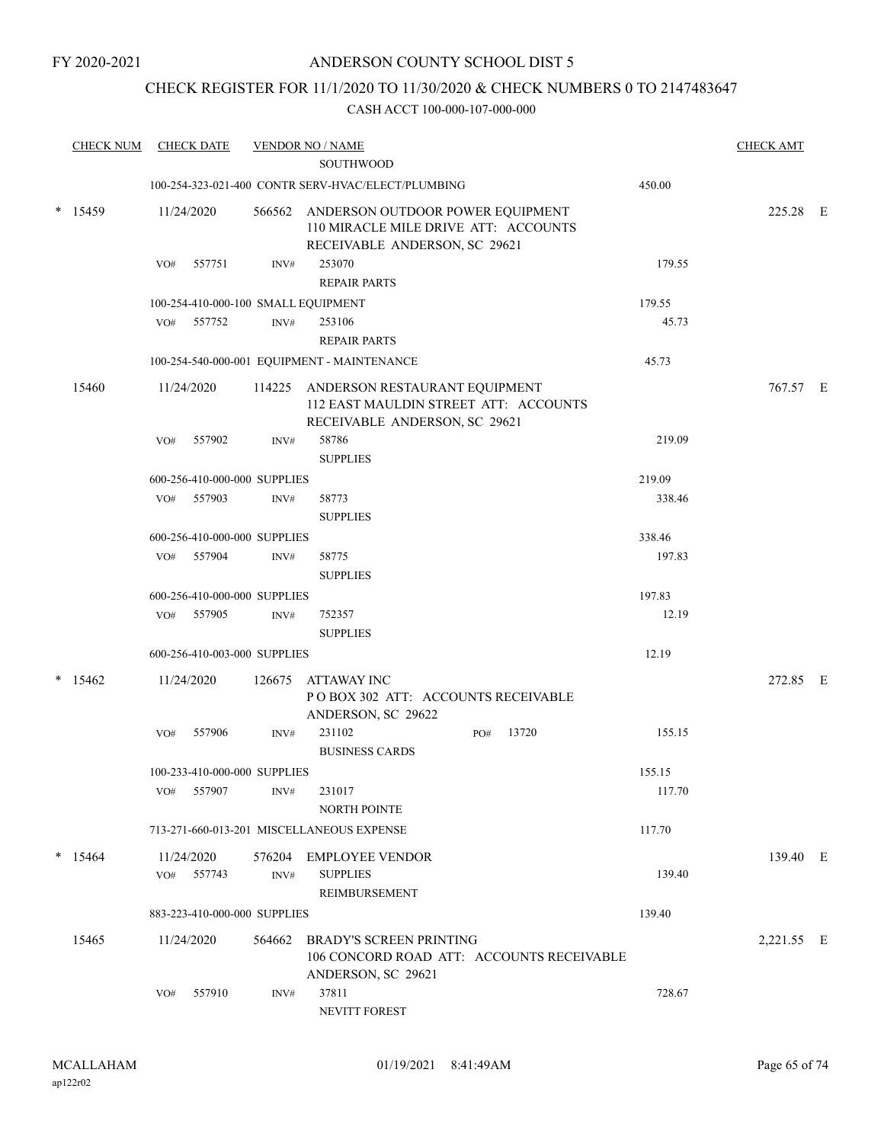### CHECK REGISTER FOR 11/1/2020 TO 11/30/2020 & CHECK NUMBERS 0 TO 2147483647

|        | <b>CHECK NUM</b> |     | <b>CHECK DATE</b>            |                | <b>VENDOR NO / NAME</b>                                                                                   |        | <b>CHECK AMT</b> |  |
|--------|------------------|-----|------------------------------|----------------|-----------------------------------------------------------------------------------------------------------|--------|------------------|--|
|        |                  |     |                              |                | <b>SOUTHWOOD</b>                                                                                          |        |                  |  |
|        |                  |     |                              |                | 100-254-323-021-400 CONTR SERV-HVAC/ELECT/PLUMBING                                                        | 450.00 |                  |  |
|        | $*$ 15459        |     | 11/24/2020                   | 566562         | ANDERSON OUTDOOR POWER EQUIPMENT<br>110 MIRACLE MILE DRIVE ATT: ACCOUNTS<br>RECEIVABLE ANDERSON, SC 29621 |        | 225.28 E         |  |
|        |                  | VO# | 557751                       | INV#           | 253070<br><b>REPAIR PARTS</b>                                                                             | 179.55 |                  |  |
|        |                  |     |                              |                | 100-254-410-000-100 SMALL EQUIPMENT                                                                       | 179.55 |                  |  |
|        |                  |     | VO# 557752                   | INV#           | 253106                                                                                                    | 45.73  |                  |  |
|        |                  |     |                              |                | <b>REPAIR PARTS</b>                                                                                       |        |                  |  |
|        |                  |     |                              |                | 100-254-540-000-001 EQUIPMENT - MAINTENANCE                                                               | 45.73  |                  |  |
|        | 15460            |     | 11/24/2020                   | 114225         | ANDERSON RESTAURANT EQUIPMENT<br>112 EAST MAULDIN STREET ATT: ACCOUNTS<br>RECEIVABLE ANDERSON, SC 29621   |        | 767.57 E         |  |
|        |                  | VO# | 557902                       | INV#           | 58786<br><b>SUPPLIES</b>                                                                                  | 219.09 |                  |  |
|        |                  |     | 600-256-410-000-000 SUPPLIES |                |                                                                                                           | 219.09 |                  |  |
|        |                  |     | VO# 557903                   | INV#           | 58773                                                                                                     | 338.46 |                  |  |
|        |                  |     |                              |                | <b>SUPPLIES</b>                                                                                           |        |                  |  |
|        |                  |     | 600-256-410-000-000 SUPPLIES |                |                                                                                                           | 338.46 |                  |  |
|        |                  | VO# | 557904                       | INV#           | 58775<br><b>SUPPLIES</b>                                                                                  | 197.83 |                  |  |
|        |                  |     | 600-256-410-000-000 SUPPLIES |                |                                                                                                           | 197.83 |                  |  |
|        |                  |     | VO# 557905                   | INV#           | 752357<br><b>SUPPLIES</b>                                                                                 | 12.19  |                  |  |
|        |                  |     | 600-256-410-003-000 SUPPLIES |                |                                                                                                           | 12.19  |                  |  |
| $\ast$ | 15462            |     | 11/24/2020                   | 126675         | ATTAWAY INC<br>POBOX 302 ATT: ACCOUNTS RECEIVABLE<br>ANDERSON, SC 29622                                   |        | 272.85 E         |  |
|        |                  | VO# | 557906                       | INV#           | 231102<br>13720<br>PO#<br><b>BUSINESS CARDS</b>                                                           | 155.15 |                  |  |
|        |                  |     | 100-233-410-000-000 SUPPLIES |                |                                                                                                           | 155.15 |                  |  |
|        |                  | VO# | 557907                       | $\text{INV}\#$ | 231017<br>NORTH POINTE                                                                                    | 117.70 |                  |  |
|        |                  |     |                              |                | 713-271-660-013-201 MISCELLANEOUS EXPENSE                                                                 | 117.70 |                  |  |
|        | $* 15464$        |     | 11/24/2020                   |                | 576204 EMPLOYEE VENDOR                                                                                    |        | 139.40 E         |  |
|        |                  |     | VO# 557743                   | INV#           | <b>SUPPLIES</b><br>REIMBURSEMENT                                                                          | 139.40 |                  |  |
|        |                  |     | 883-223-410-000-000 SUPPLIES |                |                                                                                                           | 139.40 |                  |  |
|        | 15465            |     | 11/24/2020                   | 564662         | <b>BRADY'S SCREEN PRINTING</b><br>106 CONCORD ROAD ATT: ACCOUNTS RECEIVABLE<br>ANDERSON, SC 29621         |        | 2,221.55 E       |  |
|        |                  | VO# | 557910                       | INV#           | 37811<br>NEVITT FOREST                                                                                    | 728.67 |                  |  |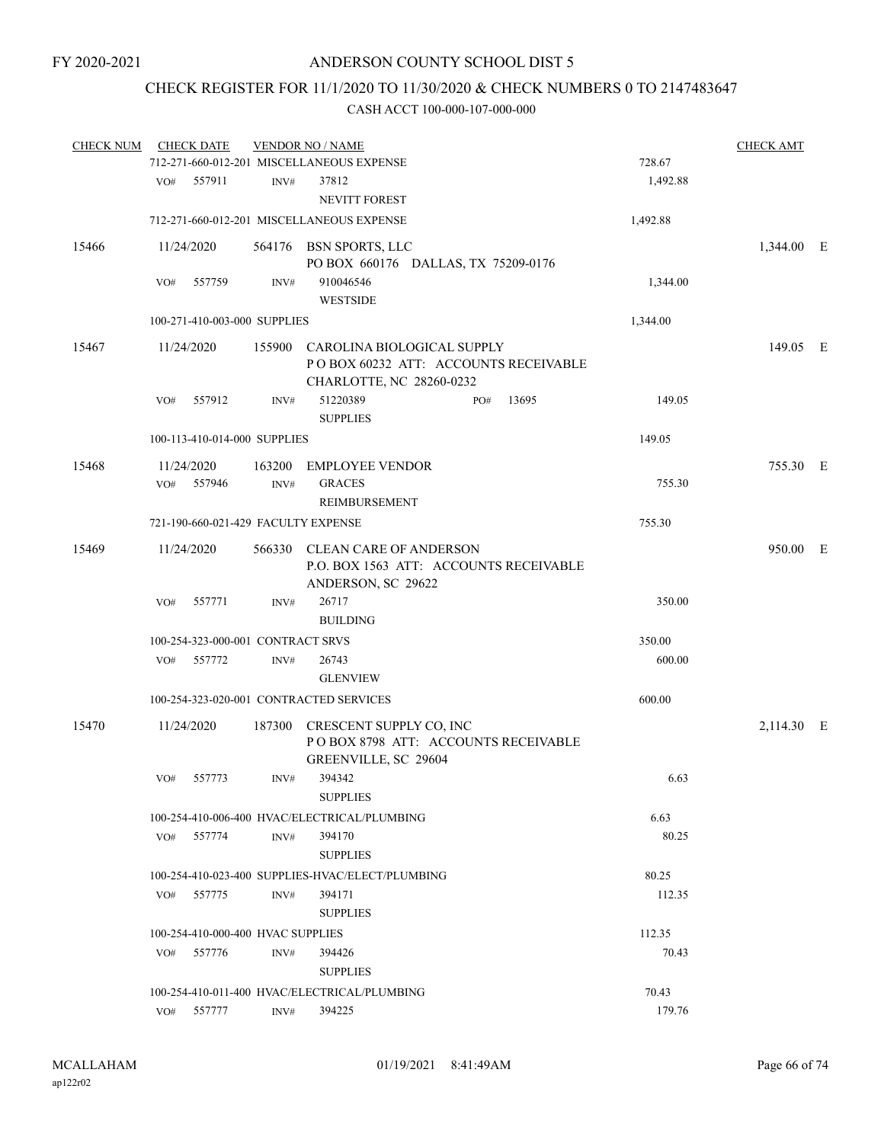### CHECK REGISTER FOR 11/1/2020 TO 11/30/2020 & CHECK NUMBERS 0 TO 2147483647

| <b>CHECK NUM</b> |     | <b>CHECK DATE</b>                   |        | <b>VENDOR NO / NAME</b>                                                                               |     |       |          | <b>CHECK AMT</b> |  |
|------------------|-----|-------------------------------------|--------|-------------------------------------------------------------------------------------------------------|-----|-------|----------|------------------|--|
|                  |     |                                     |        | 712-271-660-012-201 MISCELLANEOUS EXPENSE                                                             |     |       | 728.67   |                  |  |
|                  | VO# | 557911                              | INV#   | 37812<br><b>NEVITT FOREST</b>                                                                         |     |       | 1,492.88 |                  |  |
|                  |     |                                     |        | 712-271-660-012-201 MISCELLANEOUS EXPENSE                                                             |     |       | 1,492.88 |                  |  |
| 15466            |     | 11/24/2020                          |        | 564176 BSN SPORTS, LLC<br>PO BOX 660176 DALLAS, TX 75209-0176                                         |     |       |          | 1,344.00 E       |  |
|                  | VO# | 557759                              | INV#   | 910046546<br><b>WESTSIDE</b>                                                                          |     |       | 1,344.00 |                  |  |
|                  |     | 100-271-410-003-000 SUPPLIES        |        |                                                                                                       |     |       | 1,344.00 |                  |  |
| 15467            |     | 11/24/2020                          |        | 155900 CAROLINA BIOLOGICAL SUPPLY<br>POBOX 60232 ATT: ACCOUNTS RECEIVABLE<br>CHARLOTTE, NC 28260-0232 |     |       |          | 149.05 E         |  |
|                  | VO# | 557912                              | INV#   | 51220389<br><b>SUPPLIES</b>                                                                           | PO# | 13695 | 149.05   |                  |  |
|                  |     | 100-113-410-014-000 SUPPLIES        |        |                                                                                                       |     |       | 149.05   |                  |  |
| 15468            |     | 11/24/2020                          | 163200 | <b>EMPLOYEE VENDOR</b>                                                                                |     |       |          | 755.30 E         |  |
|                  | VO# | 557946                              | INV#   | <b>GRACES</b><br><b>REIMBURSEMENT</b>                                                                 |     |       | 755.30   |                  |  |
|                  |     | 721-190-660-021-429 FACULTY EXPENSE |        |                                                                                                       |     |       | 755.30   |                  |  |
| 15469            |     | 11/24/2020                          |        | 566330 CLEAN CARE OF ANDERSON<br>P.O. BOX 1563 ATT: ACCOUNTS RECEIVABLE<br>ANDERSON, SC 29622         |     |       |          | 950.00 E         |  |
|                  | VO# | 557771                              | INV#   | 26717<br><b>BUILDING</b>                                                                              |     |       | 350.00   |                  |  |
|                  |     | 100-254-323-000-001 CONTRACT SRVS   |        |                                                                                                       |     |       | 350.00   |                  |  |
|                  | VO# | 557772                              | INV#   | 26743<br><b>GLENVIEW</b>                                                                              |     |       | 600.00   |                  |  |
|                  |     |                                     |        | 100-254-323-020-001 CONTRACTED SERVICES                                                               |     |       | 600.00   |                  |  |
| 15470            |     | 11/24/2020                          | 187300 | CRESCENT SUPPLY CO, INC<br>POBOX 8798 ATT: ACCOUNTS RECEIVABLE<br>GREENVILLE, SC 29604                |     |       |          | 2,114.30 E       |  |
|                  | VO# | 557773                              | INV#   | 394342<br><b>SUPPLIES</b>                                                                             |     |       | 6.63     |                  |  |
|                  |     |                                     |        | 100-254-410-006-400 HVAC/ELECTRICAL/PLUMBING                                                          |     |       | 6.63     |                  |  |
|                  |     | VO# 557774                          | INV#   | 394170<br><b>SUPPLIES</b>                                                                             |     |       | 80.25    |                  |  |
|                  |     |                                     |        | 100-254-410-023-400 SUPPLIES-HVAC/ELECT/PLUMBING                                                      |     |       | 80.25    |                  |  |
|                  | VO# | 557775                              | INV#   | 394171<br><b>SUPPLIES</b>                                                                             |     |       | 112.35   |                  |  |
|                  |     | 100-254-410-000-400 HVAC SUPPLIES   |        |                                                                                                       |     |       | 112.35   |                  |  |
|                  |     | VO# 557776                          | INV#   | 394426                                                                                                |     |       | 70.43    |                  |  |
|                  |     |                                     |        | <b>SUPPLIES</b>                                                                                       |     |       |          |                  |  |
|                  |     |                                     |        | 100-254-410-011-400 HVAC/ELECTRICAL/PLUMBING                                                          |     |       | 70.43    |                  |  |
|                  |     | VO# 557777                          | INV#   | 394225                                                                                                |     |       | 179.76   |                  |  |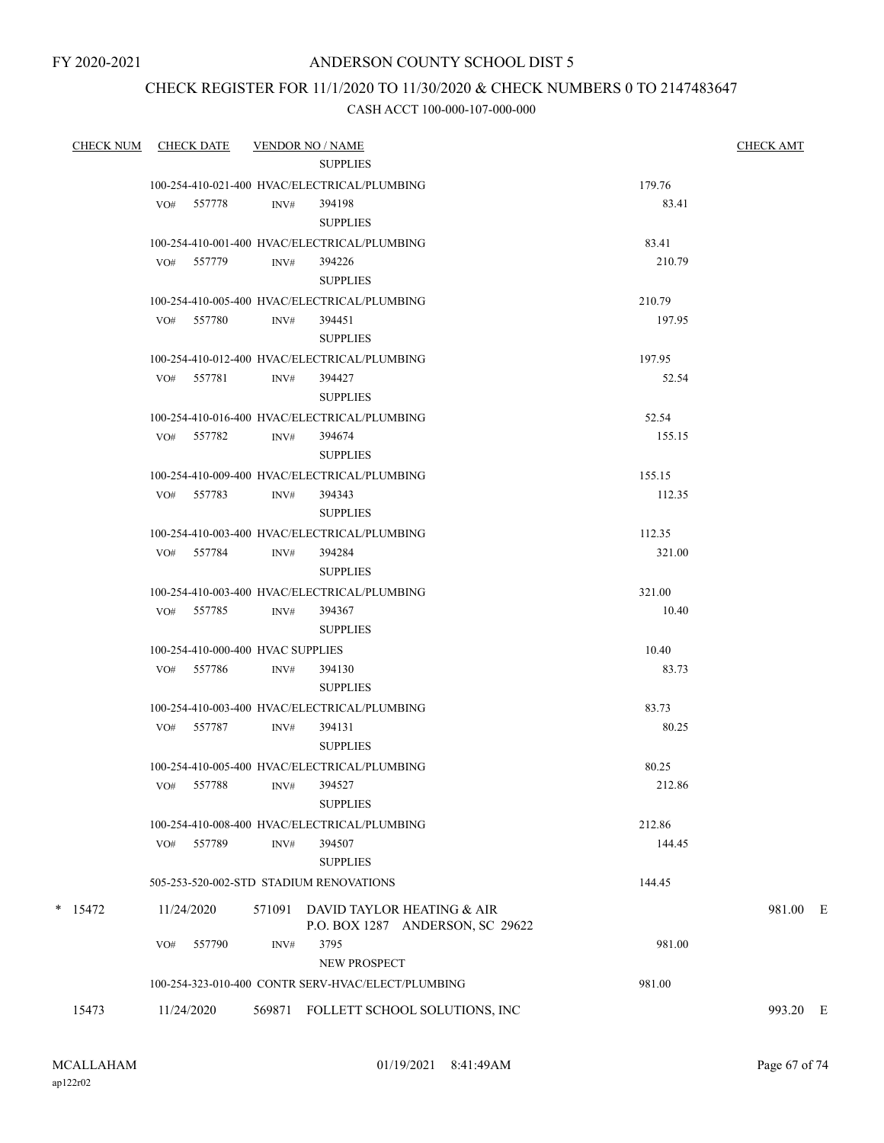### CHECK REGISTER FOR 11/1/2020 TO 11/30/2020 & CHECK NUMBERS 0 TO 2147483647

| <b>CHECK NUM</b> | CHECK DATE VENDOR NO / NAME       |        |                                                                | <b>CHECK AMT</b> |          |
|------------------|-----------------------------------|--------|----------------------------------------------------------------|------------------|----------|
|                  |                                   |        | <b>SUPPLIES</b>                                                |                  |          |
|                  |                                   |        | 100-254-410-021-400 HVAC/ELECTRICAL/PLUMBING                   | 179.76           |          |
|                  | VO# 557778                        | INV#   | 394198<br><b>SUPPLIES</b>                                      | 83.41            |          |
|                  |                                   |        | 100-254-410-001-400 HVAC/ELECTRICAL/PLUMBING                   | 83.41            |          |
|                  | VO# 557779                        | INV#   | 394226<br><b>SUPPLIES</b>                                      | 210.79           |          |
|                  |                                   |        | 100-254-410-005-400 HVAC/ELECTRICAL/PLUMBING                   | 210.79           |          |
|                  | VO# 557780                        | INV#   | 394451<br><b>SUPPLIES</b>                                      | 197.95           |          |
|                  |                                   |        | 100-254-410-012-400 HVAC/ELECTRICAL/PLUMBING                   | 197.95           |          |
|                  | VO# 557781                        | INV#   | 394427<br><b>SUPPLIES</b>                                      | 52.54            |          |
|                  |                                   |        | 100-254-410-016-400 HVAC/ELECTRICAL/PLUMBING                   | 52.54            |          |
|                  | VO# 557782 INV#                   |        | 394674<br><b>SUPPLIES</b>                                      | 155.15           |          |
|                  |                                   |        | 100-254-410-009-400 HVAC/ELECTRICAL/PLUMBING                   | 155.15           |          |
|                  | VO# 557783                        | INV#   | 394343<br><b>SUPPLIES</b>                                      | 112.35           |          |
|                  |                                   |        | 100-254-410-003-400 HVAC/ELECTRICAL/PLUMBING                   | 112.35           |          |
|                  | VO# 557784                        | INV#   | 394284<br><b>SUPPLIES</b>                                      | 321.00           |          |
|                  |                                   |        | 100-254-410-003-400 HVAC/ELECTRICAL/PLUMBING                   | 321.00           |          |
|                  | VO# 557785 INV#                   |        | 394367<br><b>SUPPLIES</b>                                      | 10.40            |          |
|                  | 100-254-410-000-400 HVAC SUPPLIES |        |                                                                | 10.40            |          |
|                  | VO# 557786                        | INV#   | 394130<br><b>SUPPLIES</b>                                      | 83.73            |          |
|                  |                                   |        | 100-254-410-003-400 HVAC/ELECTRICAL/PLUMBING                   | 83.73            |          |
|                  | VO# 557787                        | INV#   | 394131<br><b>SUPPLIES</b>                                      | 80.25            |          |
|                  |                                   |        | 100-254-410-005-400 HVAC/ELECTRICAL/PLUMBING                   | 80.25            |          |
|                  | VO# 557788                        |        | INV# 394527<br><b>SUPPLIES</b>                                 | 212.86           |          |
|                  |                                   |        | 100-254-410-008-400 HVAC/ELECTRICAL/PLUMBING                   | 212.86           |          |
|                  | VO# 557789                        | INV#   | 394507<br><b>SUPPLIES</b>                                      | 144.45           |          |
|                  |                                   |        | 505-253-520-002-STD STADIUM RENOVATIONS                        | 144.45           |          |
| $*$ 15472        | 11/24/2020                        | 571091 | DAVID TAYLOR HEATING & AIR<br>P.O. BOX 1287 ANDERSON, SC 29622 |                  | 981.00 E |
|                  | 557790<br>VO#                     | INV#   | 3795<br><b>NEW PROSPECT</b>                                    | 981.00           |          |
|                  |                                   |        | 100-254-323-010-400 CONTR SERV-HVAC/ELECT/PLUMBING             | 981.00           |          |
| 15473            | 11/24/2020                        |        | 569871 FOLLETT SCHOOL SOLUTIONS, INC                           |                  | 993.20 E |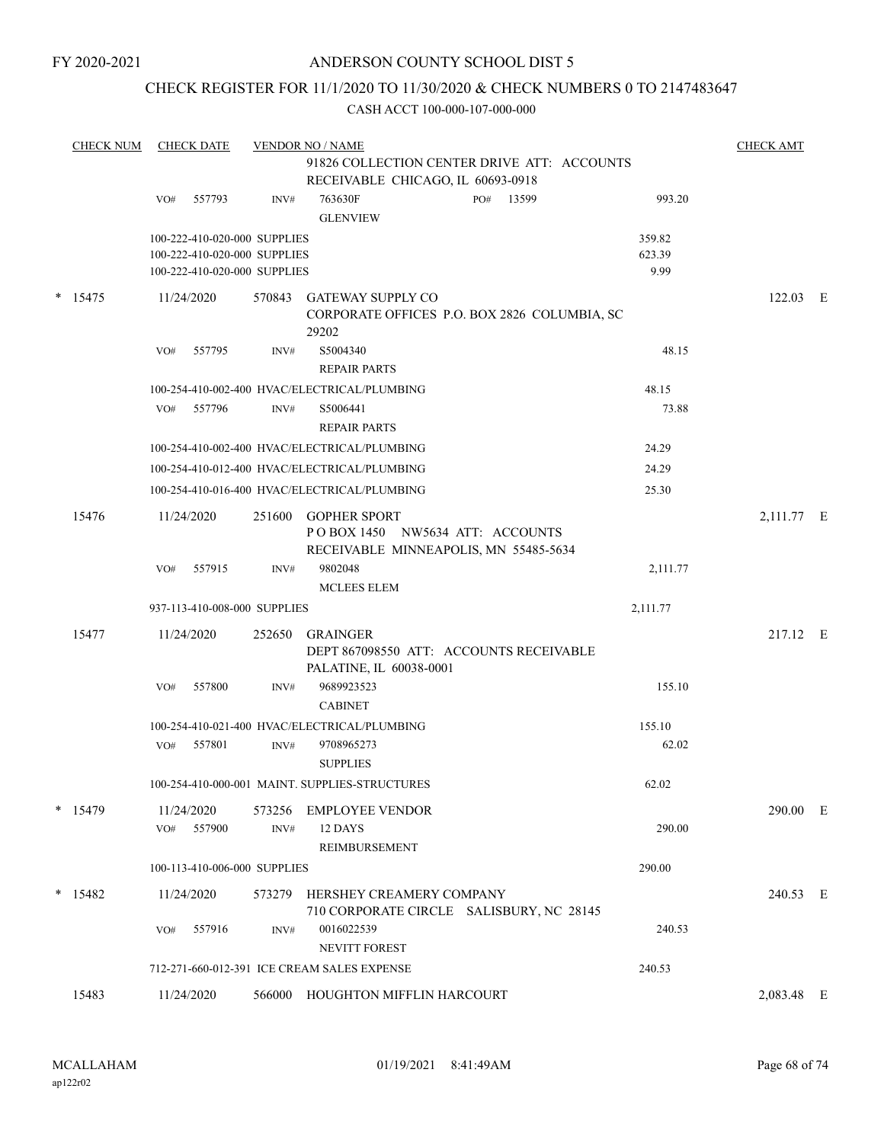### CHECK REGISTER FOR 11/1/2020 TO 11/30/2020 & CHECK NUMBERS 0 TO 2147483647

|   | <b>CHECK NUM</b> | <b>CHECK DATE</b><br><b>VENDOR NO / NAME</b><br>91826 COLLECTION CENTER DRIVE ATT: ACCOUNTS |                                                                                              |        |                                                                                                 |  |           |                          |            |  |
|---|------------------|---------------------------------------------------------------------------------------------|----------------------------------------------------------------------------------------------|--------|-------------------------------------------------------------------------------------------------|--|-----------|--------------------------|------------|--|
|   |                  |                                                                                             |                                                                                              |        | RECEIVABLE CHICAGO, IL 60693-0918                                                               |  |           |                          |            |  |
|   |                  | VO#                                                                                         | 557793                                                                                       | INV#   | 763630F<br><b>GLENVIEW</b>                                                                      |  | PO# 13599 | 993.20                   |            |  |
|   |                  |                                                                                             | 100-222-410-020-000 SUPPLIES<br>100-222-410-020-000 SUPPLIES<br>100-222-410-020-000 SUPPLIES |        |                                                                                                 |  |           | 359.82<br>623.39<br>9.99 |            |  |
| * | 15475            | 11/24/2020                                                                                  |                                                                                              | 570843 | <b>GATEWAY SUPPLY CO</b><br>CORPORATE OFFICES P.O. BOX 2826 COLUMBIA, SC<br>29202               |  |           |                          | $122.03$ E |  |
|   |                  | VO#                                                                                         | 557795                                                                                       | INV#   | S5004340<br><b>REPAIR PARTS</b>                                                                 |  |           | 48.15                    |            |  |
|   |                  |                                                                                             |                                                                                              |        | 100-254-410-002-400 HVAC/ELECTRICAL/PLUMBING                                                    |  |           | 48.15                    |            |  |
|   |                  | VO#                                                                                         | 557796                                                                                       | INV#   | S5006441<br><b>REPAIR PARTS</b>                                                                 |  |           | 73.88                    |            |  |
|   |                  |                                                                                             |                                                                                              |        | 100-254-410-002-400 HVAC/ELECTRICAL/PLUMBING                                                    |  |           | 24.29                    |            |  |
|   |                  |                                                                                             |                                                                                              |        | 100-254-410-012-400 HVAC/ELECTRICAL/PLUMBING                                                    |  |           | 24.29                    |            |  |
|   |                  |                                                                                             |                                                                                              |        | 100-254-410-016-400 HVAC/ELECTRICAL/PLUMBING                                                    |  |           | 25.30                    |            |  |
|   | 15476            | 11/24/2020                                                                                  |                                                                                              | 251600 | <b>GOPHER SPORT</b><br>POBOX 1450 NW5634 ATT: ACCOUNTS<br>RECEIVABLE MINNEAPOLIS, MN 55485-5634 |  |           |                          | 2,111.77 E |  |
|   |                  | VO#                                                                                         | 557915                                                                                       | INV#   | 9802048<br><b>MCLEES ELEM</b>                                                                   |  |           | 2,111.77                 |            |  |
|   |                  |                                                                                             | 937-113-410-008-000 SUPPLIES                                                                 |        |                                                                                                 |  |           | 2,111.77                 |            |  |
|   | 15477            | 11/24/2020                                                                                  |                                                                                              | 252650 | <b>GRAINGER</b><br>DEPT 867098550 ATT: ACCOUNTS RECEIVABLE<br>PALATINE, IL 60038-0001           |  |           |                          | 217.12 E   |  |
|   |                  | VO#                                                                                         | 557800                                                                                       | INV#   | 9689923523<br><b>CABINET</b>                                                                    |  |           | 155.10                   |            |  |
|   |                  |                                                                                             |                                                                                              |        | 100-254-410-021-400 HVAC/ELECTRICAL/PLUMBING                                                    |  |           | 155.10                   |            |  |
|   |                  | VO#                                                                                         | 557801                                                                                       | INV#   | 9708965273<br><b>SUPPLIES</b>                                                                   |  |           | 62.02                    |            |  |
|   |                  |                                                                                             |                                                                                              |        | 100-254-410-000-001 MAINT. SUPPLIES-STRUCTURES                                                  |  |           | 62.02                    |            |  |
|   | $*$ 15479        | 11/24/2020                                                                                  |                                                                                              |        | 573256 EMPLOYEE VENDOR                                                                          |  |           |                          | 290.00 E   |  |
|   |                  | VO# 557900                                                                                  |                                                                                              | INV#   | 12 DAYS<br><b>REIMBURSEMENT</b>                                                                 |  |           | 290.00                   |            |  |
|   |                  |                                                                                             | 100-113-410-006-000 SUPPLIES                                                                 |        |                                                                                                 |  |           | 290.00                   |            |  |
|   | $*$ 15482        | 11/24/2020                                                                                  |                                                                                              |        | 573279 HERSHEY CREAMERY COMPANY                                                                 |  |           |                          | 240.53 E   |  |
|   |                  | VO#                                                                                         | 557916                                                                                       | INV#   | 710 CORPORATE CIRCLE SALISBURY, NC 28145<br>0016022539<br><b>NEVITT FOREST</b>                  |  |           | 240.53                   |            |  |
|   |                  |                                                                                             |                                                                                              |        | 712-271-660-012-391 ICE CREAM SALES EXPENSE                                                     |  |           | 240.53                   |            |  |
|   |                  |                                                                                             |                                                                                              |        |                                                                                                 |  |           |                          |            |  |
|   | 15483            | 11/24/2020                                                                                  |                                                                                              |        | 566000 HOUGHTON MIFFLIN HARCOURT                                                                |  |           |                          | 2,083.48 E |  |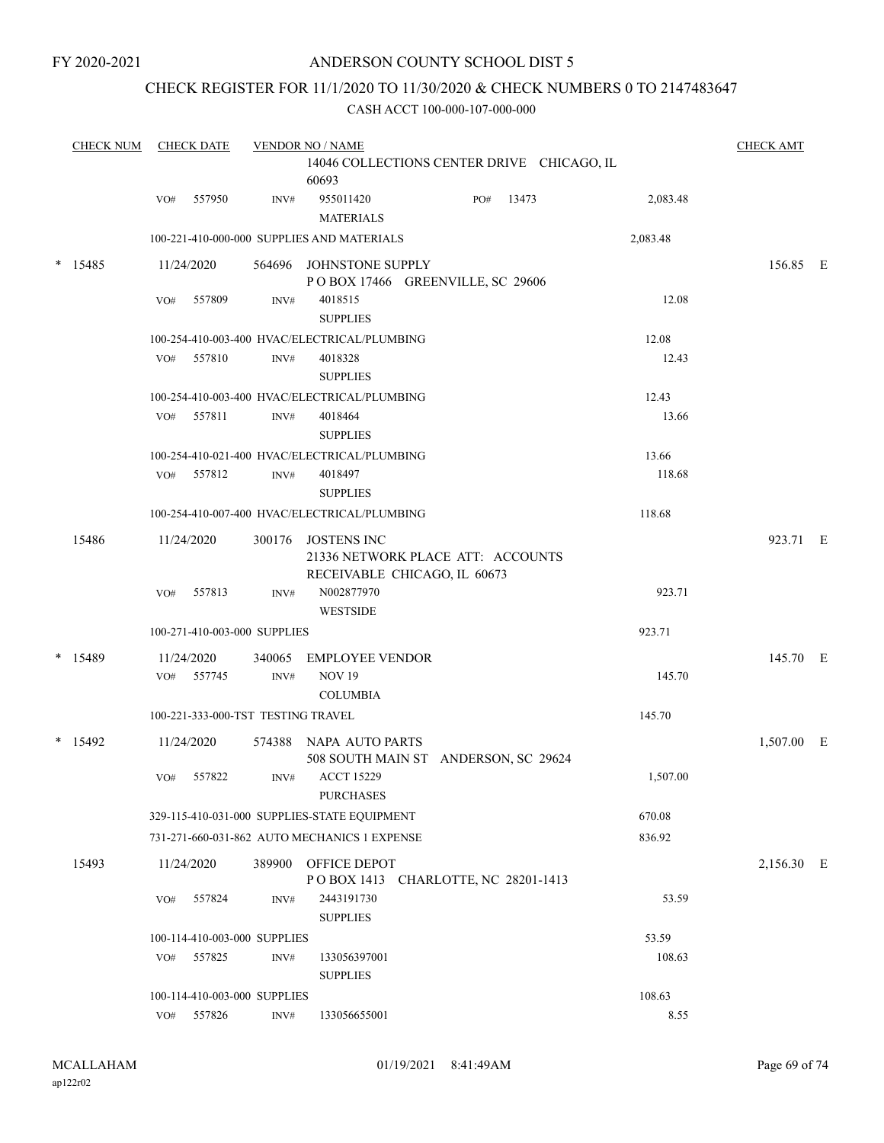FY 2020-2021

### ANDERSON COUNTY SCHOOL DIST 5

### CHECK REGISTER FOR 11/1/2020 TO 11/30/2020 & CHECK NUMBERS 0 TO 2147483647

|       | <b>CHECK NUM</b> | <b>CHECK DATE</b> |                                    | <b>VENDOR NO / NAME</b>                                           |                                            |        |          | <b>CHECK AMT</b> |  |
|-------|------------------|-------------------|------------------------------------|-------------------------------------------------------------------|--------------------------------------------|--------|----------|------------------|--|
|       |                  |                   |                                    | 60693                                                             | 14046 COLLECTIONS CENTER DRIVE CHICAGO, IL |        |          |                  |  |
|       |                  | 557950<br>VO#     | INV#                               | 955011420<br><b>MATERIALS</b>                                     | PO#                                        | 13473  | 2,083.48 |                  |  |
|       |                  |                   |                                    | 100-221-410-000-000 SUPPLIES AND MATERIALS                        |                                            |        | 2,083.48 |                  |  |
|       | $* 15485$        | 11/24/2020        |                                    | 564696 JOHNSTONE SUPPLY                                           | POBOX 17466 GREENVILLE, SC 29606           |        |          | 156.85 E         |  |
|       |                  | 557809<br>VO#     | INV#                               | 4018515<br><b>SUPPLIES</b>                                        |                                            |        | 12.08    |                  |  |
|       |                  |                   |                                    | 100-254-410-003-400 HVAC/ELECTRICAL/PLUMBING                      |                                            |        | 12.08    |                  |  |
|       |                  | VO# 557810        | INV#                               | 4018328<br><b>SUPPLIES</b>                                        |                                            |        | 12.43    |                  |  |
|       |                  |                   |                                    | 100-254-410-003-400 HVAC/ELECTRICAL/PLUMBING                      |                                            |        | 12.43    |                  |  |
|       |                  | 557811<br>VO#     | INV#                               | 4018464<br><b>SUPPLIES</b>                                        |                                            |        | 13.66    |                  |  |
|       |                  |                   |                                    | 100-254-410-021-400 HVAC/ELECTRICAL/PLUMBING                      |                                            |        | 13.66    |                  |  |
| 15486 | VO# 557812       | INV#              | 4018497<br><b>SUPPLIES</b>         |                                                                   |                                            | 118.68 |          |                  |  |
|       |                  |                   |                                    | 100-254-410-007-400 HVAC/ELECTRICAL/PLUMBING                      |                                            |        | 118.68   |                  |  |
|       | 11/24/2020       |                   | 300176 JOSTENS INC                 | 21336 NETWORK PLACE ATT: ACCOUNTS<br>RECEIVABLE CHICAGO, IL 60673 |                                            |        | 923.71 E |                  |  |
|       |                  | 557813<br>VO#     | INV#                               | N002877970<br><b>WESTSIDE</b>                                     |                                            |        | 923.71   |                  |  |
|       |                  |                   | 100-271-410-003-000 SUPPLIES       |                                                                   |                                            |        | 923.71   |                  |  |
|       | * 15489          | 11/24/2020        | 340065                             | <b>EMPLOYEE VENDOR</b>                                            |                                            |        |          | 145.70 E         |  |
|       |                  | 557745<br>VO#     | INV#                               | <b>NOV 19</b><br><b>COLUMBIA</b>                                  |                                            |        | 145.70   |                  |  |
|       |                  |                   | 100-221-333-000-TST TESTING TRAVEL |                                                                   |                                            |        | 145.70   |                  |  |
|       | $*$ 15492        | 11/24/2020        |                                    | 574388 NAPA AUTO PARTS                                            | 508 SOUTH MAIN ST ANDERSON, SC 29624       |        |          | 1,507.00 E       |  |
|       |                  | 557822<br>VO#     | INV#                               | <b>ACCT 15229</b><br><b>PURCHASES</b>                             |                                            |        | 1,507.00 |                  |  |
|       |                  |                   |                                    | 329-115-410-031-000 SUPPLIES-STATE EQUIPMENT                      |                                            |        | 670.08   |                  |  |
|       |                  |                   |                                    | 731-271-660-031-862 AUTO MECHANICS 1 EXPENSE                      |                                            |        | 836.92   |                  |  |
|       | 15493            | 11/24/2020        | 389900                             | OFFICE DEPOT                                                      | POBOX 1413 CHARLOTTE, NC 28201-1413        |        |          | 2,156.30 E       |  |
|       |                  | 557824<br>VO#     | INV#                               | 2443191730<br><b>SUPPLIES</b>                                     |                                            |        | 53.59    |                  |  |
|       |                  |                   | 100-114-410-003-000 SUPPLIES       |                                                                   |                                            |        | 53.59    |                  |  |
|       |                  | 557825<br>VO#     | INV#                               | 133056397001<br><b>SUPPLIES</b>                                   |                                            |        | 108.63   |                  |  |
|       |                  |                   | 100-114-410-003-000 SUPPLIES       |                                                                   |                                            |        | 108.63   |                  |  |
|       |                  | VO# 557826        | INV#                               | 133056655001                                                      |                                            |        | 8.55     |                  |  |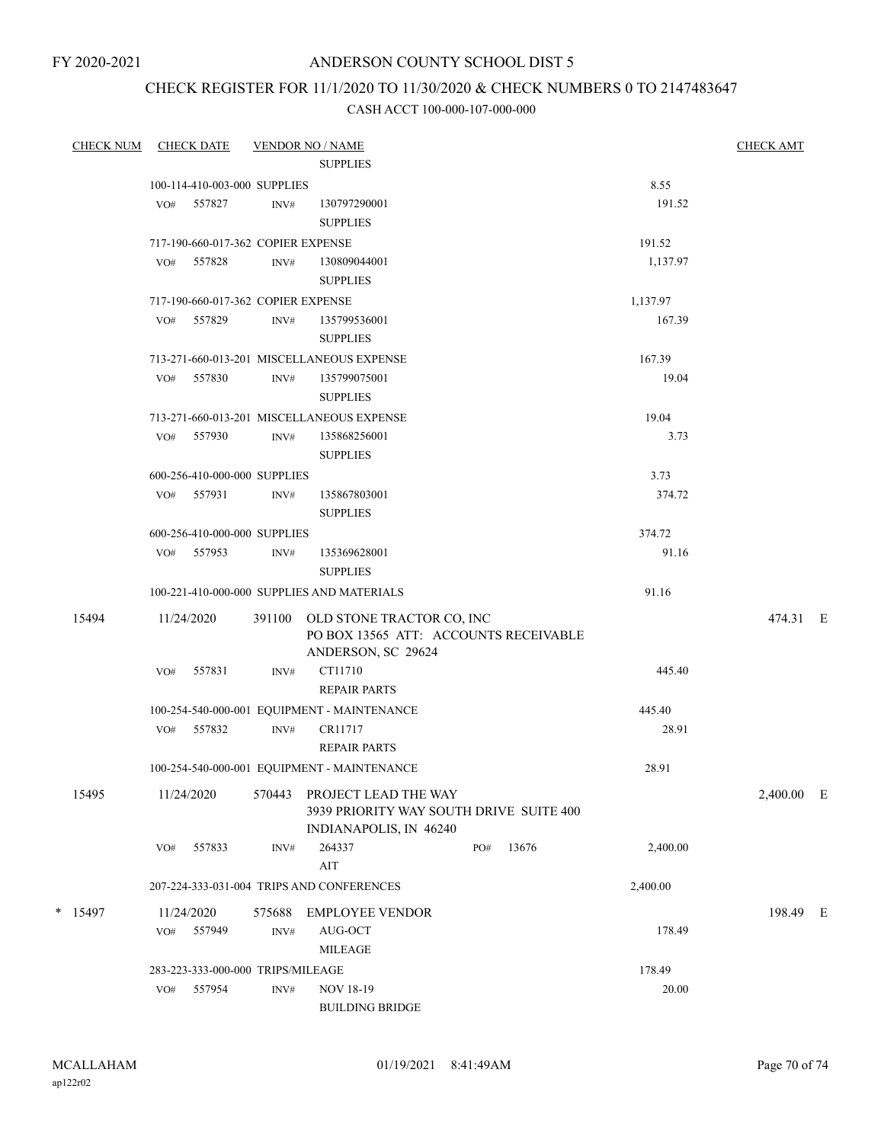FY 2020-2021

### ANDERSON COUNTY SCHOOL DIST 5

## CHECK REGISTER FOR 11/1/2020 TO 11/30/2020 & CHECK NUMBERS 0 TO 2147483647

| <b>CHECK NUM</b> |     | <b>CHECK DATE</b>                  |                | <b>VENDOR NO / NAME</b>                     |     |       |          | <b>CHECK AMT</b> |  |
|------------------|-----|------------------------------------|----------------|---------------------------------------------|-----|-------|----------|------------------|--|
|                  |     |                                    |                | <b>SUPPLIES</b>                             |     |       |          |                  |  |
|                  |     | 100-114-410-003-000 SUPPLIES       |                |                                             |     |       | 8.55     |                  |  |
|                  |     | VO# 557827                         | INV#           | 130797290001                                |     |       | 191.52   |                  |  |
|                  |     |                                    |                | <b>SUPPLIES</b>                             |     |       |          |                  |  |
|                  |     | 717-190-660-017-362 COPIER EXPENSE |                |                                             |     |       | 191.52   |                  |  |
|                  | VO# | 557828                             | INV#           | 130809044001                                |     |       | 1,137.97 |                  |  |
|                  |     |                                    |                | <b>SUPPLIES</b>                             |     |       |          |                  |  |
|                  |     | 717-190-660-017-362 COPIER EXPENSE |                |                                             |     |       | 1,137.97 |                  |  |
|                  | VO# | 557829                             | INV#           | 135799536001                                |     |       | 167.39   |                  |  |
|                  |     |                                    |                | <b>SUPPLIES</b>                             |     |       |          |                  |  |
|                  |     |                                    |                | 713-271-660-013-201 MISCELLANEOUS EXPENSE   |     |       | 167.39   |                  |  |
|                  | VO# | 557830                             | INV#           | 135799075001                                |     |       | 19.04    |                  |  |
|                  |     |                                    |                | <b>SUPPLIES</b>                             |     |       |          |                  |  |
|                  |     |                                    |                | 713-271-660-013-201 MISCELLANEOUS EXPENSE   |     |       | 19.04    |                  |  |
|                  |     | VO# 557930                         | INV#           | 135868256001                                |     |       | 3.73     |                  |  |
|                  |     |                                    |                | <b>SUPPLIES</b>                             |     |       |          |                  |  |
|                  |     | 600-256-410-000-000 SUPPLIES       |                |                                             |     |       | 3.73     |                  |  |
|                  |     | VO# 557931                         | INV#           | 135867803001                                |     |       | 374.72   |                  |  |
|                  |     |                                    |                | <b>SUPPLIES</b>                             |     |       |          |                  |  |
|                  |     | 600-256-410-000-000 SUPPLIES       |                |                                             |     |       | 374.72   |                  |  |
|                  |     | VO# 557953                         | INV#           | 135369628001                                |     |       | 91.16    |                  |  |
|                  |     |                                    |                | <b>SUPPLIES</b>                             |     |       |          |                  |  |
|                  |     |                                    |                | 100-221-410-000-000 SUPPLIES AND MATERIALS  |     |       | 91.16    |                  |  |
| 15494            |     | 11/24/2020                         |                | 391100 OLD STONE TRACTOR CO, INC            |     |       |          | 474.31 E         |  |
|                  |     |                                    |                | PO BOX 13565 ATT: ACCOUNTS RECEIVABLE       |     |       |          |                  |  |
|                  |     |                                    |                | ANDERSON, SC 29624                          |     |       |          |                  |  |
|                  | VO# | 557831                             | INV#           | CT11710                                     |     |       | 445.40   |                  |  |
|                  |     |                                    |                | <b>REPAIR PARTS</b>                         |     |       |          |                  |  |
|                  |     |                                    |                | 100-254-540-000-001 EQUIPMENT - MAINTENANCE |     |       | 445.40   |                  |  |
|                  |     | VO# 557832                         | INV#           | CR11717                                     |     |       | 28.91    |                  |  |
|                  |     |                                    |                | <b>REPAIR PARTS</b>                         |     |       |          |                  |  |
|                  |     |                                    |                | 100-254-540-000-001 EQUIPMENT - MAINTENANCE |     |       | 28.91    |                  |  |
| 15495            |     | 11/24/2020                         | 570443         | PROJECT LEAD THE WAY                        |     |       |          | 2,400.00 E       |  |
|                  |     |                                    |                | 3939 PRIORITY WAY SOUTH DRIVE SUITE 400     |     |       |          |                  |  |
|                  |     |                                    |                | INDIANAPOLIS, IN 46240                      |     |       |          |                  |  |
|                  | VO# | 557833                             | INV#           | 264337                                      | PO# | 13676 | 2,400.00 |                  |  |
|                  |     |                                    |                | AIT                                         |     |       |          |                  |  |
|                  |     |                                    |                | 207-224-333-031-004 TRIPS AND CONFERENCES   |     |       | 2,400.00 |                  |  |
| $*$ 15497        |     | 11/24/2020                         | 575688         | <b>EMPLOYEE VENDOR</b>                      |     |       |          | 198.49 E         |  |
|                  | VO# | 557949                             | INV#           | AUG-OCT                                     |     |       | 178.49   |                  |  |
|                  |     |                                    |                | <b>MILEAGE</b>                              |     |       |          |                  |  |
|                  |     | 283-223-333-000-000 TRIPS/MILEAGE  |                |                                             |     |       | 178.49   |                  |  |
|                  | VO# | 557954                             | $\text{INV}\#$ | <b>NOV 18-19</b>                            |     |       | 20.00    |                  |  |
|                  |     |                                    |                | <b>BUILDING BRIDGE</b>                      |     |       |          |                  |  |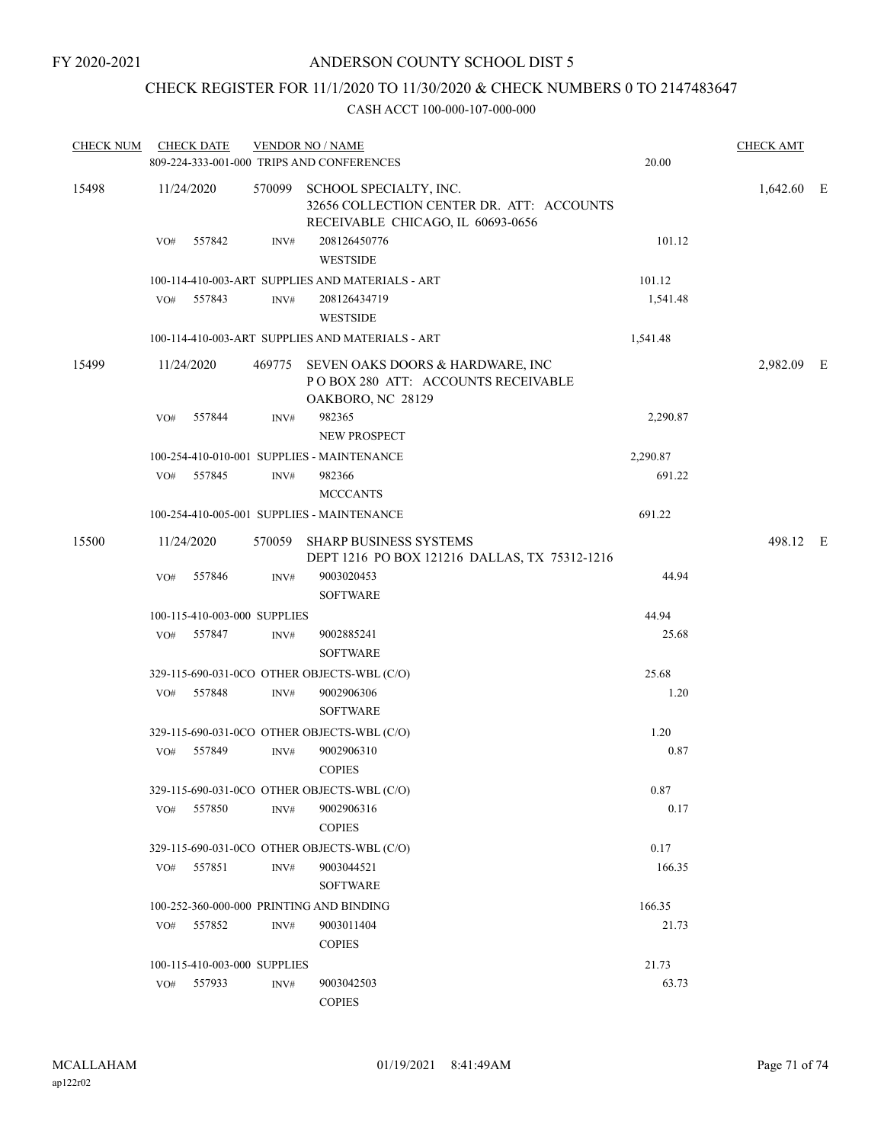### CHECK REGISTER FOR 11/1/2020 TO 11/30/2020 & CHECK NUMBERS 0 TO 2147483647

| <b>CHECK NUM</b> |                              | <b>CHECK DATE</b>            |                | <b>VENDOR NO / NAME</b>                                                                                         | <b>CHECK AMT</b> |              |  |
|------------------|------------------------------|------------------------------|----------------|-----------------------------------------------------------------------------------------------------------------|------------------|--------------|--|
|                  |                              |                              |                | 809-224-333-001-000 TRIPS AND CONFERENCES                                                                       | 20.00            |              |  |
| 15498            |                              | 11/24/2020                   |                | 570099 SCHOOL SPECIALTY, INC.<br>32656 COLLECTION CENTER DR. ATT: ACCOUNTS<br>RECEIVABLE CHICAGO, IL 60693-0656 |                  | $1,642.60$ E |  |
|                  | VO#                          | 557842                       | INV#           | 208126450776<br><b>WESTSIDE</b>                                                                                 | 101.12           |              |  |
|                  |                              |                              |                | 100-114-410-003-ART SUPPLIES AND MATERIALS - ART                                                                | 101.12           |              |  |
|                  | VO#                          | 557843                       | INV#           | 208126434719<br><b>WESTSIDE</b>                                                                                 | 1,541.48         |              |  |
|                  |                              |                              |                | 100-114-410-003-ART SUPPLIES AND MATERIALS - ART                                                                | 1,541.48         |              |  |
| 15499            |                              | 11/24/2020                   |                | 469775 SEVEN OAKS DOORS & HARDWARE, INC<br>POBOX 280 ATT: ACCOUNTS RECEIVABLE<br>OAKBORO, NC 28129              |                  | 2,982.09 E   |  |
|                  | VO#                          | 557844                       | INV#           | 982365<br>NEW PROSPECT                                                                                          | 2,290.87         |              |  |
|                  |                              |                              |                | 100-254-410-010-001 SUPPLIES - MAINTENANCE                                                                      | 2,290.87         |              |  |
|                  |                              | VO# 557845                   | INV#           | 982366<br><b>MCCCANTS</b>                                                                                       | 691.22           |              |  |
|                  |                              |                              |                | 100-254-410-005-001 SUPPLIES - MAINTENANCE                                                                      | 691.22           |              |  |
| 15500            |                              | 11/24/2020                   |                | 570059 SHARP BUSINESS SYSTEMS<br>DEPT 1216 PO BOX 121216 DALLAS, TX 75312-1216                                  |                  | 498.12 E     |  |
|                  | VO#                          | 557846                       | INV#           | 9003020453<br><b>SOFTWARE</b>                                                                                   | 44.94            |              |  |
|                  |                              | 100-115-410-003-000 SUPPLIES |                |                                                                                                                 | 44.94            |              |  |
|                  | VO#                          | 557847                       | INV#           | 9002885241<br><b>SOFTWARE</b>                                                                                   | 25.68            |              |  |
|                  |                              |                              |                | 329-115-690-031-0CO OTHER OBJECTS-WBL (C/O)                                                                     | 25.68            |              |  |
|                  | VO#                          | 557848                       | $\text{INV}\#$ | 9002906306<br><b>SOFTWARE</b>                                                                                   | 1.20             |              |  |
|                  |                              |                              |                | 329-115-690-031-0CO OTHER OBJECTS-WBL (C/O)                                                                     | 1.20             |              |  |
|                  |                              | VO# 557849                   | INV#           | 9002906310<br><b>COPIES</b>                                                                                     | 0.87             |              |  |
|                  |                              |                              |                | 329-115-690-031-0CO OTHER OBJECTS-WBL (C/O)                                                                     | 0.87             |              |  |
|                  | VO#                          | 557850                       | INV#           | 9002906316<br><b>COPIES</b>                                                                                     | 0.17             |              |  |
|                  |                              |                              |                | 329-115-690-031-0CO OTHER OBJECTS-WBL (C/O)                                                                     | 0.17             |              |  |
|                  |                              | VO# 557851                   | INV#           | 9003044521<br><b>SOFTWARE</b>                                                                                   | 166.35           |              |  |
|                  |                              |                              |                | 100-252-360-000-000 PRINTING AND BINDING                                                                        | 166.35           |              |  |
|                  | 557852<br>INV#<br>VO#        |                              |                | 9003011404<br><b>COPIES</b>                                                                                     | 21.73            |              |  |
|                  | 100-115-410-003-000 SUPPLIES |                              |                |                                                                                                                 | 21.73            |              |  |
|                  |                              | VO# 557933                   | INV#           | 9003042503<br><b>COPIES</b>                                                                                     | 63.73            |              |  |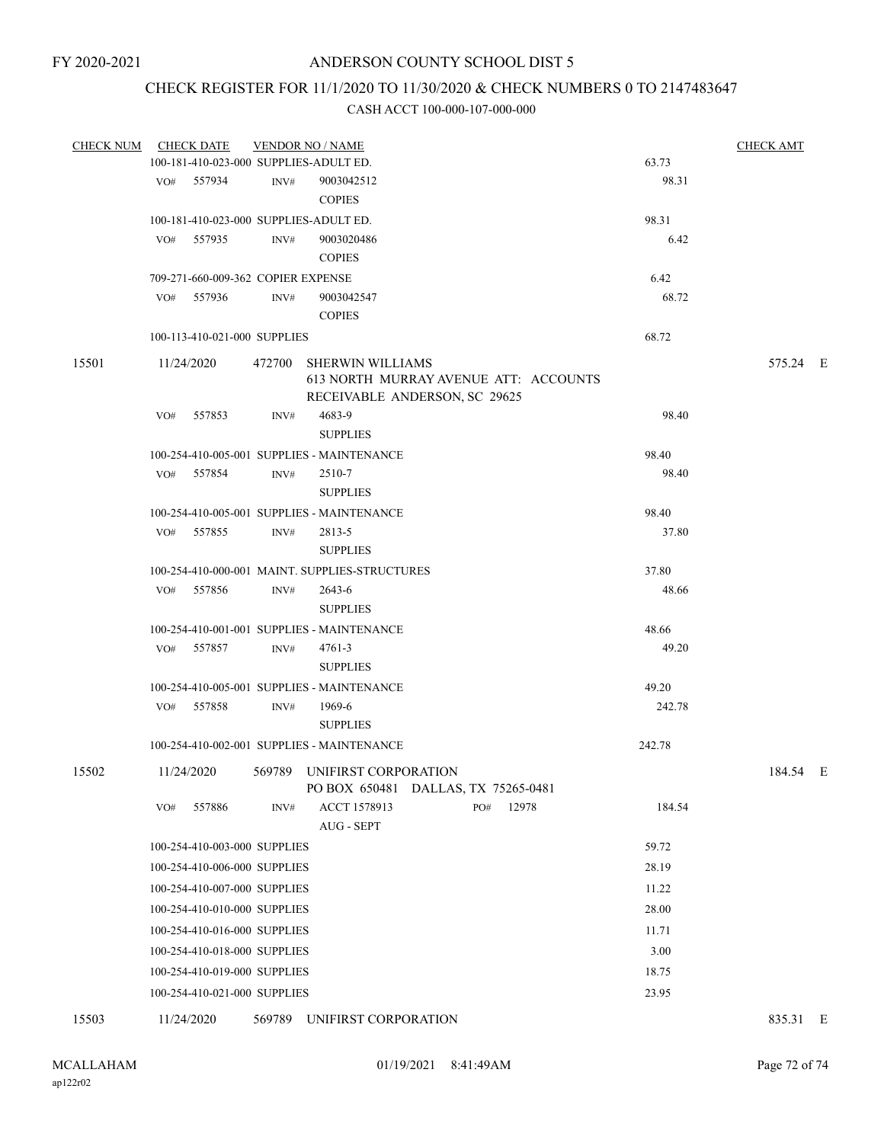### CHECK REGISTER FOR 11/1/2020 TO 11/30/2020 & CHECK NUMBERS 0 TO 2147483647

| <b>CHECK NUM</b> |     | <b>CHECK DATE</b>                  |        | <b>VENDOR NO / NAME</b>                                            |                                       |        | <b>CHECK AMT</b> |  |
|------------------|-----|------------------------------------|--------|--------------------------------------------------------------------|---------------------------------------|--------|------------------|--|
|                  |     |                                    |        | 100-181-410-023-000 SUPPLIES-ADULT ED.                             |                                       | 63.73  |                  |  |
|                  |     | VO# 557934                         | INV#   | 9003042512                                                         |                                       | 98.31  |                  |  |
|                  |     |                                    |        | <b>COPIES</b>                                                      |                                       |        |                  |  |
|                  |     |                                    |        | 100-181-410-023-000 SUPPLIES-ADULT ED.                             |                                       | 98.31  |                  |  |
|                  | VO# | 557935                             | INV#   | 9003020486                                                         |                                       | 6.42   |                  |  |
|                  |     |                                    |        | <b>COPIES</b>                                                      |                                       |        |                  |  |
|                  |     | 709-271-660-009-362 COPIER EXPENSE |        |                                                                    |                                       | 6.42   |                  |  |
|                  |     | VO# 557936                         | INV#   | 9003042547                                                         |                                       | 68.72  |                  |  |
|                  |     |                                    |        | <b>COPIES</b>                                                      |                                       |        |                  |  |
|                  |     | 100-113-410-021-000 SUPPLIES       |        |                                                                    |                                       | 68.72  |                  |  |
| 15501            |     | 11/24/2020                         |        | 472700 SHERWIN WILLIAMS<br>RECEIVABLE ANDERSON, SC 29625           | 613 NORTH MURRAY AVENUE ATT: ACCOUNTS |        | 575.24 E         |  |
|                  | VO# | 557853                             | INV#   | 4683-9                                                             |                                       | 98.40  |                  |  |
|                  |     |                                    |        | <b>SUPPLIES</b>                                                    |                                       |        |                  |  |
|                  |     |                                    |        | 100-254-410-005-001 SUPPLIES - MAINTENANCE                         |                                       | 98.40  |                  |  |
|                  |     | VO# 557854                         | INV#   | 2510-7                                                             |                                       | 98.40  |                  |  |
|                  |     |                                    |        | <b>SUPPLIES</b>                                                    |                                       |        |                  |  |
|                  |     |                                    |        | 100-254-410-005-001 SUPPLIES - MAINTENANCE                         |                                       | 98.40  |                  |  |
|                  |     | VO# 557855                         | INV#   | 2813-5                                                             |                                       | 37.80  |                  |  |
|                  |     |                                    |        | <b>SUPPLIES</b>                                                    |                                       |        |                  |  |
|                  |     |                                    |        | 100-254-410-000-001 MAINT. SUPPLIES-STRUCTURES                     |                                       | 37.80  |                  |  |
|                  |     | VO# 557856                         | INV#   | 2643-6                                                             |                                       | 48.66  |                  |  |
|                  |     |                                    |        | <b>SUPPLIES</b>                                                    |                                       |        |                  |  |
|                  |     |                                    |        | 100-254-410-001-001 SUPPLIES - MAINTENANCE                         |                                       | 48.66  |                  |  |
|                  |     | VO# 557857                         | INV#   | 4761-3                                                             |                                       | 49.20  |                  |  |
|                  |     |                                    |        | <b>SUPPLIES</b>                                                    |                                       |        |                  |  |
|                  |     |                                    |        | 100-254-410-005-001 SUPPLIES - MAINTENANCE                         |                                       | 49.20  |                  |  |
|                  |     | VO# 557858                         | INV#   | 1969-6                                                             |                                       | 242.78 |                  |  |
|                  |     |                                    |        | <b>SUPPLIES</b>                                                    |                                       |        |                  |  |
|                  |     |                                    |        | 100-254-410-002-001 SUPPLIES - MAINTENANCE                         |                                       | 242.78 |                  |  |
| 15502            |     | 11/24/2020                         |        | 569789 UNIFIRST CORPORATION<br>PO BOX 650481 DALLAS, TX 75265-0481 |                                       |        | 184.54 E         |  |
|                  | VO# | 557886                             | INV#   | ACCT 1578913                                                       | 12978<br>PO#                          | 184.54 |                  |  |
|                  |     |                                    |        | AUG - SEPT                                                         |                                       |        |                  |  |
|                  |     | 100-254-410-003-000 SUPPLIES       |        |                                                                    |                                       | 59.72  |                  |  |
|                  |     | 100-254-410-006-000 SUPPLIES       |        |                                                                    |                                       | 28.19  |                  |  |
|                  |     | 100-254-410-007-000 SUPPLIES       |        |                                                                    |                                       | 11.22  |                  |  |
|                  |     | 100-254-410-010-000 SUPPLIES       |        |                                                                    |                                       | 28.00  |                  |  |
|                  |     | 100-254-410-016-000 SUPPLIES       |        |                                                                    |                                       | 11.71  |                  |  |
|                  |     | 100-254-410-018-000 SUPPLIES       |        |                                                                    |                                       | 3.00   |                  |  |
|                  |     | 100-254-410-019-000 SUPPLIES       |        |                                                                    |                                       | 18.75  |                  |  |
|                  |     | 100-254-410-021-000 SUPPLIES       |        |                                                                    |                                       | 23.95  |                  |  |
| 15503            |     | 11/24/2020                         | 569789 | UNIFIRST CORPORATION                                               |                                       |        | 835.31 E         |  |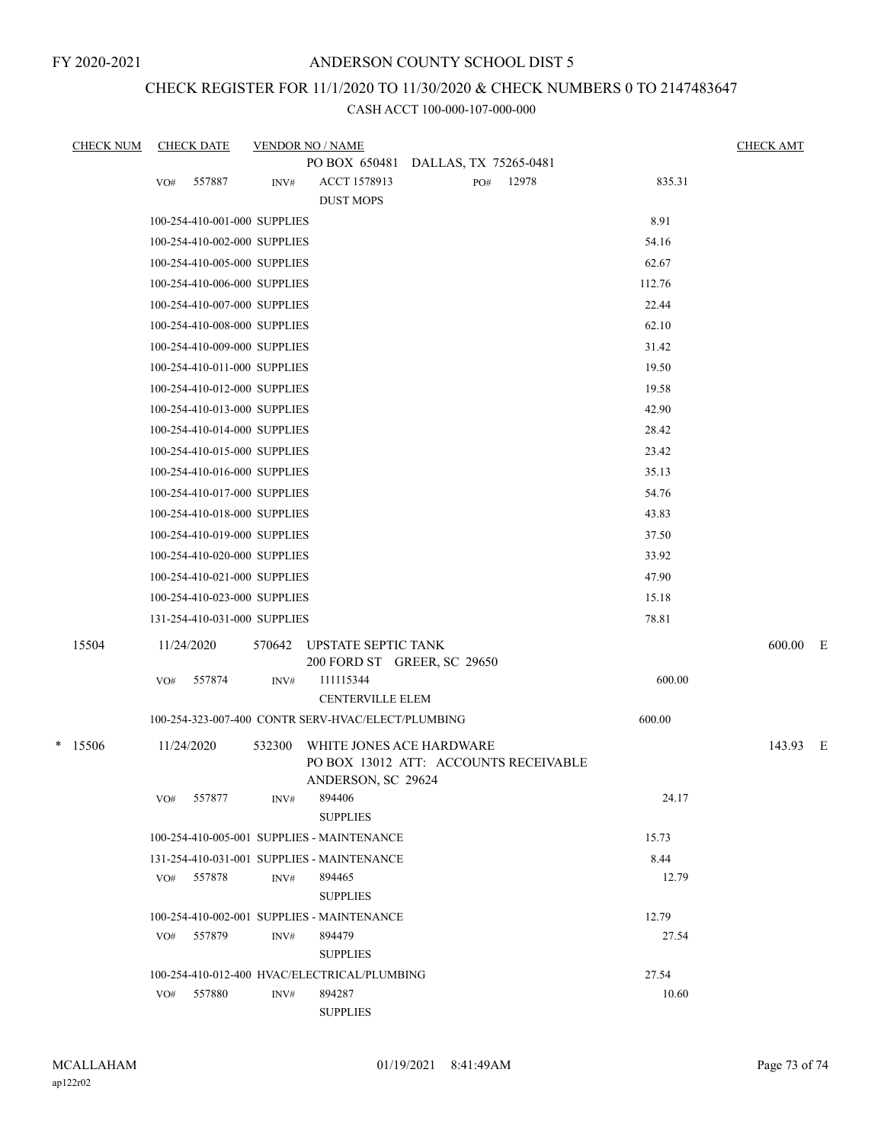FY 2020-2021

## ANDERSON COUNTY SCHOOL DIST 5

# CHECK REGISTER FOR 11/1/2020 TO 11/30/2020 & CHECK NUMBERS 0 TO 2147483647

CASH ACCT 100-000-107-000-000

| <b>CHECK NUM</b> | <b>CHECK DATE</b>                                  |                | <b>VENDOR NO / NAME</b>                                                                 |  |     |       |        | <b>CHECK AMT</b> |  |
|------------------|----------------------------------------------------|----------------|-----------------------------------------------------------------------------------------|--|-----|-------|--------|------------------|--|
|                  |                                                    |                | PO BOX 650481 DALLAS, TX 75265-0481                                                     |  |     |       |        |                  |  |
|                  | 557887<br>VO#                                      | INV#           | ACCT 1578913<br><b>DUST MOPS</b>                                                        |  | PO# | 12978 | 835.31 |                  |  |
|                  | 100-254-410-001-000 SUPPLIES                       |                |                                                                                         |  |     |       | 8.91   |                  |  |
|                  | 100-254-410-002-000 SUPPLIES                       |                |                                                                                         |  |     |       | 54.16  |                  |  |
|                  | 100-254-410-005-000 SUPPLIES                       |                |                                                                                         |  |     |       | 62.67  |                  |  |
|                  | 100-254-410-006-000 SUPPLIES                       |                |                                                                                         |  |     |       | 112.76 |                  |  |
|                  | 100-254-410-007-000 SUPPLIES                       |                |                                                                                         |  |     |       | 22.44  |                  |  |
|                  | 100-254-410-008-000 SUPPLIES                       |                |                                                                                         |  |     |       | 62.10  |                  |  |
|                  | 100-254-410-009-000 SUPPLIES                       |                |                                                                                         |  |     |       | 31.42  |                  |  |
|                  | 100-254-410-011-000 SUPPLIES                       |                |                                                                                         |  |     |       | 19.50  |                  |  |
|                  | 100-254-410-012-000 SUPPLIES                       |                |                                                                                         |  |     |       | 19.58  |                  |  |
|                  | 100-254-410-013-000 SUPPLIES                       |                |                                                                                         |  |     |       | 42.90  |                  |  |
|                  | 100-254-410-014-000 SUPPLIES                       |                |                                                                                         |  |     |       | 28.42  |                  |  |
|                  | 100-254-410-015-000 SUPPLIES                       |                |                                                                                         |  |     |       | 23.42  |                  |  |
|                  | 100-254-410-016-000 SUPPLIES                       |                |                                                                                         |  |     |       | 35.13  |                  |  |
|                  | 100-254-410-017-000 SUPPLIES                       |                |                                                                                         |  |     |       | 54.76  |                  |  |
|                  | 100-254-410-018-000 SUPPLIES                       |                |                                                                                         |  |     |       | 43.83  |                  |  |
|                  | 100-254-410-019-000 SUPPLIES                       |                |                                                                                         |  |     |       | 37.50  |                  |  |
|                  | 100-254-410-020-000 SUPPLIES                       |                |                                                                                         |  |     |       | 33.92  |                  |  |
|                  | 100-254-410-021-000 SUPPLIES                       |                |                                                                                         |  |     |       | 47.90  |                  |  |
|                  | 100-254-410-023-000 SUPPLIES                       |                |                                                                                         |  |     |       | 15.18  |                  |  |
|                  | 131-254-410-031-000 SUPPLIES                       |                |                                                                                         |  |     |       | 78.81  |                  |  |
| 15504            | 11/24/2020                                         | 570642         | UPSTATE SEPTIC TANK<br>200 FORD ST GREER, SC 29650                                      |  |     |       |        | 600.00 E         |  |
|                  | 557874<br>VO#                                      | INV#           | 111115344<br><b>CENTERVILLE ELEM</b>                                                    |  |     |       | 600.00 |                  |  |
|                  |                                                    |                | 100-254-323-007-400 CONTR SERV-HVAC/ELECT/PLUMBING                                      |  |     |       | 600.00 |                  |  |
| * 15506          | 11/24/2020                                         | 532300         | WHITE JONES ACE HARDWARE<br>PO BOX 13012 ATT: ACCOUNTS RECEIVABLE<br>ANDERSON, SC 29624 |  |     |       |        | 143.93 E         |  |
|                  | 557877<br>VO#                                      | INV#           | 894406<br><b>SUPPLIES</b>                                                               |  |     |       | 24.17  |                  |  |
|                  |                                                    |                | 100-254-410-005-001 SUPPLIES - MAINTENANCE                                              |  |     |       | 15.73  |                  |  |
|                  | 8.44<br>131-254-410-031-001 SUPPLIES - MAINTENANCE |                |                                                                                         |  |     |       |        |                  |  |
|                  | 557878<br>VO#                                      | INV#           | 894465<br><b>SUPPLIES</b>                                                               |  |     |       | 12.79  |                  |  |
|                  |                                                    |                | 100-254-410-002-001 SUPPLIES - MAINTENANCE                                              |  |     |       | 12.79  |                  |  |
|                  | 557879<br>VO#                                      | INV#           | 894479<br><b>SUPPLIES</b>                                                               |  |     |       | 27.54  |                  |  |
|                  |                                                    |                | 100-254-410-012-400 HVAC/ELECTRICAL/PLUMBING                                            |  |     |       | 27.54  |                  |  |
|                  | 557880<br>VO#                                      | $\text{INV}\#$ | 894287<br><b>SUPPLIES</b>                                                               |  |     |       | 10.60  |                  |  |